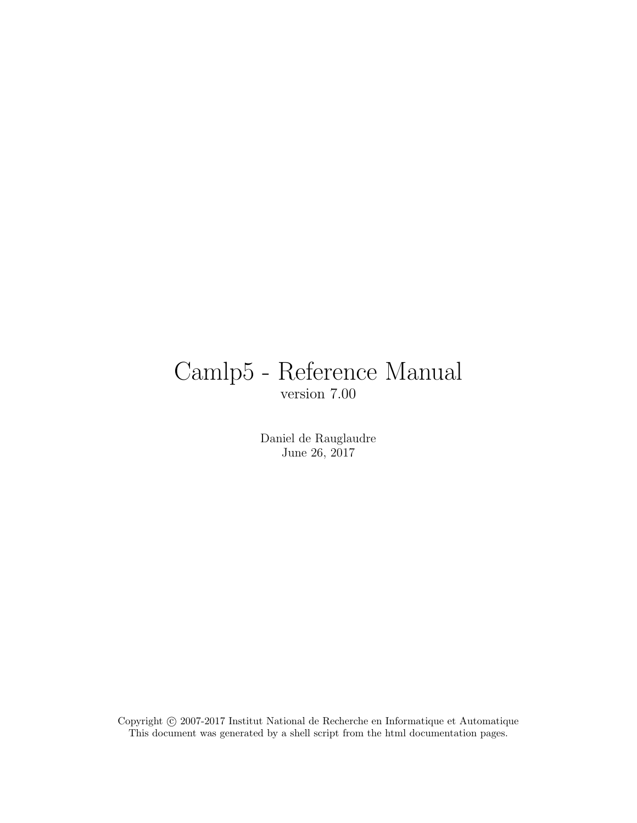# Camlp5 - Reference Manual version 7.00

Daniel de Rauglaudre June 26, 2017

Copyright © 2007-2017 Institut National de Recherche en Informatique et Automatique This document was generated by a shell script from the html documentation pages.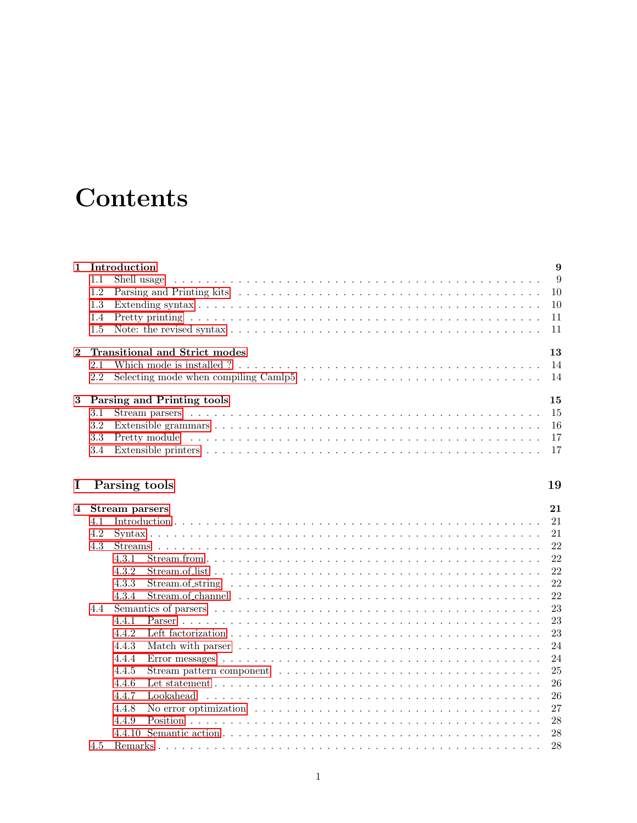# **Contents**

| $\mathbf{1}$ | Introduction                                                                                                                                                                                                                         | 9  |
|--------------|--------------------------------------------------------------------------------------------------------------------------------------------------------------------------------------------------------------------------------------|----|
|              | 1.1                                                                                                                                                                                                                                  |    |
|              | 1.2                                                                                                                                                                                                                                  |    |
|              | 1.3                                                                                                                                                                                                                                  |    |
|              | 1.4                                                                                                                                                                                                                                  |    |
|              | $1.5\,$                                                                                                                                                                                                                              |    |
| $\mathbf{2}$ | Transitional and Strict modes                                                                                                                                                                                                        | 13 |
|              | 2.1                                                                                                                                                                                                                                  |    |
|              | 2.2                                                                                                                                                                                                                                  |    |
| 3            | Parsing and Printing tools                                                                                                                                                                                                           | 15 |
|              | 3.1                                                                                                                                                                                                                                  |    |
|              | 3.2                                                                                                                                                                                                                                  |    |
|              | Pretty module in the contract of the contract of the contract of the contract of the contract of the contract of the contract of the contract of the contract of the contract of the contract of the contract of the contract<br>3.3 |    |
|              | 3.4                                                                                                                                                                                                                                  |    |
| Ι.           | Parsing tools                                                                                                                                                                                                                        | 19 |
| 4            | Stream parsers                                                                                                                                                                                                                       | 21 |
|              | $\Delta$ 2 $\alpha$                                                                                                                                                                                                                  | 21 |

| 4.1 |       |                                                                                                             | 21 |
|-----|-------|-------------------------------------------------------------------------------------------------------------|----|
| 4.2 |       |                                                                                                             | 21 |
| 4.3 |       |                                                                                                             | 22 |
|     | 4.3.1 |                                                                                                             | 22 |
|     | 4.3.2 |                                                                                                             | 22 |
|     | 4.3.3 |                                                                                                             | 22 |
|     | 4.3.4 |                                                                                                             | 22 |
| 4.4 |       |                                                                                                             | 23 |
|     | 4.4.1 |                                                                                                             | 23 |
|     | 4.4.2 |                                                                                                             | 23 |
|     | 4.4.3 |                                                                                                             | 24 |
|     | 4.4.4 |                                                                                                             | 24 |
|     | 4.4.5 |                                                                                                             | 25 |
|     | 4.4.6 |                                                                                                             | 26 |
|     | 4.4.7 | Lookahead                                                                                                   | 26 |
|     | 4.4.8 | No error optimization $\ldots \ldots \ldots \ldots \ldots \ldots \ldots \ldots \ldots \ldots \ldots \ldots$ | 27 |
|     | 4.4.9 | Position                                                                                                    | 28 |
|     |       |                                                                                                             | 28 |
| 4.5 |       |                                                                                                             | 28 |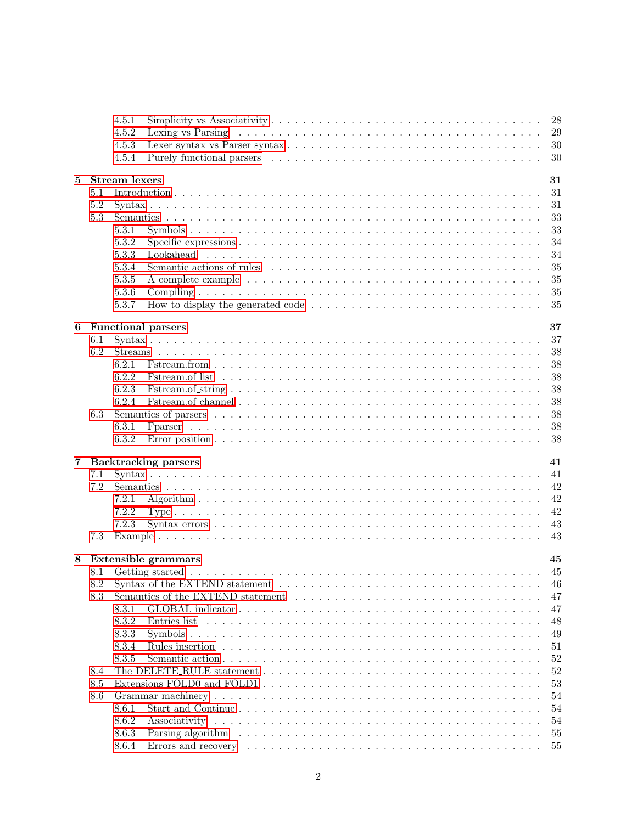|   |     | 4.5.1                |                                                                                                                       | 28 |
|---|-----|----------------------|-----------------------------------------------------------------------------------------------------------------------|----|
|   |     | 4.5.2                |                                                                                                                       | 29 |
|   |     | 4.5.3                |                                                                                                                       | 30 |
|   |     | 4.5.4                |                                                                                                                       | 30 |
|   |     |                      |                                                                                                                       |    |
| 5 |     | <b>Stream</b> lexers |                                                                                                                       | 31 |
|   | 5.1 |                      |                                                                                                                       | 31 |
|   | 5.2 |                      |                                                                                                                       | 31 |
|   | 5.3 |                      |                                                                                                                       | 33 |
|   |     | 5.3.1                |                                                                                                                       | 33 |
|   |     | 5.3.2                |                                                                                                                       | 34 |
|   |     |                      |                                                                                                                       |    |
|   |     | 5.3.3                |                                                                                                                       | 34 |
|   |     | 5.3.4                |                                                                                                                       | 35 |
|   |     | 5.3.5                |                                                                                                                       | 35 |
|   |     | 5.3.6                |                                                                                                                       | 35 |
|   |     | 5.3.7                |                                                                                                                       | 35 |
|   |     |                      |                                                                                                                       |    |
| 6 |     |                      | <b>Functional parsers</b>                                                                                             | 37 |
|   | 6.1 |                      |                                                                                                                       | 37 |
|   | 6.2 |                      |                                                                                                                       | 38 |
|   |     | 6.2.1                |                                                                                                                       | 38 |
|   |     | 6.2.2                |                                                                                                                       | 38 |
|   |     | 6.2.3                |                                                                                                                       | 38 |
|   |     | 6.2.4                |                                                                                                                       | 38 |
|   |     |                      |                                                                                                                       |    |
|   | 6.3 |                      |                                                                                                                       | 38 |
|   |     | 6.3.1                |                                                                                                                       | 38 |
|   |     | 6.3.2                |                                                                                                                       | 38 |
|   |     |                      |                                                                                                                       |    |
| 7 |     |                      | <b>Backtracking parsers</b>                                                                                           | 41 |
|   | 7.1 |                      |                                                                                                                       | 41 |
|   | 7.2 |                      |                                                                                                                       | 42 |
|   |     | 7.2.1                |                                                                                                                       | 42 |
|   |     | 7.2.2                |                                                                                                                       | 42 |
|   |     | 7.2.3                |                                                                                                                       | 43 |
|   | 7.3 |                      |                                                                                                                       | 43 |
|   |     |                      |                                                                                                                       |    |
| 8 |     |                      | <b>Extensible grammars</b>                                                                                            | 45 |
|   |     |                      |                                                                                                                       | 45 |
|   |     |                      |                                                                                                                       | 46 |
|   | 8.3 |                      |                                                                                                                       | 47 |
|   |     | 8.3.1                |                                                                                                                       | 47 |
|   |     | 8.3.2                | Entries list                                                                                                          | 48 |
|   |     |                      |                                                                                                                       |    |
|   |     | 8.3.3                |                                                                                                                       | 49 |
|   |     | 8.3.4                |                                                                                                                       | 51 |
|   |     | 8.3.5                |                                                                                                                       | 52 |
|   | 8.4 |                      |                                                                                                                       | 52 |
|   | 8.5 |                      |                                                                                                                       | 53 |
|   | 8.6 |                      |                                                                                                                       | 54 |
|   |     | 8.6.1                |                                                                                                                       | 54 |
|   |     | 8.6.2                |                                                                                                                       | 54 |
|   |     | 8.6.3                |                                                                                                                       | 55 |
|   |     | 8.6.4                |                                                                                                                       | 55 |
|   |     |                      | Errors and recovery $\dots \dots \dots \dots \dots \dots \dots \dots \dots \dots \dots \dots \dots \dots \dots \dots$ |    |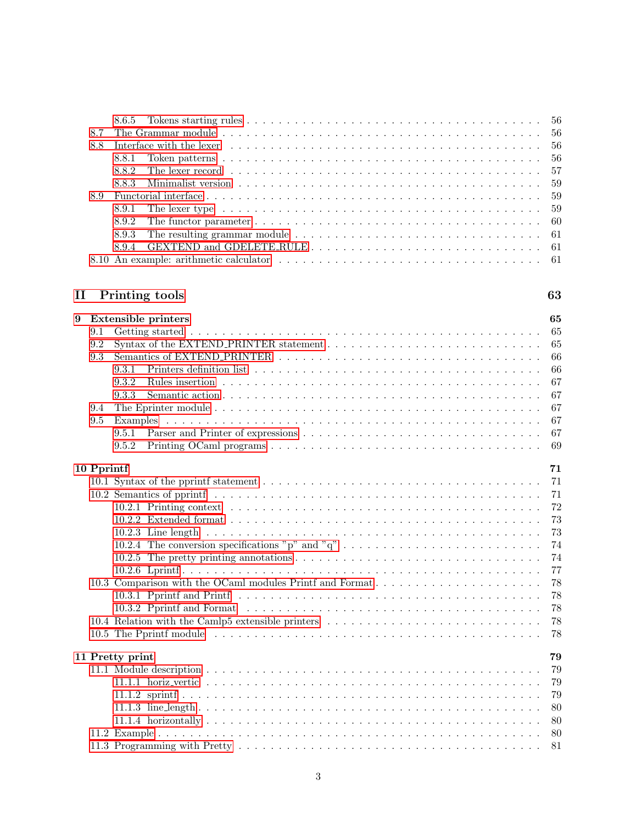| 8.8 | Interface with the lexer entering contained to the contained to the contained to the contained to the level of |  |
|-----|----------------------------------------------------------------------------------------------------------------|--|
|     |                                                                                                                |  |
|     |                                                                                                                |  |
|     |                                                                                                                |  |
|     |                                                                                                                |  |
|     |                                                                                                                |  |
|     |                                                                                                                |  |
|     |                                                                                                                |  |
|     |                                                                                                                |  |
|     |                                                                                                                |  |

# [II Printing tools](#page-64-0) 63

| 9          |     | <b>Extensible printers</b>                                                                                                    | 65 |
|------------|-----|-------------------------------------------------------------------------------------------------------------------------------|----|
|            | 9.1 |                                                                                                                               | 65 |
|            | 9.2 |                                                                                                                               | 65 |
|            | 9.3 |                                                                                                                               | 66 |
|            |     | 9.3.1                                                                                                                         | 66 |
|            |     | 9.3.2                                                                                                                         | 67 |
|            |     | 9.3.3                                                                                                                         | 67 |
|            | 9.4 |                                                                                                                               | 67 |
|            | 9.5 |                                                                                                                               | 67 |
|            |     | 9.5.1                                                                                                                         | 67 |
|            |     | 9.5.2<br>Printing OCaml programs $\ldots \ldots \ldots \ldots \ldots \ldots \ldots \ldots \ldots \ldots \ldots \ldots \ldots$ | 69 |
| 10 Pprintf |     |                                                                                                                               | 71 |
|            |     |                                                                                                                               | 71 |
|            |     |                                                                                                                               | 71 |
|            |     |                                                                                                                               | 72 |
|            |     |                                                                                                                               | 73 |
|            |     |                                                                                                                               | 73 |
|            |     | 10.2.4 The conversion specifications "p" and "q"                                                                              | 74 |
|            |     |                                                                                                                               | 74 |
|            |     |                                                                                                                               | 77 |
|            |     | 10.3 Comparison with the OCaml modules Printf and Format                                                                      | 78 |
|            |     |                                                                                                                               | 78 |
|            |     |                                                                                                                               | 78 |
|            |     |                                                                                                                               | 78 |
|            |     |                                                                                                                               | 78 |
|            |     | 11 Pretty print                                                                                                               | 79 |
|            |     |                                                                                                                               | 79 |
|            |     |                                                                                                                               | 79 |
|            |     |                                                                                                                               | 79 |
|            |     |                                                                                                                               | 80 |
|            |     |                                                                                                                               | 80 |
|            |     |                                                                                                                               | 80 |
|            |     |                                                                                                                               |    |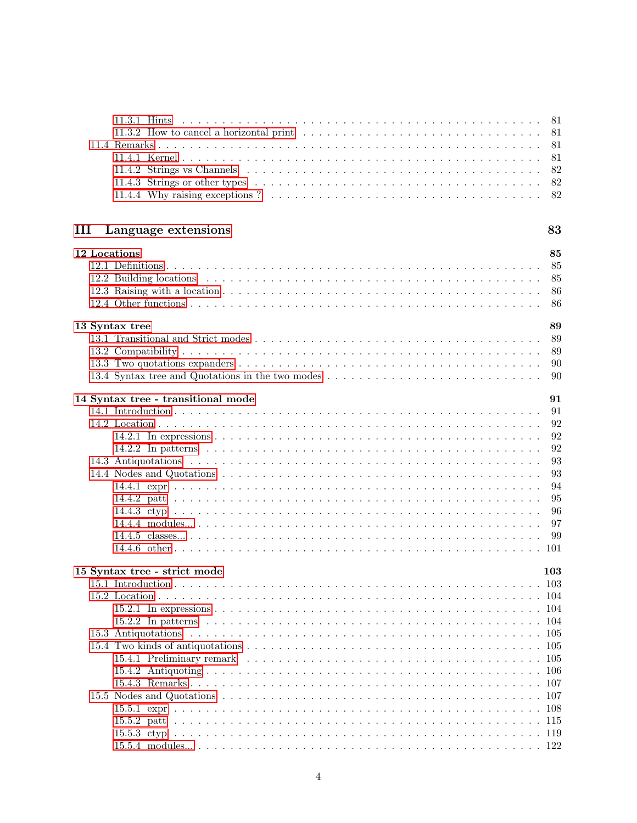| 11.3.2 How to cancel a horizontal print<br>81<br>81<br>81<br>82<br>82<br>82<br>83<br>Language extensions<br>12 Locations<br>85<br>85<br>85<br>86<br>86<br>13 Syntax tree<br>89<br>89<br>89<br>90<br>13.4 Syntax tree and Quotations in the two modes<br>90<br>14 Syntax tree - transitional mode<br>91<br>91<br>92<br>92<br>92<br>93<br>93<br>94<br>95<br>96<br>97<br>99<br>101<br>15 Syntax tree - strict mode<br>103 |   | $11.3.1$ Hints<br>81 |  |
|------------------------------------------------------------------------------------------------------------------------------------------------------------------------------------------------------------------------------------------------------------------------------------------------------------------------------------------------------------------------------------------------------------------------|---|----------------------|--|
|                                                                                                                                                                                                                                                                                                                                                                                                                        |   |                      |  |
|                                                                                                                                                                                                                                                                                                                                                                                                                        |   |                      |  |
|                                                                                                                                                                                                                                                                                                                                                                                                                        |   |                      |  |
|                                                                                                                                                                                                                                                                                                                                                                                                                        |   |                      |  |
|                                                                                                                                                                                                                                                                                                                                                                                                                        |   |                      |  |
|                                                                                                                                                                                                                                                                                                                                                                                                                        |   |                      |  |
|                                                                                                                                                                                                                                                                                                                                                                                                                        |   |                      |  |
|                                                                                                                                                                                                                                                                                                                                                                                                                        |   |                      |  |
|                                                                                                                                                                                                                                                                                                                                                                                                                        | Ш |                      |  |
|                                                                                                                                                                                                                                                                                                                                                                                                                        |   |                      |  |
|                                                                                                                                                                                                                                                                                                                                                                                                                        |   |                      |  |
|                                                                                                                                                                                                                                                                                                                                                                                                                        |   |                      |  |
|                                                                                                                                                                                                                                                                                                                                                                                                                        |   |                      |  |
|                                                                                                                                                                                                                                                                                                                                                                                                                        |   |                      |  |
|                                                                                                                                                                                                                                                                                                                                                                                                                        |   |                      |  |
|                                                                                                                                                                                                                                                                                                                                                                                                                        |   |                      |  |
|                                                                                                                                                                                                                                                                                                                                                                                                                        |   |                      |  |
|                                                                                                                                                                                                                                                                                                                                                                                                                        |   |                      |  |
|                                                                                                                                                                                                                                                                                                                                                                                                                        |   |                      |  |
|                                                                                                                                                                                                                                                                                                                                                                                                                        |   |                      |  |
|                                                                                                                                                                                                                                                                                                                                                                                                                        |   |                      |  |
|                                                                                                                                                                                                                                                                                                                                                                                                                        |   |                      |  |
|                                                                                                                                                                                                                                                                                                                                                                                                                        |   |                      |  |
|                                                                                                                                                                                                                                                                                                                                                                                                                        |   |                      |  |
|                                                                                                                                                                                                                                                                                                                                                                                                                        |   |                      |  |
|                                                                                                                                                                                                                                                                                                                                                                                                                        |   |                      |  |
|                                                                                                                                                                                                                                                                                                                                                                                                                        |   |                      |  |
|                                                                                                                                                                                                                                                                                                                                                                                                                        |   |                      |  |
|                                                                                                                                                                                                                                                                                                                                                                                                                        |   |                      |  |
|                                                                                                                                                                                                                                                                                                                                                                                                                        |   |                      |  |
|                                                                                                                                                                                                                                                                                                                                                                                                                        |   |                      |  |
|                                                                                                                                                                                                                                                                                                                                                                                                                        |   |                      |  |
|                                                                                                                                                                                                                                                                                                                                                                                                                        |   |                      |  |
|                                                                                                                                                                                                                                                                                                                                                                                                                        |   |                      |  |
|                                                                                                                                                                                                                                                                                                                                                                                                                        |   |                      |  |
|                                                                                                                                                                                                                                                                                                                                                                                                                        |   |                      |  |
|                                                                                                                                                                                                                                                                                                                                                                                                                        |   |                      |  |
|                                                                                                                                                                                                                                                                                                                                                                                                                        |   |                      |  |
|                                                                                                                                                                                                                                                                                                                                                                                                                        |   |                      |  |
|                                                                                                                                                                                                                                                                                                                                                                                                                        |   |                      |  |
|                                                                                                                                                                                                                                                                                                                                                                                                                        |   |                      |  |
|                                                                                                                                                                                                                                                                                                                                                                                                                        |   |                      |  |
|                                                                                                                                                                                                                                                                                                                                                                                                                        |   |                      |  |
|                                                                                                                                                                                                                                                                                                                                                                                                                        |   |                      |  |
|                                                                                                                                                                                                                                                                                                                                                                                                                        |   |                      |  |
|                                                                                                                                                                                                                                                                                                                                                                                                                        |   |                      |  |
|                                                                                                                                                                                                                                                                                                                                                                                                                        |   |                      |  |
|                                                                                                                                                                                                                                                                                                                                                                                                                        |   |                      |  |
|                                                                                                                                                                                                                                                                                                                                                                                                                        |   |                      |  |
|                                                                                                                                                                                                                                                                                                                                                                                                                        |   |                      |  |
|                                                                                                                                                                                                                                                                                                                                                                                                                        |   |                      |  |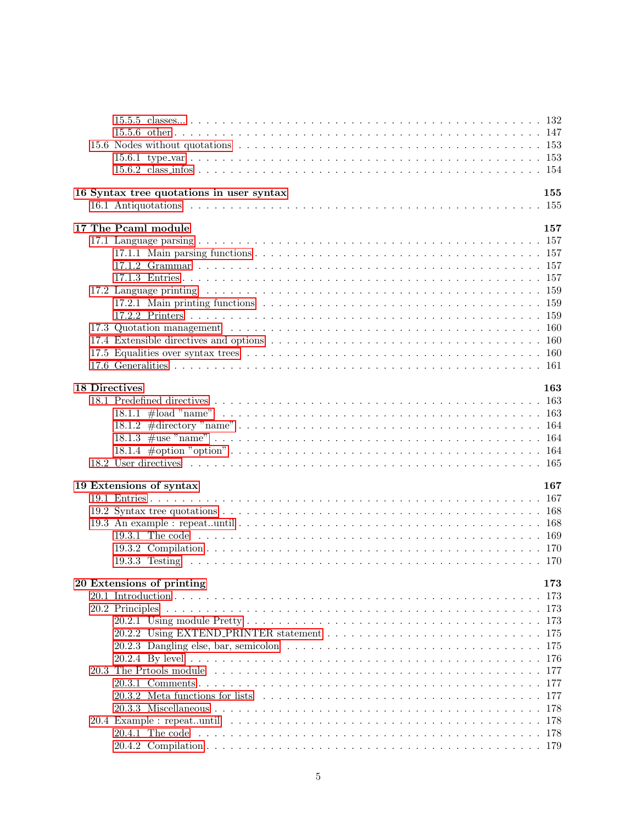|                      | 16 Syntax tree quotations in user syntax                                                                                              | 155  |
|----------------------|---------------------------------------------------------------------------------------------------------------------------------------|------|
|                      |                                                                                                                                       |      |
|                      |                                                                                                                                       |      |
|                      | 17 The Pcaml module                                                                                                                   | 157  |
|                      |                                                                                                                                       |      |
|                      |                                                                                                                                       |      |
|                      |                                                                                                                                       |      |
|                      |                                                                                                                                       |      |
|                      |                                                                                                                                       |      |
|                      |                                                                                                                                       |      |
|                      |                                                                                                                                       |      |
|                      |                                                                                                                                       |      |
|                      |                                                                                                                                       |      |
|                      |                                                                                                                                       |      |
|                      |                                                                                                                                       |      |
|                      |                                                                                                                                       |      |
|                      |                                                                                                                                       |      |
| <b>18 Directives</b> |                                                                                                                                       | 163  |
|                      |                                                                                                                                       |      |
|                      |                                                                                                                                       |      |
|                      |                                                                                                                                       |      |
|                      |                                                                                                                                       |      |
|                      |                                                                                                                                       |      |
|                      |                                                                                                                                       |      |
|                      |                                                                                                                                       |      |
|                      | 19 Extensions of syntax                                                                                                               | 167  |
|                      |                                                                                                                                       |      |
|                      |                                                                                                                                       |      |
|                      |                                                                                                                                       |      |
|                      |                                                                                                                                       |      |
|                      |                                                                                                                                       |      |
|                      |                                                                                                                                       |      |
|                      |                                                                                                                                       |      |
|                      | 20 Extensions of printing<br>173                                                                                                      |      |
|                      |                                                                                                                                       | -173 |
|                      |                                                                                                                                       | -173 |
|                      |                                                                                                                                       |      |
|                      |                                                                                                                                       |      |
|                      |                                                                                                                                       |      |
|                      | 20.2.3 Dangling else, bar, semicolon $\ldots \ldots \ldots \ldots \ldots \ldots \ldots \ldots \ldots \ldots \ldots \ldots \ldots 175$ |      |
|                      |                                                                                                                                       |      |
|                      |                                                                                                                                       |      |
|                      |                                                                                                                                       |      |
|                      |                                                                                                                                       |      |
|                      |                                                                                                                                       |      |
|                      |                                                                                                                                       |      |
|                      |                                                                                                                                       |      |
|                      |                                                                                                                                       |      |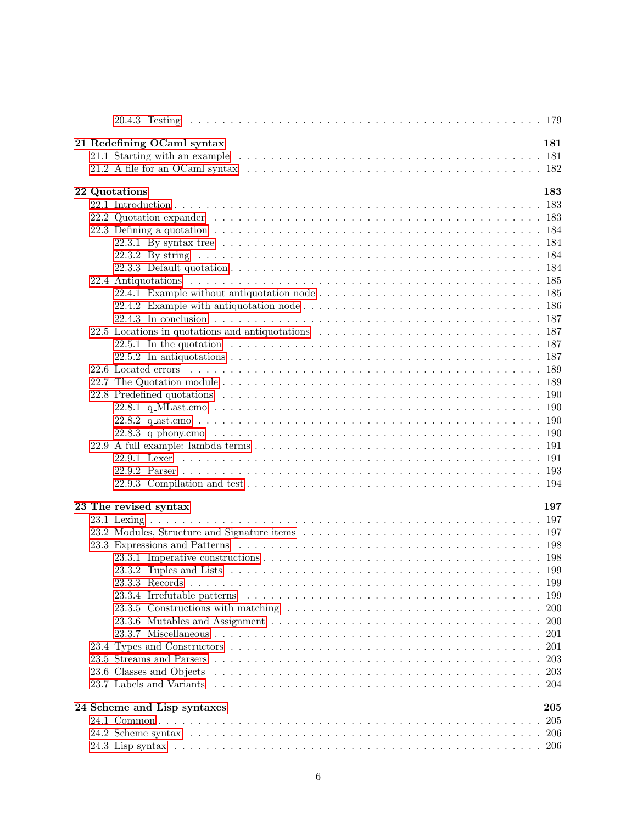| 21 Redefining OCaml syntax                                                                                                                                                                                                    | 181        |
|-------------------------------------------------------------------------------------------------------------------------------------------------------------------------------------------------------------------------------|------------|
|                                                                                                                                                                                                                               |            |
|                                                                                                                                                                                                                               |            |
|                                                                                                                                                                                                                               |            |
| 22 Quotations                                                                                                                                                                                                                 | 183        |
|                                                                                                                                                                                                                               |            |
|                                                                                                                                                                                                                               |            |
|                                                                                                                                                                                                                               |            |
|                                                                                                                                                                                                                               |            |
|                                                                                                                                                                                                                               |            |
|                                                                                                                                                                                                                               |            |
|                                                                                                                                                                                                                               |            |
|                                                                                                                                                                                                                               |            |
|                                                                                                                                                                                                                               |            |
|                                                                                                                                                                                                                               |            |
| 22.5 Locations in quotations and antiquotations extended in the set of the set of the set of the set of the set of the set of the set of the set of the set of the set of the set of the set of the set of the set of the set |            |
|                                                                                                                                                                                                                               |            |
|                                                                                                                                                                                                                               |            |
|                                                                                                                                                                                                                               |            |
|                                                                                                                                                                                                                               |            |
|                                                                                                                                                                                                                               |            |
|                                                                                                                                                                                                                               |            |
|                                                                                                                                                                                                                               |            |
|                                                                                                                                                                                                                               |            |
|                                                                                                                                                                                                                               |            |
|                                                                                                                                                                                                                               |            |
|                                                                                                                                                                                                                               |            |
|                                                                                                                                                                                                                               |            |
|                                                                                                                                                                                                                               |            |
|                                                                                                                                                                                                                               |            |
| 23 The revised syntax                                                                                                                                                                                                         | 197        |
|                                                                                                                                                                                                                               |            |
|                                                                                                                                                                                                                               |            |
|                                                                                                                                                                                                                               |            |
|                                                                                                                                                                                                                               |            |
|                                                                                                                                                                                                                               |            |
|                                                                                                                                                                                                                               |            |
|                                                                                                                                                                                                                               | -199       |
|                                                                                                                                                                                                                               | <b>200</b> |
|                                                                                                                                                                                                                               | 200        |
|                                                                                                                                                                                                                               | 201        |
|                                                                                                                                                                                                                               | 201        |
|                                                                                                                                                                                                                               | 203        |
|                                                                                                                                                                                                                               | 203        |
|                                                                                                                                                                                                                               | -204       |
|                                                                                                                                                                                                                               |            |
| 24 Scheme and Lisp syntaxes                                                                                                                                                                                                   | $\bf 205$  |
|                                                                                                                                                                                                                               | 205        |
|                                                                                                                                                                                                                               | -206       |
|                                                                                                                                                                                                                               |            |
|                                                                                                                                                                                                                               |            |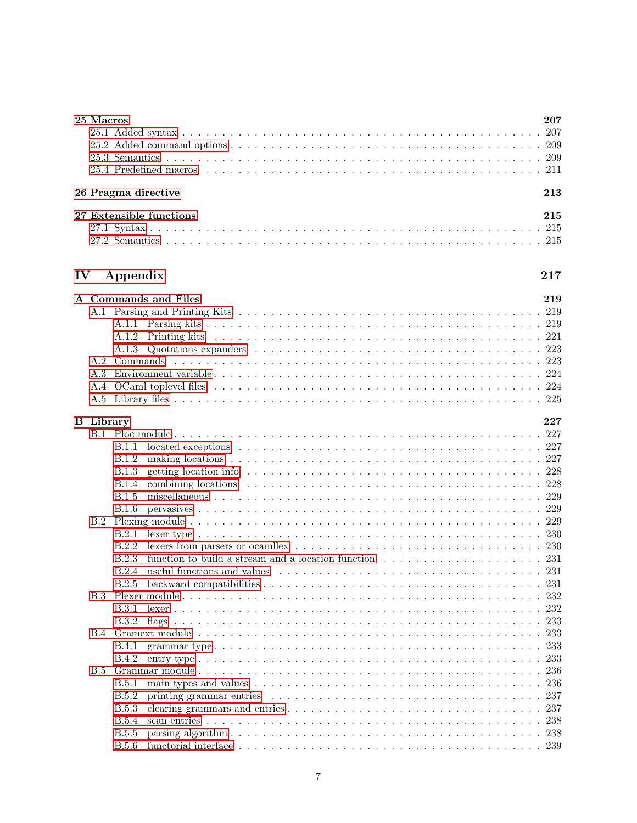|               | 25 Macros        |                                                                                                                                       | 207       |
|---------------|------------------|---------------------------------------------------------------------------------------------------------------------------------------|-----------|
|               |                  |                                                                                                                                       | 207       |
|               |                  |                                                                                                                                       |           |
|               |                  |                                                                                                                                       |           |
|               |                  |                                                                                                                                       |           |
|               |                  | 26 Pragma directive                                                                                                                   | 213       |
|               |                  | 27 Extensible functions                                                                                                               | 215       |
|               |                  |                                                                                                                                       |           |
|               |                  |                                                                                                                                       |           |
|               |                  |                                                                                                                                       |           |
| $\mathbf{IV}$ |                  | Appendix                                                                                                                              | $\bf 217$ |
|               |                  | A Commands and Files                                                                                                                  | 219       |
|               |                  |                                                                                                                                       |           |
|               |                  |                                                                                                                                       |           |
|               |                  |                                                                                                                                       |           |
|               |                  |                                                                                                                                       |           |
|               | A.2              |                                                                                                                                       |           |
|               | A.3              |                                                                                                                                       |           |
|               |                  |                                                                                                                                       |           |
|               |                  |                                                                                                                                       |           |
|               | <b>B</b> Library |                                                                                                                                       | 227       |
|               |                  |                                                                                                                                       |           |
|               |                  | B.1.1                                                                                                                                 |           |
|               |                  | B.1.2                                                                                                                                 |           |
|               |                  | <b>B.1.3</b>                                                                                                                          |           |
|               |                  | B.1.4                                                                                                                                 |           |
|               |                  | B.1.5                                                                                                                                 |           |
|               |                  | <b>B.1.6</b>                                                                                                                          |           |
|               |                  |                                                                                                                                       |           |
|               |                  | B.2.1                                                                                                                                 |           |
|               |                  | B.2.2                                                                                                                                 |           |
|               |                  | B.2.3                                                                                                                                 |           |
|               |                  |                                                                                                                                       |           |
|               |                  |                                                                                                                                       |           |
|               | B.3              |                                                                                                                                       | 232       |
|               |                  | B.3.1                                                                                                                                 | 232       |
|               |                  | B.3.2                                                                                                                                 | 233       |
|               |                  |                                                                                                                                       | 233       |
|               |                  | B.4.1                                                                                                                                 | 233       |
|               |                  | <b>B.4.2</b>                                                                                                                          | 233       |
|               | B.5              |                                                                                                                                       | 236       |
|               |                  | <b>B.5.1</b>                                                                                                                          | 236       |
|               |                  | <b>B.5.2</b><br>printing grammar entries $\ldots \ldots \ldots \ldots \ldots \ldots \ldots \ldots \ldots \ldots \ldots \ldots \ldots$ | 237       |
|               |                  | <b>B.5.3</b>                                                                                                                          | 237       |
|               |                  | <b>B.5.4</b>                                                                                                                          | 238       |
|               |                  | <b>B.5.5</b>                                                                                                                          |           |
|               |                  | <b>B.5.6</b>                                                                                                                          |           |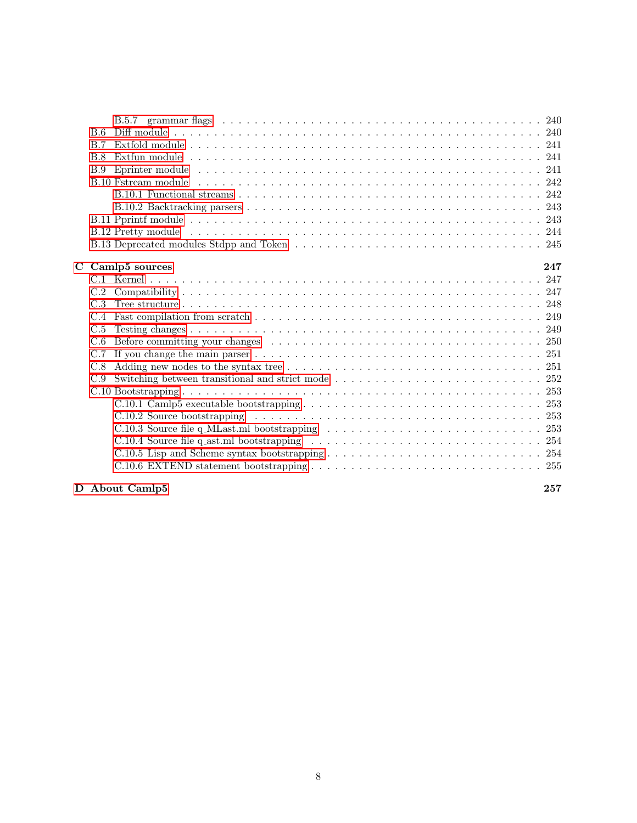| B.6 |                                                                                                                                                                                                                                |
|-----|--------------------------------------------------------------------------------------------------------------------------------------------------------------------------------------------------------------------------------|
| B.7 |                                                                                                                                                                                                                                |
| B.8 |                                                                                                                                                                                                                                |
| B.9 |                                                                                                                                                                                                                                |
|     |                                                                                                                                                                                                                                |
|     |                                                                                                                                                                                                                                |
|     |                                                                                                                                                                                                                                |
|     |                                                                                                                                                                                                                                |
|     |                                                                                                                                                                                                                                |
|     |                                                                                                                                                                                                                                |
|     |                                                                                                                                                                                                                                |
|     | C Camlp5 sources<br>247                                                                                                                                                                                                        |
|     |                                                                                                                                                                                                                                |
|     |                                                                                                                                                                                                                                |
| C.3 |                                                                                                                                                                                                                                |
| C.4 |                                                                                                                                                                                                                                |
| C.5 |                                                                                                                                                                                                                                |
| C.6 | Before committing your changes expansion of the set of the set of the set of the set of the set of the set of the set of the set of the set of the set of the set of the set of the set of the set of the set of the set of th |
| C.7 |                                                                                                                                                                                                                                |
| C.8 | Adding new nodes to the syntax tree $\ldots \ldots \ldots \ldots \ldots \ldots \ldots \ldots \ldots \ldots \ldots \ldots 251$                                                                                                  |
| C.9 |                                                                                                                                                                                                                                |
|     |                                                                                                                                                                                                                                |
|     |                                                                                                                                                                                                                                |
|     |                                                                                                                                                                                                                                |
|     |                                                                                                                                                                                                                                |
|     |                                                                                                                                                                                                                                |
|     |                                                                                                                                                                                                                                |
|     |                                                                                                                                                                                                                                |
|     |                                                                                                                                                                                                                                |

# [D About Camlp5](#page-258-0) 257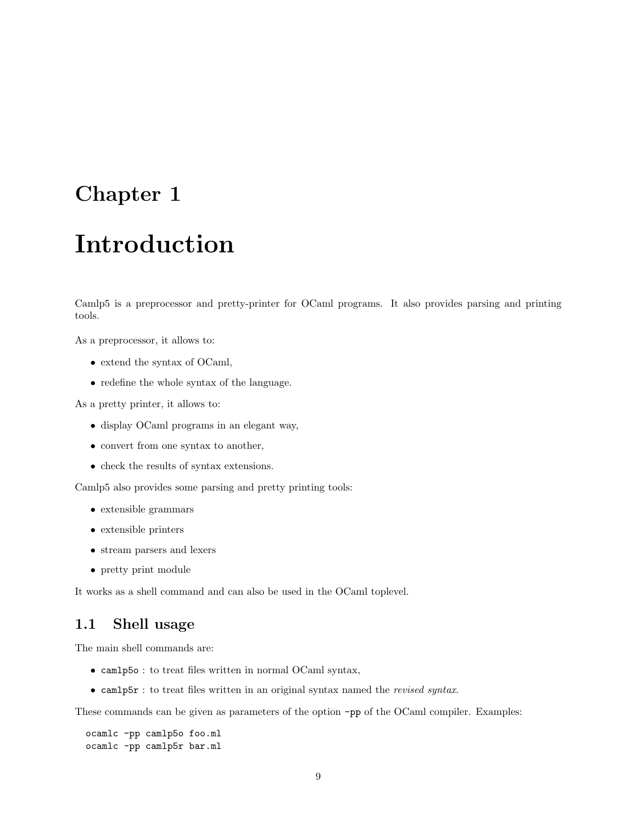# <span id="page-10-0"></span>Chapter 1

# Introduction

Camlp5 is a preprocessor and pretty-printer for OCaml programs. It also provides parsing and printing tools.

As a preprocessor, it allows to:

- extend the syntax of OCaml,
- redefine the whole syntax of the language.

As a pretty printer, it allows to:

- display OCaml programs in an elegant way,
- convert from one syntax to another,
- check the results of syntax extensions.

Camlp5 also provides some parsing and pretty printing tools:

- extensible grammars
- extensible printers
- stream parsers and lexers
- pretty print module

It works as a shell command and can also be used in the OCaml toplevel.

# <span id="page-10-1"></span>1.1 Shell usage

The main shell commands are:

- camlp5o : to treat files written in normal OCaml syntax,
- camlp5r : to treat files written in an original syntax named the revised syntax.

These commands can be given as parameters of the option -pp of the OCaml compiler. Examples:

ocamlc -pp camlp5o foo.ml ocamlc -pp camlp5r bar.ml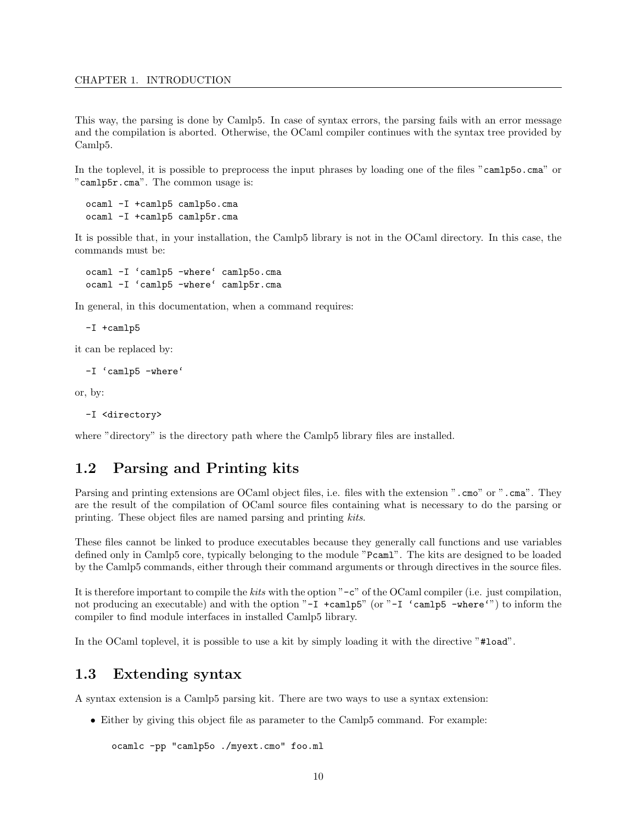This way, the parsing is done by Camlp5. In case of syntax errors, the parsing fails with an error message and the compilation is aborted. Otherwise, the OCaml compiler continues with the syntax tree provided by Camlp5.

In the toplevel, it is possible to preprocess the input phrases by loading one of the files "camlp5o.cma" or "camlp5r.cma". The common usage is:

ocaml -I +camlp5 camlp5o.cma ocaml -I +camlp5 camlp5r.cma

It is possible that, in your installation, the Camlp5 library is not in the OCaml directory. In this case, the commands must be:

ocaml -I 'camlp5 -where' camlp5o.cma ocaml -I 'camlp5 -where' camlp5r.cma

In general, in this documentation, when a command requires:

-I +camlp5

it can be replaced by:

-I 'camlp5 -where'

or, by:

```
-I <directory>
```
where "directory" is the directory path where the Camlp5 library files are installed.

## <span id="page-11-0"></span>1.2 Parsing and Printing kits

Parsing and printing extensions are OCaml object files, i.e. files with the extension ".cmo" or ".cma". They are the result of the compilation of OCaml source files containing what is necessary to do the parsing or printing. These object files are named parsing and printing kits.

These files cannot be linked to produce executables because they generally call functions and use variables defined only in Camlp5 core, typically belonging to the module "Pcaml". The kits are designed to be loaded by the Camlp5 commands, either through their command arguments or through directives in the source files.

It is therefore important to compile the kits with the option "-c" of the OCaml compiler (i.e. just compilation, not producing an executable) and with the option "-I +camlp5" (or "-I 'camlp5 -where'") to inform the compiler to find module interfaces in installed Camlp5 library.

In the OCaml toplevel, it is possible to use a kit by simply loading it with the directive "#load".

## <span id="page-11-1"></span>1.3 Extending syntax

A syntax extension is a Camlp5 parsing kit. There are two ways to use a syntax extension:

• Either by giving this object file as parameter to the Camlp5 command. For example:

```
ocamlc -pp "camlp5o ./myext.cmo" foo.ml
```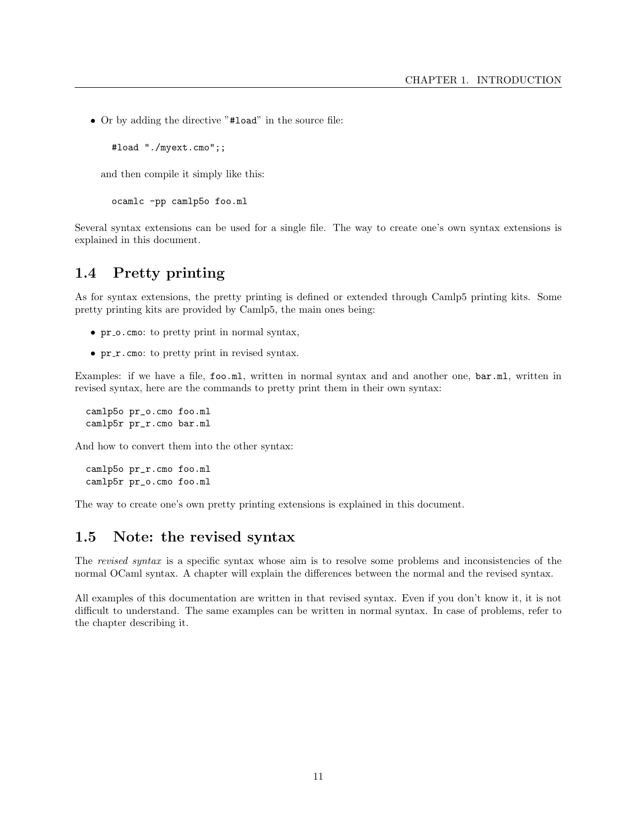• Or by adding the directive "#load" in the source file:

#load "./myext.cmo";;

and then compile it simply like this:

ocamlc -pp camlp5o foo.ml

Several syntax extensions can be used for a single file. The way to create one's own syntax extensions is explained in this document.

## <span id="page-12-0"></span>1.4 Pretty printing

As for syntax extensions, the pretty printing is defined or extended through Camlp5 printing kits. Some pretty printing kits are provided by Camlp5, the main ones being:

- pr\_o.cmo: to pretty print in normal syntax,
- pr\_r.cmo: to pretty print in revised syntax.

Examples: if we have a file, foo.ml, written in normal syntax and and another one, bar.ml, written in revised syntax, here are the commands to pretty print them in their own syntax:

camlp5o pr\_o.cmo foo.ml camlp5r pr\_r.cmo bar.ml

And how to convert them into the other syntax:

camlp5o pr\_r.cmo foo.ml camlp5r pr\_o.cmo foo.ml

The way to create one's own pretty printing extensions is explained in this document.

## <span id="page-12-1"></span>1.5 Note: the revised syntax

The revised syntax is a specific syntax whose aim is to resolve some problems and inconsistencies of the normal OCaml syntax. A chapter will explain the differences between the normal and the revised syntax.

All examples of this documentation are written in that revised syntax. Even if you don't know it, it is not difficult to understand. The same examples can be written in normal syntax. In case of problems, refer to the chapter describing it.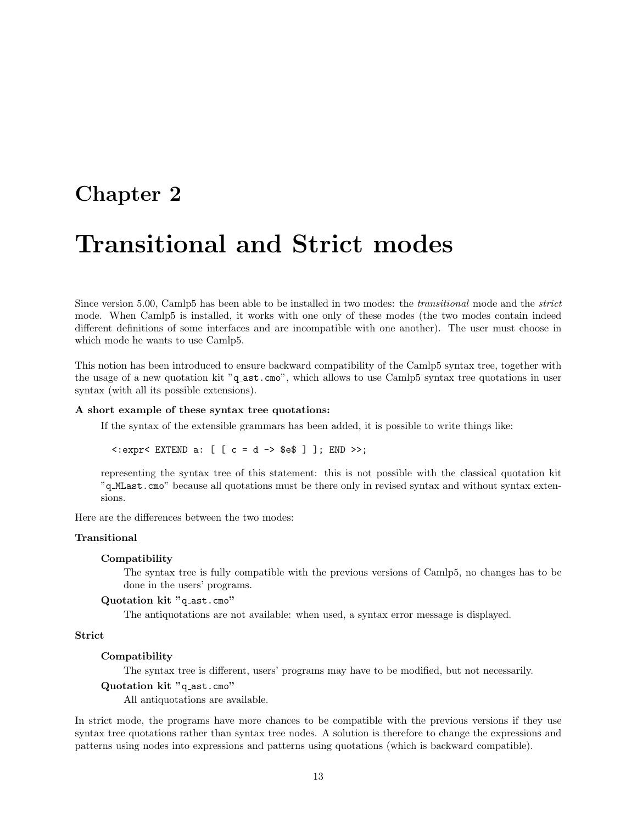# <span id="page-14-0"></span>Chapter 2

# Transitional and Strict modes

Since version 5.00, Camlp5 has been able to be installed in two modes: the *transitional* mode and the *strict* mode. When Camlp5 is installed, it works with one only of these modes (the two modes contain indeed different definitions of some interfaces and are incompatible with one another). The user must choose in which mode he wants to use Camlp5.

This notion has been introduced to ensure backward compatibility of the Camlp5 syntax tree, together with the usage of a new quotation kit "q ast.cmo", which allows to use Camlp5 syntax tree quotations in user syntax (with all its possible extensions).

#### A short example of these syntax tree quotations:

If the syntax of the extensible grammars has been added, it is possible to write things like:

 $\leq$ : expr $\leq$  EXTEND a:  $[$   $[$   $c = d$   $\rightarrow$  \$e\$  $]$   $]$ ; END  $\geq$ ;

representing the syntax tree of this statement: this is not possible with the classical quotation kit "q MLast.cmo" because all quotations must be there only in revised syntax and without syntax extensions.

Here are the differences between the two modes:

#### Transitional

#### Compatibility

The syntax tree is fully compatible with the previous versions of Camlp5, no changes has to be done in the users' programs.

#### Quotation kit "q\_ast.cmo"

The antiquotations are not available: when used, a syntax error message is displayed.

#### Strict

#### Compatibility

The syntax tree is different, users' programs may have to be modified, but not necessarily.

#### Quotation kit "q\_ast.cmo"

All antiquotations are available.

In strict mode, the programs have more chances to be compatible with the previous versions if they use syntax tree quotations rather than syntax tree nodes. A solution is therefore to change the expressions and patterns using nodes into expressions and patterns using quotations (which is backward compatible).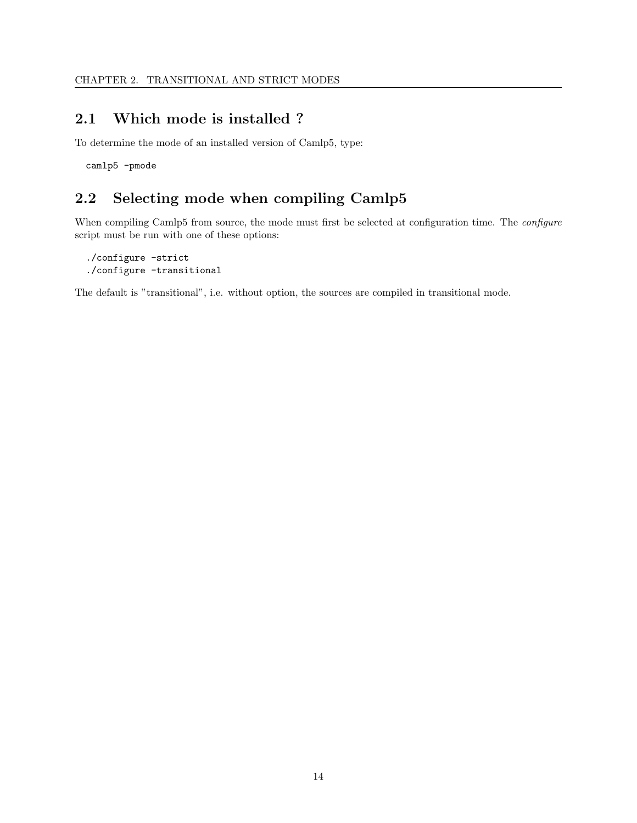# <span id="page-15-0"></span>2.1 Which mode is installed ?

To determine the mode of an installed version of Camlp5, type:

camlp5 -pmode

# <span id="page-15-1"></span>2.2 Selecting mode when compiling Camlp5

When compiling Camlp5 from source, the mode must first be selected at configuration time. The *configure* script must be run with one of these options:

```
./configure -strict
./configure -transitional
```
The default is "transitional", i.e. without option, the sources are compiled in transitional mode.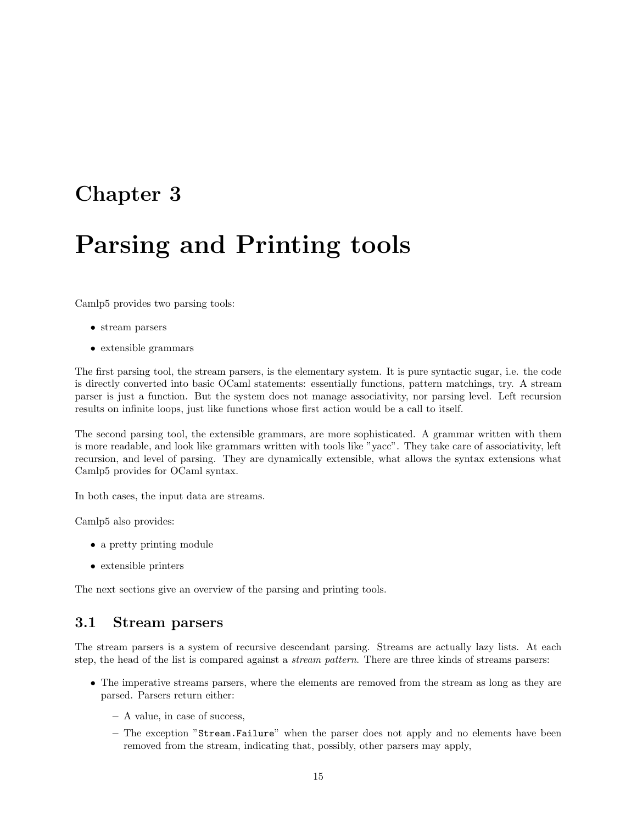# <span id="page-16-0"></span>Chapter 3

# Parsing and Printing tools

Camlp5 provides two parsing tools:

- stream parsers
- extensible grammars

The first parsing tool, the stream parsers, is the elementary system. It is pure syntactic sugar, i.e. the code is directly converted into basic OCaml statements: essentially functions, pattern matchings, try. A stream parser is just a function. But the system does not manage associativity, nor parsing level. Left recursion results on infinite loops, just like functions whose first action would be a call to itself.

The second parsing tool, the extensible grammars, are more sophisticated. A grammar written with them is more readable, and look like grammars written with tools like "yacc". They take care of associativity, left recursion, and level of parsing. They are dynamically extensible, what allows the syntax extensions what Camlp5 provides for OCaml syntax.

In both cases, the input data are streams.

Camlp5 also provides:

- a pretty printing module
- extensible printers

The next sections give an overview of the parsing and printing tools.

## <span id="page-16-1"></span>3.1 Stream parsers

The stream parsers is a system of recursive descendant parsing. Streams are actually lazy lists. At each step, the head of the list is compared against a *stream pattern*. There are three kinds of streams parsers:

- The imperative streams parsers, where the elements are removed from the stream as long as they are parsed. Parsers return either:
	- A value, in case of success,
	- The exception "Stream.Failure" when the parser does not apply and no elements have been removed from the stream, indicating that, possibly, other parsers may apply,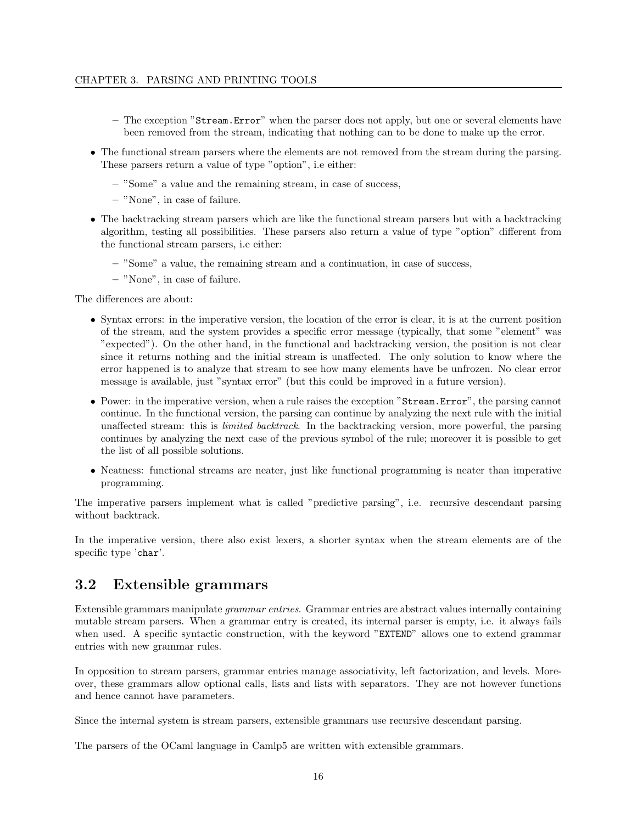- The exception "Stream.Error" when the parser does not apply, but one or several elements have been removed from the stream, indicating that nothing can to be done to make up the error.
- The functional stream parsers where the elements are not removed from the stream during the parsing. These parsers return a value of type "option", i.e either:
	- "Some" a value and the remaining stream, in case of success,
	- "None", in case of failure.
- The backtracking stream parsers which are like the functional stream parsers but with a backtracking algorithm, testing all possibilities. These parsers also return a value of type "option" different from the functional stream parsers, i.e either:
	- "Some" a value, the remaining stream and a continuation, in case of success,
	- "None", in case of failure.

The differences are about:

- Syntax errors: in the imperative version, the location of the error is clear, it is at the current position of the stream, and the system provides a specific error message (typically, that some "element" was "expected"). On the other hand, in the functional and backtracking version, the position is not clear since it returns nothing and the initial stream is unaffected. The only solution to know where the error happened is to analyze that stream to see how many elements have be unfrozen. No clear error message is available, just "syntax error" (but this could be improved in a future version).
- Power: in the imperative version, when a rule raises the exception "Stream.Error", the parsing cannot continue. In the functional version, the parsing can continue by analyzing the next rule with the initial unaffected stream: this is *limited backtrack*. In the backtracking version, more powerful, the parsing continues by analyzing the next case of the previous symbol of the rule; moreover it is possible to get the list of all possible solutions.
- Neatness: functional streams are neater, just like functional programming is neater than imperative programming.

The imperative parsers implement what is called "predictive parsing", i.e. recursive descendant parsing without backtrack.

In the imperative version, there also exist lexers, a shorter syntax when the stream elements are of the specific type 'char'.

## <span id="page-17-0"></span>3.2 Extensible grammars

Extensible grammars manipulate grammar entries. Grammar entries are abstract values internally containing mutable stream parsers. When a grammar entry is created, its internal parser is empty, i.e. it always fails when used. A specific syntactic construction, with the keyword "EXTEND" allows one to extend grammar entries with new grammar rules.

In opposition to stream parsers, grammar entries manage associativity, left factorization, and levels. Moreover, these grammars allow optional calls, lists and lists with separators. They are not however functions and hence cannot have parameters.

Since the internal system is stream parsers, extensible grammars use recursive descendant parsing.

The parsers of the OCaml language in Camlp5 are written with extensible grammars.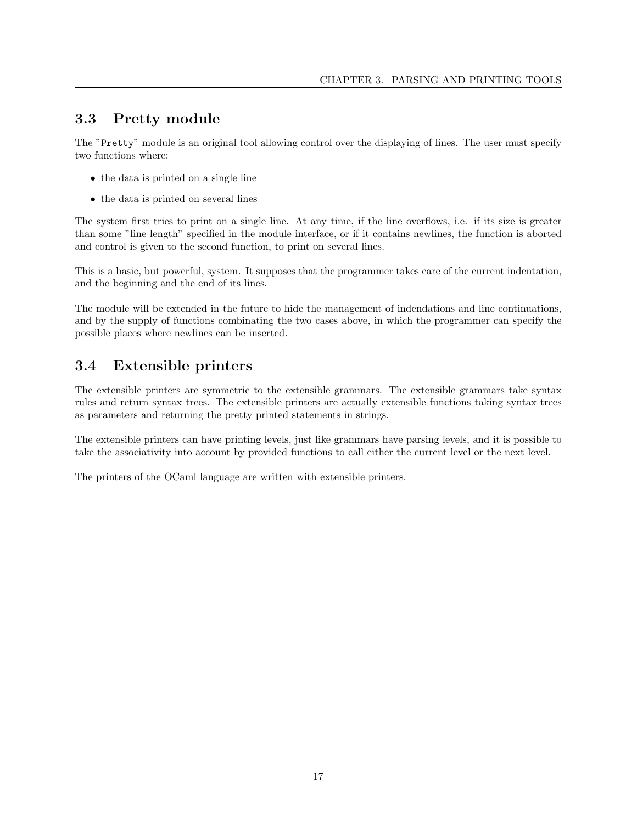# <span id="page-18-0"></span>3.3 Pretty module

The "Pretty" module is an original tool allowing control over the displaying of lines. The user must specify two functions where:

- the data is printed on a single line
- the data is printed on several lines

The system first tries to print on a single line. At any time, if the line overflows, i.e. if its size is greater than some "line length" specified in the module interface, or if it contains newlines, the function is aborted and control is given to the second function, to print on several lines.

This is a basic, but powerful, system. It supposes that the programmer takes care of the current indentation, and the beginning and the end of its lines.

The module will be extended in the future to hide the management of indendations and line continuations, and by the supply of functions combinating the two cases above, in which the programmer can specify the possible places where newlines can be inserted.

# <span id="page-18-1"></span>3.4 Extensible printers

The extensible printers are symmetric to the extensible grammars. The extensible grammars take syntax rules and return syntax trees. The extensible printers are actually extensible functions taking syntax trees as parameters and returning the pretty printed statements in strings.

The extensible printers can have printing levels, just like grammars have parsing levels, and it is possible to take the associativity into account by provided functions to call either the current level or the next level.

The printers of the OCaml language are written with extensible printers.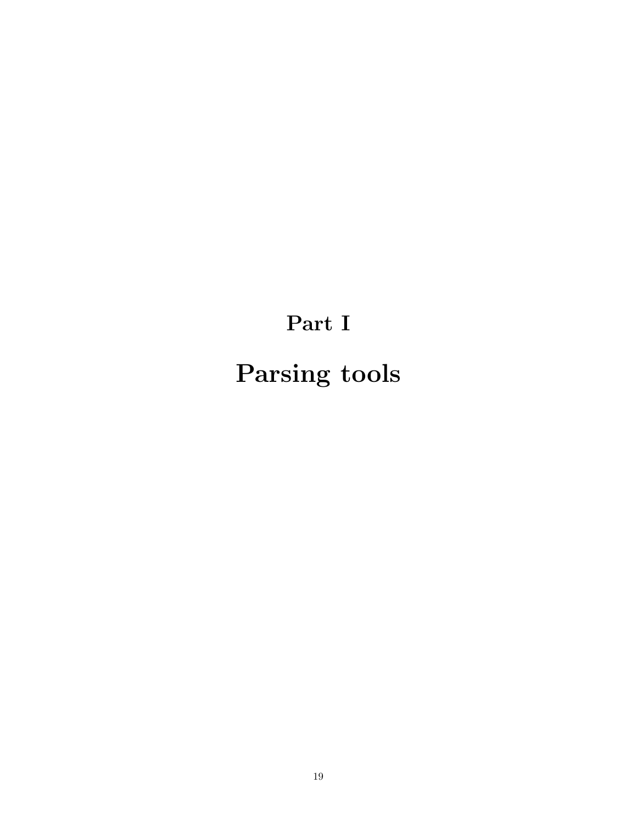# <span id="page-20-0"></span>Part I Parsing tools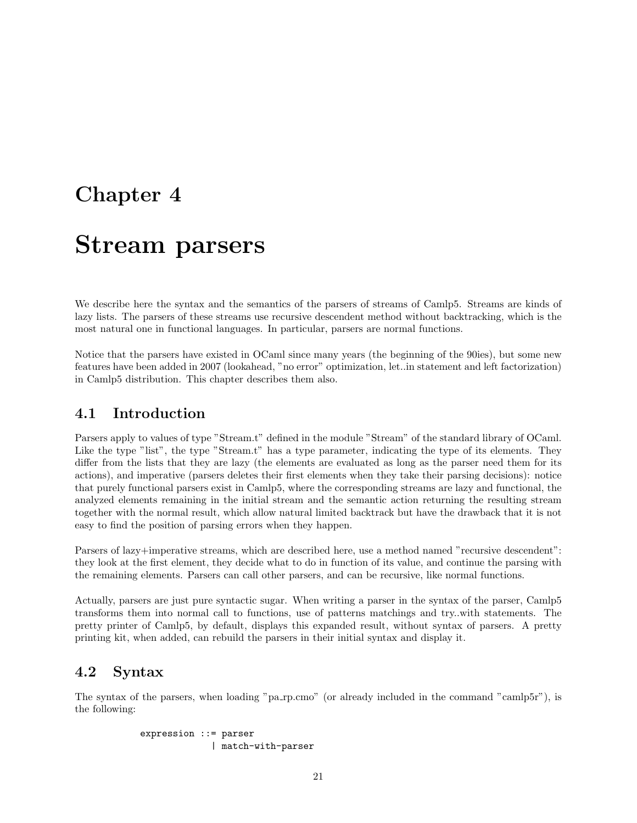# <span id="page-22-0"></span>Chapter 4

# Stream parsers

We describe here the syntax and the semantics of the parsers of streams of Camlp5. Streams are kinds of lazy lists. The parsers of these streams use recursive descendent method without backtracking, which is the most natural one in functional languages. In particular, parsers are normal functions.

Notice that the parsers have existed in OCaml since many years (the beginning of the 90ies), but some new features have been added in 2007 (lookahead, "no error" optimization, let..in statement and left factorization) in Camlp5 distribution. This chapter describes them also.

## <span id="page-22-1"></span>4.1 Introduction

Parsers apply to values of type "Stream.t" defined in the module "Stream" of the standard library of OCaml. Like the type "list", the type "Stream.t" has a type parameter, indicating the type of its elements. They differ from the lists that they are lazy (the elements are evaluated as long as the parser need them for its actions), and imperative (parsers deletes their first elements when they take their parsing decisions): notice that purely functional parsers exist in Camlp5, where the corresponding streams are lazy and functional, the analyzed elements remaining in the initial stream and the semantic action returning the resulting stream together with the normal result, which allow natural limited backtrack but have the drawback that it is not easy to find the position of parsing errors when they happen.

Parsers of lazy+imperative streams, which are described here, use a method named "recursive descendent": they look at the first element, they decide what to do in function of its value, and continue the parsing with the remaining elements. Parsers can call other parsers, and can be recursive, like normal functions.

Actually, parsers are just pure syntactic sugar. When writing a parser in the syntax of the parser, Camlp5 transforms them into normal call to functions, use of patterns matchings and try..with statements. The pretty printer of Camlp5, by default, displays this expanded result, without syntax of parsers. A pretty printing kit, when added, can rebuild the parsers in their initial syntax and display it.

## <span id="page-22-2"></span>4.2 Syntax

The syntax of the parsers, when loading "pa rp.cmo" (or already included in the command "camlp5r"), is the following:

> expression ::= parser | match-with-parser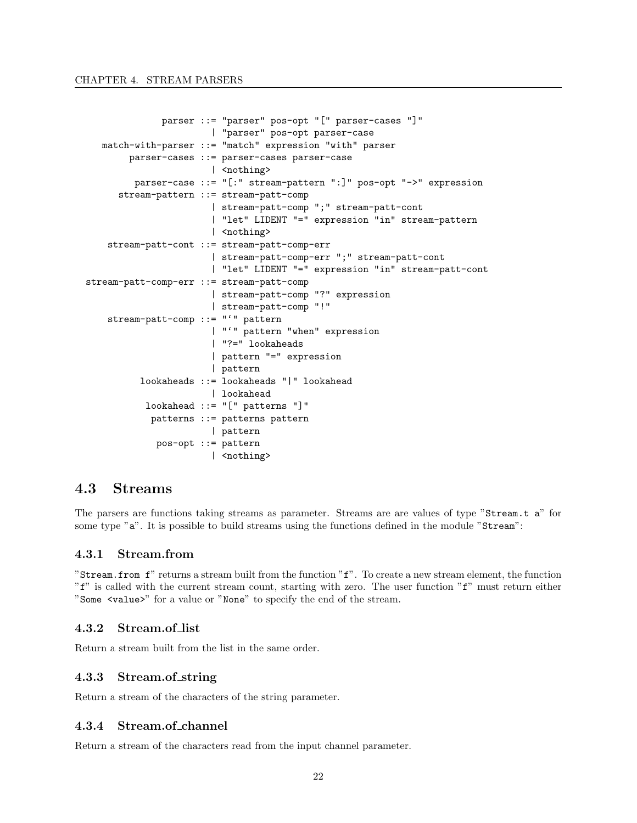```
parser ::= "parser" pos-opt "[" parser-cases "]"
                       | "parser" pos-opt parser-case
   match-with-parser ::= "match" expression "with" parser
        parser-cases ::= parser-cases parser-case
                       | <nothing>
         parser-case ::= "[:" stream-pattern ":]" pos-opt "->" expression
      stream-pattern ::= stream-patt-comp
                       | stream-patt-comp ";" stream-patt-cont
                       | "let" LIDENT "=" expression "in" stream-pattern
                       | <nothing>
    stream-patt-cont ::= stream-patt-comp-err
                       | stream-patt-comp-err ";" stream-patt-cont
                       | "let" LIDENT "=" expression "in" stream-patt-cont
stream-patt-comp-err ::= stream-patt-comp
                       | stream-patt-comp "?" expression
                       | stream-patt-comp "!"
    stream-patt-comp ::= "'" pattern
                       | "'" pattern "when" expression
                       | "?=" lookaheads
                       | pattern "=" expression
                       | pattern
          lookaheads ::= lookaheads "|" lookahead
                       | lookahead
           lookahead ::= "[" patterns "]"
            patterns ::= patterns pattern
                       | pattern
             pos-opt ::= pattern
                       | <nothing>
```
# <span id="page-23-0"></span>4.3 Streams

The parsers are functions taking streams as parameter. Streams are are values of type "Stream.t a" for some type "a". It is possible to build streams using the functions defined in the module "Stream":

#### <span id="page-23-1"></span>4.3.1 Stream.from

"Stream.from f" returns a stream built from the function "f". To create a new stream element, the function "f" is called with the current stream count, starting with zero. The user function "f" must return either "Some <value>" for a value or "None" to specify the end of the stream.

#### <span id="page-23-2"></span>4.3.2 Stream.of list

Return a stream built from the list in the same order.

#### <span id="page-23-3"></span>4.3.3 Stream.of string

Return a stream of the characters of the string parameter.

#### <span id="page-23-4"></span>4.3.4 Stream.of channel

Return a stream of the characters read from the input channel parameter.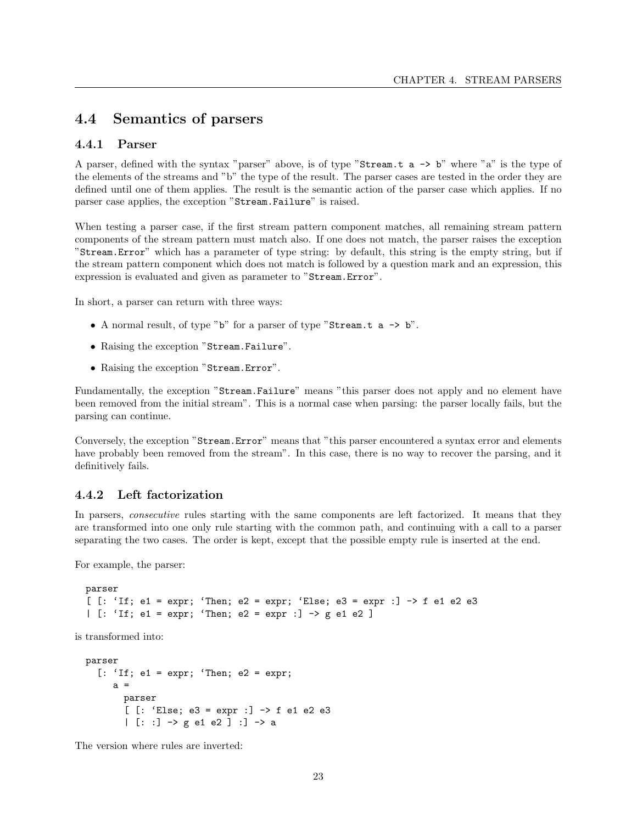# <span id="page-24-0"></span>4.4 Semantics of parsers

#### <span id="page-24-1"></span>4.4.1 Parser

A parser, defined with the syntax "parser" above, is of type "Stream.t a -> b" where "a" is the type of the elements of the streams and "b" the type of the result. The parser cases are tested in the order they are defined until one of them applies. The result is the semantic action of the parser case which applies. If no parser case applies, the exception "Stream.Failure" is raised.

When testing a parser case, if the first stream pattern component matches, all remaining stream pattern components of the stream pattern must match also. If one does not match, the parser raises the exception "Stream.Error" which has a parameter of type string: by default, this string is the empty string, but if the stream pattern component which does not match is followed by a question mark and an expression, this expression is evaluated and given as parameter to "Stream.Error".

In short, a parser can return with three ways:

- A normal result, of type " $b$ " for a parser of type "Stream.t a  $\rightarrow b$ ".
- Raising the exception "Stream.Failure".
- Raising the exception "Stream.Error".

Fundamentally, the exception "Stream.Failure" means "this parser does not apply and no element have been removed from the initial stream". This is a normal case when parsing: the parser locally fails, but the parsing can continue.

Conversely, the exception "Stream.Error" means that "this parser encountered a syntax error and elements have probably been removed from the stream". In this case, there is no way to recover the parsing, and it definitively fails.

#### <span id="page-24-2"></span>4.4.2 Left factorization

In parsers, *consecutive* rules starting with the same components are left factorized. It means that they are transformed into one only rule starting with the common path, and continuing with a call to a parser separating the two cases. The order is kept, except that the possible empty rule is inserted at the end.

For example, the parser:

```
parser
[ [: 'If; e1 = expr; 'Then; e2 = expr; 'Else; e3 = expr :] \rightarrow f e1 e2 e3
| [: 'If; e1 = expr; 'Then; e2 = expr :] -> g e1 e2 ]
```
is transformed into:

```
parser
  [: 'If; e1 = expr; 'Then; e2 = expr;a =parser
       [ [: 'Else; e3 = expr :] -> f e1 e2 e3
       | [: :] -> g e1 e2 ] :] -> a
```
The version where rules are inverted: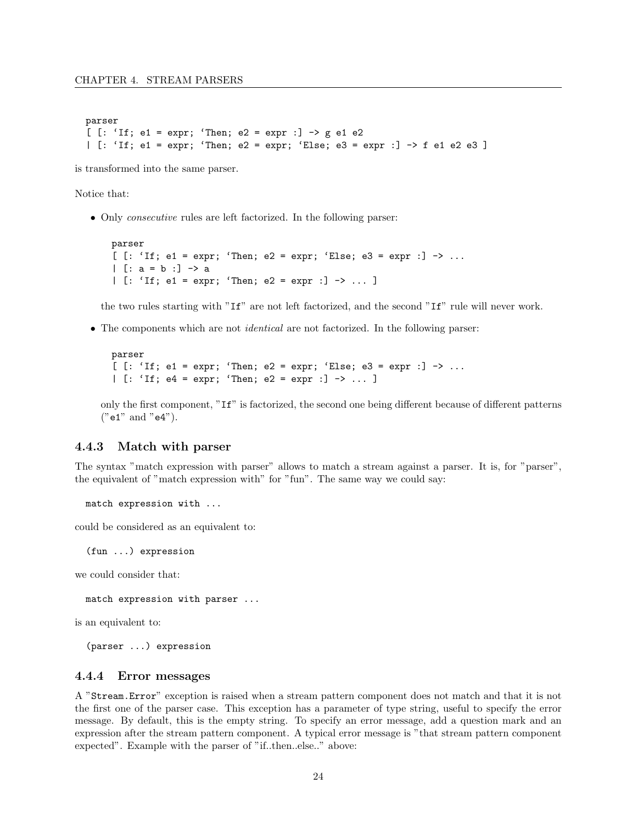```
parser
[ [: 'If; e1 = expr; 'Then; e2 = expr :] -> g e1 e2
| [: 'If; e1 = expr; 'Then; e2 = expr; 'Else; e3 = expr :] \rightarrow f e1 e2 e3 ]
```
is transformed into the same parser.

Notice that:

• Only consecutive rules are left factorized. In the following parser:

```
parser
[ [: 'If; e1 = expr; 'Then; e2 = expr; 'Else; e3 = expr : ] -> ...| [: a = b :] -> a
| [: 'If; e1 = expr; 'Then; e2 = expr :] -> ... ]
```
the two rules starting with "If" are not left factorized, and the second "If" rule will never work.

• The components which are not identical are not factorized. In the following parser:

```
parser
[ [: 'If; e1 = expr; 'Then; e2 = expr; 'Else; e3 = expr :] -> ...| [: 'If; e4 = expr; 'Then; e2 = expr : ] -> ... ]
```
only the first component, "If" is factorized, the second one being different because of different patterns ("e1" and "e4").

#### <span id="page-25-0"></span>4.4.3 Match with parser

The syntax "match expression with parser" allows to match a stream against a parser. It is, for "parser", the equivalent of "match expression with" for "fun". The same way we could say:

match expression with ...

could be considered as an equivalent to:

(fun ...) expression

we could consider that:

match expression with parser ...

is an equivalent to:

(parser ...) expression

#### <span id="page-25-1"></span>4.4.4 Error messages

A "Stream.Error" exception is raised when a stream pattern component does not match and that it is not the first one of the parser case. This exception has a parameter of type string, useful to specify the error message. By default, this is the empty string. To specify an error message, add a question mark and an expression after the stream pattern component. A typical error message is "that stream pattern component expected". Example with the parser of "if..then..else.." above: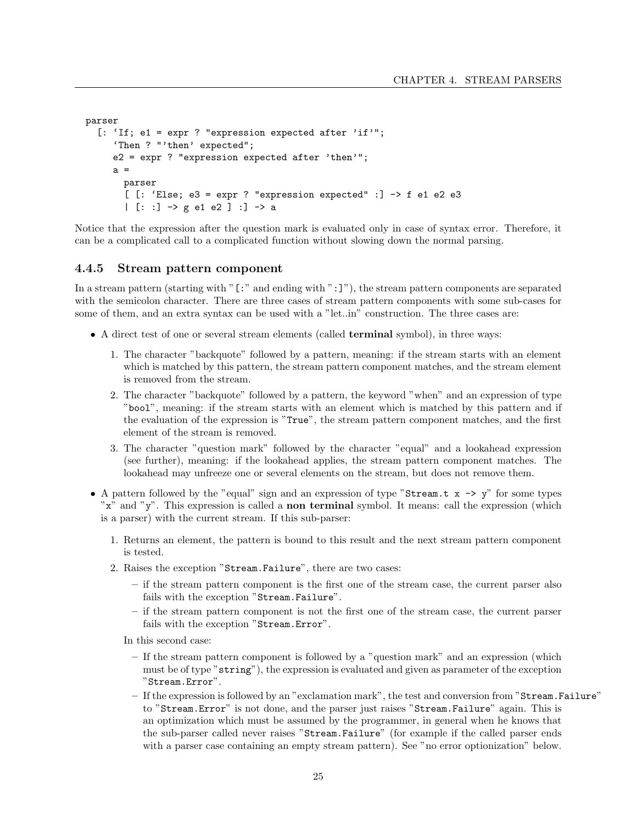```
parser
  [: 'If; e1 = expr ? "expression expected after 'if'";
     'Then ? "'then' expected";
     e2 = expr ? "expression expected after 'then'";
     a =parser
       [ [: 'Else; e3 = expr ? "expression expected" :] -> f e1 e2 e3
       | [: :] -> g e1 e2 ] :] -> a
```
Notice that the expression after the question mark is evaluated only in case of syntax error. Therefore, it can be a complicated call to a complicated function without slowing down the normal parsing.

#### <span id="page-26-0"></span>4.4.5 Stream pattern component

In a stream pattern (starting with "[:" and ending with ":]"), the stream pattern components are separated with the semicolon character. There are three cases of stream pattern components with some sub-cases for some of them, and an extra syntax can be used with a "let..in" construction. The three cases are:

- A direct test of one or several stream elements (called **terminal** symbol), in three ways:
	- 1. The character "backquote" followed by a pattern, meaning: if the stream starts with an element which is matched by this pattern, the stream pattern component matches, and the stream element is removed from the stream.
	- 2. The character "backquote" followed by a pattern, the keyword "when" and an expression of type "bool", meaning: if the stream starts with an element which is matched by this pattern and if the evaluation of the expression is "True", the stream pattern component matches, and the first element of the stream is removed.
	- 3. The character "question mark" followed by the character "equal" and a lookahead expression (see further), meaning: if the lookahead applies, the stream pattern component matches. The lookahead may unfreeze one or several elements on the stream, but does not remove them.
- A pattern followed by the "equal" sign and an expression of type "Stream.t  $x \rightarrow y$ " for some types "x" and "y". This expression is called a non terminal symbol. It means: call the expression (which is a parser) with the current stream. If this sub-parser:
	- 1. Returns an element, the pattern is bound to this result and the next stream pattern component is tested.
	- 2. Raises the exception "Stream.Failure", there are two cases:
		- if the stream pattern component is the first one of the stream case, the current parser also fails with the exception "Stream.Failure".
		- if the stream pattern component is not the first one of the stream case, the current parser fails with the exception "Stream.Error".

In this second case:

- If the stream pattern component is followed by a "question mark" and an expression (which must be of type "string"), the expression is evaluated and given as parameter of the exception "Stream.Error".
- If the expression is followed by an "exclamation mark", the test and conversion from "Stream.Failure" to "Stream.Error" is not done, and the parser just raises "Stream.Failure" again. This is an optimization which must be assumed by the programmer, in general when he knows that the sub-parser called never raises "Stream.Failure" (for example if the called parser ends with a parser case containing an empty stream pattern). See "no error optionization" below.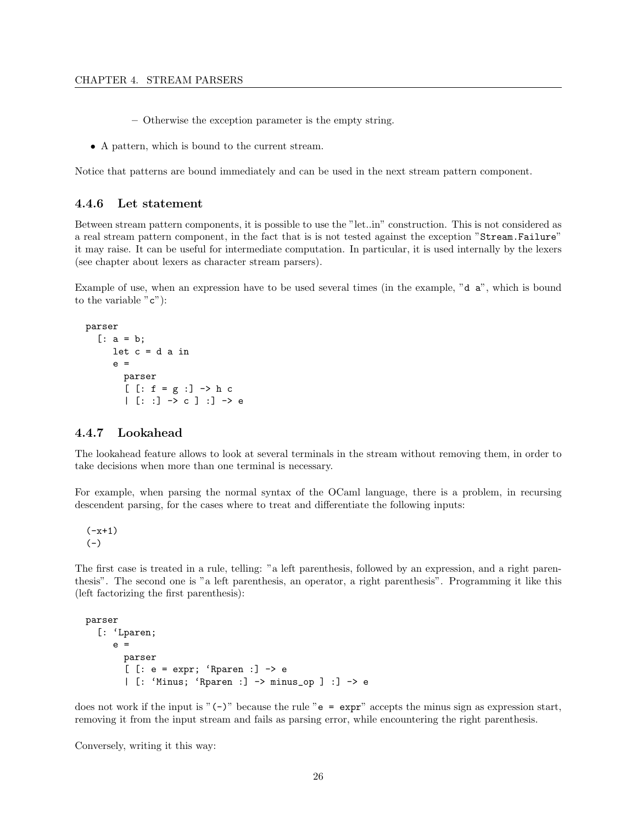- Otherwise the exception parameter is the empty string.
- A pattern, which is bound to the current stream.

Notice that patterns are bound immediately and can be used in the next stream pattern component.

#### <span id="page-27-0"></span>4.4.6 Let statement

Between stream pattern components, it is possible to use the "let..in" construction. This is not considered as a real stream pattern component, in the fact that is is not tested against the exception "Stream.Failure" it may raise. It can be useful for intermediate computation. In particular, it is used internally by the lexers (see chapter about lexers as character stream parsers).

Example of use, when an expression have to be used several times (in the example, "d a", which is bound to the variable  $"c"$ :

```
parser
  [: a = b;let c = d a in
     e =parser
        [ [ : f = g : ] \rightarrow h c| [: :] -> c ] :] -> e
```
#### <span id="page-27-1"></span>4.4.7 Lookahead

The lookahead feature allows to look at several terminals in the stream without removing them, in order to take decisions when more than one terminal is necessary.

For example, when parsing the normal syntax of the OCaml language, there is a problem, in recursing descendent parsing, for the cases where to treat and differentiate the following inputs:

 $(-x+1)$  $(-)$ 

The first case is treated in a rule, telling: "a left parenthesis, followed by an expression, and a right parenthesis". The second one is "a left parenthesis, an operator, a right parenthesis". Programming it like this (left factorizing the first parenthesis):

```
parser
  [: 'Lparen;
     e =
       parser
       [ [: e = expr; 'Rparen :] -> e
       | [: 'Minus; 'Rparen :] -> minus_op ] :] -> e
```
does not work if the input is " $(-)$ " because the rule " $e = \exp r$ " accepts the minus sign as expression start, removing it from the input stream and fails as parsing error, while encountering the right parenthesis.

Conversely, writing it this way: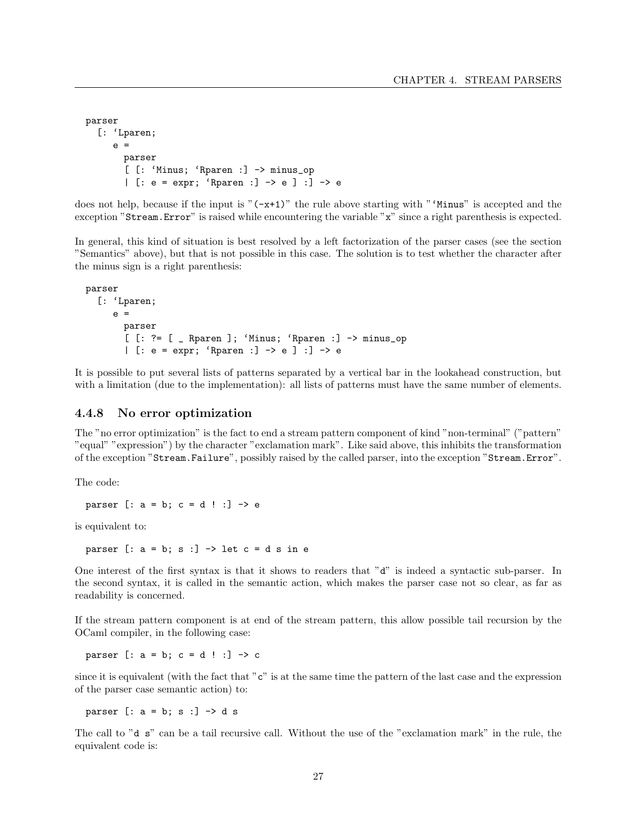```
parser
  [: 'Lparen;
     e =parser
       [ [: 'Minus; 'Rparen :] -> minus_op
       | [: e = expr; 'Rparen :] -> e ] :] -> e
```
does not help, because if the input is " $(-x+1)$ " the rule above starting with "'Minus" is accepted and the exception "Stream.Error" is raised while encountering the variable "x" since a right parenthesis is expected.

In general, this kind of situation is best resolved by a left factorization of the parser cases (see the section "Semantics" above), but that is not possible in this case. The solution is to test whether the character after the minus sign is a right parenthesis:

```
parser
  [: 'Lparen;
     e =parser
       [ [: ?= [ _ Rparen ]; 'Minus; 'Rparen :] -> minus_op
       | [: e = expr; 'Rparen :] -> e ] :] -> e
```
It is possible to put several lists of patterns separated by a vertical bar in the lookahead construction, but with a limitation (due to the implementation): all lists of patterns must have the same number of elements.

#### <span id="page-28-0"></span>4.4.8 No error optimization

The "no error optimization" is the fact to end a stream pattern component of kind "non-terminal" ("pattern" "equal" "expression") by the character "exclamation mark". Like said above, this inhibits the transformation of the exception "Stream.Failure", possibly raised by the called parser, into the exception "Stream.Error".

The code:

parser  $\lceil : a = b : c = d : l \rceil \rightarrow e$ 

is equivalent to:

parser  $[: a = b; s : ] \rightarrow$  let  $c = d s$  in e

One interest of the first syntax is that it shows to readers that "d" is indeed a syntactic sub-parser. In the second syntax, it is called in the semantic action, which makes the parser case not so clear, as far as readability is concerned.

If the stream pattern component is at end of the stream pattern, this allow possible tail recursion by the OCaml compiler, in the following case:

parser [:  $a = b$ ;  $c = d$  ! :]  $\rightarrow$  c

since it is equivalent (with the fact that "c" is at the same time the pattern of the last case and the expression of the parser case semantic action) to:

parser  $\lceil : a = b : s : \rceil \rightarrow d$  s

The call to "d s" can be a tail recursive call. Without the use of the "exclamation mark" in the rule, the equivalent code is: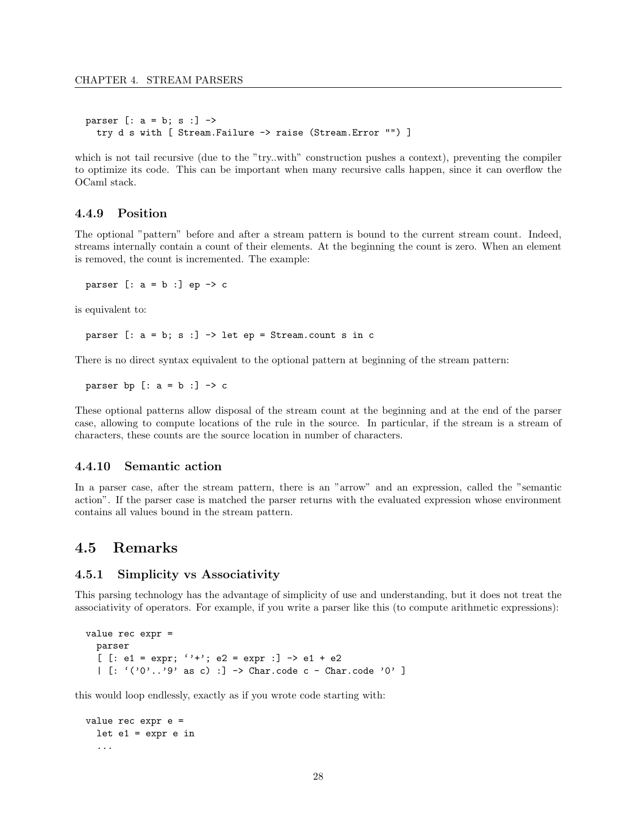```
parser [: a = b; s :] ->
 try d s with [ Stream.Failure -> raise (Stream.Error "") ]
```
which is not tail recursive (due to the "try..with" construction pushes a context), preventing the compiler to optimize its code. This can be important when many recursive calls happen, since it can overflow the OCaml stack.

#### <span id="page-29-0"></span>4.4.9 Position

The optional "pattern" before and after a stream pattern is bound to the current stream count. Indeed, streams internally contain a count of their elements. At the beginning the count is zero. When an element is removed, the count is incremented. The example:

parser  $[: a = b : ] ep \rightarrow c$ 

is equivalent to:

parser  $[: a = b; s : ] \rightarrow$  let ep = Stream.count s in c

There is no direct syntax equivalent to the optional pattern at beginning of the stream pattern:

parser bp  $[: a = b : ] \rightarrow c$ 

These optional patterns allow disposal of the stream count at the beginning and at the end of the parser case, allowing to compute locations of the rule in the source. In particular, if the stream is a stream of characters, these counts are the source location in number of characters.

#### <span id="page-29-1"></span>4.4.10 Semantic action

In a parser case, after the stream pattern, there is an "arrow" and an expression, called the "semantic action". If the parser case is matched the parser returns with the evaluated expression whose environment contains all values bound in the stream pattern.

## <span id="page-29-2"></span>4.5 Remarks

#### <span id="page-29-3"></span>4.5.1 Simplicity vs Associativity

This parsing technology has the advantage of simplicity of use and understanding, but it does not treat the associativity of operators. For example, if you write a parser like this (to compute arithmetic expressions):

```
value rec expr =
  parser
  [ [: e1 = expr; '+'; e2 = expr :] -> e1 + e2
  | [ : '('0'..'9' as c) : ] \rightarrow Char.code c - Char.code '0' ]
```
this would loop endlessly, exactly as if you wrote code starting with:

```
value rec expr e =
 let e1 = expr e in
  ...
```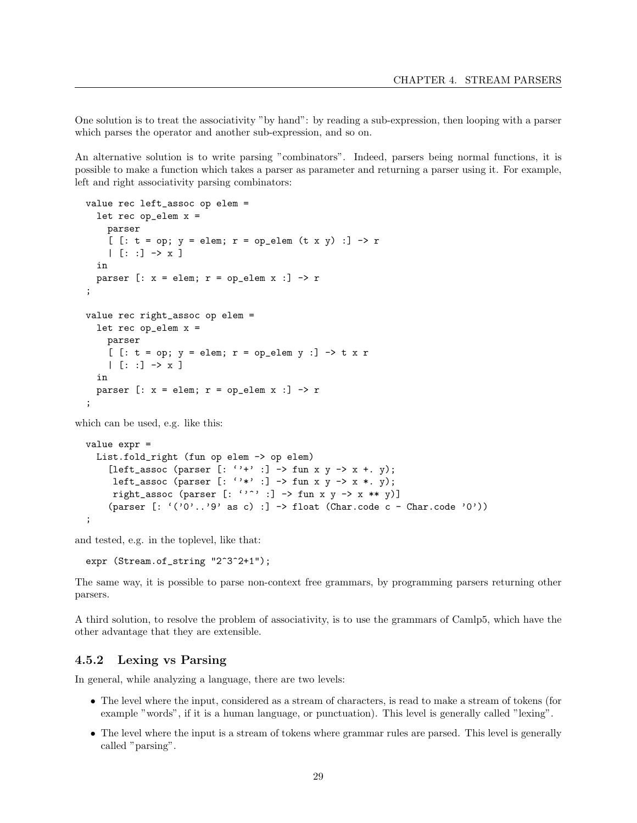One solution is to treat the associativity "by hand": by reading a sub-expression, then looping with a parser which parses the operator and another sub-expression, and so on.

An alternative solution is to write parsing "combinators". Indeed, parsers being normal functions, it is possible to make a function which takes a parser as parameter and returning a parser using it. For example, left and right associativity parsing combinators:

```
value rec left_assoc op elem =
  let rec op _{elem} x =parser
    [ [: t = op; y = elem; r = op_elem (tx y) :] -> r
    | [ : : ] \rightarrow x ]in
  parser [: x = elem; r = op\_elem x : ] \rightarrow r;
value rec right_assoc op elem =
  let rec op_elem x =
    parser
    [ [: t = op; y = elem; r = op\_elem y :] \rightarrow t x r| [ : : ] \rightarrow x ]in
  parser [: x = elem; r = op\_elem x : ] \rightarrow r;
```
which can be used, e.g. like this:

```
value expr =
 List.fold_right (fun op elem -> op elem)
    [left_assoc (parser [: ''+' :] -> fun x y -> x +. y);
     left_assoc (parser [: '**': ] \rightarrow fun x y -> x *. y);
     right_assoc (parser [: ''^' :] -> fun x y -> x ** y)]
    (parser [: '('0'..'9' as c) :] -> float (Char.code c - Char.code '0'))
;
```
and tested, e.g. in the toplevel, like that:

```
expr (Stream.of_string "2^3^2+1");
```
The same way, it is possible to parse non-context free grammars, by programming parsers returning other parsers.

A third solution, to resolve the problem of associativity, is to use the grammars of Camlp5, which have the other advantage that they are extensible.

#### <span id="page-30-0"></span>4.5.2 Lexing vs Parsing

In general, while analyzing a language, there are two levels:

- The level where the input, considered as a stream of characters, is read to make a stream of tokens (for example "words", if it is a human language, or punctuation). This level is generally called "lexing".
- The level where the input is a stream of tokens where grammar rules are parsed. This level is generally called "parsing".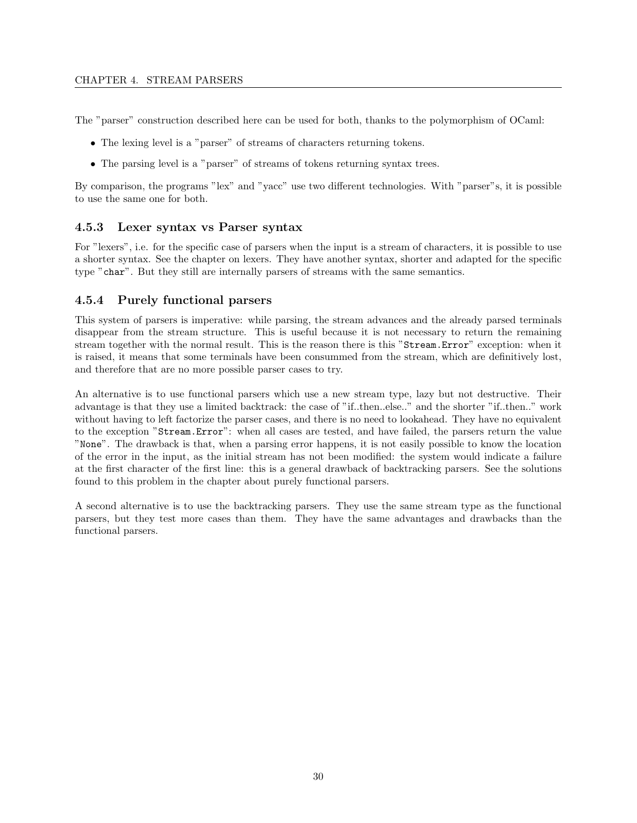The "parser" construction described here can be used for both, thanks to the polymorphism of OCaml:

- The lexing level is a "parser" of streams of characters returning tokens.
- The parsing level is a "parser" of streams of tokens returning syntax trees.

By comparison, the programs "lex" and "yacc" use two different technologies. With "parser"s, it is possible to use the same one for both.

#### <span id="page-31-0"></span>4.5.3 Lexer syntax vs Parser syntax

For "lexers", i.e. for the specific case of parsers when the input is a stream of characters, it is possible to use a shorter syntax. See the chapter on lexers. They have another syntax, shorter and adapted for the specific type "char". But they still are internally parsers of streams with the same semantics.

#### <span id="page-31-1"></span>4.5.4 Purely functional parsers

This system of parsers is imperative: while parsing, the stream advances and the already parsed terminals disappear from the stream structure. This is useful because it is not necessary to return the remaining stream together with the normal result. This is the reason there is this "Stream.Error" exception: when it is raised, it means that some terminals have been consummed from the stream, which are definitively lost, and therefore that are no more possible parser cases to try.

An alternative is to use functional parsers which use a new stream type, lazy but not destructive. Their advantage is that they use a limited backtrack: the case of "if..then..else.." and the shorter "if..then.." work without having to left factorize the parser cases, and there is no need to lookahead. They have no equivalent to the exception "Stream.Error": when all cases are tested, and have failed, the parsers return the value "None". The drawback is that, when a parsing error happens, it is not easily possible to know the location of the error in the input, as the initial stream has not been modified: the system would indicate a failure at the first character of the first line: this is a general drawback of backtracking parsers. See the solutions found to this problem in the chapter about purely functional parsers.

A second alternative is to use the backtracking parsers. They use the same stream type as the functional parsers, but they test more cases than them. They have the same advantages and drawbacks than the functional parsers.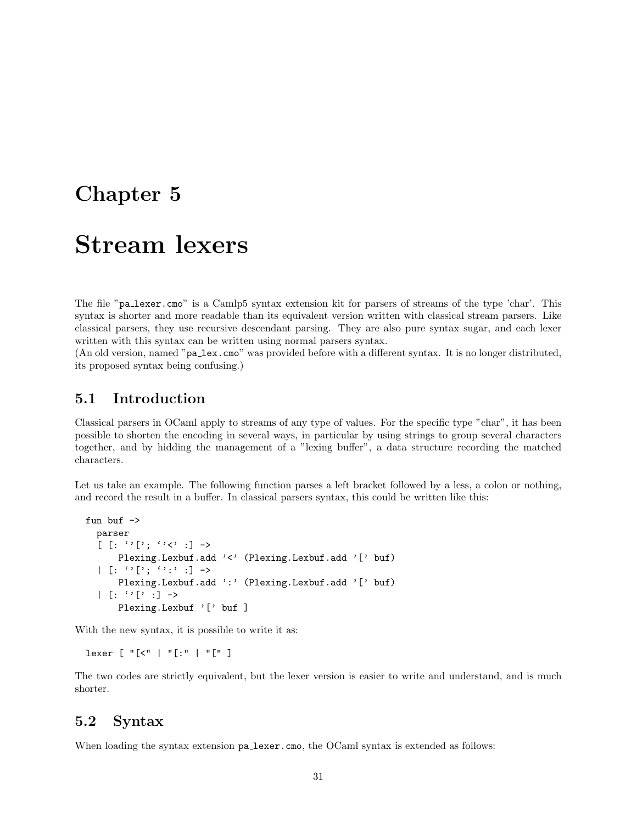# <span id="page-32-0"></span>Chapter 5

# Stream lexers

The file "pa lexer.cmo" is a Camlp5 syntax extension kit for parsers of streams of the type 'char'. This syntax is shorter and more readable than its equivalent version written with classical stream parsers. Like classical parsers, they use recursive descendant parsing. They are also pure syntax sugar, and each lexer written with this syntax can be written using normal parsers syntax.

(An old version, named "pa lex.cmo" was provided before with a different syntax. It is no longer distributed, its proposed syntax being confusing.)

## <span id="page-32-1"></span>5.1 Introduction

Classical parsers in OCaml apply to streams of any type of values. For the specific type "char", it has been possible to shorten the encoding in several ways, in particular by using strings to group several characters together, and by hidding the management of a "lexing buffer", a data structure recording the matched characters.

Let us take an example. The following function parses a left bracket followed by a less, a colon or nothing, and record the result in a buffer. In classical parsers syntax, this could be written like this:

```
fun buf ->
  parser
   [\begin{array}{ccc} [\cdot & \cdot & \cdot & \cdot \\ \cdot & \cdot & \cdot & \cdot \end{array}] \rightarrowPlexing.Lexbuf.add '<' (Plexing.Lexbuf.add '[' buf)
   | [ : ' ' [': ' '': ' : ] \rightarrowPlexing.Lexbuf.add ':' (Plexing.Lexbuf.add '[' buf)
   | [ : '']': ] \rightarrowPlexing.Lexbuf '[' buf ]
```
With the new syntax, it is possible to write it as:

lexer [ "[<" | "[:" | "[" ]

The two codes are strictly equivalent, but the lexer version is easier to write and understand, and is much shorter.

# <span id="page-32-2"></span>5.2 Syntax

When loading the syntax extension pa lexer.cmo, the OCaml syntax is extended as follows: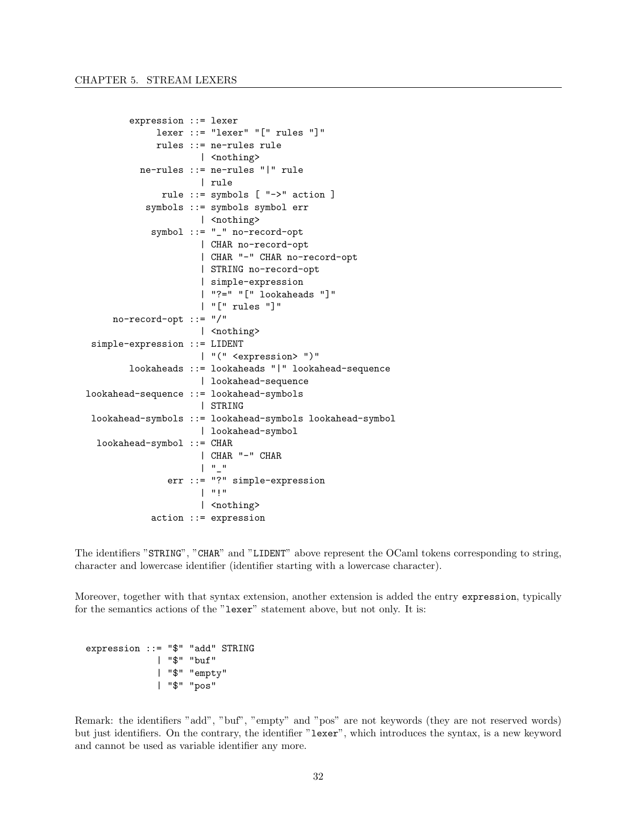```
expression ::= lexer
             lexer ::= "lexer" "[" rules "]"
             rules ::= ne-rules rule
                      | <nothing>
          ne-rules ::= ne-rules "|" rule
                      | rule
              rule ::= symbols [ "->" action ]
           symbols ::= symbols symbol err
                      | <nothing>
            symbol ::= "_" no-record-opt
                      | CHAR no-record-opt
                      | CHAR "-" CHAR no-record-opt
                      | STRING no-record-opt
                      | simple-expression
                      | "?=" "[" lookaheads "]"
                      | "[" rules "]"
     no-record-opt ::= "/"
                      | <nothing>
 simple-expression ::= LIDENT
                      | "(" <expression> ")"
        lookaheads ::= lookaheads "|" lookahead-sequence
                      | lookahead-sequence
lookahead-sequence ::= lookahead-symbols
                      | STRING
 lookahead-symbols ::= lookahead-symbols lookahead-symbol
                      | lookahead-symbol
 lookahead-symbol ::= CHAR
                      | CHAR "-" CHAR
                      | "_"
               err ::= "?" simple-expression
                      \mathbb{L}^{\mathfrak{m}}!"
                      | <nothing>
            action ::= expression
```
The identifiers "STRING", "CHAR" and "LIDENT" above represent the OCaml tokens corresponding to string, character and lowercase identifier (identifier starting with a lowercase character).

Moreover, together with that syntax extension, another extension is added the entry expression, typically for the semantics actions of the "lexer" statement above, but not only. It is:

```
expression ::= "$" "add" STRING
             | "$" "buf"
             | "$" "empty"
             | "$" "pos"
```
Remark: the identifiers "add", "buf", "empty" and "pos" are not keywords (they are not reserved words) but just identifiers. On the contrary, the identifier "lexer", which introduces the syntax, is a new keyword and cannot be used as variable identifier any more.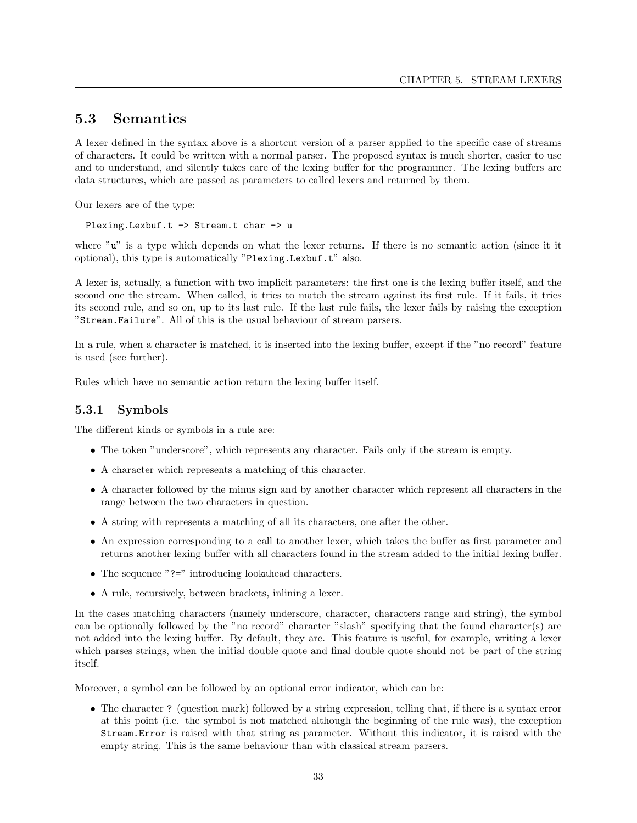# <span id="page-34-0"></span>5.3 Semantics

A lexer defined in the syntax above is a shortcut version of a parser applied to the specific case of streams of characters. It could be written with a normal parser. The proposed syntax is much shorter, easier to use and to understand, and silently takes care of the lexing buffer for the programmer. The lexing buffers are data structures, which are passed as parameters to called lexers and returned by them.

Our lexers are of the type:

Plexing. Lexbuf.t -> Stream.t char -> u

where "u" is a type which depends on what the lexer returns. If there is no semantic action (since it it optional), this type is automatically "Plexing.Lexbuf.t" also.

A lexer is, actually, a function with two implicit parameters: the first one is the lexing buffer itself, and the second one the stream. When called, it tries to match the stream against its first rule. If it fails, it tries its second rule, and so on, up to its last rule. If the last rule fails, the lexer fails by raising the exception "Stream.Failure". All of this is the usual behaviour of stream parsers.

In a rule, when a character is matched, it is inserted into the lexing buffer, except if the "no record" feature is used (see further).

Rules which have no semantic action return the lexing buffer itself.

#### <span id="page-34-1"></span>5.3.1 Symbols

The different kinds or symbols in a rule are:

- The token "underscore", which represents any character. Fails only if the stream is empty.
- A character which represents a matching of this character.
- A character followed by the minus sign and by another character which represent all characters in the range between the two characters in question.
- A string with represents a matching of all its characters, one after the other.
- An expression corresponding to a call to another lexer, which takes the buffer as first parameter and returns another lexing buffer with all characters found in the stream added to the initial lexing buffer.
- The sequence "?=" introducing lookahead characters.
- A rule, recursively, between brackets, inlining a lexer.

In the cases matching characters (namely underscore, character, characters range and string), the symbol can be optionally followed by the "no record" character "slash" specifying that the found character(s) are not added into the lexing buffer. By default, they are. This feature is useful, for example, writing a lexer which parses strings, when the initial double quote and final double quote should not be part of the string itself.

Moreover, a symbol can be followed by an optional error indicator, which can be:

• The character ? (question mark) followed by a string expression, telling that, if there is a syntax error at this point (i.e. the symbol is not matched although the beginning of the rule was), the exception Stream.Error is raised with that string as parameter. Without this indicator, it is raised with the empty string. This is the same behaviour than with classical stream parsers.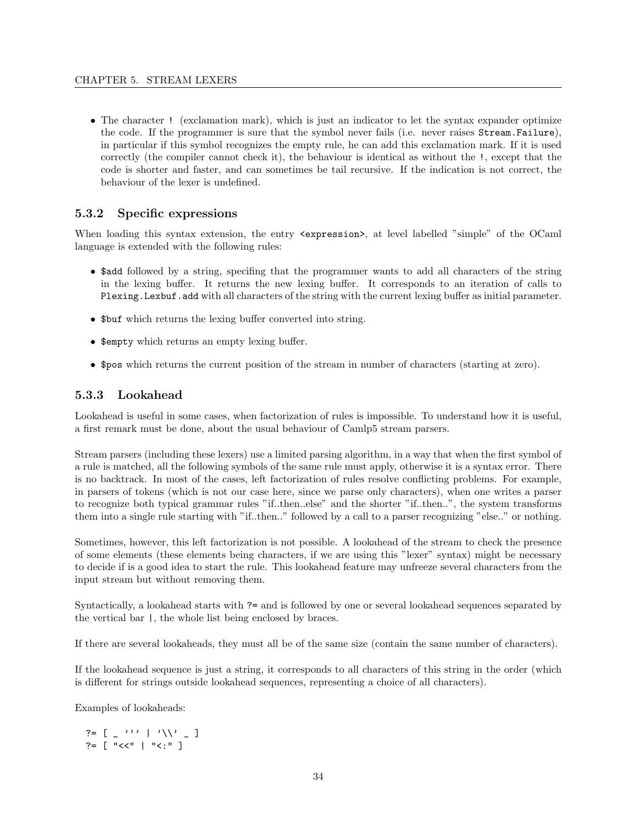• The character ! (exclamation mark), which is just an indicator to let the syntax expander optimize the code. If the programmer is sure that the symbol never fails (i.e. never raises Stream.Failure), in particular if this symbol recognizes the empty rule, he can add this exclamation mark. If it is used correctly (the compiler cannot check it), the behaviour is identical as without the !, except that the code is shorter and faster, and can sometimes be tail recursive. If the indication is not correct, the behaviour of the lexer is undefined.

## <span id="page-35-0"></span>5.3.2 Specific expressions

When loading this syntax extension, the entry  $\leq$ xpression>, at level labelled "simple" of the OCaml language is extended with the following rules:

- \$add followed by a string, specifing that the programmer wants to add all characters of the string in the lexing buffer. It returns the new lexing buffer. It corresponds to an iteration of calls to Plexing.Lexbuf.add with all characters of the string with the current lexing buffer as initial parameter.
- \$buf which returns the lexing buffer converted into string.
- \$empty which returns an empty lexing buffer.
- \$pos which returns the current position of the stream in number of characters (starting at zero).

## <span id="page-35-1"></span>5.3.3 Lookahead

Lookahead is useful in some cases, when factorization of rules is impossible. To understand how it is useful, a first remark must be done, about the usual behaviour of Camlp5 stream parsers.

Stream parsers (including these lexers) use a limited parsing algorithm, in a way that when the first symbol of a rule is matched, all the following symbols of the same rule must apply, otherwise it is a syntax error. There is no backtrack. In most of the cases, left factorization of rules resolve conflicting problems. For example, in parsers of tokens (which is not our case here, since we parse only characters), when one writes a parser to recognize both typical grammar rules "if..then..else" and the shorter "if..then..", the system transforms them into a single rule starting with "if..then.." followed by a call to a parser recognizing "else.." or nothing.

Sometimes, however, this left factorization is not possible. A lookahead of the stream to check the presence of some elements (these elements being characters, if we are using this "lexer" syntax) might be necessary to decide if is a good idea to start the rule. This lookahead feature may unfreeze several characters from the input stream but without removing them.

Syntactically, a lookahead starts with ?= and is followed by one or several lookahead sequences separated by the vertical bar |, the whole list being enclosed by braces.

If there are several lookaheads, they must all be of the same size (contain the same number of characters).

If the lookahead sequence is just a string, it corresponds to all characters of this string in the order (which is different for strings outside lookahead sequences, representing a choice of all characters).

Examples of lookaheads:

?=  $[ -$ '''  $|$ '\\' \_ ] ?=  $\lceil$  "<<"  $\lceil$  "<<"  $\rceil$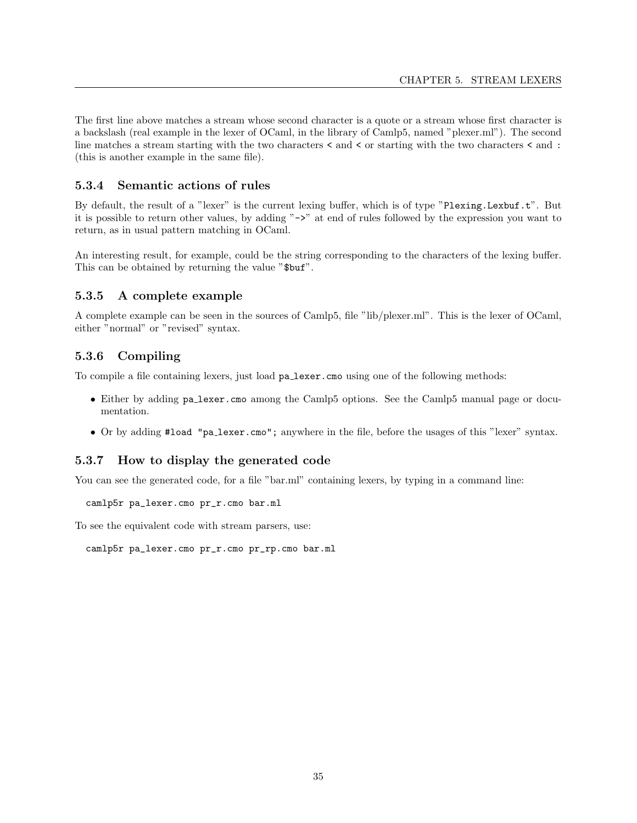The first line above matches a stream whose second character is a quote or a stream whose first character is a backslash (real example in the lexer of OCaml, in the library of Camlp5, named "plexer.ml"). The second line matches a stream starting with the two characters < and < or starting with the two characters < and : (this is another example in the same file).

## 5.3.4 Semantic actions of rules

By default, the result of a "lexer" is the current lexing buffer, which is of type "Plexing.Lexbuf.t". But it is possible to return other values, by adding "->" at end of rules followed by the expression you want to return, as in usual pattern matching in OCaml.

An interesting result, for example, could be the string corresponding to the characters of the lexing buffer. This can be obtained by returning the value "\$buf".

# 5.3.5 A complete example

A complete example can be seen in the sources of Camlp5, file "lib/plexer.ml". This is the lexer of OCaml, either "normal" or "revised" syntax.

# 5.3.6 Compiling

To compile a file containing lexers, just load pa lexer.cmo using one of the following methods:

- Either by adding pa lexer.cmo among the Camlp5 options. See the Camlp5 manual page or documentation.
- Or by adding #load "pa lexer.cmo"; anywhere in the file, before the usages of this "lexer" syntax.

# 5.3.7 How to display the generated code

You can see the generated code, for a file "bar.ml" containing lexers, by typing in a command line:

camlp5r pa\_lexer.cmo pr\_r.cmo bar.ml

To see the equivalent code with stream parsers, use:

camlp5r pa\_lexer.cmo pr\_r.cmo pr\_rp.cmo bar.ml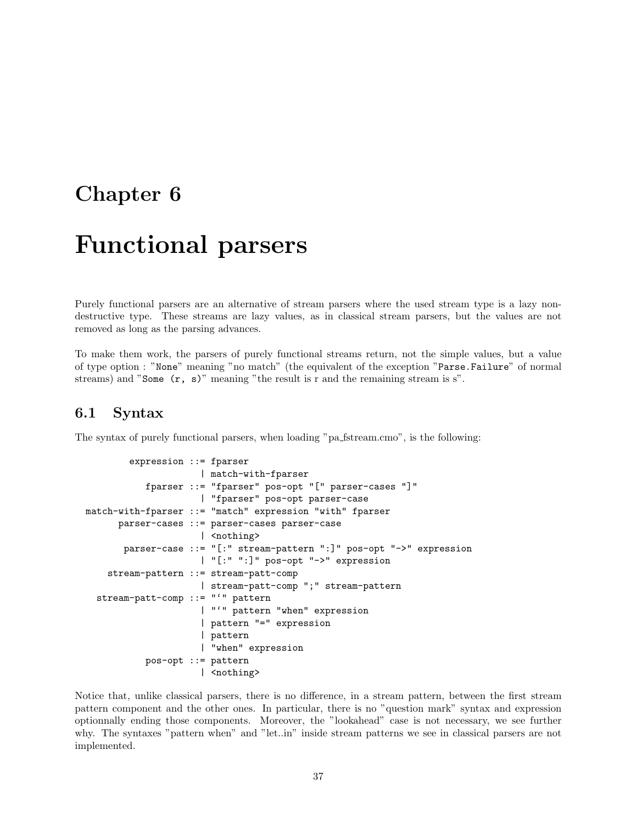# Chapter 6

# Functional parsers

Purely functional parsers are an alternative of stream parsers where the used stream type is a lazy nondestructive type. These streams are lazy values, as in classical stream parsers, but the values are not removed as long as the parsing advances.

To make them work, the parsers of purely functional streams return, not the simple values, but a value of type option : "None" meaning "no match" (the equivalent of the exception "Parse.Failure" of normal streams) and "Some (r, s)" meaning "the result is r and the remaining stream is s".

# 6.1 Syntax

The syntax of purely functional parsers, when loading "pa fistream.cmo", is the following:

```
expression ::= fparser
                     | match-with-fparser
           fparser ::= "fparser" pos-opt "[" parser-cases "]"
                     | "fparser" pos-opt parser-case
match-with-fparser ::= "match" expression "with" fparser
      parser-cases ::= parser-cases parser-case
                     | <nothing>
       parser-case ::= "[:" stream-pattern ":]" pos-opt "->" expression
                     | "[:" ":]" pos-opt "->" expression
    stream-pattern ::= stream-patt-comp
                     | stream-patt-comp ";" stream-pattern
  stream-patt-comp ::= "'" pattern
                     | "'" pattern "when" expression
                     | pattern "=" expression
                     | pattern
                     | "when" expression
           pos-opt ::= pattern
                     | <nothing>
```
Notice that, unlike classical parsers, there is no difference, in a stream pattern, between the first stream pattern component and the other ones. In particular, there is no "question mark" syntax and expression optionnally ending those components. Moreover, the "lookahead" case is not necessary, we see further why. The syntaxes "pattern when" and "let..in" inside stream patterns we see in classical parsers are not implemented.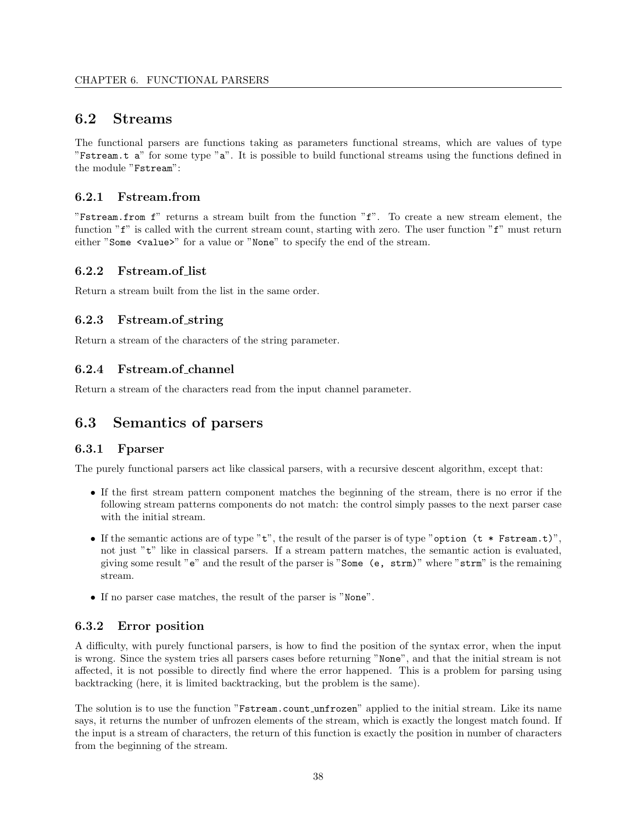# 6.2 Streams

The functional parsers are functions taking as parameters functional streams, which are values of type "Fstream.t a" for some type "a". It is possible to build functional streams using the functions defined in the module "Fstream":

# 6.2.1 Fstream.from

"Fstream.from f" returns a stream built from the function "f". To create a new stream element, the function "f" is called with the current stream count, starting with zero. The user function "f" must return either "Some <value>" for a value or "None" to specify the end of the stream.

# 6.2.2 Fstream.of list

Return a stream built from the list in the same order.

# 6.2.3 Fstream.of string

Return a stream of the characters of the string parameter.

# 6.2.4 Fstream.of channel

Return a stream of the characters read from the input channel parameter.

# 6.3 Semantics of parsers

## 6.3.1 Fparser

The purely functional parsers act like classical parsers, with a recursive descent algorithm, except that:

- If the first stream pattern component matches the beginning of the stream, there is no error if the following stream patterns components do not match: the control simply passes to the next parser case with the initial stream.
- If the semantic actions are of type " $t$ ", the result of the parser is of type "option ( $t *$  Fstream.t)", not just "t" like in classical parsers. If a stream pattern matches, the semantic action is evaluated, giving some result "e" and the result of the parser is "Some (e, strm)" where "strm" is the remaining stream.
- If no parser case matches, the result of the parser is "None".

# 6.3.2 Error position

A difficulty, with purely functional parsers, is how to find the position of the syntax error, when the input is wrong. Since the system tries all parsers cases before returning "None", and that the initial stream is not affected, it is not possible to directly find where the error happened. This is a problem for parsing using backtracking (here, it is limited backtracking, but the problem is the same).

The solution is to use the function "Fstream.count unfrozen" applied to the initial stream. Like its name says, it returns the number of unfrozen elements of the stream, which is exactly the longest match found. If the input is a stream of characters, the return of this function is exactly the position in number of characters from the beginning of the stream.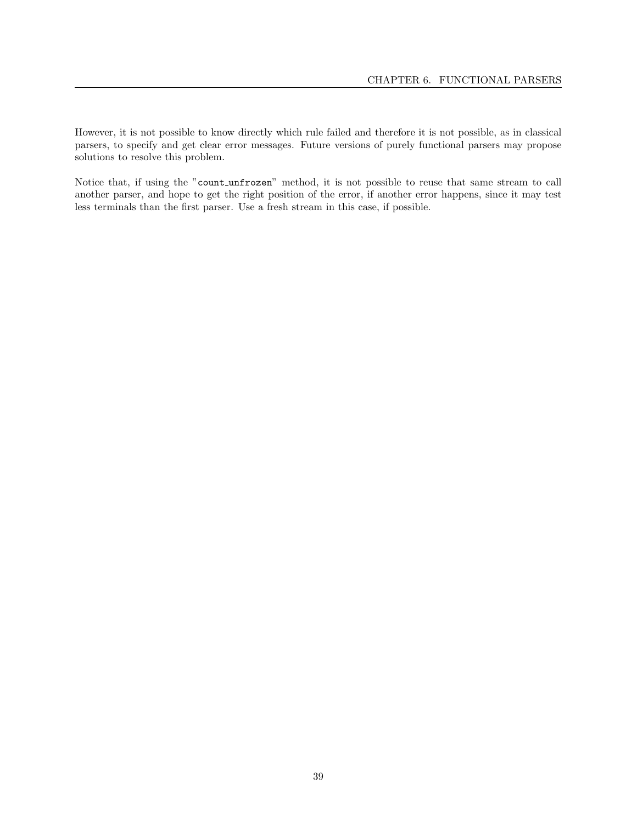However, it is not possible to know directly which rule failed and therefore it is not possible, as in classical parsers, to specify and get clear error messages. Future versions of purely functional parsers may propose solutions to resolve this problem.

Notice that, if using the "count unfrozen" method, it is not possible to reuse that same stream to call another parser, and hope to get the right position of the error, if another error happens, since it may test less terminals than the first parser. Use a fresh stream in this case, if possible.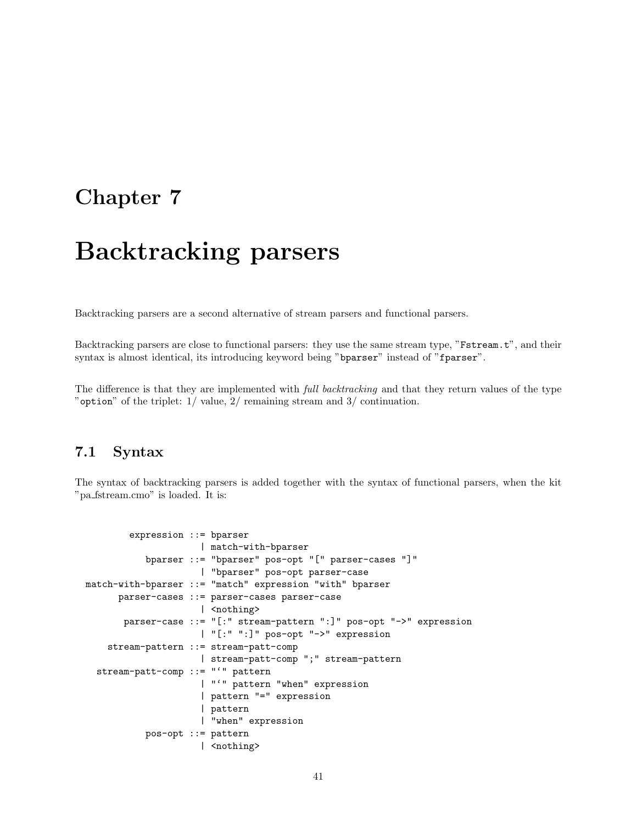# Chapter 7

# Backtracking parsers

Backtracking parsers are a second alternative of stream parsers and functional parsers.

Backtracking parsers are close to functional parsers: they use the same stream type, "Fstream.t", and their syntax is almost identical, its introducing keyword being "bparser" instead of "fparser".

The difference is that they are implemented with *full backtracking* and that they return values of the type "option" of the triplet: 1/ value, 2/ remaining stream and 3/ continuation.

## 7.1 Syntax

The syntax of backtracking parsers is added together with the syntax of functional parsers, when the kit "pa fstream.cmo" is loaded. It is:

```
expression ::= bparser
                     | match-with-bparser
           bparser ::= "bparser" pos-opt "[" parser-cases "]"
                     | "bparser" pos-opt parser-case
match-with-bparser ::= "match" expression "with" bparser
      parser-cases ::= parser-cases parser-case
                     | <nothing>
       parser-case ::= "[:" stream-pattern ":]" pos-opt "->" expression
                     | "[:" ":]" pos-opt "->" expression
    stream-pattern ::= stream-patt-comp
                     | stream-patt-comp ";" stream-pattern
  stream-patt-comp ::= "'" pattern
                     | "'" pattern "when" expression
                     | pattern "=" expression
                     | pattern
                     | "when" expression
           pos-opt ::= pattern
                     | <nothing>
```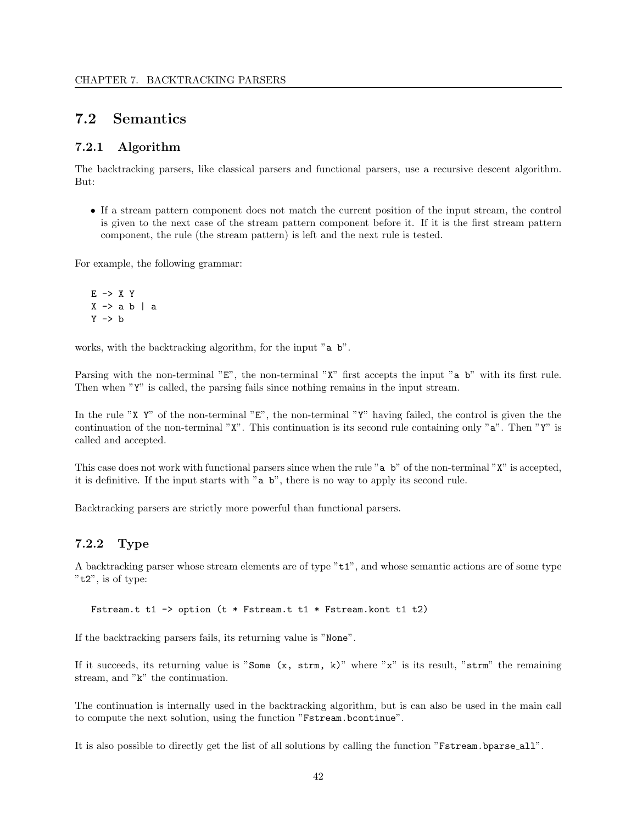# 7.2 Semantics

#### 7.2.1 Algorithm

The backtracking parsers, like classical parsers and functional parsers, use a recursive descent algorithm. But:

• If a stream pattern component does not match the current position of the input stream, the control is given to the next case of the stream pattern component before it. If it is the first stream pattern component, the rule (the stream pattern) is left and the next rule is tested.

For example, the following grammar:

 $E \rightarrow X Y$  $X \rightarrow a b \mid a$  $Y \rightarrow b$ 

works, with the backtracking algorithm, for the input "a b".

Parsing with the non-terminal "E", the non-terminal "X" first accepts the input "a b" with its first rule. Then when "Y" is called, the parsing fails since nothing remains in the input stream.

In the rule "X Y" of the non-terminal "E", the non-terminal "Y" having failed, the control is given the the continuation of the non-terminal "X". This continuation is its second rule containing only "a". Then "Y" is called and accepted.

This case does not work with functional parsers since when the rule "a b" of the non-terminal "X" is accepted, it is definitive. If the input starts with "a b", there is no way to apply its second rule.

Backtracking parsers are strictly more powerful than functional parsers.

#### 7.2.2 Type

A backtracking parser whose stream elements are of type "t1", and whose semantic actions are of some type "t2", is of type:

Fstream.t t1 -> option (t \* Fstream.t t1 \* Fstream.kont t1 t2)

If the backtracking parsers fails, its returning value is "None".

If it succeeds, its returning value is "Some  $(x, \text{strm}, k)$ " where "x" is its result, "strm" the remaining stream, and "k" the continuation.

The continuation is internally used in the backtracking algorithm, but is can also be used in the main call to compute the next solution, using the function "Fstream.bcontinue".

It is also possible to directly get the list of all solutions by calling the function "Fstream.bparse all".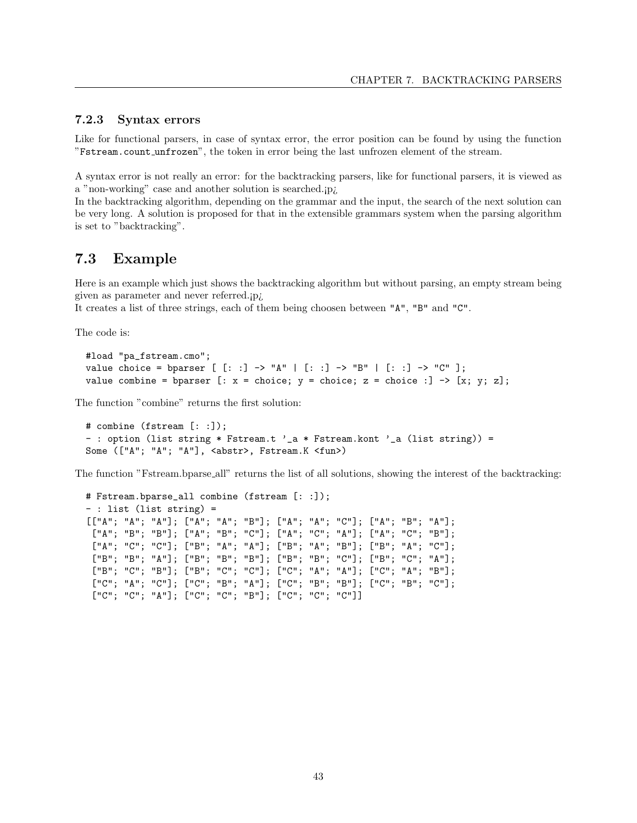#### 7.2.3 Syntax errors

Like for functional parsers, in case of syntax error, the error position can be found by using the function "Fstream.count unfrozen", the token in error being the last unfrozen element of the stream.

A syntax error is not really an error: for the backtracking parsers, like for functional parsers, it is viewed as a "non-working" case and another solution is searched.¡p¿

In the backtracking algorithm, depending on the grammar and the input, the search of the next solution can be very long. A solution is proposed for that in the extensible grammars system when the parsing algorithm is set to "backtracking".

# 7.3 Example

Here is an example which just shows the backtracking algorithm but without parsing, an empty stream being given as parameter and never referred.¡p¿

It creates a list of three strings, each of them being choosen between "A", "B" and "C".

The code is:

```
#load "pa_fstream.cmo";
value choice = bparser [ [: ] -> "A" | [: ] -> "B" | [: ] -> "C" ];
value combine = bparser [: x = choice; y = choice; z = choice :] \rightarrow [x; y; z];
```
The function "combine" returns the first solution:

```
# combine (fstream [: :]);
-: option (list string * Fstream.t '_a * Fstream.kont '_a (list string)) =
Some (["A"; "A"; "A"], <abstr>, Fstream.K <fun>)
```
The function "Fstream.bparse all" returns the list of all solutions, showing the interest of the backtracking:

```
# Fstream.bparse_all combine (fstream [: :]);
- : list (list string) =
[["A"; "A"; "A"]; ["A"; "A"; "B"]; ["A"; "A"; "C"]; ["A"; "B"; "A"];
 ["A"; "B"; "B"]; ["A"; "B"; "C"]; ["A"; "C"; "A"]; ["A"; "C"; "B"];
 ["A"; "C"; "C"]; ["B"; "A"; "A"]; ["B"; "A"; "B"]; ["B"; "A"; "C"];
 ["B"; "B"; "A"]; ["B"; "B"; "B"]; ["B"; "B"; "C"]; ["B"; "C"; "A"];
 ["B"; "C"; "B"]; ["B"; "C"; "C"]; ["C"; "A"; "A"]; ["C"; "A"; "B"];
 ["C"; "A"; "C"]; ["C"; "B"; "A"]; ["C"; "B"; "B"]; ["C"; "B"; "C"];
 ["C"; "C"; "A"]; ["C"; "C"; "B"]; ["C"; "C"; "C"]]
```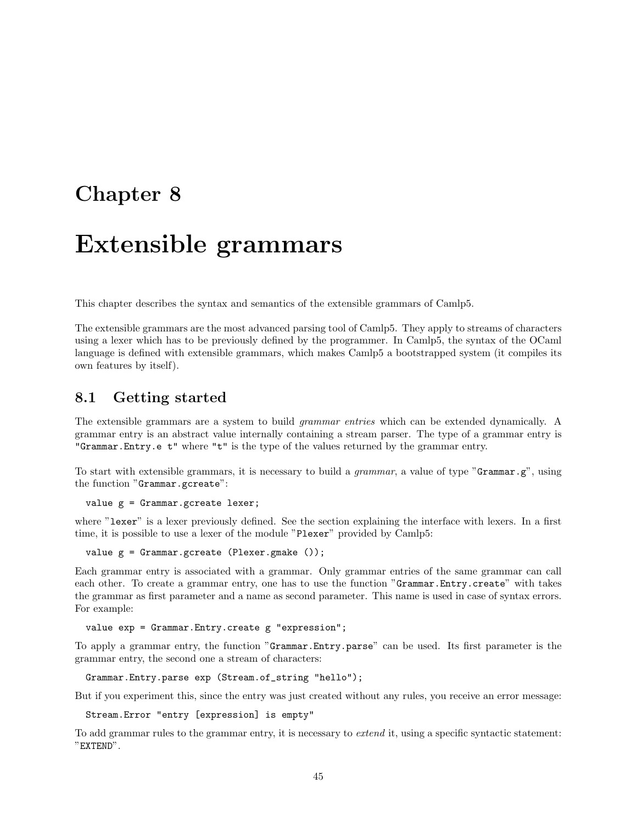# Chapter 8

# Extensible grammars

This chapter describes the syntax and semantics of the extensible grammars of Camlp5.

The extensible grammars are the most advanced parsing tool of Camlp5. They apply to streams of characters using a lexer which has to be previously defined by the programmer. In Camlp5, the syntax of the OCaml language is defined with extensible grammars, which makes Camlp5 a bootstrapped system (it compiles its own features by itself).

# 8.1 Getting started

The extensible grammars are a system to build grammar entries which can be extended dynamically. A grammar entry is an abstract value internally containing a stream parser. The type of a grammar entry is "Grammar.Entry.e t" where "t" is the type of the values returned by the grammar entry.

To start with extensible grammars, it is necessary to build a *grammar*, a value of type "Grammar.g", using the function "Grammar.gcreate":

value g = Grammar.gcreate lexer;

where "lexer" is a lexer previously defined. See the section explaining the interface with lexers. In a first time, it is possible to use a lexer of the module "Plexer" provided by Camlp5:

value g = Grammar.gcreate (Plexer.gmake ());

Each grammar entry is associated with a grammar. Only grammar entries of the same grammar can call each other. To create a grammar entry, one has to use the function "Grammar.Entry.create" with takes the grammar as first parameter and a name as second parameter. This name is used in case of syntax errors. For example:

value exp = Grammar.Entry.create g "expression";

To apply a grammar entry, the function "Grammar.Entry.parse" can be used. Its first parameter is the grammar entry, the second one a stream of characters:

Grammar.Entry.parse exp (Stream.of\_string "hello");

But if you experiment this, since the entry was just created without any rules, you receive an error message:

Stream.Error "entry [expression] is empty"

To add grammar rules to the grammar entry, it is necessary to *extend* it, using a specific syntactic statement: "EXTEND".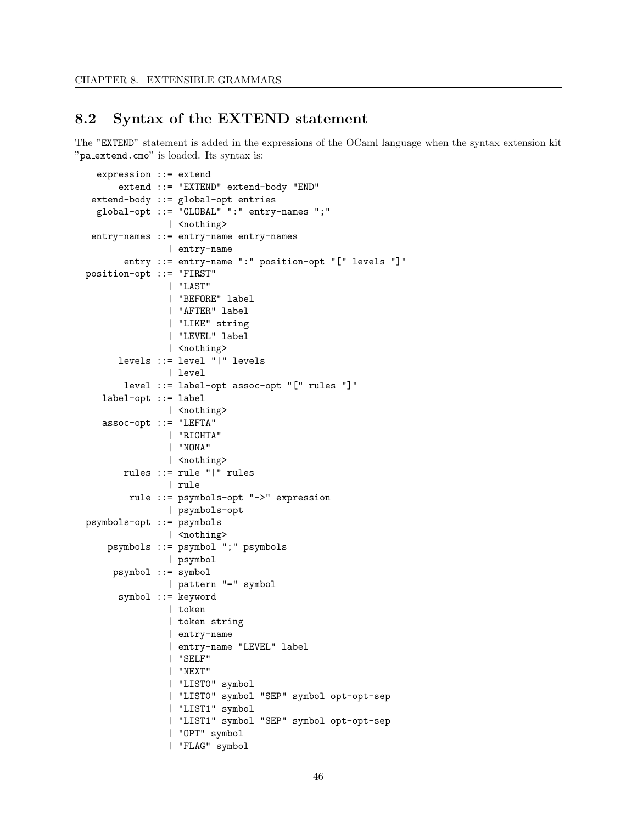# 8.2 Syntax of the EXTEND statement

The "EXTEND" statement is added in the expressions of the OCaml language when the syntax extension kit "pa extend.cmo" is loaded. Its syntax is:

```
expression ::= extend
      extend ::= "EXTEND" extend-body "END"
 extend-body ::= global-opt entries
 global-opt ::= "GLOBAL" ":" entry-names ";"
               | <nothing>
 entry-names ::= entry-name entry-names
               | entry-name
       entry ::= entry-name ":" position-opt "[" levels "]"
position-opt ::= "FIRST"
               | "LAST"
               | "BEFORE" label
               | "AFTER" label
               | "LIKE" string
               | "LEVEL" label
               | <nothing>
     levels ::= level "|" levels
               | level
       level ::= label-opt assoc-opt "[" rules "]"
   label-opt ::= label
               | <nothing>
   assoc-opt ::= "LEFTA"
               | "RIGHTA"
               | "NONA"
               | <nothing>
       rules ::= rule "|" rules
               | rule
       rule ::= psymbols-opt "->" expression
               | psymbols-opt
psymbols-opt ::= psymbols
               | <nothing>
   psymbols ::= psymbol ";" psymbols
               | psymbol
     psymbol ::= symbol
               | pattern "=" symbol
      symbol ::= keyword
               | token
               | token string
               | entry-name
               | entry-name "LEVEL" label
               | "SELF"
               | "NEXT"
               | "LIST0" symbol
               | "LIST0" symbol "SEP" symbol opt-opt-sep
               | "LIST1" symbol
               | "LIST1" symbol "SEP" symbol opt-opt-sep
               | "OPT" symbol
               | "FLAG" symbol
```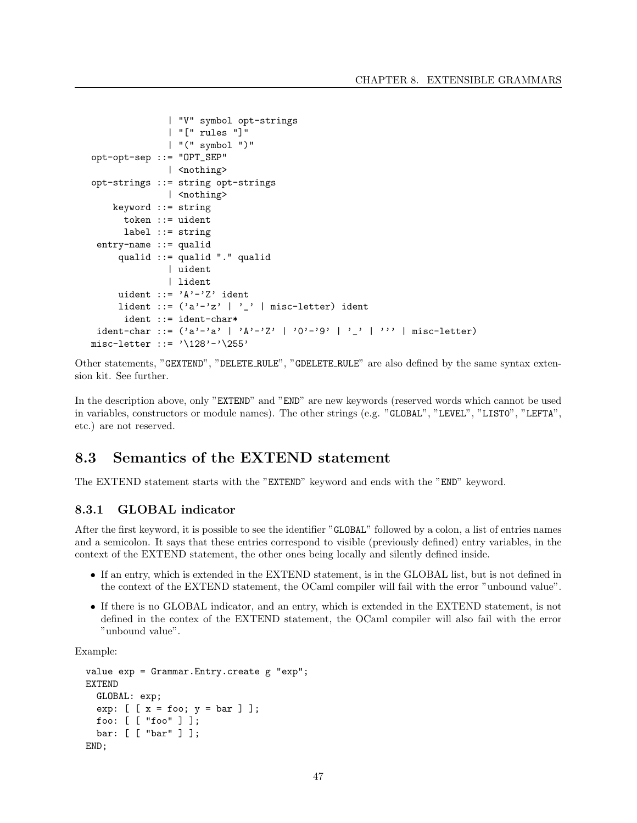```
| "V" symbol opt-strings
                | "[" rules "]"
                | "(" symbol ")"
opt-opt-sep ::= "OPT_SEP"
                | <nothing>
opt-strings ::= string opt-strings
                | <nothing>
    keyword ::= string
       token ::= uident
       label ::= string
 entry-name ::= qualid
      qualid ::= qualid "." qualid
                | uident
                | lident
     uident ::= 'A'-'Z' ident
      lident ::= (\lambda a' - \lambda z' + \lambda z' + \lambda z' + \lambda z') | misc-letter) ident
       ident ::= ident-char*
 ident-char ::= ('a'-'a' | 'A'-'Z' | '0'-'9' | '_' | ''' | misc-letter)
misc-letter  ::= \sqrt{128' - \sqrt{255'}}
```
Other statements, "GEXTEND", "DELETE RULE", "GDELETE RULE" are also defined by the same syntax extension kit. See further.

In the description above, only "EXTEND" and "END" are new keywords (reserved words which cannot be used in variables, constructors or module names). The other strings (e.g. "GLOBAL", "LEVEL", "LIST0", "LEFTA", etc.) are not reserved.

# 8.3 Semantics of the EXTEND statement

The EXTEND statement starts with the "EXTEND" keyword and ends with the "END" keyword.

## 8.3.1 GLOBAL indicator

After the first keyword, it is possible to see the identifier "GLOBAL" followed by a colon, a list of entries names and a semicolon. It says that these entries correspond to visible (previously defined) entry variables, in the context of the EXTEND statement, the other ones being locally and silently defined inside.

- If an entry, which is extended in the EXTEND statement, is in the GLOBAL list, but is not defined in the context of the EXTEND statement, the OCaml compiler will fail with the error "unbound value".
- If there is no GLOBAL indicator, and an entry, which is extended in the EXTEND statement, is not defined in the contex of the EXTEND statement, the OCaml compiler will also fail with the error "unbound value".

Example:

```
value exp = Grammar.Entry.create g "exp";
EXTEND
  GLOBAL: exp;
  exp: [\begin{array}{r} [x = f \circ \circ; y = \circ \circ] \end{array}];
  foo: [ [ "foo" ] ];
  bar: [ [ "bar" ] ];
END;
```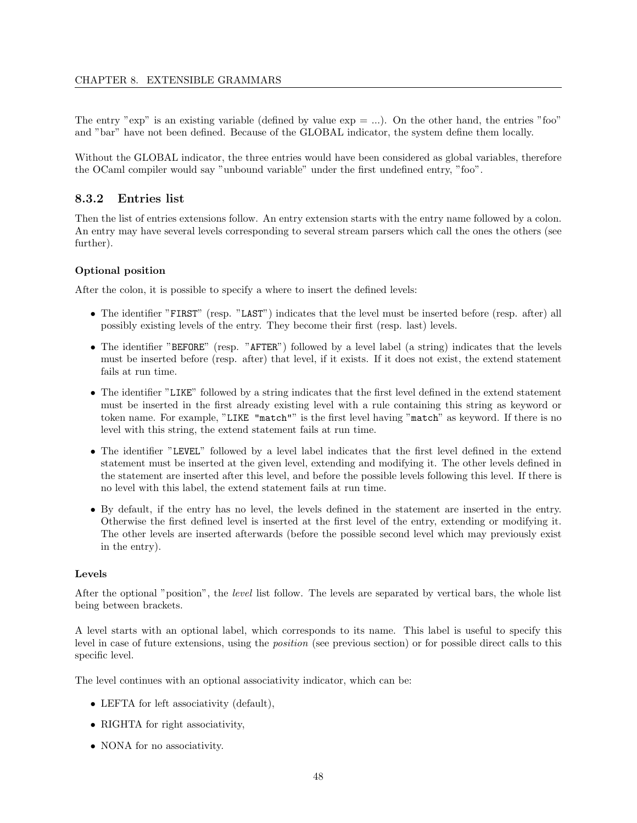The entry "exp" is an existing variable (defined by value  $\exp = ...$ ). On the other hand, the entries "foo" and "bar" have not been defined. Because of the GLOBAL indicator, the system define them locally.

Without the GLOBAL indicator, the three entries would have been considered as global variables, therefore the OCaml compiler would say "unbound variable" under the first undefined entry, "foo".

#### 8.3.2 Entries list

Then the list of entries extensions follow. An entry extension starts with the entry name followed by a colon. An entry may have several levels corresponding to several stream parsers which call the ones the others (see further).

#### Optional position

After the colon, it is possible to specify a where to insert the defined levels:

- The identifier "FIRST" (resp. "LAST") indicates that the level must be inserted before (resp. after) all possibly existing levels of the entry. They become their first (resp. last) levels.
- The identifier "BEFORE" (resp. "AFTER") followed by a level label (a string) indicates that the levels must be inserted before (resp. after) that level, if it exists. If it does not exist, the extend statement fails at run time.
- The identifier "LIKE" followed by a string indicates that the first level defined in the extend statement must be inserted in the first already existing level with a rule containing this string as keyword or token name. For example, "LIKE "match"" is the first level having "match" as keyword. If there is no level with this string, the extend statement fails at run time.
- The identifier "LEVEL" followed by a level label indicates that the first level defined in the extend statement must be inserted at the given level, extending and modifying it. The other levels defined in the statement are inserted after this level, and before the possible levels following this level. If there is no level with this label, the extend statement fails at run time.
- By default, if the entry has no level, the levels defined in the statement are inserted in the entry. Otherwise the first defined level is inserted at the first level of the entry, extending or modifying it. The other levels are inserted afterwards (before the possible second level which may previously exist in the entry).

#### Levels

After the optional "position", the level list follow. The levels are separated by vertical bars, the whole list being between brackets.

A level starts with an optional label, which corresponds to its name. This label is useful to specify this level in case of future extensions, using the position (see previous section) or for possible direct calls to this specific level.

The level continues with an optional associativity indicator, which can be:

- LEFTA for left associativity (default),
- RIGHTA for right associativity,
- NONA for no associativity.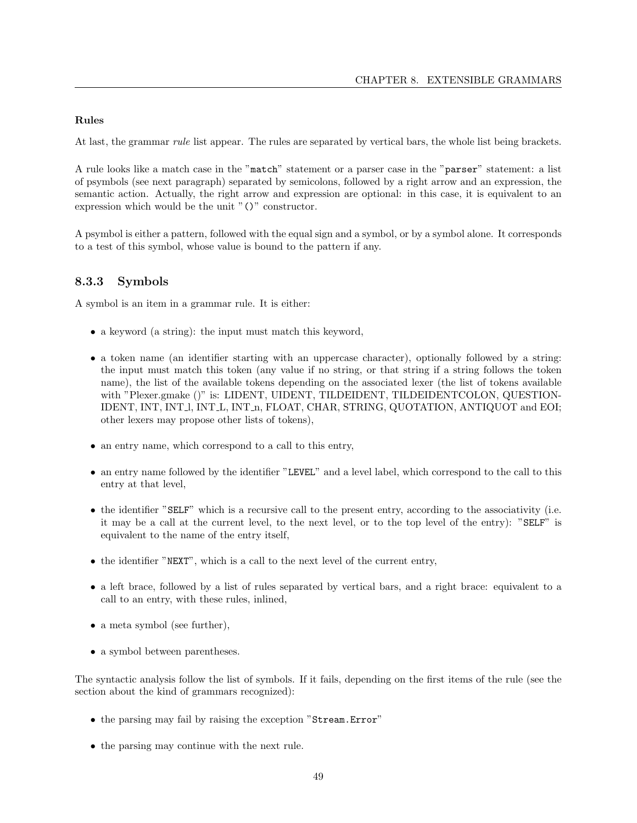#### Rules

At last, the grammar *rule* list appear. The rules are separated by vertical bars, the whole list being brackets.

A rule looks like a match case in the "match" statement or a parser case in the "parser" statement: a list of psymbols (see next paragraph) separated by semicolons, followed by a right arrow and an expression, the semantic action. Actually, the right arrow and expression are optional: in this case, it is equivalent to an expression which would be the unit "()" constructor.

A psymbol is either a pattern, followed with the equal sign and a symbol, or by a symbol alone. It corresponds to a test of this symbol, whose value is bound to the pattern if any.

#### 8.3.3 Symbols

A symbol is an item in a grammar rule. It is either:

- a keyword (a string): the input must match this keyword,
- a token name (an identifier starting with an uppercase character), optionally followed by a string: the input must match this token (any value if no string, or that string if a string follows the token name), the list of the available tokens depending on the associated lexer (the list of tokens available with "Plexer.gmake ()" is: LIDENT, UIDENT, TILDEIDENT, TILDEIDENTCOLON, QUESTION-IDENT, INT, INT l, INT L, INT n, FLOAT, CHAR, STRING, QUOTATION, ANTIQUOT and EOI; other lexers may propose other lists of tokens),
- an entry name, which correspond to a call to this entry,
- an entry name followed by the identifier "LEVEL" and a level label, which correspond to the call to this entry at that level,
- the identifier "SELF" which is a recursive call to the present entry, according to the associativity (i.e. it may be a call at the current level, to the next level, or to the top level of the entry): "SELF" is equivalent to the name of the entry itself,
- the identifier "NEXT", which is a call to the next level of the current entry,
- a left brace, followed by a list of rules separated by vertical bars, and a right brace: equivalent to a call to an entry, with these rules, inlined,
- a meta symbol (see further),
- a symbol between parentheses.

The syntactic analysis follow the list of symbols. If it fails, depending on the first items of the rule (see the section about the kind of grammars recognized):

- the parsing may fail by raising the exception "Stream.Error"
- the parsing may continue with the next rule.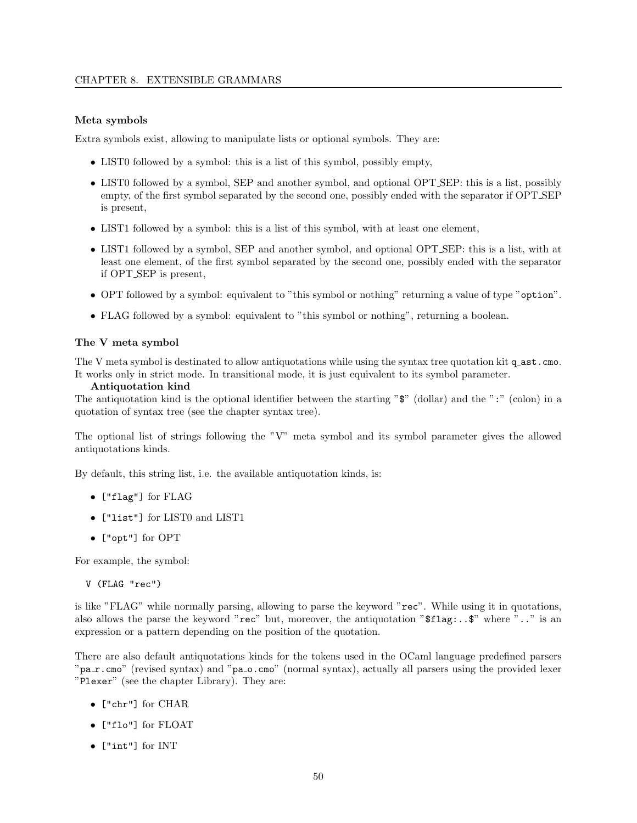#### Meta symbols

Extra symbols exist, allowing to manipulate lists or optional symbols. They are:

- LISTO followed by a symbol: this is a list of this symbol, possibly empty,
- LIST0 followed by a symbol, SEP and another symbol, and optional OPT SEP: this is a list, possibly empty, of the first symbol separated by the second one, possibly ended with the separator if OPT SEP is present,
- LIST1 followed by a symbol: this is a list of this symbol, with at least one element,
- LIST1 followed by a symbol, SEP and another symbol, and optional OPT SEP: this is a list, with at least one element, of the first symbol separated by the second one, possibly ended with the separator if OPT SEP is present,
- OPT followed by a symbol: equivalent to "this symbol or nothing" returning a value of type "option".
- FLAG followed by a symbol: equivalent to "this symbol or nothing", returning a boolean.

#### The V meta symbol

The V meta symbol is destinated to allow antiquotations while using the syntax tree quotation kit q ast.cmo. It works only in strict mode. In transitional mode, it is just equivalent to its symbol parameter.

#### Antiquotation kind

The antiquotation kind is the optional identifier between the starting "\$" (dollar) and the ":" (colon) in a quotation of syntax tree (see the chapter syntax tree).

The optional list of strings following the "V" meta symbol and its symbol parameter gives the allowed antiquotations kinds.

By default, this string list, i.e. the available antiquotation kinds, is:

- ["flag"] for FLAG
- ["list"] for LIST0 and LIST1
- ["opt"] for OPT

For example, the symbol:

V (FLAG "rec")

is like "FLAG" while normally parsing, allowing to parse the keyword "rec". While using it in quotations, also allows the parse the keyword " $\text{rec}$ " but, moreover, the antiquotation " $\text{fflag: .}$ . $\text{``}$ " where ".." is an expression or a pattern depending on the position of the quotation.

There are also default antiquotations kinds for the tokens used in the OCaml language predefined parsers "pa\_r.cmo" (revised syntax) and "pa\_o.cmo" (normal syntax), actually all parsers using the provided lexer "Plexer" (see the chapter Library). They are:

- ["chr"] for CHAR
- ["flo"] for FLOAT
- ["int"] for INT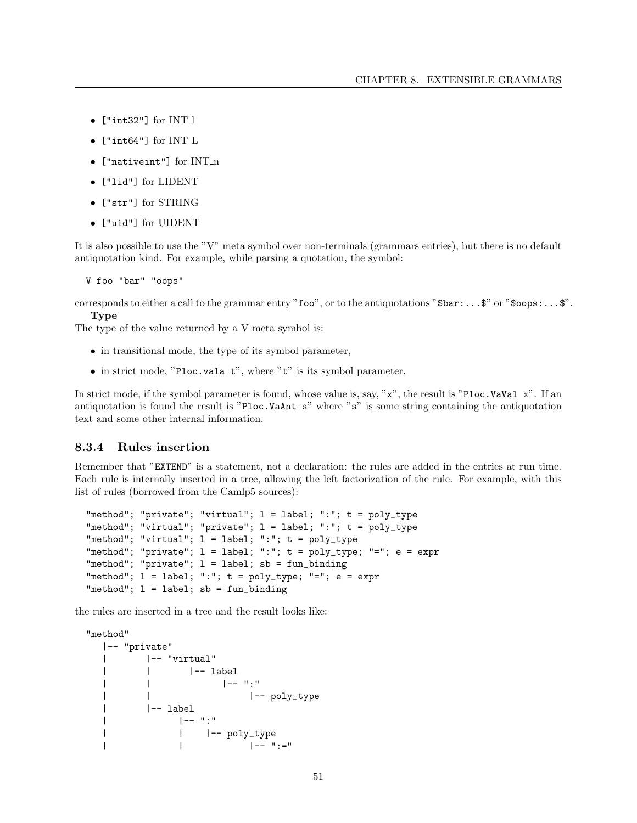- ["int32"] for INT l
- ["int64"] for INT L
- ["nativeint"] for INT\_n
- ["lid"] for LIDENT
- ["str"] for STRING
- ["uid"] for UIDENT

It is also possible to use the "V" meta symbol over non-terminals (grammars entries), but there is no default antiquotation kind. For example, while parsing a quotation, the symbol:

V foo "bar" "oops"

corresponds to either a call to the grammar entry "foo", or to the antiquotations "\$bar:...\$" or "\$oops:...\$". Type

The type of the value returned by a V meta symbol is:

- in transitional mode, the type of its symbol parameter,
- in strict mode, "Ploc.vala t", where "t" is its symbol parameter.

In strict mode, if the symbol parameter is found, whose value is, say, "x", the result is "Ploc.VaVal x". If an antiquotation is found the result is "Ploc.VaAnt s" where "s" is some string containing the antiquotation text and some other internal information.

#### 8.3.4 Rules insertion

Remember that "EXTEND" is a statement, not a declaration: the rules are added in the entries at run time. Each rule is internally inserted in a tree, allowing the left factorization of the rule. For example, with this list of rules (borrowed from the Camlp5 sources):

```
"method"; "private"; "virtual"; l = label; ":"; t = poly_type
"method"; "virtual"; "private"; l = label; ":"; t = poly_type
"method"; "virtual"; l = label; "::"; t = poly_type"method"; "private"; l = label; ":"; t = poly_type; "="; e = expr"method"; "private"; l = label; sb = fun\_binding"method"; l = label; ":"; t = poly_type; "="; e = expr"method"; l = label; sb = fun\_binding
```
the rules are inserted in a tree and the result looks like:

```
"method"
 |-- "private"
 | |-- "virtual"
 | | |-- label
 | | |-- ":"
 | | |-- poly_type
 | |-- label
 | |-- ":"
 | | |-- poly_type
 | | |-- ":="
```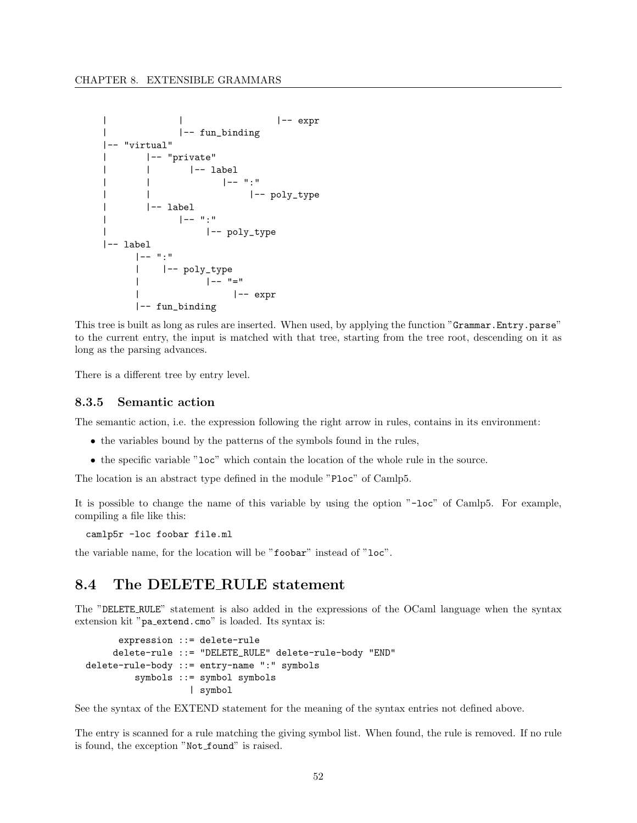```
| | |-- expr
| |-- fun_binding
|-- "virtual"
| |-- "private"
| | |-- label
| | |-- ":"
| | |-- poly_type
| |-- label
| |-- ":"
| |-- poly_type
|-- label
   |-- ":"
   | |-- poly_type
   | |-- "="
   | |-- expr
   |-- fun_binding
```
This tree is built as long as rules are inserted. When used, by applying the function "Grammar.Entry.parse" to the current entry, the input is matched with that tree, starting from the tree root, descending on it as long as the parsing advances.

There is a different tree by entry level.

#### 8.3.5 Semantic action

The semantic action, i.e. the expression following the right arrow in rules, contains in its environment:

- the variables bound by the patterns of the symbols found in the rules,
- the specific variable "loc" which contain the location of the whole rule in the source.

The location is an abstract type defined in the module "Ploc" of Camlp5.

It is possible to change the name of this variable by using the option "-loc" of Camlp5. For example, compiling a file like this:

camlp5r -loc foobar file.ml

the variable name, for the location will be "foobar" instead of "loc".

# 8.4 The DELETE RULE statement

The "DELETE RULE" statement is also added in the expressions of the OCaml language when the syntax extension kit "pa extend.cmo" is loaded. Its syntax is:

```
expression ::= delete-rule
     delete-rule ::= "DELETE_RULE" delete-rule-body "END"
delete-rule-body ::= entry-name ":" symbols
         symbols ::= symbol symbols
                   | symbol
```
See the syntax of the EXTEND statement for the meaning of the syntax entries not defined above.

The entry is scanned for a rule matching the giving symbol list. When found, the rule is removed. If no rule is found, the exception "Not\_found" is raised.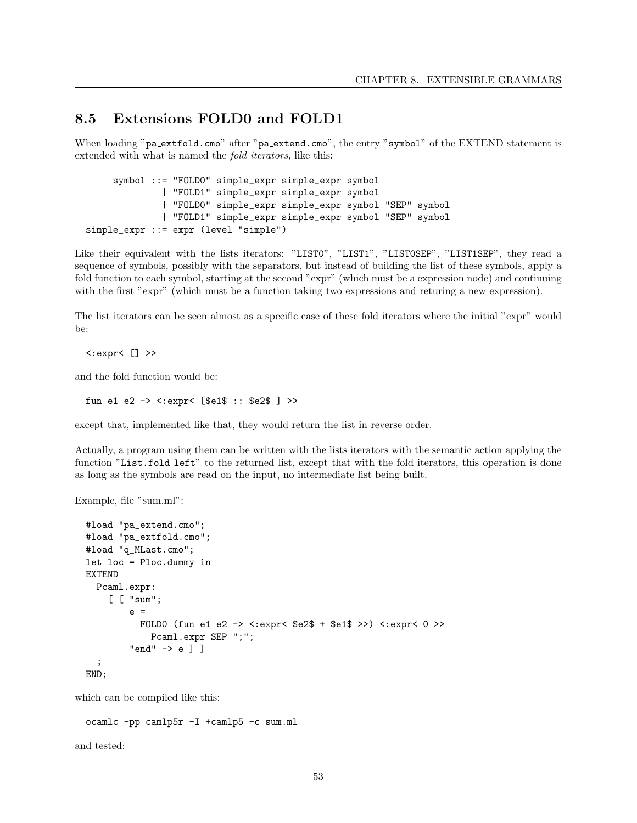# 8.5 Extensions FOLD0 and FOLD1

When loading "pa\_extfold.cmo" after "pa\_extend.cmo", the entry "symbol" of the EXTEND statement is extended with what is named the fold iterators, like this:

```
symbol ::= "FOLD0" simple_expr simple_expr symbol
              | "FOLD1" simple_expr simple_expr symbol
              | "FOLD0" simple_expr simple_expr symbol "SEP" symbol
              | "FOLD1" simple_expr simple_expr symbol "SEP" symbol
simple_expr ::= expr (level "simple")
```
Like their equivalent with the lists iterators: "LIST0", "LIST1", "LIST0SEP", "LIST1SEP", they read a sequence of symbols, possibly with the separators, but instead of building the list of these symbols, apply a fold function to each symbol, starting at the second "expr" (which must be a expression node) and continuing with the first "expr" (which must be a function taking two expressions and returing a new expression).

The list iterators can be seen almost as a specific case of these fold iterators where the initial "expr" would be:

<:expr< [] >>

and the fold function would be:

```
fun e1 e2 -> <:expr< [$e1$ :: $e2$ ] >>
```
except that, implemented like that, they would return the list in reverse order.

Actually, a program using them can be written with the lists iterators with the semantic action applying the function "List.fold\_left" to the returned list, except that with the fold iterators, this operation is done as long as the symbols are read on the input, no intermediate list being built.

Example, file "sum.ml":

```
#load "pa_extend.cmo";
#load "pa_extfold.cmo";
#load "q_MLast.cmo";
let loc = Ploc.dummy in
EXTEND
 Pcaml.expr:
    [ [ "sum";
        e =FOLD0 (fun e1 e2 -> <:expr< $e2$ + $e1$ >>) <:expr< 0 >>
            Pcaml.expr SEP ";";
        "end" -> e ] ]
  ;
END;
```
which can be compiled like this:

ocamlc -pp camlp5r -I +camlp5 -c sum.ml

and tested: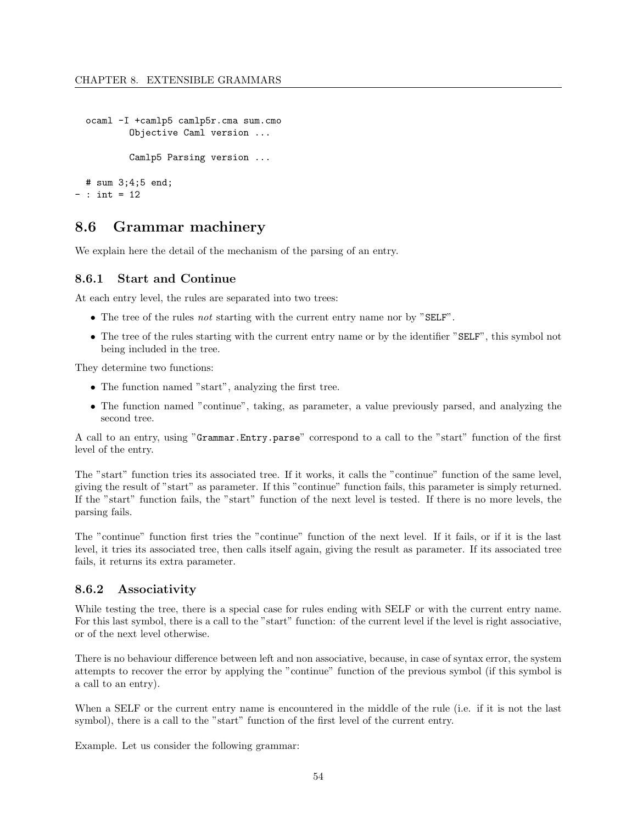```
ocaml -I +camlp5 camlp5r.cma sum.cmo
          Objective Caml version ...
          Camlp5 Parsing version ...
 # sum 3;4;5 end;
- : int = 12
```
# 8.6 Grammar machinery

We explain here the detail of the mechanism of the parsing of an entry.

#### 8.6.1 Start and Continue

At each entry level, the rules are separated into two trees:

- The tree of the rules not starting with the current entry name nor by "SELF".
- The tree of the rules starting with the current entry name or by the identifier "SELF", this symbol not being included in the tree.

They determine two functions:

- The function named "start", analyzing the first tree.
- The function named "continue", taking, as parameter, a value previously parsed, and analyzing the second tree.

A call to an entry, using "Grammar.Entry.parse" correspond to a call to the "start" function of the first level of the entry.

The "start" function tries its associated tree. If it works, it calls the "continue" function of the same level, giving the result of "start" as parameter. If this "continue" function fails, this parameter is simply returned. If the "start" function fails, the "start" function of the next level is tested. If there is no more levels, the parsing fails.

The "continue" function first tries the "continue" function of the next level. If it fails, or if it is the last level, it tries its associated tree, then calls itself again, giving the result as parameter. If its associated tree fails, it returns its extra parameter.

#### 8.6.2 Associativity

While testing the tree, there is a special case for rules ending with SELF or with the current entry name. For this last symbol, there is a call to the "start" function: of the current level if the level is right associative, or of the next level otherwise.

There is no behaviour difference between left and non associative, because, in case of syntax error, the system attempts to recover the error by applying the "continue" function of the previous symbol (if this symbol is a call to an entry).

When a SELF or the current entry name is encountered in the middle of the rule (i.e. if it is not the last symbol), there is a call to the "start" function of the first level of the current entry.

Example. Let us consider the following grammar: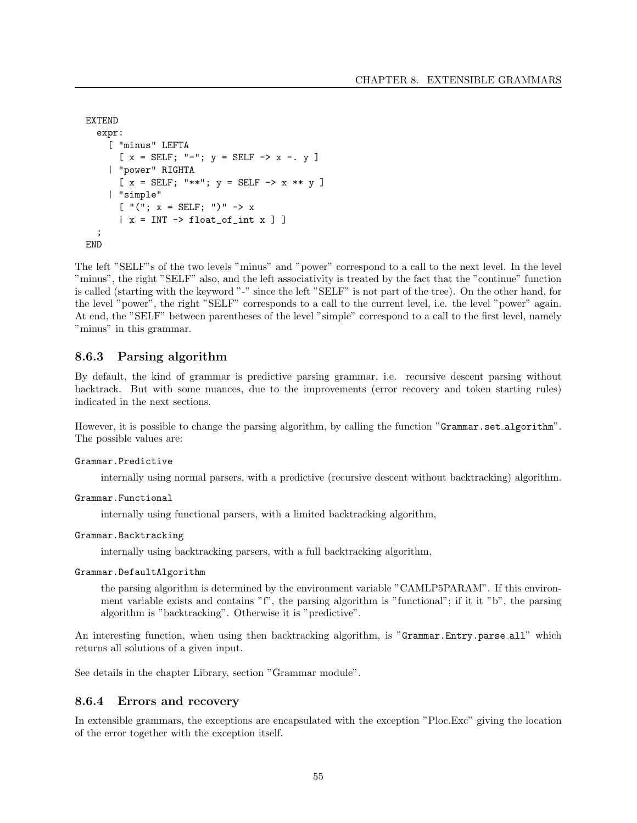```
EXTEND
  expr:
    [ "minus" LEFTA
      [x = SELF; "-"; y = SELF -> x - y ]| "power" RIGHTA
      [x = SELF; "***"; y = SELF -> x ** y]| "simple"
      \left[ "("; x = SELF; ")" -> x
      \vert x = INT \rightarrow float_of\_int x \};
END
```
The left "SELF"s of the two levels "minus" and "power" correspond to a call to the next level. In the level "minus", the right "SELF" also, and the left associativity is treated by the fact that the "continue" function is called (starting with the keyword "-" since the left "SELF" is not part of the tree). On the other hand, for the level "power", the right "SELF" corresponds to a call to the current level, i.e. the level "power" again. At end, the "SELF" between parentheses of the level "simple" correspond to a call to the first level, namely "minus" in this grammar.

#### 8.6.3 Parsing algorithm

By default, the kind of grammar is predictive parsing grammar, i.e. recursive descent parsing without backtrack. But with some nuances, due to the improvements (error recovery and token starting rules) indicated in the next sections.

However, it is possible to change the parsing algorithm, by calling the function "Grammar.set algorithm". The possible values are:

#### Grammar.Predictive

internally using normal parsers, with a predictive (recursive descent without backtracking) algorithm.

```
Grammar.Functional
```
internally using functional parsers, with a limited backtracking algorithm,

```
Grammar.Backtracking
```
internally using backtracking parsers, with a full backtracking algorithm,

#### Grammar.DefaultAlgorithm

the parsing algorithm is determined by the environment variable "CAMLP5PARAM". If this environment variable exists and contains "f", the parsing algorithm is "functional"; if it it "b", the parsing algorithm is "backtracking". Otherwise it is "predictive".

An interesting function, when using then backtracking algorithm, is "Grammar.Entry.parse\_all" which returns all solutions of a given input.

See details in the chapter Library, section "Grammar module".

#### 8.6.4 Errors and recovery

In extensible grammars, the exceptions are encapsulated with the exception "Ploc.Exc" giving the location of the error together with the exception itself.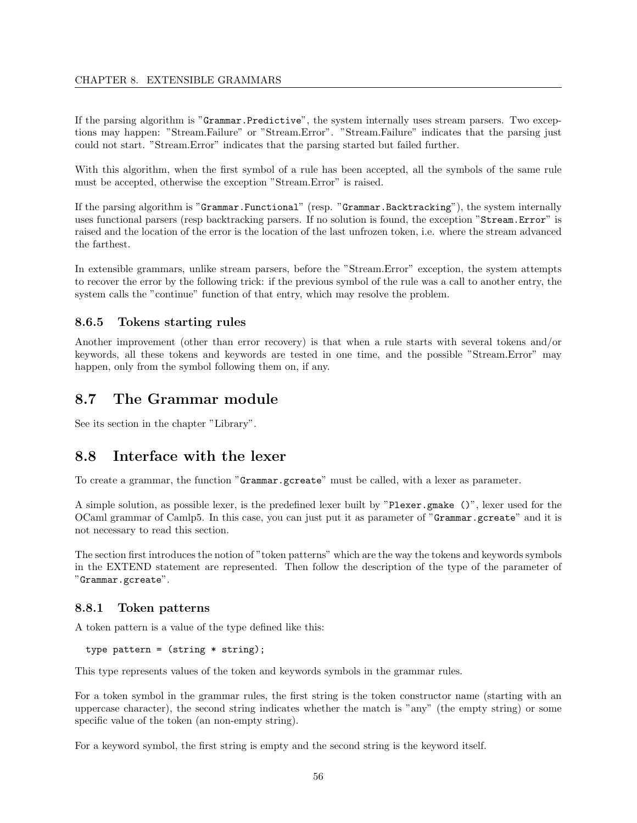If the parsing algorithm is "Grammar.Predictive", the system internally uses stream parsers. Two exceptions may happen: "Stream.Failure" or "Stream.Error". "Stream.Failure" indicates that the parsing just could not start. "Stream.Error" indicates that the parsing started but failed further.

With this algorithm, when the first symbol of a rule has been accepted, all the symbols of the same rule must be accepted, otherwise the exception "Stream.Error" is raised.

If the parsing algorithm is "Grammar.Functional" (resp. "Grammar.Backtracking"), the system internally uses functional parsers (resp backtracking parsers. If no solution is found, the exception "Stream.Error" is raised and the location of the error is the location of the last unfrozen token, i.e. where the stream advanced the farthest.

In extensible grammars, unlike stream parsers, before the "Stream.Error" exception, the system attempts to recover the error by the following trick: if the previous symbol of the rule was a call to another entry, the system calls the "continue" function of that entry, which may resolve the problem.

#### 8.6.5 Tokens starting rules

Another improvement (other than error recovery) is that when a rule starts with several tokens and/or keywords, all these tokens and keywords are tested in one time, and the possible "Stream.Error" may happen, only from the symbol following them on, if any.

# 8.7 The Grammar module

See its section in the chapter "Library".

# 8.8 Interface with the lexer

To create a grammar, the function "Grammar.gcreate" must be called, with a lexer as parameter.

A simple solution, as possible lexer, is the predefined lexer built by "Plexer.gmake ()", lexer used for the OCaml grammar of Camlp5. In this case, you can just put it as parameter of "Grammar.gcreate" and it is not necessary to read this section.

The section first introduces the notion of "token patterns" which are the way the tokens and keywords symbols in the EXTEND statement are represented. Then follow the description of the type of the parameter of "Grammar.gcreate".

#### 8.8.1 Token patterns

A token pattern is a value of the type defined like this:

```
type pattern = (\text{string} * \text{string});
```
This type represents values of the token and keywords symbols in the grammar rules.

For a token symbol in the grammar rules, the first string is the token constructor name (starting with an uppercase character), the second string indicates whether the match is "any" (the empty string) or some specific value of the token (an non-empty string).

For a keyword symbol, the first string is empty and the second string is the keyword itself.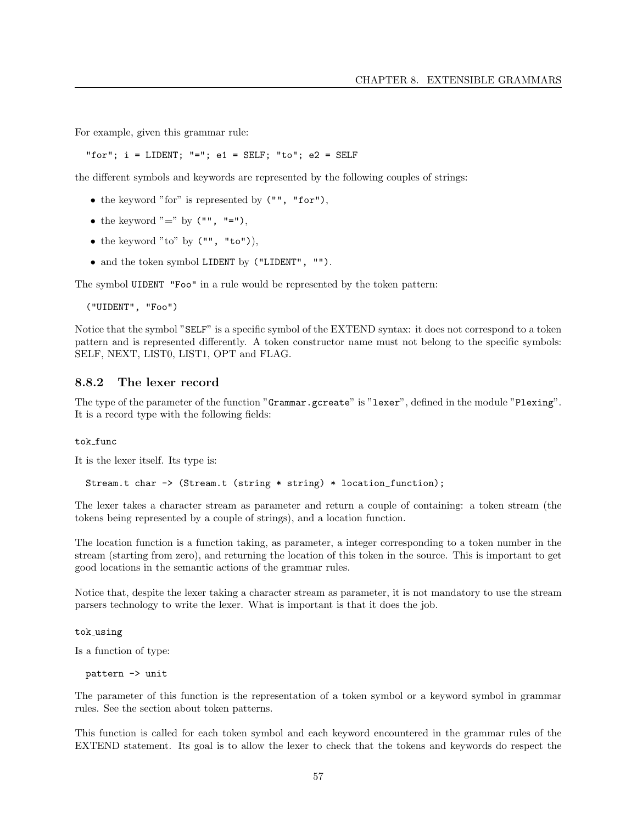For example, given this grammar rule:

"for";  $i = LIDENT$ ; "=";  $e1 = SELF$ ; "to";  $e2 = SELF$ 

the different symbols and keywords are represented by the following couples of strings:

- the keyword "for" is represented by  $("", "for"),$
- the keyword "=" by  $("", "="")$ ,
- the keyword "to" by  $("", "to").$
- and the token symbol LIDENT by ("LIDENT", "").

The symbol UIDENT "Foo" in a rule would be represented by the token pattern:

("UIDENT", "Foo")

Notice that the symbol "SELF" is a specific symbol of the EXTEND syntax: it does not correspond to a token pattern and is represented differently. A token constructor name must not belong to the specific symbols: SELF, NEXT, LIST0, LIST1, OPT and FLAG.

#### 8.8.2 The lexer record

The type of the parameter of the function "Grammar.gcreate" is "lexer", defined in the module "Plexing". It is a record type with the following fields:

#### tok func

It is the lexer itself. Its type is:

Stream.t char -> (Stream.t (string \* string) \* location\_function);

The lexer takes a character stream as parameter and return a couple of containing: a token stream (the tokens being represented by a couple of strings), and a location function.

The location function is a function taking, as parameter, a integer corresponding to a token number in the stream (starting from zero), and returning the location of this token in the source. This is important to get good locations in the semantic actions of the grammar rules.

Notice that, despite the lexer taking a character stream as parameter, it is not mandatory to use the stream parsers technology to write the lexer. What is important is that it does the job.

tok using

Is a function of type:

pattern -> unit

The parameter of this function is the representation of a token symbol or a keyword symbol in grammar rules. See the section about token patterns.

This function is called for each token symbol and each keyword encountered in the grammar rules of the EXTEND statement. Its goal is to allow the lexer to check that the tokens and keywords do respect the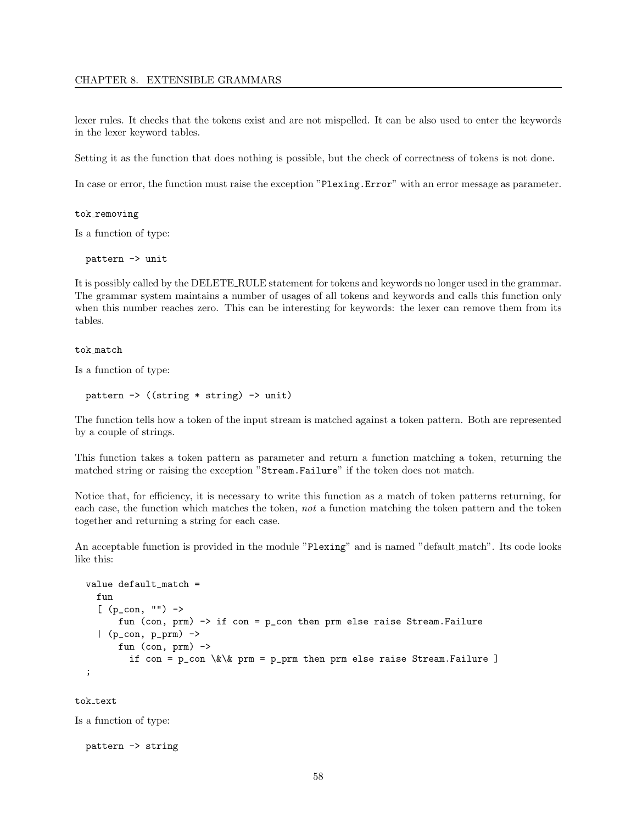#### CHAPTER 8. EXTENSIBLE GRAMMARS

lexer rules. It checks that the tokens exist and are not mispelled. It can be also used to enter the keywords in the lexer keyword tables.

Setting it as the function that does nothing is possible, but the check of correctness of tokens is not done.

In case or error, the function must raise the exception "Plexing.Error" with an error message as parameter.

#### tok\_removing

Is a function of type:

pattern -> unit

It is possibly called by the DELETE RULE statement for tokens and keywords no longer used in the grammar. The grammar system maintains a number of usages of all tokens and keywords and calls this function only when this number reaches zero. This can be interesting for keywords: the lexer can remove them from its tables.

#### tok match

Is a function of type:

```
pattern -> ((string * string) -> unit)
```
The function tells how a token of the input stream is matched against a token pattern. Both are represented by a couple of strings.

This function takes a token pattern as parameter and return a function matching a token, returning the matched string or raising the exception "Stream.Failure" if the token does not match.

Notice that, for efficiency, it is necessary to write this function as a match of token patterns returning, for each case, the function which matches the token, not a function matching the token pattern and the token together and returning a string for each case.

An acceptable function is provided in the module "Plexing" and is named "default match". Its code looks like this:

```
value default_match =
  fun
  [ (p_con, "") ->
      fun (con, prm) -> if con = p_con then prm else raise Stream.Failure
  | (p_con, p_prm) ->
      fun (con, prm) ->
        if con = p_{con} \&\& \text{ prm} = p_{prim} then prm else raise Stream.Failure ]
;
```
tok text

Is a function of type:

```
pattern -> string
```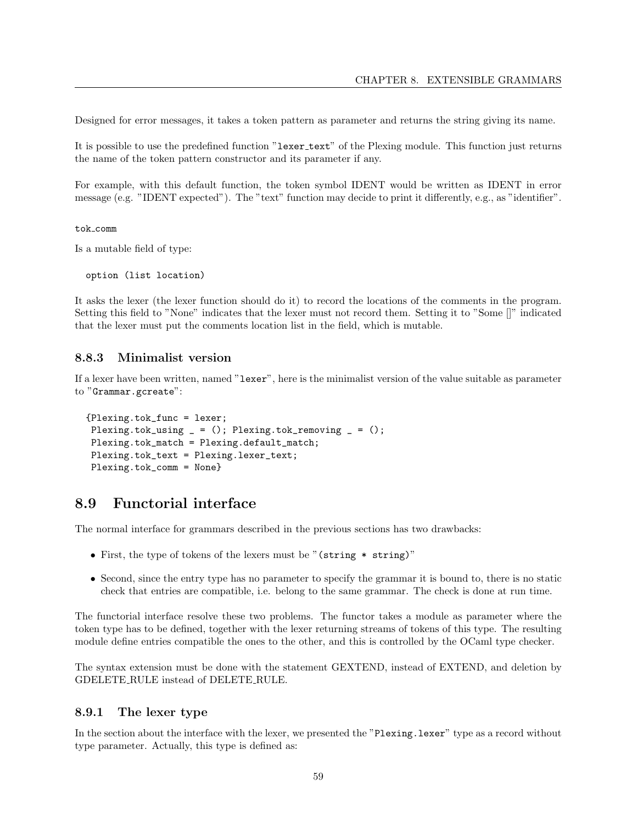Designed for error messages, it takes a token pattern as parameter and returns the string giving its name.

It is possible to use the predefined function "lexer\_text" of the Plexing module. This function just returns the name of the token pattern constructor and its parameter if any.

For example, with this default function, the token symbol IDENT would be written as IDENT in error message (e.g. "IDENT expected"). The "text" function may decide to print it differently, e.g., as "identifier".

tok comm

Is a mutable field of type:

option (list location)

It asks the lexer (the lexer function should do it) to record the locations of the comments in the program. Setting this field to "None" indicates that the lexer must not record them. Setting it to "Some []" indicated that the lexer must put the comments location list in the field, which is mutable.

#### 8.8.3 Minimalist version

If a lexer have been written, named "lexer", here is the minimalist version of the value suitable as parameter to "Grammar.gcreate":

```
{Plexing.tok_func = lexer;
Plexing.tok_using = (); Plexing.tok_removing = ();
Plexing.tok_match = Plexing.default_match;
Plexing.tok_text = Plexing.lexer_text;
Plexing.tok_comm = None}
```
# 8.9 Functorial interface

The normal interface for grammars described in the previous sections has two drawbacks:

- First, the type of tokens of the lexers must be "(string \* string)"
- Second, since the entry type has no parameter to specify the grammar it is bound to, there is no static check that entries are compatible, i.e. belong to the same grammar. The check is done at run time.

The functorial interface resolve these two problems. The functor takes a module as parameter where the token type has to be defined, together with the lexer returning streams of tokens of this type. The resulting module define entries compatible the ones to the other, and this is controlled by the OCaml type checker.

The syntax extension must be done with the statement GEXTEND, instead of EXTEND, and deletion by GDELETE RULE instead of DELETE RULE.

#### 8.9.1 The lexer type

In the section about the interface with the lexer, we presented the "Plexing.lexer" type as a record without type parameter. Actually, this type is defined as: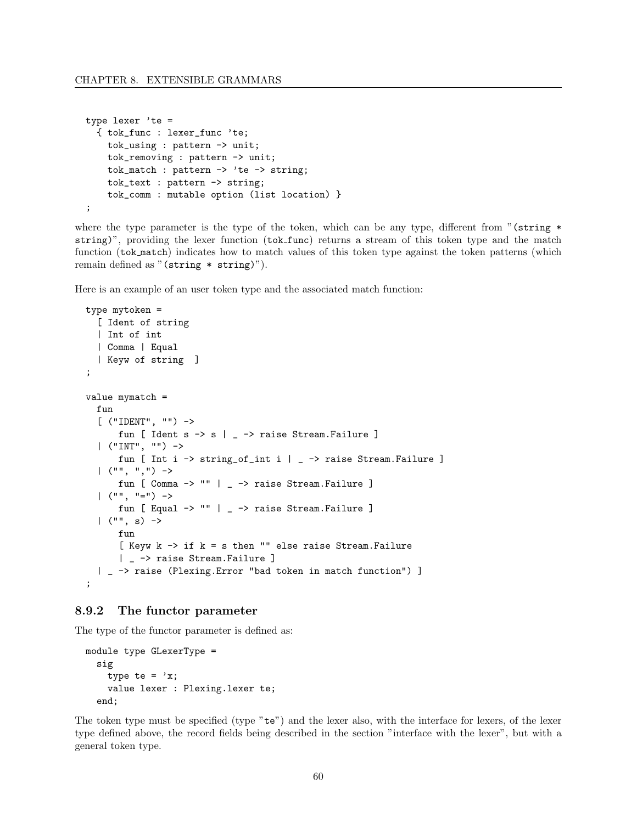```
type lexer 'te =
  { tok_func : lexer_func 'te;
   tok_using : pattern -> unit;
   tok_removing : pattern -> unit;
    tok_match : pattern -> 'te -> string;
    tok_text : pattern -> string;
   tok_comm : mutable option (list location) }
;
```
where the type parameter is the type of the token, which can be any type, different from " $(\text{string}^*)$ string)", providing the lexer function (tok\_func) returns a stream of this token type and the match function (tok match) indicates how to match values of this token type against the token patterns (which remain defined as "(string \* string)").

Here is an example of an user token type and the associated match function:

```
type mytoken =
  [ Ident of string
  | Int of int
  | Comma | Equal
  | Keyw of string ]
;
value mymatch =
  fun
  [ ("IDENT", "") ->
      fun [ Ident s -> s | _ -> raise Stream.Failure ]
  | ("INT", "") ->
      fun [ Int i -> string_of_int i | _ -> raise Stream.Failure ]
  |\tbinom{m}{1}, \tbinom{m}{2} \rightarrowfun [ Comma -> "" | _ -> raise Stream.Failure ]
  | ("", "=") \rightarrowfun [ Equal -> "" | _ -> raise Stream.Failure ]
  |( "", s) ->
      fun
      [ Keyw k \rightarrow if k = s then "" else raise Stream. Failure
      | _ -> raise Stream.Failure ]
  | _ -> raise (Plexing.Error "bad token in match function") ]
;
```
#### 8.9.2 The functor parameter

The type of the functor parameter is defined as:

```
module type GLexerType =
 sig
    type te = 'x;
    value lexer : Plexing.lexer te;
  end;
```
The token type must be specified (type "te") and the lexer also, with the interface for lexers, of the lexer type defined above, the record fields being described in the section "interface with the lexer", but with a general token type.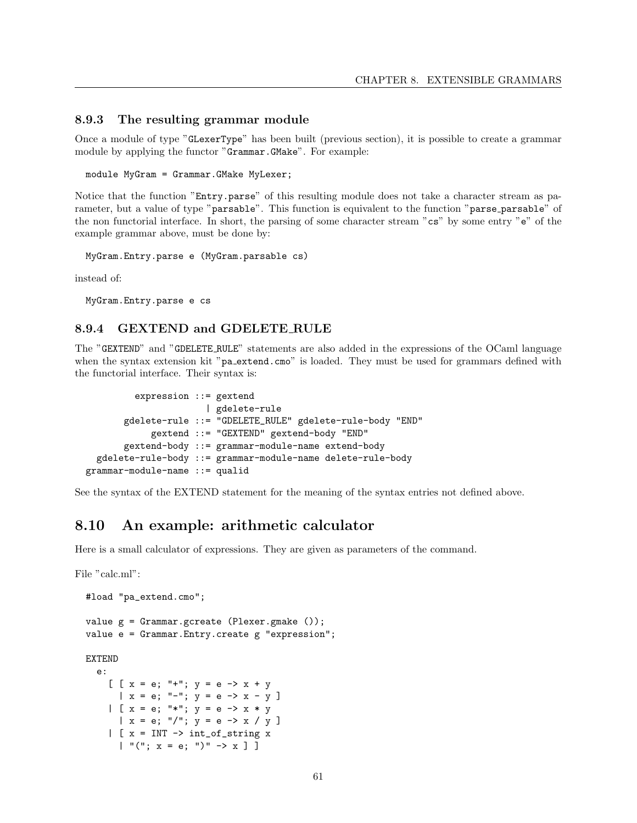#### 8.9.3 The resulting grammar module

Once a module of type "GLexerType" has been built (previous section), it is possible to create a grammar module by applying the functor "Grammar.GMake". For example:

module MyGram = Grammar.GMake MyLexer;

Notice that the function "Entry.parse" of this resulting module does not take a character stream as parameter, but a value of type "parsable". This function is equivalent to the function "parse parsable" of the non functorial interface. In short, the parsing of some character stream "cs" by some entry "e" of the example grammar above, must be done by:

MyGram.Entry.parse e (MyGram.parsable cs)

instead of:

MyGram.Entry.parse e cs

#### 8.9.4 GEXTEND and GDELETE RULE

The "GEXTEND" and "GDELETE RULE" statements are also added in the expressions of the OCaml language when the syntax extension kit "pa\_extend.cmo" is loaded. They must be used for grammars defined with the functorial interface. Their syntax is:

```
expression ::= gextend
                      | gdelete-rule
       gdelete-rule ::= "GDELETE_RULE" gdelete-rule-body "END"
            gextend ::= "GEXTEND" gextend-body "END"
       gextend-body ::= grammar-module-name extend-body
  gdelete-rule-body ::= grammar-module-name delete-rule-body
grammar-module-name ::= qualid
```
See the syntax of the EXTEND statement for the meaning of the syntax entries not defined above.

# 8.10 An example: arithmetic calculator

Here is a small calculator of expressions. They are given as parameters of the command.

File "calc.ml":

```
#load "pa_extend.cmo";
value g = Grammar.gcreate (Plexer.gmake ());
value e = Grammar.Entry.create g "expression";
EXTEND
  e:
    [ [x = e; "++"; y = e -> x + y| x = e; " -"; y = e -& x - y ]| [x = e; " *"; y = e -> x * y| x = e; "/"; y = e -> x / y]
    | [ x = INT \rightarrow int_of\_string x| "("; x = e; ")" \rightarrow x ]]
```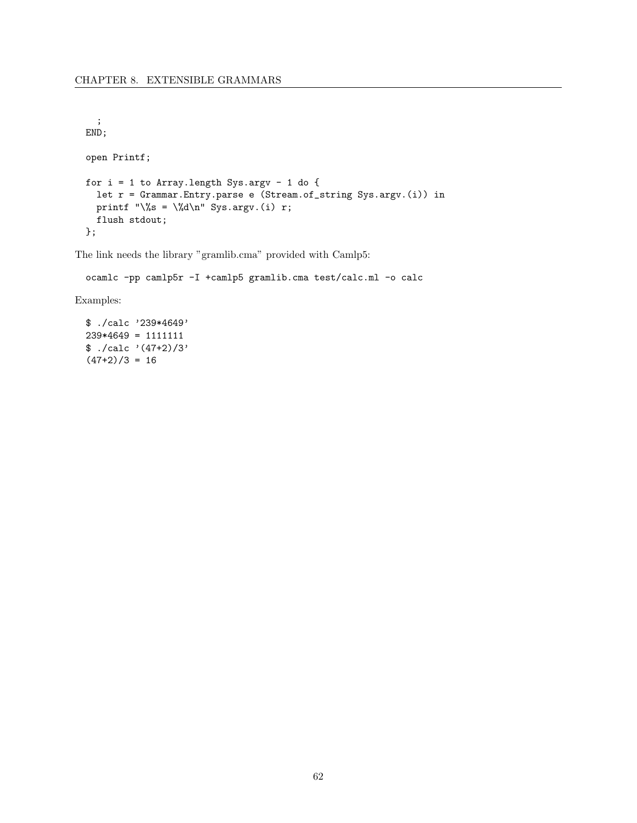```
;
END;
open Printf;
for i = 1 to Array. length Sys.argv - 1 do {
  let r = Grammar.Entry.parse e (Stream.of_string Sys.argv.(i)) in
  printf "\%s = \%d\n" Sys.argv.(i) r;
  flush stdout;
};
```
The link needs the library "gramlib.cma" provided with Camlp5:

ocamlc -pp camlp5r -I +camlp5 gramlib.cma test/calc.ml -o calc

Examples:

\$ ./calc '239\*4649' 239\*4649 = 1111111  $$./calc '(47+2)/3'$  $(47+2)/3 = 16$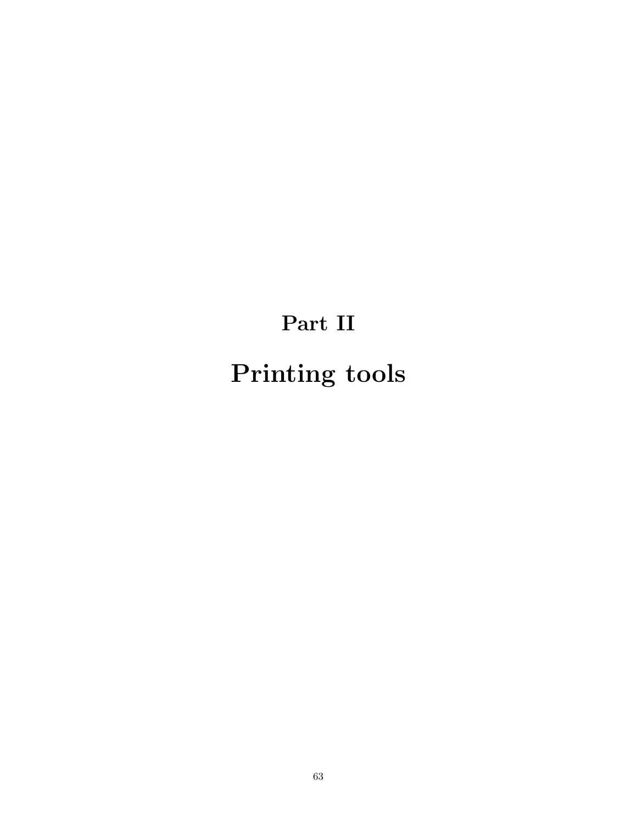# Part II Printing tools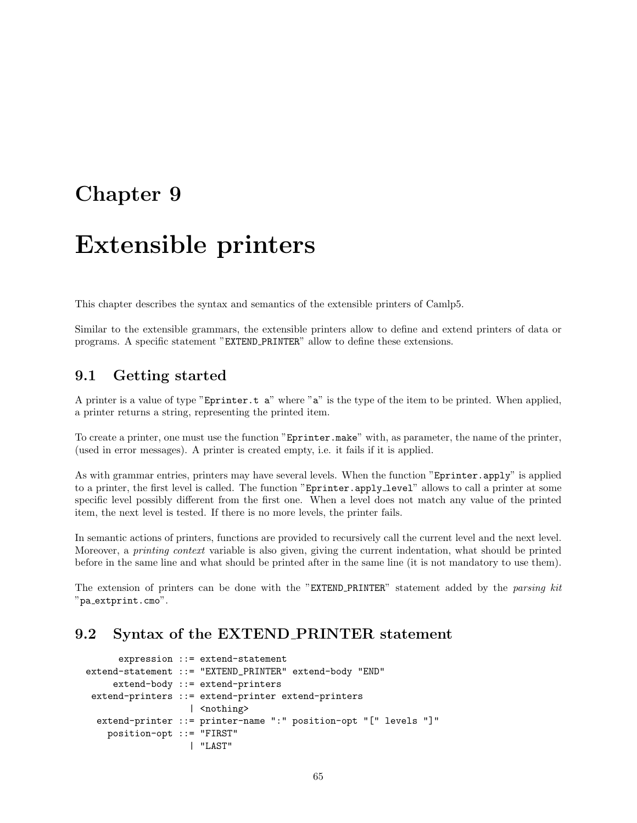# Chapter 9

# Extensible printers

This chapter describes the syntax and semantics of the extensible printers of Camlp5.

Similar to the extensible grammars, the extensible printers allow to define and extend printers of data or programs. A specific statement "EXTEND PRINTER" allow to define these extensions.

# 9.1 Getting started

A printer is a value of type "Eprinter.t a" where "a" is the type of the item to be printed. When applied, a printer returns a string, representing the printed item.

To create a printer, one must use the function "Eprinter.make" with, as parameter, the name of the printer, (used in error messages). A printer is created empty, i.e. it fails if it is applied.

As with grammar entries, printers may have several levels. When the function "Eprinter.apply" is applied to a printer, the first level is called. The function "Eprinter.apply level" allows to call a printer at some specific level possibly different from the first one. When a level does not match any value of the printed item, the next level is tested. If there is no more levels, the printer fails.

In semantic actions of printers, functions are provided to recursively call the current level and the next level. Moreover, a printing context variable is also given, giving the current indentation, what should be printed before in the same line and what should be printed after in the same line (it is not mandatory to use them).

The extension of printers can be done with the "EXTEND\_PRINTER" statement added by the parsing kit "pa extprint.cmo".

# 9.2 Syntax of the EXTEND PRINTER statement

```
expression ::= extend-statement
extend-statement ::= "EXTEND_PRINTER" extend-body "END"
     extend-body ::= extend-printers
 extend-printers ::= extend-printer extend-printers
                   | <nothing>
  extend-printer ::= printer-name ":" position-opt "[" levels "]"
    position-opt ::= "FIRST"
                   | "LAST"
```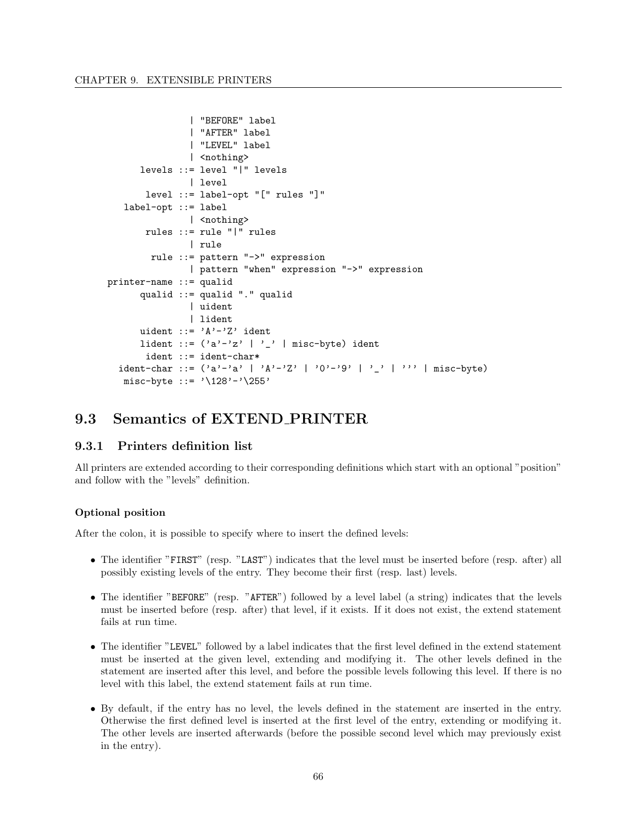```
| "BEFORE" label
               | "AFTER" label
               | "LEVEL" label
               | <nothing>
      levels ::= level "|" levels
               | level
       level ::= label-opt "[" rules "]"
   label-opt ::= label
               | <nothing>
       rules ::= rule "|" rules
               | rule
        rule ::= pattern "->" expression
               | pattern "when" expression "->" expression
printer-name ::= qualid
      qualid ::= qualid "." qualid
               | uident
               | lident
      uident ::= 'A'-'Z' ident
      lident ::= ('a'-'z'')' | misc-byte) ident
       ident ::= ident-char*
  ident-char ::= ('a'-a' | 'A'-'Z' | '0'-'9' | '_ ' | '1'') | misc-byte)
   misc-byte := '\128'-'\255'
```
# 9.3 Semantics of EXTEND PRINTER

#### 9.3.1 Printers definition list

All printers are extended according to their corresponding definitions which start with an optional "position" and follow with the "levels" definition.

#### Optional position

After the colon, it is possible to specify where to insert the defined levels:

- The identifier "FIRST" (resp. "LAST") indicates that the level must be inserted before (resp. after) all possibly existing levels of the entry. They become their first (resp. last) levels.
- The identifier "BEFORE" (resp. "AFTER") followed by a level label (a string) indicates that the levels must be inserted before (resp. after) that level, if it exists. If it does not exist, the extend statement fails at run time.
- The identifier "LEVEL" followed by a label indicates that the first level defined in the extend statement must be inserted at the given level, extending and modifying it. The other levels defined in the statement are inserted after this level, and before the possible levels following this level. If there is no level with this label, the extend statement fails at run time.
- By default, if the entry has no level, the levels defined in the statement are inserted in the entry. Otherwise the first defined level is inserted at the first level of the entry, extending or modifying it. The other levels are inserted afterwards (before the possible second level which may previously exist in the entry).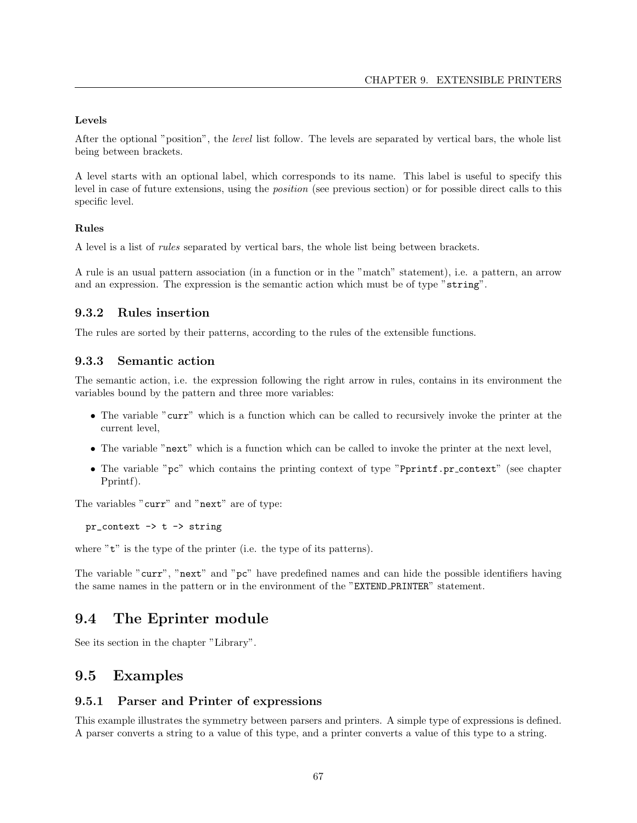#### Levels

After the optional "position", the level list follow. The levels are separated by vertical bars, the whole list being between brackets.

A level starts with an optional label, which corresponds to its name. This label is useful to specify this level in case of future extensions, using the position (see previous section) or for possible direct calls to this specific level.

#### Rules

A level is a list of rules separated by vertical bars, the whole list being between brackets.

A rule is an usual pattern association (in a function or in the "match" statement), i.e. a pattern, an arrow and an expression. The expression is the semantic action which must be of type "string".

#### 9.3.2 Rules insertion

The rules are sorted by their patterns, according to the rules of the extensible functions.

## 9.3.3 Semantic action

The semantic action, i.e. the expression following the right arrow in rules, contains in its environment the variables bound by the pattern and three more variables:

- The variable "curr" which is a function which can be called to recursively invoke the printer at the current level,
- The variable "next" which is a function which can be called to invoke the printer at the next level,
- The variable "pc" which contains the printing context of type "Pprintf.pr\_context" (see chapter Pprintf).

The variables "curr" and "next" are of type:

 $pr\_context \rightarrow t \rightarrow string$ 

where "t" is the type of the printer (i.e. the type of its patterns).

The variable "curr", "next" and "pc" have predefined names and can hide the possible identifiers having the same names in the pattern or in the environment of the "EXTEND PRINTER" statement.

# 9.4 The Eprinter module

See its section in the chapter "Library".

# 9.5 Examples

#### 9.5.1 Parser and Printer of expressions

This example illustrates the symmetry between parsers and printers. A simple type of expressions is defined. A parser converts a string to a value of this type, and a printer converts a value of this type to a string.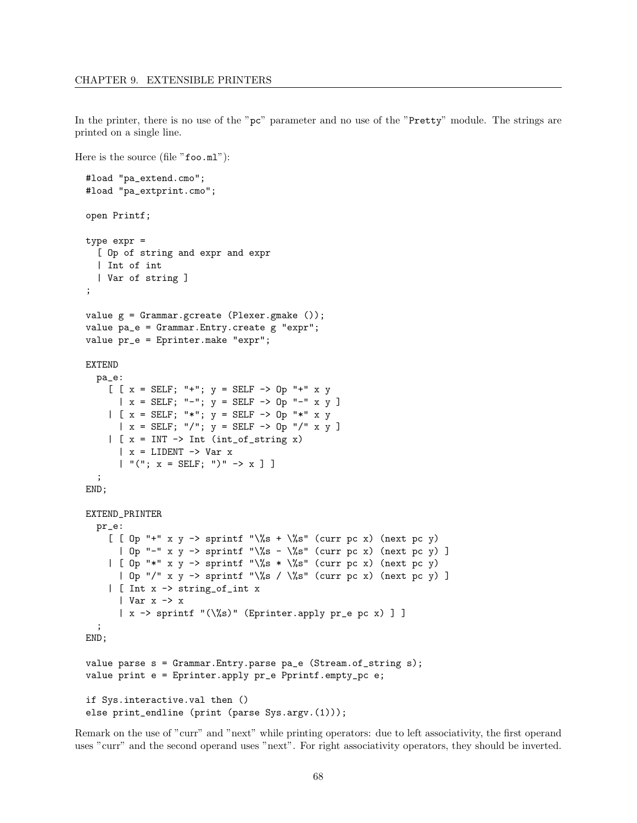Here is the source (file "foo.ml"):

In the printer, there is no use of the "pc" parameter and no use of the "Pretty" module. The strings are printed on a single line.

```
#load "pa_extend.cmo";
#load "pa_extprint.cmo";
open Printf;
type expr =
 [ Op of string and expr and expr
 | Int of int
  | Var of string ]
;
value g = Grammar.gcreate (Plexer.gmake ());
value pa_e = Grammar.Entry.create g "expr";
value pr_e = Eprinter.make "expr";
EXTEND
 pa_e:
    [ [x = SELF; "+"; y = SELF -> 0p "+" x y| x = SELF; "-"; y = SELF -> 0p "-" x y ]| [x = SELF; "*"; y = SELF \rightarrow Op "*" x y| x = SELF; ",'"; y = SELF -> 0p ",'" x y ]| [ x = INT \rightarrow Int (int_of_string x)|x = LIDENT \rightarrow Var x| "("; x = SELF; ")" \rightarrow x ] ];
END;
EXTEND_PRINTER
 pr_e:
    [ [ 0p "+" x y -> sprintf "\%s + \%s" (curr pc x) (next pc y)
      | Op "-" x y -> sprintf "\%s - \%s" (curr pc x) (next pc y) ]
    | [ Op "*" x y -> sprintf "\%s * \%s" (curr pc x) (next pc y)
      | Op "/" x y -> sprintf "\%s / \%s" (curr pc x) (next pc y) ]
    | [ Int x -> string_of_int x
      | Var x -> x
      \vert x \rangle -> sprintf "(\%s)" (Eprinter.apply pr_e pc x) ] ]
  ;
END;
value parse s = Grammar.Entry.parse pa_e (Stream.of_string s);
value print e = Eprinter.apply pr_e Pprintf.empty_pc e;
if Sys.interactive.val then ()
else print_endline (print (parse Sys.argv.(1)));
```
Remark on the use of "curr" and "next" while printing operators: due to left associativity, the first operand uses "curr" and the second operand uses "next". For right associativity operators, they should be inverted.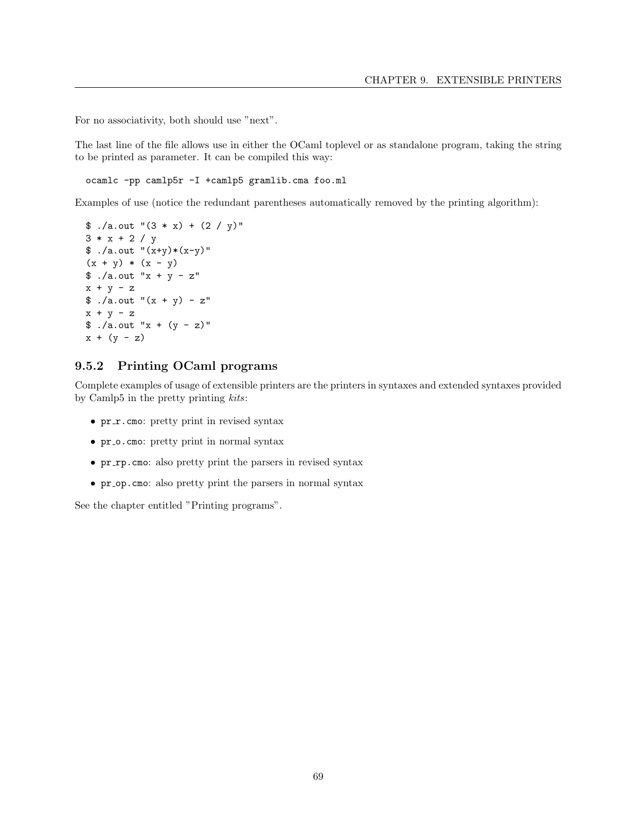For no associativity, both should use "next".

The last line of the file allows use in either the OCaml toplevel or as standalone program, taking the string to be printed as parameter. It can be compiled this way:

ocamlc -pp camlp5r -I +camlp5 gramlib.cma foo.ml

Examples of use (notice the redundant parentheses automatically removed by the printing algorithm):

```
\text{\$} ./a.out "(3 * x) + (2 / y)"
3 * x + 2 / y$ ./a.out "(x+y)*(x-y)"
(x + y) * (x - y)$./a.out "x + y - z"x + y - z$./a.outّ+(x + y) - z"x + y - z
\sin^{-1}(x + (y - z))x + (y - z)
```
# 9.5.2 Printing OCaml programs

Complete examples of usage of extensible printers are the printers in syntaxes and extended syntaxes provided by Camlp5 in the pretty printing kits:

- $pr_r$  cmo: pretty print in revised syntax
- pr\_o.cmo: pretty print in normal syntax
- pr\_rp.cmo: also pretty print the parsers in revised syntax
- pr\_op.cmo: also pretty print the parsers in normal syntax

See the chapter entitled "Printing programs".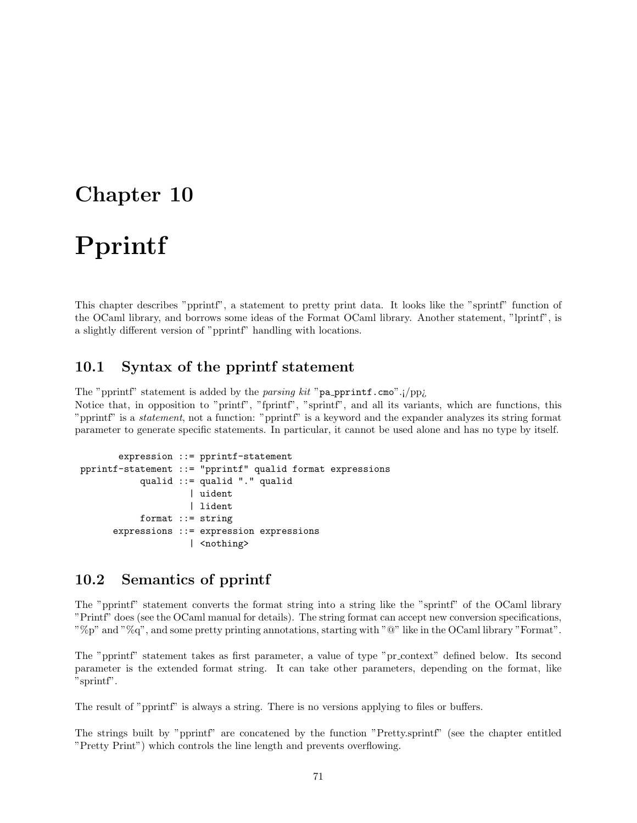## Chapter 10

## Pprintf

This chapter describes "pprintf", a statement to pretty print data. It looks like the "sprintf" function of the OCaml library, and borrows some ideas of the Format OCaml library. Another statement, "lprintf", is a slightly different version of "pprintf" handling with locations.

## 10.1 Syntax of the pprintf statement

The "pprintf" statement is added by the parsing kit "pa\_pprintf.cmo".;/pp;

Notice that, in opposition to "printf", "fprintf", "sprintf", and all its variants, which are functions, this "pprintf" is a statement, not a function: "pprintf" is a keyword and the expander analyzes its string format parameter to generate specific statements. In particular, it cannot be used alone and has no type by itself.

```
expression ::= pprintf-statement
pprintf-statement ::= "pprintf" qualid format expressions
           qualid ::= qualid "." qualid
                    | uident
                    | lident
           format ::= string
      expressions ::= expression expressions
                     | <nothing>
```
## 10.2 Semantics of pprintf

The "pprintf" statement converts the format string into a string like the "sprintf" of the OCaml library "Printf" does (see the OCaml manual for details). The string format can accept new conversion specifications, "%p" and "%q", and some pretty printing annotations, starting with " $@$ " like in the OCaml library "Format".

The "pprintf" statement takes as first parameter, a value of type "pr context" defined below. Its second parameter is the extended format string. It can take other parameters, depending on the format, like "sprintf".

The result of "pprintf" is always a string. There is no versions applying to files or buffers.

The strings built by "pprintf" are concatened by the function "Pretty.sprintf" (see the chapter entitled "Pretty Print") which controls the line length and prevents overflowing.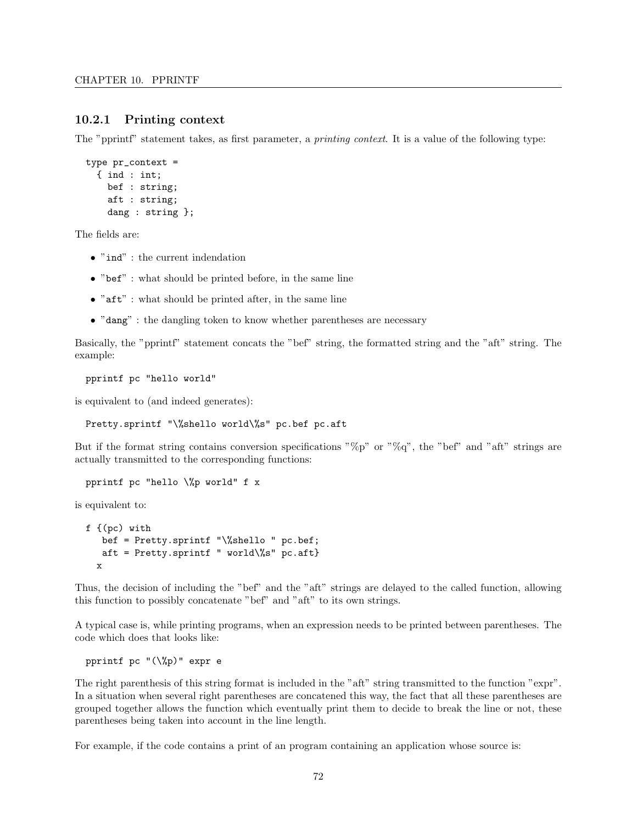#### 10.2.1 Printing context

The "pprintf" statement takes, as first parameter, a *printing context*. It is a value of the following type:

```
type pr_context =
  { ind : int;
    bef : string;
    aft : string;
    dang : string };
```
The fields are:

- $\bullet$  "ind" : the current indendation
- "bef" : what should be printed before, in the same line
- $\bullet$  " $\mathsf{aft}$ ": what should be printed after, in the same line
- "dang" : the dangling token to know whether parentheses are necessary

Basically, the "pprintf" statement concats the "bef" string, the formatted string and the "aft" string. The example:

pprintf pc "hello world"

is equivalent to (and indeed generates):

Pretty.sprintf "\%shello world\%s" pc.bef pc.aft

But if the format string contains conversion specifications " $\%p$ " or " $\%q$ ", the "bef" and "aft" strings are actually transmitted to the corresponding functions:

```
pprintf pc "hello \%p world" f x
```
is equivalent to:

```
f {(pc) with
  bef = Pretty.sprintf "\%shello " pc.bef;
   aft = Pretty.sprintf " world\%s" pc.aft}
  x
```
Thus, the decision of including the "bef" and the "aft" strings are delayed to the called function, allowing this function to possibly concatenate "bef" and "aft" to its own strings.

A typical case is, while printing programs, when an expression needs to be printed between parentheses. The code which does that looks like:

pprintf pc "(\%p)" expr e

The right parenthesis of this string format is included in the "aft" string transmitted to the function "expr". In a situation when several right parentheses are concatened this way, the fact that all these parentheses are grouped together allows the function which eventually print them to decide to break the line or not, these parentheses being taken into account in the line length.

For example, if the code contains a print of an program containing an application whose source is: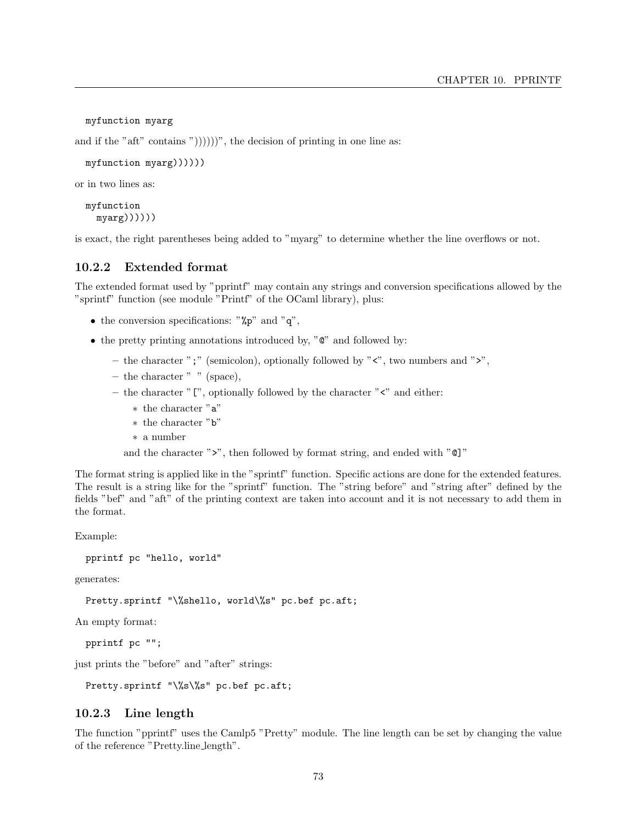```
myfunction myarg
```
and if the "aft" contains "))))))", the decision of printing in one line as:

```
myfunction myarg))))))
```
or in two lines as:

```
myfunction
 myarg))))
```
is exact, the right parentheses being added to "myarg" to determine whether the line overflows or not.

#### 10.2.2 Extended format

The extended format used by "pprintf" may contain any strings and conversion specifications allowed by the "sprintf" function (see module "Printf" of the OCaml library), plus:

- the conversion specifications: " $\gamma_p$ " and "q",
- the pretty printing annotations introduced by, " $\mathbb{C}^n$ " and followed by:
	- the character ";" (semicolon), optionally followed by "<", two numbers and ">",
	- the character " " (space),
	- the character  $"$  [", optionally followed by the character  $"$  <" and either:
		- ∗ the character "a"
		- ∗ the character "b"
		- ∗ a number

and the character ">", then followed by format string, and ended with "@]"

The format string is applied like in the "sprintf" function. Specific actions are done for the extended features. The result is a string like for the "sprintf" function. The "string before" and "string after" defined by the fields "bef" and "aft" of the printing context are taken into account and it is not necessary to add them in the format.

Example:

pprintf pc "hello, world"

generates:

Pretty.sprintf "\%shello, world\%s" pc.bef pc.aft;

An empty format:

pprintf pc "";

just prints the "before" and "after" strings:

Pretty.sprintf "\%s\%s" pc.bef pc.aft;

#### 10.2.3 Line length

The function "pprintf" uses the Camlp5 "Pretty" module. The line length can be set by changing the value of the reference "Pretty.line length".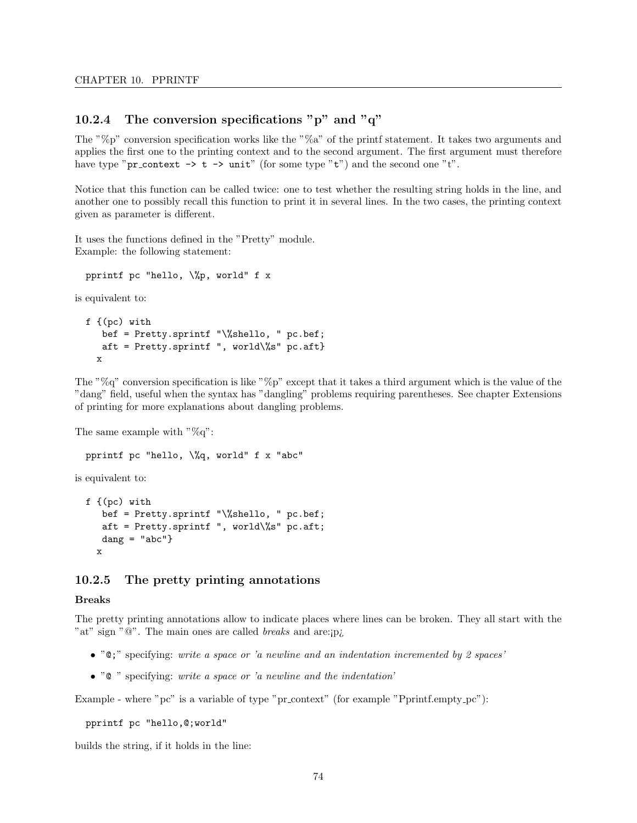#### 10.2.4 The conversion specifications "p" and " $q$ "

The " $\%p$ " conversion specification works like the " $\%a$ " of the printf statement. It takes two arguments and applies the first one to the printing context and to the second argument. The first argument must therefore have type "pr\_context  $\rightarrow$  t  $\rightarrow$  unit" (for some type "t") and the second one "t".

Notice that this function can be called twice: one to test whether the resulting string holds in the line, and another one to possibly recall this function to print it in several lines. In the two cases, the printing context given as parameter is different.

It uses the functions defined in the "Pretty" module. Example: the following statement:

pprintf pc "hello, \%p, world" f x

is equivalent to:

```
f {(pc) with
  bef = Pretty.sprintf "\%shello, " pc.bef;
   aft = Pretty.sprintf ", world\%s" pc.aft}
  x
```
The "%q" conversion specification is like "%p" except that it takes a third argument which is the value of the "dang" field, useful when the syntax has "dangling" problems requiring parentheses. See chapter Extensions of printing for more explanations about dangling problems.

The same example with  $\sqrt[3]{a}q$ ":

pprintf pc "hello, \%q, world" f x "abc"

is equivalent to:

```
f \{(pc) with
   bef = Pretty.sprintf "\%shello, " pc.bef;
   aft = Pretty.sprintf ", world\%s" pc.aft;
   dang = "abc"}x
```
#### 10.2.5 The pretty printing annotations

#### Breaks

The pretty printing annotations allow to indicate places where lines can be broken. They all start with the "at" sign "@". The main ones are called *breaks* and are:*p*<sub>i</sub>

- " $\mathbb{C}$ ;" specifying: write a space or 'a newline and an indentation incremented by 2 spaces'
- $\bullet$  " $\circ$ " specifying: write a space or 'a newline and the indentation'

Example - where "pc" is a variable of type "pr context" (for example "Pprintf.empty pc"):

pprintf pc "hello,@;world"

builds the string, if it holds in the line: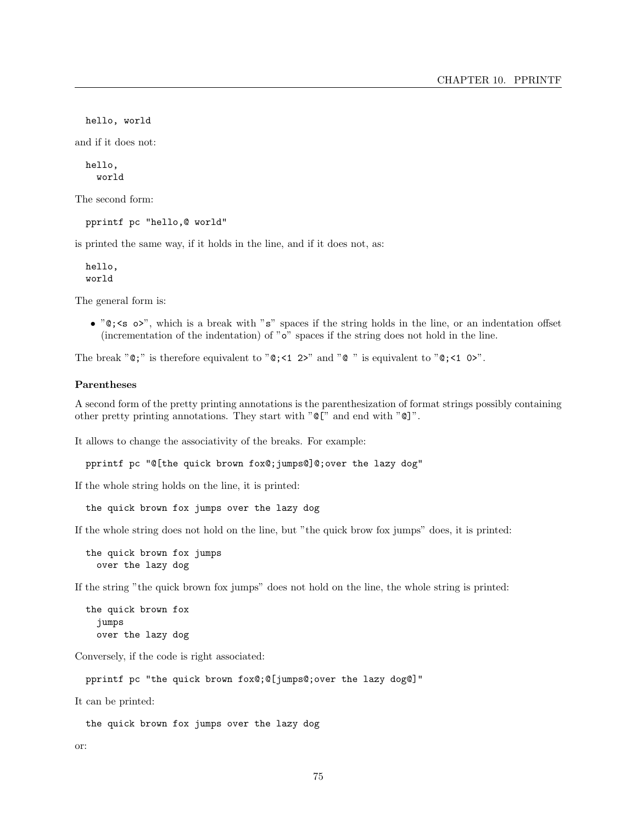hello, world

and if it does not:

hello, world

The second form:

pprintf pc "hello,@ world"

is printed the same way, if it holds in the line, and if it does not, as:

hello, world

The general form is:

• " $\mathbb{Q}$ ; <s o>", which is a break with "s" spaces if the string holds in the line, or an indentation offset (incrementation of the indentation) of "o" spaces if the string does not hold in the line.

The break " $\mathbf{Q}$ ;" is therefore equivalent to " $\mathbf{Q}$ ; <1 2>" and " $\mathbf{Q}$ " is equivalent to " $\mathbf{Q}$ ; <1 0>".

#### Parentheses

A second form of the pretty printing annotations is the parenthesization of format strings possibly containing other pretty printing annotations. They start with "@[" and end with "@]".

It allows to change the associativity of the breaks. For example:

pprintf pc "@[the quick brown fox@;jumps@]@;over the lazy dog"

If the whole string holds on the line, it is printed:

the quick brown fox jumps over the lazy dog

If the whole string does not hold on the line, but "the quick brow fox jumps" does, it is printed:

the quick brown fox jumps over the lazy dog

If the string "the quick brown fox jumps" does not hold on the line, the whole string is printed:

the quick brown fox jumps over the lazy dog

Conversely, if the code is right associated:

pprintf pc "the quick brown fox@;@[jumps@;over the lazy dog@]"

It can be printed:

the quick brown fox jumps over the lazy dog

or: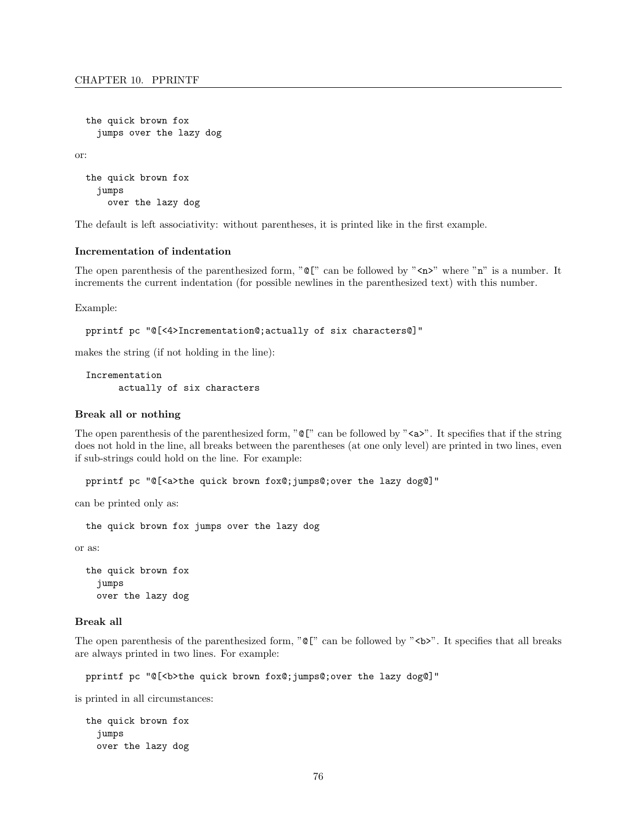```
the quick brown fox
  jumps over the lazy dog
```
or:

```
the quick brown fox
  jumps
    over the lazy dog
```
The default is left associativity: without parentheses, it is printed like in the first example.

#### Incrementation of indentation

The open parenthesis of the parenthesized form, " $\mathbb{C}$ " can be followed by " $\langle n \rangle$ " where "n" is a number. It increments the current indentation (for possible newlines in the parenthesized text) with this number.

Example:

```
pprintf pc "@[<4>Incrementation@;actually of six characters@]"
```
makes the string (if not holding in the line):

```
Incrementation
      actually of six characters
```
#### Break all or nothing

The open parenthesis of the parenthesized form, " $\mathbb{C}$ " can be followed by " $\langle a \rangle$ ". It specifies that if the string does not hold in the line, all breaks between the parentheses (at one only level) are printed in two lines, even if sub-strings could hold on the line. For example:

pprintf pc "@[<a>the quick brown fox@;jumps@;over the lazy dog@]"

can be printed only as:

the quick brown fox jumps over the lazy dog

or as:

the quick brown fox jumps over the lazy dog

#### Break all

The open parenthesis of the parenthesized form, " $\mathbb{Q}$ " can be followed by " $\lt b$ >". It specifies that all breaks are always printed in two lines. For example:

pprintf pc "@[<b>the quick brown fox@;jumps@;over the lazy dog@]"

is printed in all circumstances:

the quick brown fox jumps over the lazy dog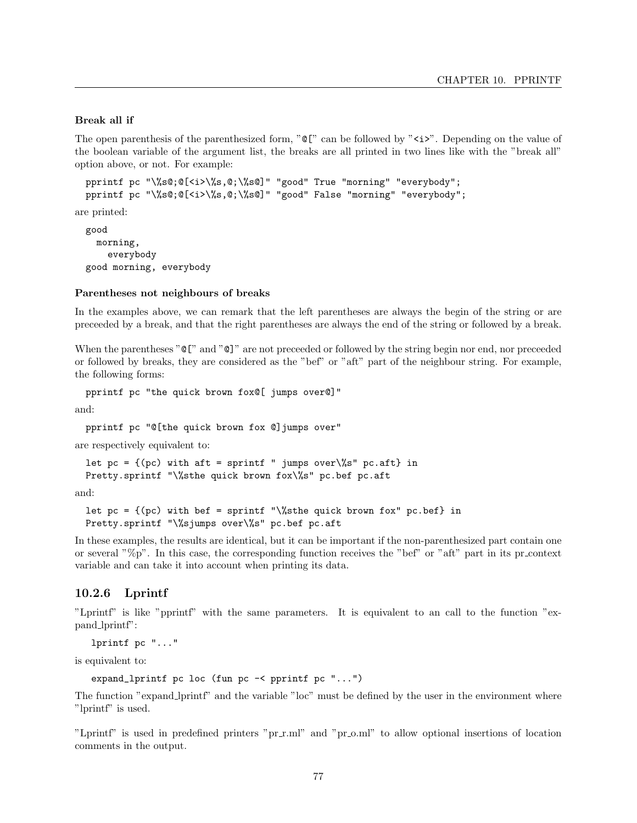#### Break all if

The open parenthesis of the parenthesized form, " $\mathbb{Q}$ " can be followed by " $\lt i$ ". Depending on the value of the boolean variable of the argument list, the breaks are all printed in two lines like with the "break all" option above, or not. For example:

```
pprintf pc "\%s@;@[<i>\%s,@;\%s@]" "good" True "morning" "everybody";
pprintf pc "\%s@;@[<i>\%s,@;\%s@]" "good" False "morning" "everybody";
```
are printed:

good morning, everybody good morning, everybody

#### Parentheses not neighbours of breaks

In the examples above, we can remark that the left parentheses are always the begin of the string or are preceeded by a break, and that the right parentheses are always the end of the string or followed by a break.

When the parentheses " $\mathbb{C}$ " and " $\mathbb{C}$ " are not preceeded or followed by the string begin nor end, nor preceeded or followed by breaks, they are considered as the "bef" or "aft" part of the neighbour string. For example, the following forms:

```
pprintf pc "the quick brown fox@[ jumps over@]"
```
and:

pprintf pc "@[the quick brown fox @]jumps over"

are respectively equivalent to:

let pc =  $\{(pc)$  with aft = sprintf " jumps over\%s" pc.aft} in Pretty.sprintf "\%sthe quick brown fox\%s" pc.bef pc.aft

and:

let  $pc = \{(pc)$  with bef = sprintf "\%sthe quick brown fox" pc.bef} in Pretty.sprintf "\%sjumps over\%s" pc.bef pc.aft

In these examples, the results are identical, but it can be important if the non-parenthesized part contain one or several "%p". In this case, the corresponding function receives the "bef" or "aft" part in its pr context variable and can take it into account when printing its data.

#### 10.2.6 Lprintf

"Lprintf" is like "pprintf" with the same parameters. It is equivalent to an call to the function "expand lprintf":

lprintf pc "..."

is equivalent to:

expand\_lprintf pc loc (fun pc -< pprintf pc "...")

The function "expand lprintf" and the variable "loc" must be defined by the user in the environment where "lprintf" is used.

"Lprintf" is used in predefined printers "pr\_r.ml" and "pr\_o.ml" to allow optional insertions of location comments in the output.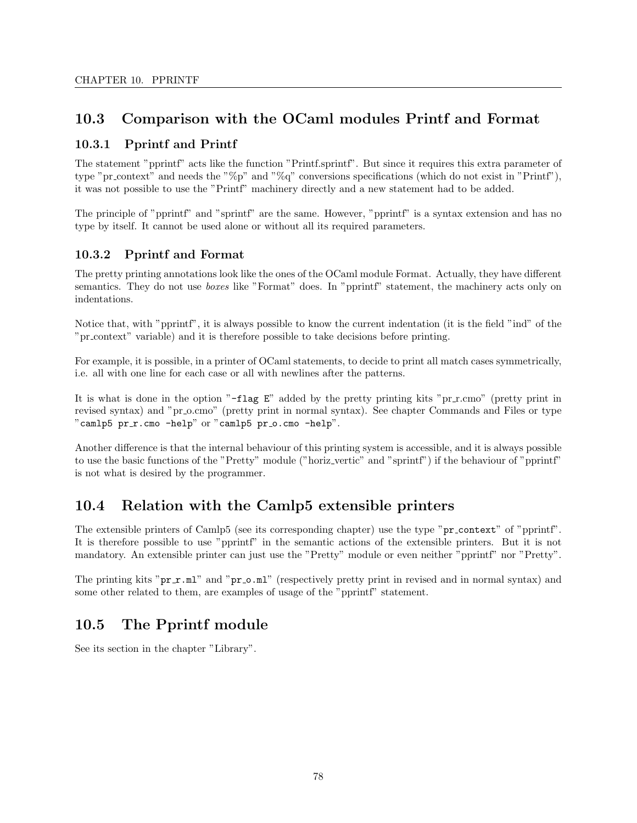## 10.3 Comparison with the OCaml modules Printf and Format

### 10.3.1 Pprintf and Printf

The statement "pprintf" acts like the function "Printf.sprintf". But since it requires this extra parameter of type "pr context" and needs the "%p" and "%q" conversions specifications (which do not exist in "Printf"), it was not possible to use the "Printf" machinery directly and a new statement had to be added.

The principle of "pprintf" and "sprintf" are the same. However, "pprintf" is a syntax extension and has no type by itself. It cannot be used alone or without all its required parameters.

## 10.3.2 Pprintf and Format

The pretty printing annotations look like the ones of the OCaml module Format. Actually, they have different semantics. They do not use *boxes* like "Format" does. In "pprintf" statement, the machinery acts only on indentations.

Notice that, with "pprintf", it is always possible to know the current indentation (it is the field "ind" of the "pr context" variable) and it is therefore possible to take decisions before printing.

For example, it is possible, in a printer of OCaml statements, to decide to print all match cases symmetrically, i.e. all with one line for each case or all with newlines after the patterns.

It is what is done in the option " $-flag E$ " added by the pretty printing kits "pr r.cmo" (pretty print in revised syntax) and "pr<sub>-</sub>o.cmo" (pretty print in normal syntax). See chapter Commands and Files or type "camlp5 pr\_r.cmo -help" or "camlp5 pr\_o.cmo -help".

Another difference is that the internal behaviour of this printing system is accessible, and it is always possible to use the basic functions of the "Pretty" module ("horiz vertic" and "sprintf") if the behaviour of "pprintf" is not what is desired by the programmer.

## 10.4 Relation with the Camlp5 extensible printers

The extensible printers of Camlp5 (see its corresponding chapter) use the type "pr context" of "pprintf". It is therefore possible to use "pprintf" in the semantic actions of the extensible printers. But it is not mandatory. An extensible printer can just use the "Pretty" module or even neither "pprintf" nor "Pretty".

The printing kits "pr\_r.ml" and "pr\_o.ml" (respectively pretty print in revised and in normal syntax) and some other related to them, are examples of usage of the "pprintf" statement.

## 10.5 The Pprintf module

See its section in the chapter "Library".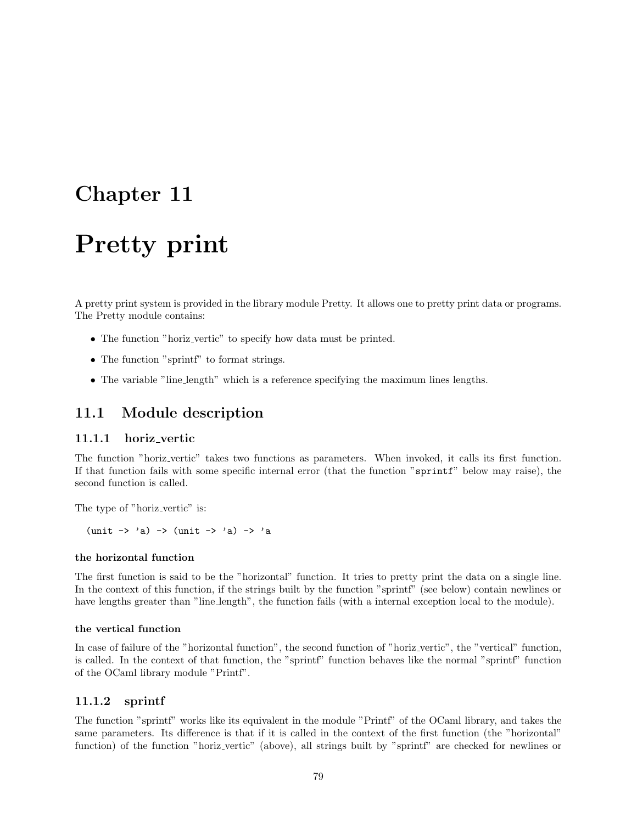## Chapter 11

## Pretty print

A pretty print system is provided in the library module Pretty. It allows one to pretty print data or programs. The Pretty module contains:

- The function "horiz\_vertic" to specify how data must be printed.
- The function "sprintf" to format strings.
- The variable "line length" which is a reference specifying the maximum lines lengths.

## 11.1 Module description

#### 11.1.1 horiz vertic

The function "horiz vertic" takes two functions as parameters. When invoked, it calls its first function. If that function fails with some specific internal error (that the function "sprintf" below may raise), the second function is called.

The type of "horiz\_vertic" is:

 $(\text{unit} \rightarrow 'a) \rightarrow (\text{unit} \rightarrow 'a) \rightarrow 'a)$ 

#### the horizontal function

The first function is said to be the "horizontal" function. It tries to pretty print the data on a single line. In the context of this function, if the strings built by the function "sprintf" (see below) contain newlines or have lengths greater than "line length", the function fails (with a internal exception local to the module).

#### the vertical function

In case of failure of the "horizontal function", the second function of "horiz vertic", the "vertical" function, is called. In the context of that function, the "sprintf" function behaves like the normal "sprintf" function of the OCaml library module "Printf".

#### 11.1.2 sprintf

The function "sprintf" works like its equivalent in the module "Printf" of the OCaml library, and takes the same parameters. Its difference is that if it is called in the context of the first function (the "horizontal" function) of the function "horiz vertic" (above), all strings built by "sprintf" are checked for newlines or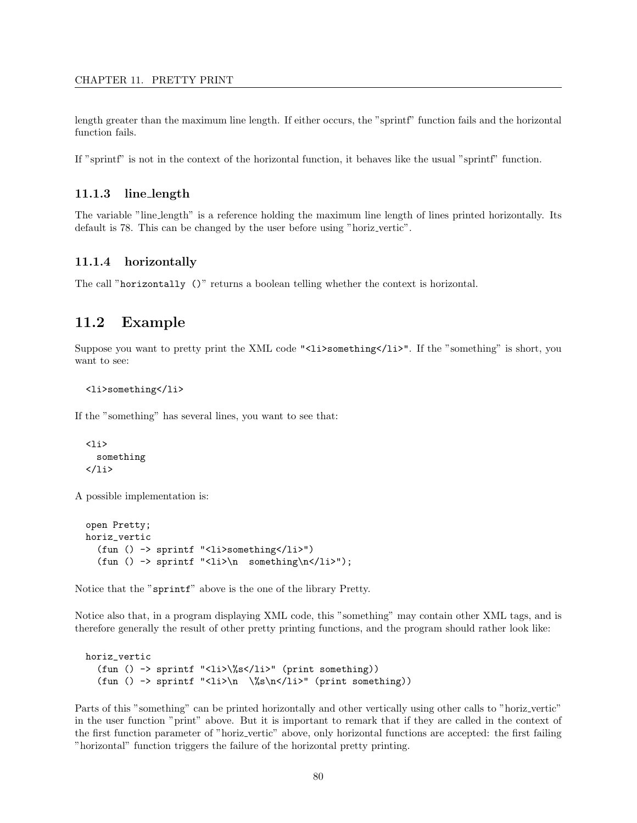#### CHAPTER 11. PRETTY PRINT

length greater than the maximum line length. If either occurs, the "sprintf" function fails and the horizontal function fails.

If "sprintf" is not in the context of the horizontal function, it behaves like the usual "sprintf" function.

#### 11.1.3 line length

The variable "line length" is a reference holding the maximum line length of lines printed horizontally. Its default is 78. This can be changed by the user before using "horiz\_vertic".

#### 11.1.4 horizontally

The call "horizontally ()" returns a boolean telling whether the context is horizontal.

### 11.2 Example

Suppose you want to pretty print the XML code "<li>something</li>". If the "something" is short, you want to see:

#### <li>something</li>

If the "something" has several lines, you want to see that:

```
\langleli>
    something
\langle/li\rangle
```
A possible implementation is:

```
open Pretty;
horiz_vertic
  (fun () -> sprintf "<li>something</li>")
  (fun () \rightarrow sprintf "<li>\n something\n</li>");
```
Notice that the "sprintf" above is the one of the library Pretty.

Notice also that, in a program displaying XML code, this "something" may contain other XML tags, and is therefore generally the result of other pretty printing functions, and the program should rather look like:

```
horiz_vertic
  (fun () -> sprintf "<li>\%s</li>" (print something))
  (fun () -> sprintf "<li>\n \%s\n</li>" (print something))
```
Parts of this "something" can be printed horizontally and other vertically using other calls to "horiz vertic" in the user function "print" above. But it is important to remark that if they are called in the context of the first function parameter of "horiz vertic" above, only horizontal functions are accepted: the first failing "horizontal" function triggers the failure of the horizontal pretty printing.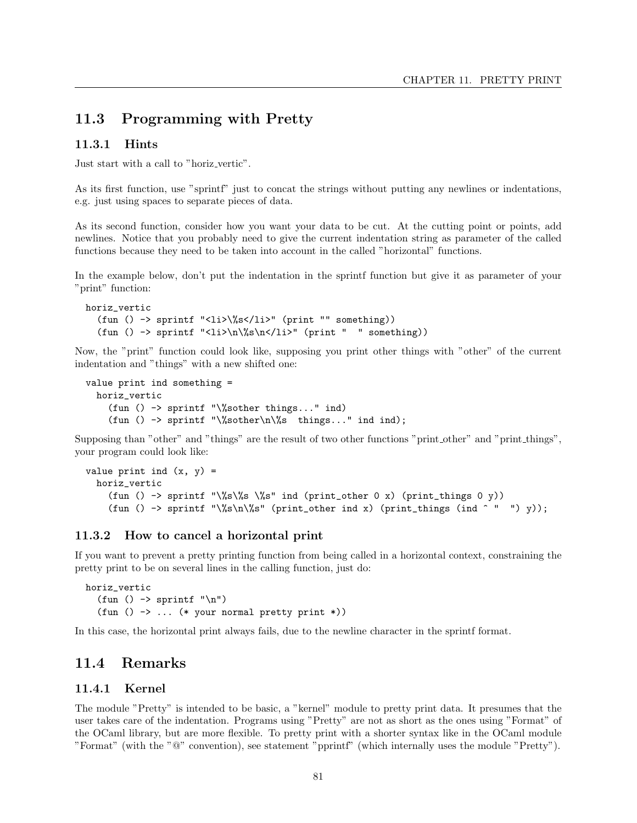## 11.3 Programming with Pretty

#### 11.3.1 Hints

Just start with a call to "horiz\_vertic".

As its first function, use "sprintf" just to concat the strings without putting any newlines or indentations, e.g. just using spaces to separate pieces of data.

As its second function, consider how you want your data to be cut. At the cutting point or points, add newlines. Notice that you probably need to give the current indentation string as parameter of the called functions because they need to be taken into account in the called "horizontal" functions.

In the example below, don't put the indentation in the sprintf function but give it as parameter of your "print" function:

```
horiz_vertic
  (fun () -> sprintf "<li>\%s</li>" (print "" something))
  (fun () -> sprintf "<li>\n\%s\n</li>" (print " " something))
```
Now, the "print" function could look like, supposing you print other things with "other" of the current indentation and "things" with a new shifted one:

```
value print ind something =
 horiz_vertic
    (fun () -> sprintf "\%sother things..." ind)
    (fun () -> sprintf "\%sother\n\%s things..." ind ind);
```
Supposing than "other" and "things" are the result of two other functions "print other" and "print things", your program could look like:

```
value print ind (x, y) =horiz_vertic
    (fun () -> sprintf "\%s\%s \%s" ind (print_other 0 x) (print_things 0 y))
    (fun () -> sprintf "\%s\n\%s" (print_other ind x) (print_things (ind ^ " ") y));
```
#### 11.3.2 How to cancel a horizontal print

If you want to prevent a pretty printing function from being called in a horizontal context, constraining the pretty print to be on several lines in the calling function, just do:

```
horiz_vertic
  (fun () \rightarrow sprintf "\n")
  (fun () \rightarrow ... (* your normal pretty print *))
```
In this case, the horizontal print always fails, due to the newline character in the sprintf format.

## 11.4 Remarks

#### 11.4.1 Kernel

The module "Pretty" is intended to be basic, a "kernel" module to pretty print data. It presumes that the user takes care of the indentation. Programs using "Pretty" are not as short as the ones using "Format" of the OCaml library, but are more flexible. To pretty print with a shorter syntax like in the OCaml module "Format" (with the "@" convention), see statement "pprintf" (which internally uses the module "Pretty").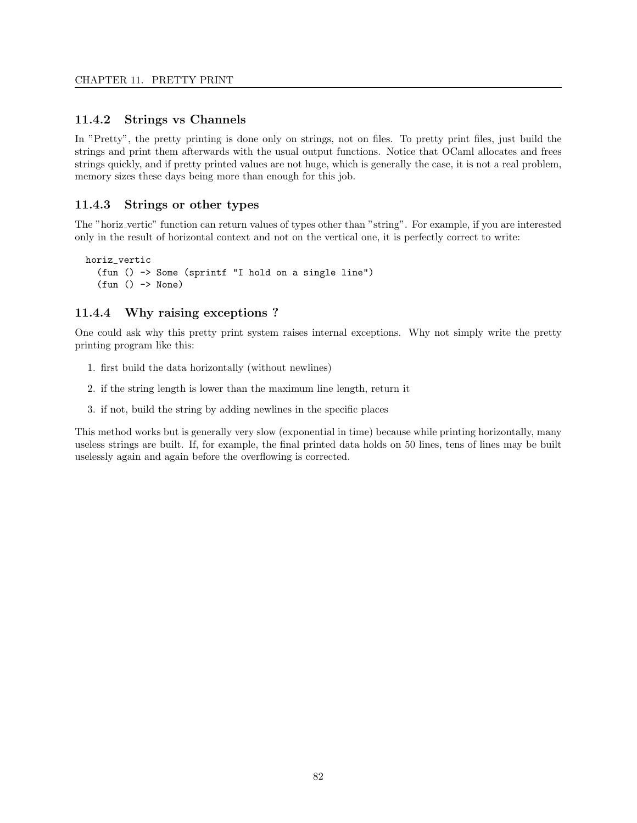#### 11.4.2 Strings vs Channels

In "Pretty", the pretty printing is done only on strings, not on files. To pretty print files, just build the strings and print them afterwards with the usual output functions. Notice that OCaml allocates and frees strings quickly, and if pretty printed values are not huge, which is generally the case, it is not a real problem, memory sizes these days being more than enough for this job.

#### 11.4.3 Strings or other types

The "horiz vertic" function can return values of types other than "string". For example, if you are interested only in the result of horizontal context and not on the vertical one, it is perfectly correct to write:

```
horiz_vertic
  (fun () -> Some (sprintf "I hold on a single line")
  (fun () -> None)
```
#### 11.4.4 Why raising exceptions ?

One could ask why this pretty print system raises internal exceptions. Why not simply write the pretty printing program like this:

- 1. first build the data horizontally (without newlines)
- 2. if the string length is lower than the maximum line length, return it
- 3. if not, build the string by adding newlines in the specific places

This method works but is generally very slow (exponential in time) because while printing horizontally, many useless strings are built. If, for example, the final printed data holds on 50 lines, tens of lines may be built uselessly again and again before the overflowing is corrected.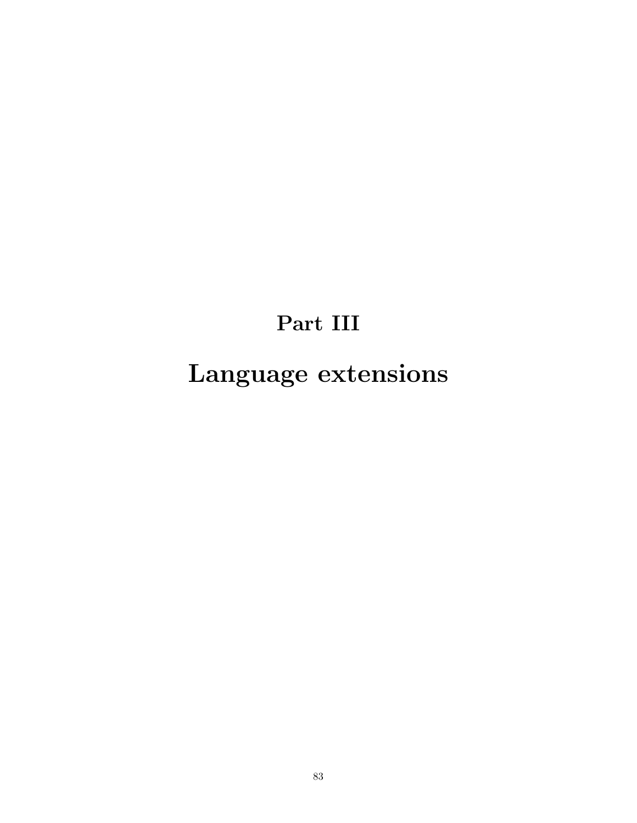## Part III

# Language extensions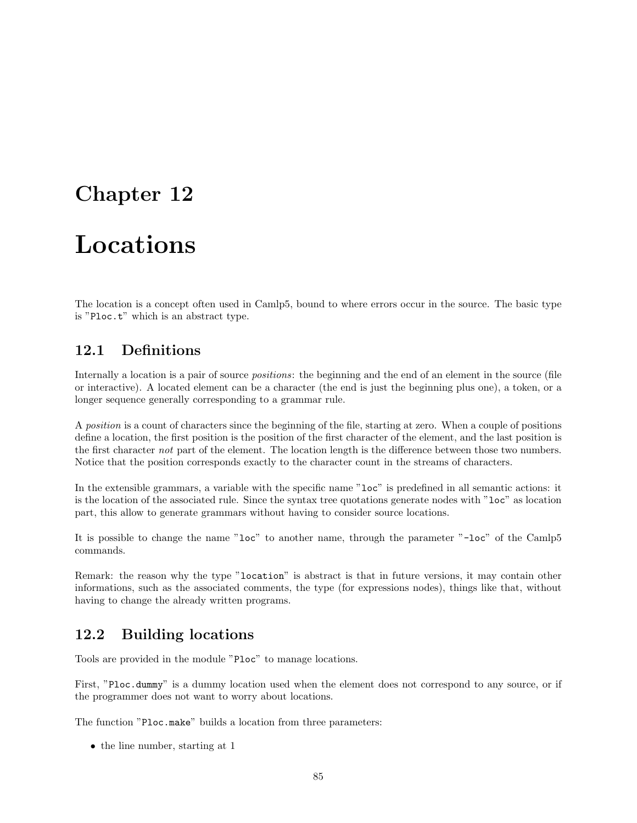## Chapter 12

## Locations

The location is a concept often used in Camlp5, bound to where errors occur in the source. The basic type is "Ploc.t" which is an abstract type.

## 12.1 Definitions

Internally a location is a pair of source *positions*: the beginning and the end of an element in the source (file or interactive). A located element can be a character (the end is just the beginning plus one), a token, or a longer sequence generally corresponding to a grammar rule.

A position is a count of characters since the beginning of the file, starting at zero. When a couple of positions define a location, the first position is the position of the first character of the element, and the last position is the first character not part of the element. The location length is the difference between those two numbers. Notice that the position corresponds exactly to the character count in the streams of characters.

In the extensible grammars, a variable with the specific name "loc" is predefined in all semantic actions: it is the location of the associated rule. Since the syntax tree quotations generate nodes with "loc" as location part, this allow to generate grammars without having to consider source locations.

It is possible to change the name "loc" to another name, through the parameter "-loc" of the Camlp5 commands.

Remark: the reason why the type "location" is abstract is that in future versions, it may contain other informations, such as the associated comments, the type (for expressions nodes), things like that, without having to change the already written programs.

## 12.2 Building locations

Tools are provided in the module "Ploc" to manage locations.

First, "Ploc.dummy" is a dummy location used when the element does not correspond to any source, or if the programmer does not want to worry about locations.

The function "Ploc.make" builds a location from three parameters:

• the line number, starting at 1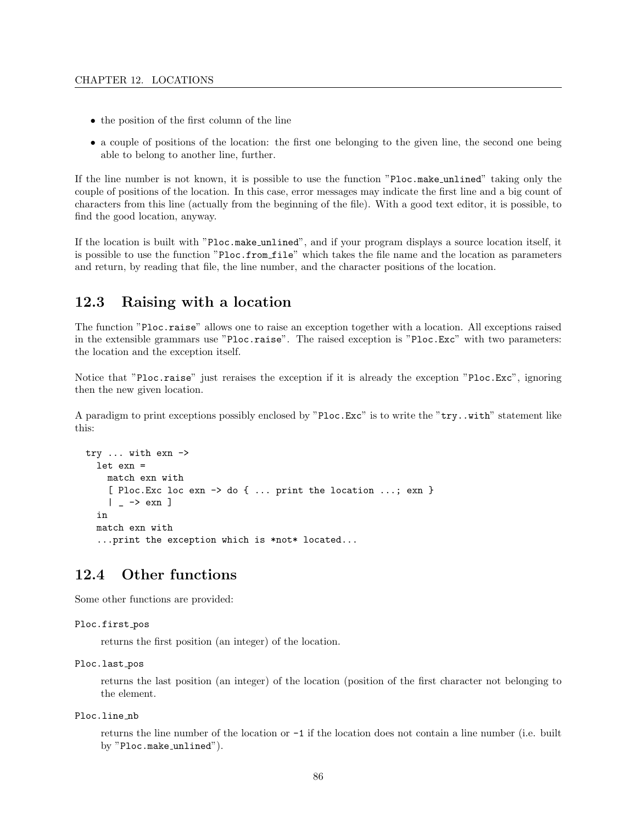- the position of the first column of the line
- a couple of positions of the location: the first one belonging to the given line, the second one being able to belong to another line, further.

If the line number is not known, it is possible to use the function "Ploc.make unlined" taking only the couple of positions of the location. In this case, error messages may indicate the first line and a big count of characters from this line (actually from the beginning of the file). With a good text editor, it is possible, to find the good location, anyway.

If the location is built with "Ploc.make unlined", and if your program displays a source location itself, it is possible to use the function "Ploc.from file" which takes the file name and the location as parameters and return, by reading that file, the line number, and the character positions of the location.

## 12.3 Raising with a location

The function "Ploc.raise" allows one to raise an exception together with a location. All exceptions raised in the extensible grammars use "Ploc.raise". The raised exception is "Ploc.Exc" with two parameters: the location and the exception itself.

Notice that "Ploc.raise" just reraises the exception if it is already the exception "Ploc.Exc", ignoring then the new given location.

A paradigm to print exceptions possibly enclosed by "Ploc.Exc" is to write the "try..with" statement like this:

```
try ... with exn ->
  let exn =
    match exn with
    [ Ploc.Exc loc exn -> do { ... print the location ...; exn }
    | - \rightarrow exn ]
  in
  match exn with
  ...print the exception which is *not* located...
```
## 12.4 Other functions

Some other functions are provided:

```
Ploc.first_pos
```
returns the first position (an integer) of the location.

```
Ploc.last_pos
```
returns the last position (an integer) of the location (position of the first character not belonging to the element.

Ploc.line nb

returns the line number of the location or -1 if the location does not contain a line number (i.e. built by "Ploc.make\_unlined").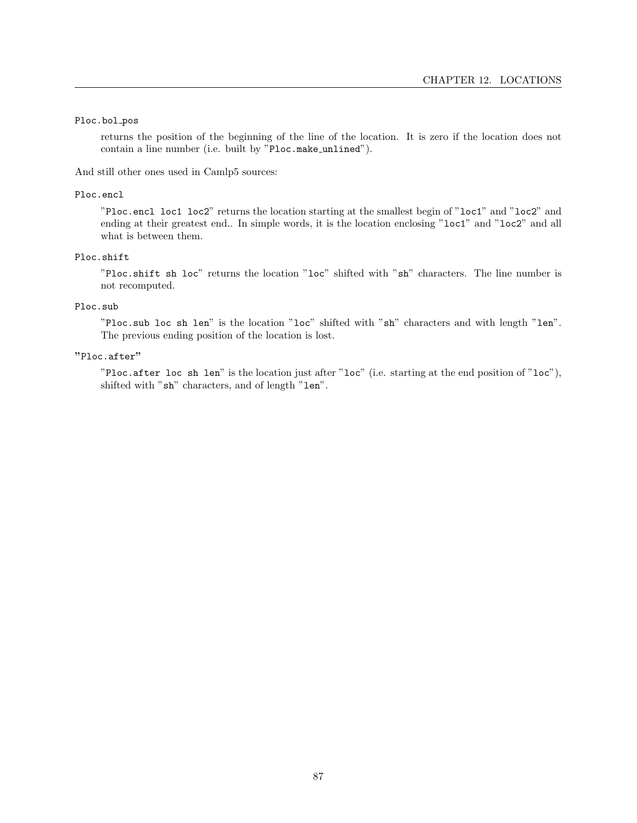#### Ploc.bol\_pos

returns the position of the beginning of the line of the location. It is zero if the location does not contain a line number (i.e. built by "Ploc.make unlined").

And still other ones used in Camlp5 sources:

#### Ploc.encl

"Ploc.encl loc1 loc2" returns the location starting at the smallest begin of "loc1" and "loc2" and ending at their greatest end.. In simple words, it is the location enclosing "loc1" and "loc2" and all what is between them.

#### Ploc.shift

"Ploc.shift sh loc" returns the location "loc" shifted with "sh" characters. The line number is not recomputed.

#### Ploc.sub

"Ploc.sub loc sh len" is the location "loc" shifted with "sh" characters and with length "len". The previous ending position of the location is lost.

#### "Ploc.after"

"Ploc.after loc sh len" is the location just after "loc" (i.e. starting at the end position of "loc"), shifted with "sh" characters, and of length "len".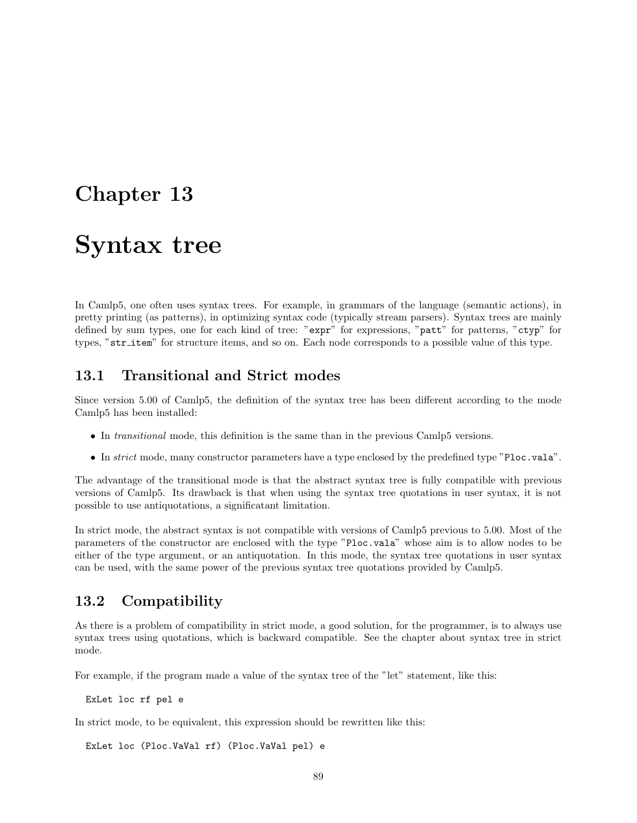## Chapter 13

## Syntax tree

In Camlp5, one often uses syntax trees. For example, in grammars of the language (semantic actions), in pretty printing (as patterns), in optimizing syntax code (typically stream parsers). Syntax trees are mainly defined by sum types, one for each kind of tree: "expr" for expressions, "patt" for patterns, "ctyp" for types, "str\_item" for structure items, and so on. Each node corresponds to a possible value of this type.

## 13.1 Transitional and Strict modes

Since version 5.00 of Camlp5, the definition of the syntax tree has been different according to the mode Camlp5 has been installed:

- In transitional mode, this definition is the same than in the previous Camlp5 versions.
- In *strict* mode, many constructor parameters have a type enclosed by the predefined type "Ploc.vala".

The advantage of the transitional mode is that the abstract syntax tree is fully compatible with previous versions of Camlp5. Its drawback is that when using the syntax tree quotations in user syntax, it is not possible to use antiquotations, a significatant limitation.

In strict mode, the abstract syntax is not compatible with versions of Camlp5 previous to 5.00. Most of the parameters of the constructor are enclosed with the type "Ploc.vala" whose aim is to allow nodes to be either of the type argument, or an antiquotation. In this mode, the syntax tree quotations in user syntax can be used, with the same power of the previous syntax tree quotations provided by Camlp5.

### 13.2 Compatibility

As there is a problem of compatibility in strict mode, a good solution, for the programmer, is to always use syntax trees using quotations, which is backward compatible. See the chapter about syntax tree in strict mode.

For example, if the program made a value of the syntax tree of the "let" statement, like this:

ExLet loc rf pel e

In strict mode, to be equivalent, this expression should be rewritten like this:

ExLet loc (Ploc.VaVal rf) (Ploc.VaVal pel) e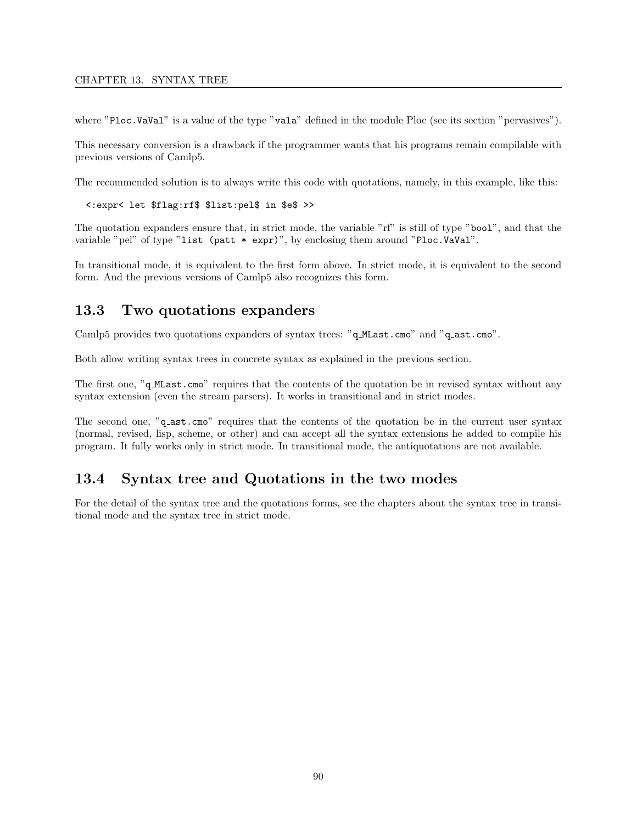#### CHAPTER 13. SYNTAX TREE

where "Ploc.VaVal" is a value of the type "vala" defined in the module Ploc (see its section "pervasives").

This necessary conversion is a drawback if the programmer wants that his programs remain compilable with previous versions of Camlp5.

The recommended solution is to always write this code with quotations, namely, in this example, like this:

<:expr< let \$flag:rf\$ \$list:pel\$ in \$e\$ >>

The quotation expanders ensure that, in strict mode, the variable "rf" is still of type "bool", and that the variable "pel" of type "list (patt \* expr)", by enclosing them around "Ploc.VaVal".

In transitional mode, it is equivalent to the first form above. In strict mode, it is equivalent to the second form. And the previous versions of Camlp5 also recognizes this form.

### 13.3 Two quotations expanders

Camlp5 provides two quotations expanders of syntax trees: "q MLast.cmo" and "q ast.cmo".

Both allow writing syntax trees in concrete syntax as explained in the previous section.

The first one, "q MLast.cmo" requires that the contents of the quotation be in revised syntax without any syntax extension (even the stream parsers). It works in transitional and in strict modes.

The second one, "q\_ast.cmo" requires that the contents of the quotation be in the current user syntax (normal, revised, lisp, scheme, or other) and can accept all the syntax extensions he added to compile his program. It fully works only in strict mode. In transitional mode, the antiquotations are not available.

## 13.4 Syntax tree and Quotations in the two modes

For the detail of the syntax tree and the quotations forms, see the chapters about the syntax tree in transitional mode and the syntax tree in strict mode.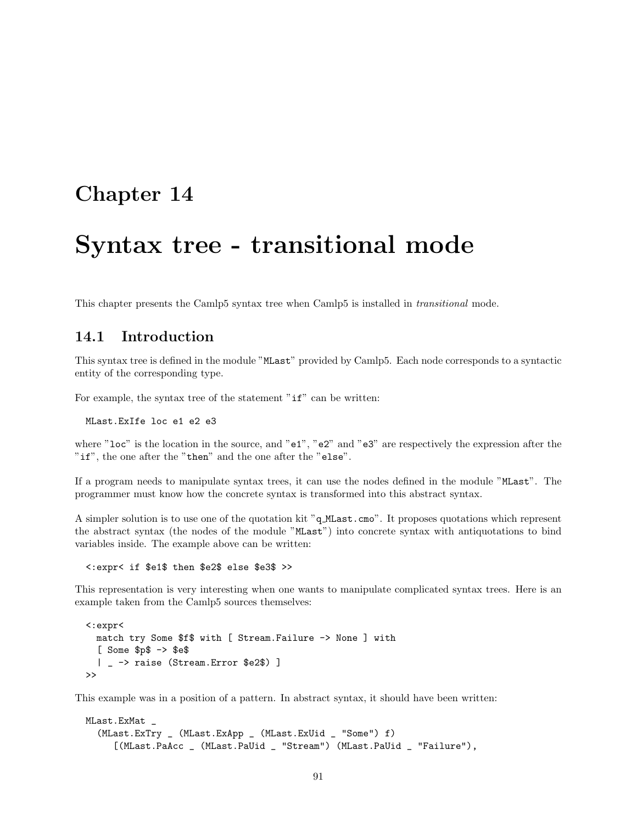## Chapter 14

## Syntax tree - transitional mode

This chapter presents the Camlp5 syntax tree when Camlp5 is installed in transitional mode.

## 14.1 Introduction

This syntax tree is defined in the module "MLast" provided by Camlp5. Each node corresponds to a syntactic entity of the corresponding type.

For example, the syntax tree of the statement " $if$ " can be written:

MLast.ExIfe loc e1 e2 e3

where "loc" is the location in the source, and "e1", "e2" and "e3" are respectively the expression after the "if", the one after the "then" and the one after the "else".

If a program needs to manipulate syntax trees, it can use the nodes defined in the module "MLast". The programmer must know how the concrete syntax is transformed into this abstract syntax.

A simpler solution is to use one of the quotation kit "q MLast.cmo". It proposes quotations which represent the abstract syntax (the nodes of the module "MLast") into concrete syntax with antiquotations to bind variables inside. The example above can be written:

<:expr< if \$e1\$ then \$e2\$ else \$e3\$ >>

This representation is very interesting when one wants to manipulate complicated syntax trees. Here is an example taken from the Camlp5 sources themselves:

```
<:expr<
  match try Some $f$ with [ Stream.Failure -> None ] with
  [ Some $p$ -> $e$
  | _ -> raise (Stream.Error $e2$) ]
\rightarrow
```
This example was in a position of a pattern. In abstract syntax, it should have been written:

```
MLast.ExMat _
  (MLast.ExTry _ (MLast.ExApp _ (MLast.ExUid _ "Some") f)
     [(MLast.PaAcc _ (MLast.PaUid _ "Stream") (MLast.PaUid _ "Failure"),
```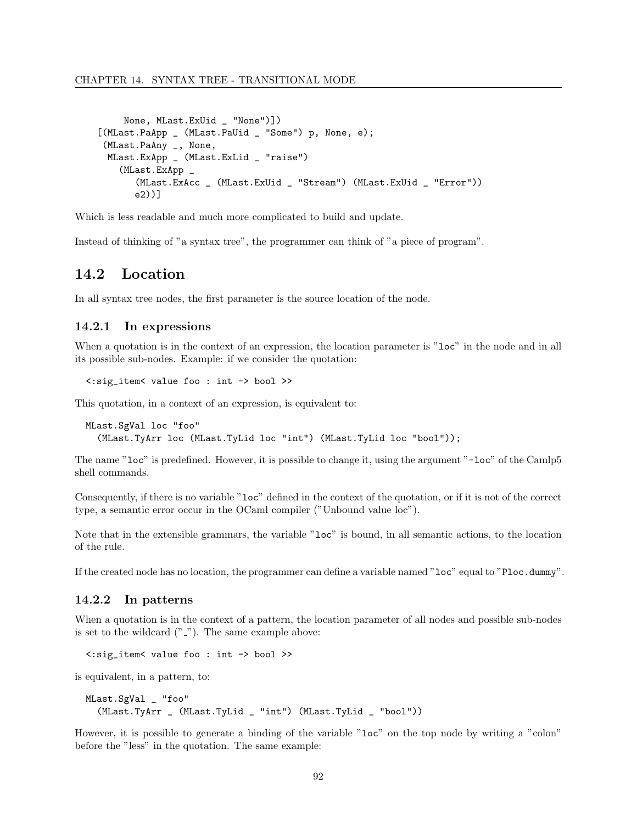```
None, MLast.ExUid _ "None")])
[(MLast.PaApp _ (MLast.PaUid _ "Some") p, None, e);
 (MLast.PaAny _, None,
 MLast.ExApp _ (MLast.ExLid _ "raise")
   (MLast.ExApp _
       (MLast.ExAcc _ (MLast.ExUid _ "Stream") (MLast.ExUid _ "Error"))
      e2))]
```
Which is less readable and much more complicated to build and update.

Instead of thinking of "a syntax tree", the programmer can think of "a piece of program".

## 14.2 Location

In all syntax tree nodes, the first parameter is the source location of the node.

#### 14.2.1 In expressions

When a quotation is in the context of an expression, the location parameter is "loc" in the node and in all its possible sub-nodes. Example: if we consider the quotation:

<:sig\_item< value foo : int -> bool >>

This quotation, in a context of an expression, is equivalent to:

```
MLast.SgVal loc "foo"
  (MLast.TyArr loc (MLast.TyLid loc "int") (MLast.TyLid loc "bool"));
```
The name "loc" is predefined. However, it is possible to change it, using the argument "-loc" of the Camlp5 shell commands.

Consequently, if there is no variable "loc" defined in the context of the quotation, or if it is not of the correct type, a semantic error occur in the OCaml compiler ("Unbound value loc").

Note that in the extensible grammars, the variable "loc" is bound, in all semantic actions, to the location of the rule.

If the created node has no location, the programmer can define a variable named "loc" equal to "Ploc.dummy".

#### 14.2.2 In patterns

When a quotation is in the context of a pattern, the location parameter of all nodes and possible sub-nodes is set to the wildcard  $("_")$ . The same example above:

```
<:sig_item< value foo : int -> bool >>
```
is equivalent, in a pattern, to:

```
MLast.SgVal _ "foo"
  (MLast.TyArr _ (MLast.TyLid _ "int") (MLast.TyLid _ "bool"))
```
However, it is possible to generate a binding of the variable "loc" on the top node by writing a "colon" before the "less" in the quotation. The same example: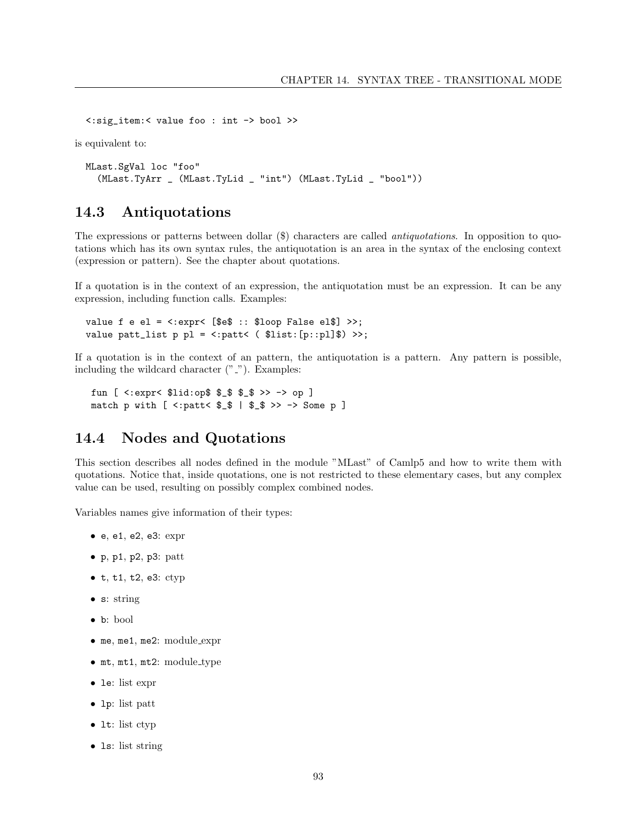<:sig\_item:< value foo : int -> bool >>

is equivalent to:

```
MLast.SgVal loc "foo"
  (MLast.TyArr _ (MLast.TyLid _ "int") (MLast.TyLid _ "bool"))
```
## 14.3 Antiquotations

The expressions or patterns between dollar (\$) characters are called antiquotations. In opposition to quotations which has its own syntax rules, the antiquotation is an area in the syntax of the enclosing context (expression or pattern). See the chapter about quotations.

If a quotation is in the context of an expression, the antiquotation must be an expression. It can be any expression, including function calls. Examples:

```
value f e el = \langle : \text{expr} \langle \cdot | \text{Set} : : \text{floor False ell} \rangle \rangle;
value patt_list p p1 = <:patt< ( $list:[p::p1]$) >>;
```
If a quotation is in the context of an pattern, the antiquotation is a pattern. Any pattern is possible, including the wildcard character  $("_")$ . Examples:

fun [ <:expr< \$lid:op\$ \$\_\$ \$\_\$ >> -> op ] match p with  $[$  <: patt<  $$_ $ \$  |  $$_ $ \gg \Rightarrow$   $\ge$  Some p ]

### 14.4 Nodes and Quotations

This section describes all nodes defined in the module "MLast" of Camlp5 and how to write them with quotations. Notice that, inside quotations, one is not restricted to these elementary cases, but any complex value can be used, resulting on possibly complex combined nodes.

Variables names give information of their types:

- e, e1, e2, e3: expr
- $\bullet$  p, p1, p2, p3: patt
- $\bullet$  t, t1, t2, e3: ctyp
- s: string
- b: bool
- me, me1, me2: module\_expr
- mt, mt1, mt2: module type
- le: list expr
- lp: list patt
- 1t: list ctyp
- 1s: list string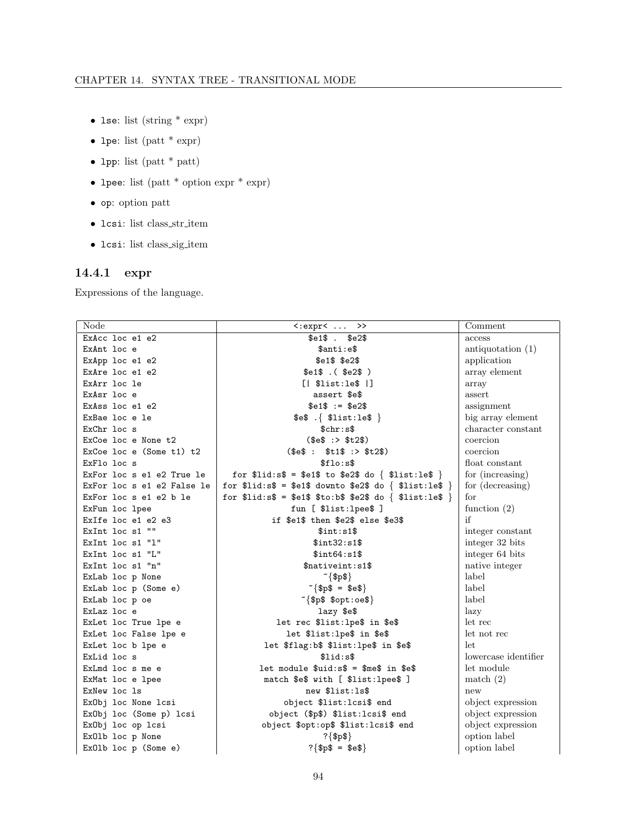- $\bullet$  1se: list (string  $*$  expr)
- lpe: list (patt  $*$  expr)
- $\bullet$  1pp: list (patt \* patt)
- lpee: list (patt \* option expr \* expr)
- $\bullet\,$  op: option patt
- $\bullet$  1csi: list class\_str\_item
- $\bullet\,$  1csi: list class\_sig\_item

## 14.4.1 expr

Expressions of the language.

| Node                       | $\langle \text{expr}\rangle \dots \rangle$             | Comment              |
|----------------------------|--------------------------------------------------------|----------------------|
| ExAcc loc e1 e2            | $$e1$$ . $$e2$$                                        | access               |
| ExAnt loc e                | \$anti:e\$                                             | antiquotation $(1)$  |
| ExApp loc e1 e2            | $$e1$$ $$e2$$                                          | application          |
| ExAre loc e1 e2            | $$e1$$ . ( $$e2$$ )                                    | array element        |
| ExArr loc le               | [  \$list:le\$ ]]                                      | array                |
| ExAsr loc e                | assert \$e\$                                           | assert               |
| ExAss loc e1 e2            | $$e1$ := $e2$$                                         | assignment           |
| ExBae loc e le             | $\texttt{se$}$ . { $\texttt{flist:}$ le\$ }            | big array element    |
| ExChr loc s                | \$chr: s\$                                             | character constant   |
| ExCoe loc e None t2        | (\$e\$ : > \$t2\$)                                     | coercion             |
| ExCoe loc e $(Some t1) t2$ | (\$e\$ : \$t1\$ : \$t2\$)                              | coercion             |
| ExFlo loc s                | \$flo:s\$                                              | float constant       |
| ExFor loc s e1 e2 True le  | for $1id: s$ = \$e1\$ to \$e2\$ do { \$list:le\$ }     | for (increasing)     |
| ExFor loc s e1 e2 False le | for $1id: s$ = \$e1\$ downto \$e2\$ do { \$list:le\$ } | for (decreasing)     |
| ExFor loc s e1 e2 b le     | for $ીid:s$ = $e1$ $to:b$ $e2$ do { $list:le$ }$       | for                  |
| ExFun loc lpee             | fun [ \$list:lpee\$ ]                                  | function $(2)$       |
| ExIfe loc e1 e2 e3         | if \$e1\$ then \$e2\$ else \$e3\$                      | if                   |
| ExInt loc s1 ""            | \$int: s1\$                                            | integer constant     |
| ExInt $loc s1 "1"$         | \$int32:s1\$                                           | integer 32 bits      |
| ExInt loc s1 "L"           | \$int64: s1\$                                          | integer 64 bits      |
| ExInt loc s1 "n"           | \$nativeint:s1\$                                       | native integer       |
| ExLab loc p None           | $\sim$ {\$p\$}                                         | label                |
| ExLab loc p (Some e)       | $\sqrt[6]{\$p\$} = \$e\$$                              | label                |
| ExLab loc p oe             | $\lceil \$                                             | label                |
| ExLaz loc e                | lazy \$e\$                                             | lazy                 |
| ExLet loc True lpe e       | let rec \$list: lpe\$ in \$e\$                         | let rec              |
| ExLet loc False lpe e      | let \$list:lpe\$ in \$e\$                              | let not rec          |
| ExLet loc b lpe e          | let \$flag:b\$ \$list:lpe\$ in \$e\$                   | let                  |
| ExLid loc s                | \$list:                                                | lowercase identifier |
| ExLmd loc s me e           | let module $ful:s$ = $mes in $e$$                      | let module           |
| ExMat loc e lpee           | match \$e\$ with [ \$list:lpee\$ ]                     | match (2)            |
| ExNew loc 1s               | new \$list:1s\$                                        | new                  |
| ExObj loc None lcsi        | object \$list:lcsi\$ end                               | object expression    |
| ExObj loc (Some p) lcsi    | object (\$p\$) \$list:lcsi\$ end                       | object expression    |
| ExObj loc op lcsi          | object \$opt:op\$ \$list:lcsi\$ end                    | object expression    |
| ExOlb loc p None           | ?{ $\{$ p\$}                                           | option label         |
| $Ex01b$ loc $p$ (Some e)   | $?$ {\$p\$ = \$e\$}                                    | option label         |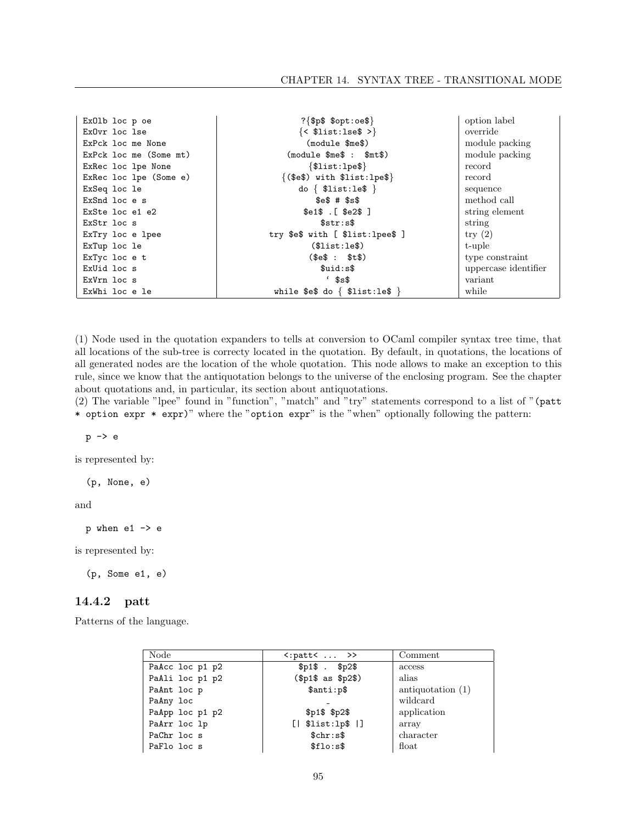| ExOlb loc p oe         | $?$ {\$p\$ \$opt:oe\$}                        | option label         |
|------------------------|-----------------------------------------------|----------------------|
| ExOvr loc lse          | $\{\langle \text{slist:lse}\rangle \rangle\}$ | override             |
| ExPck loc me None      | (module \$me\$)                               | module packing       |
| ExPck loc me (Some mt) | $(module$ $m e$ \$ : $m t$ \$)                | module packing       |
| ExRec loc lpe None     | $\{\$list:1pe\}\$                             | record               |
| ExRec loc lpe (Some e) | $({\text{se}})$ with ${\text{llist:}}$ lpe\$} | record               |
| ExSeq loc le           | do $\{$ \$list:le\$ $\}$                      | sequence             |
| ExSnd loc e s          | $$e$$ # $$s$$                                 | method call          |
| ExSte loc e1 e2        | $$e1$$ . [ $$e2$$ ]                           | string element       |
| ExStr loc s            | \$str:s\$                                     | string               |
| ExTry loc e lpee       | try $e$ \$ with [ $$list:1pe$ $e$ \$]         | $\text{try}(2)$      |
| ExTup loc le           | (\$list:le\$)                                 | t-uple               |
| ExTyc loc e t          | (\$e\$ : \$t\$)                               | type constraint      |
| ExUid loc s            | \$uid:s\$                                     | uppercase identifier |
| ExVrn loc s            | $^{\circ}$ \$s\$                              | variant              |
| ExWhi loc e le         | while \$e\$ do $\{$ \$list:le\$ $\}$          | while                |

(1) Node used in the quotation expanders to tells at conversion to OCaml compiler syntax tree time, that all locations of the sub-tree is correcty located in the quotation. By default, in quotations, the locations of all generated nodes are the location of the whole quotation. This node allows to make an exception to this rule, since we know that the antiquotation belongs to the universe of the enclosing program. See the chapter about quotations and, in particular, its section about antiquotations.

(2) The variable "lpee" found in "function", "match" and "try" statements correspond to a list of "(patt \* option expr \* expr)" where the "option expr" is the "when" optionally following the pattern:

p -> e

is represented by:

(p, None, e)

and

 $p$  when e1  $\rightarrow$  e

is represented by:

(p, Some e1, e)

#### 14.4.2 patt

Patterns of the language.

| Node            | $\langle :$ patt $\langle \ldots \rangle$ | Comment             |
|-----------------|-------------------------------------------|---------------------|
| PaAcc loc p1 p2 | $$p1$$ . $$p2$$                           | access              |
| PaAli loc p1 p2 | (\$p1\$ as \$p2\$)                        | alias               |
| PaAnt loc p     | \$anti:p\$                                | antiquotation $(1)$ |
| PaAny loc       |                                           | wildcard            |
| PaApp loc p1 p2 | $$p1$$ $$p2$$                             | application         |
| PaArr loc lp    | [  \$list:lp\$  ]                         | array               |
| PaChr loc s     | \$chr: s\$                                | character           |
| PaFlo loc s     | \$flo:s\$                                 | $_{\text{float}}$   |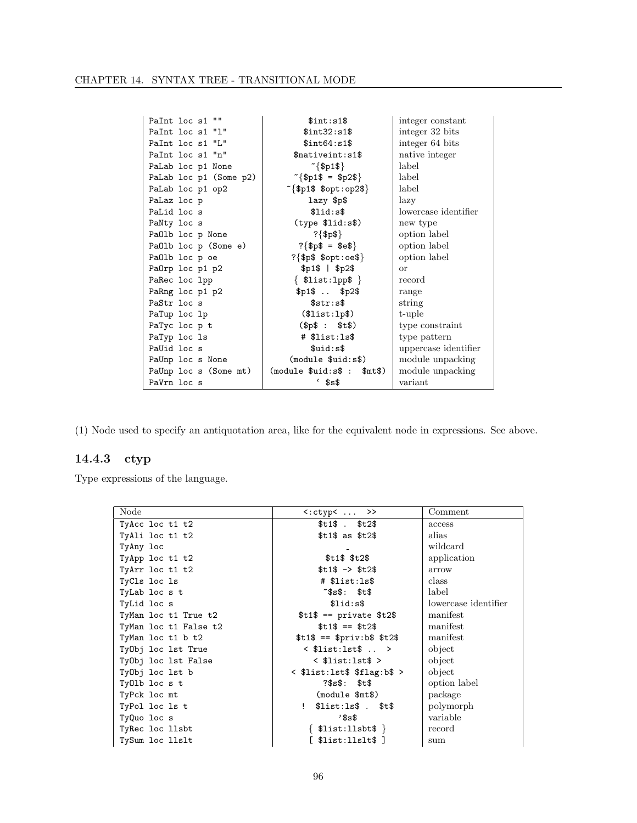| PaInt loc s1 ""        | \$int: s1\$                    | integer constant     |
|------------------------|--------------------------------|----------------------|
| PaInt loc s1 "1"       | \$int32:s1\$                   | integer 32 bits      |
| PaInt loc s1 "L"       | \$int64:s1\$                   | integer 64 bits      |
| PaInt loc s1 "n"       | \$nativeint:s1\$               | native integer       |
| PaLab loc p1 None      | $\sim$ {\$p1\$}                | label                |
| PaLab loc p1 (Some p2) | $\sqrt[6]{5p1\$} = $p2\$$      | label                |
| PaLab loc p1 op2       | $\sim$ {\$p1\$ \$opt:op2\$}    | label                |
| PaLaz loc p            | lazy \$p\$                     | lazy                 |
| PaLid loc s            | \$list:                        | lowercase identifier |
| PaNty loc s            | $(type$ \$lid: $s$ \$)         | new type             |
| PaOlb loc p None       | ?{ $\$ p\$}                    | option label         |
| PaOlb loc p (Some e)   | $?$ {\$p\$ = \$e\$}            | option label         |
| PaOlb loc p oe         | $?$ {\$p\$ \$opt:oe\$}         | option label         |
| PaOrp loc p1 p2        | $$p1$$   $$p2$$                | $\alpha$             |
| PaRec loc lpp          | $\{$ \$list:1pp\$ $\}$         | record               |
| PaRng loc p1 p2        | \$p1\$ \$p2\$                  | range                |
| PaStr loc s            | \$str:s\$                      | string               |
| PaTup loc lp           | (\$list:lp\$)                  | t-uple               |
| PaTyc loc p t          | (\$p\$; \$: \$t\$)             | type constraint      |
| PaTyp loc 1s           | # \$list:1s\$                  | type pattern         |
| PaUid loc s            | \$uid:s\$                      | uppercase identifier |
| PaUnp loc s None       | (module \$uid:s\$)             | module unpacking     |
| PaUnp loc s (Some mt)  | (module \$uid:s\$ :<br>\$mt\$) | module unpacking     |
| PaVrn loc s            | $^{\circ}$ \$s\$               | variant              |

(1) Node used to specify an antiquotation area, like for the equivalent node in expressions. See above.

## 14.4.3 ctyp

Type expressions of the language.

| Node                  | $\langle : \text{ctyp} \langle \dots \rangle \rangle$ | Comment              |
|-----------------------|-------------------------------------------------------|----------------------|
| TyAcc loc t1 t2       | $$t1\$$ . $$t2\$$                                     | access               |
| TyAli loc t1 t2       | \$t1\$ as \$t2\$                                      | alias                |
| TyAny loc             |                                                       | wildcard             |
| TyApp loc t1 t2       | $$t1$$ $$t2$$                                         | application          |
| TyArr loc t1 t2       | $$t1$ -> $t2$$                                        | arrow                |
| TyCls loc 1s          | # \$list:ls\$                                         | class                |
| TyLab loc s t         | $\tilde{\texttt{ss}}\texttt{s}:\texttt{st}\texttt{s}$ | label                |
| TyLid loc s           | \$list:                                               | lowercase identifier |
| TyMan loc t1 True t2  | $$t1$ == private $t2$$                                | manifest             |
| TyMan loc t1 False t2 | $$t1$ == $t2$$                                        | manifest             |
| TyMan loc t1 b t2     | $$t1$ == $priv:b$$ \$t2\$                             | manifest             |
| TyObj loc 1st True    | $\langle$ \$list:lst\$  >                             | object               |
| TyObj loc 1st False   | $\langle$ \$list:lst\$ >                              | object               |
| TyObj loc 1st b       | $\leq$ \$list:lst\$ \$flag:b\$ >                      | object               |
| TyOlb loc s t         | $?$ \$s\$: \$t\$                                      | option label         |
| TyPck loc mt          | (module \$mt\$)                                       | package              |
| TyPol loc ls t        | $$list:ls$$ . $$t$$                                   | polymorph            |
| TyQuo loc s           | 3s                                                    | variable             |
| TyRec loc llsbt       | $\{$ \$list:llsbt\$ $\}$                              | record               |
| TySum loc llslt       | [ \$list:11s1t\$ ]                                    | sum                  |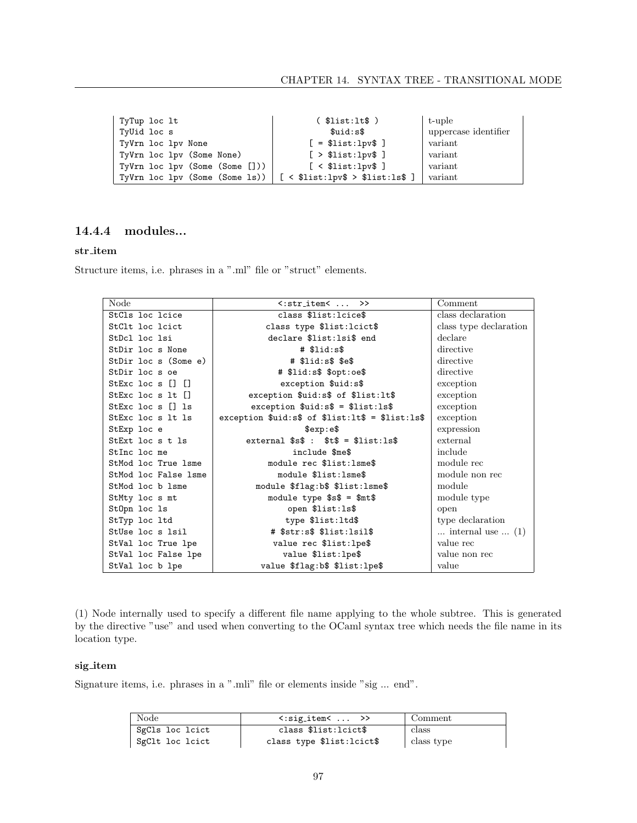| TyTup loc lt                          | ( \$list:lt\$ )                    | t-uple               |
|---------------------------------------|------------------------------------|----------------------|
| TyUid loc s                           | \$uid:s\$                          | uppercase identifier |
| TyVrn loc lpv None                    | $[ = $list:1pv$ ]$                 | variant              |
| TyVrn loc lpv (Some None)             | [ > \$list:1pv\$ ]                 | variant              |
| $TyVrn$ loc $1pv$ (Some (Some $[]$ )) | $[$ < \$list:lpv\$ $]$             | variant              |
| TyVrn loc lpv (Some (Some ls))        | $[$ < \$list:1pv\$ > \$list:1s\$ ] | variant              |

#### 14.4.4 modules...

#### $\operatorname{str\_item}$

Structure items, i.e. phrases in a ".ml" file or "struct" elements.

| Node                        | $\langle$ :stritem $\langle \ldots \rangle$            | Comment                            |
|-----------------------------|--------------------------------------------------------|------------------------------------|
| StCls loc lcice             | class \$list:lcice\$                                   | class declaration                  |
| StClt loc loict             | class type \$list:lcict\$                              | class type declaration             |
| StDcl loc 1si               | declare \$list:lsi\$ end                               | declare                            |
| StDir loc s None            | $#$ \$lid: $s$ \$                                      | directive                          |
| StDir loc s (Some e)        | $#$ \$lid:s\$ \$e\$                                    | directive                          |
| StDir loc s oe              | # \$lid:s\$ \$opt:oe\$                                 | directive                          |
| StExc loc $s$ $\Box$ $\Box$ | exception \$uid:s\$                                    | exception                          |
| StExc loc $s$ lt $\Box$     | exception \$uid:s\$ of \$list:lt\$                     | exception                          |
| StExc loc $s$ [] 1s         | $exception$ $$uid:s$ = $list:ls$$                      | exception                          |
| StExc loc s 1t 1s           | exception $ful: s$ of $llist:lt$ = $llist:ls$          | exception                          |
| StExp loc e                 | sexp: e                                                | expression                         |
| StExt loc s t ls            | external $s$ s\$ : $t$ = $\frac{1}{s}$ = $\frac{1}{s}$ | external                           |
| StInc loc me                | include \$me\$                                         | include                            |
| StMod loc True 1sme         | module rec \$list: lsme\$                              | module rec                         |
| StMod loc False 1sme        | module \$list:1sme\$                                   | module non rec                     |
| StMod loc b 1sme            | module \$flag:b\$ \$list:lsme\$                        | module                             |
| StMty loc s mt              | module type $$s$ = $mt$$                               | module type                        |
| StOpn loc 1s                | open \$list:1s\$                                       | open                               |
| StTyp loc ltd               | type \$list:ltd\$                                      | type declaration                   |
| StUse loc s lsil            | # \$str:s\$ \$list:lsil\$                              | $\ldots$ internal use $\ldots$ (1) |
| StVal loc True lpe          | value rec \$list:lpe\$                                 | value rec                          |
| StVal loc False lpe         | value \$list:lpe\$                                     | value non rec                      |
| StVal loc b lpe             | value \$flag:b\$ \$list:lpe\$                          | value                              |

(1) Node internally used to specify a different file name applying to the whole subtree. This is generated by the directive "use" and used when converting to the OCaml syntax tree which needs the file name in its location type.

#### sig\_item

Signature items, i.e. phrases in a ".mli" file or elements inside "sig ...  $\mathrm{end}$  ".

| Node            | $\langle$ :sig_item $\langle \ldots \rangle$ | Comment    |
|-----------------|----------------------------------------------|------------|
| SgCls loc lcict | class \$list:lcict\$                         | class      |
| SgClt loc lcict | class type \$list:lcict\$                    | class type |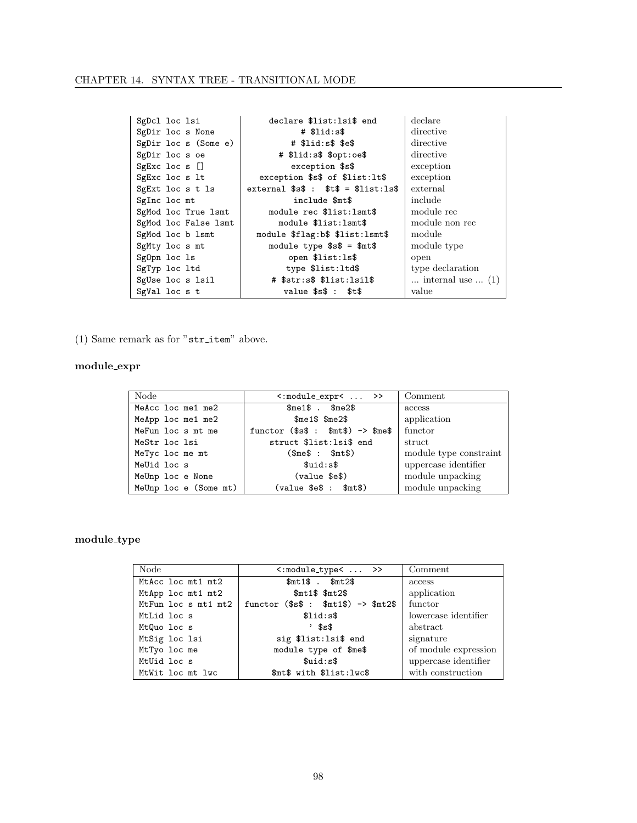| CHAPTER 14. SYNTAX TREE - TRANSITIONAL MODE |  |  |  |  |  |
|---------------------------------------------|--|--|--|--|--|
|---------------------------------------------|--|--|--|--|--|

| SgDcl loc 1si        | declare \$list:lsi\$ end         | declare                            |
|----------------------|----------------------------------|------------------------------------|
| SgDir loc s None     | # \$lid:s\$                      | directive                          |
| SgDir loc s (Some e) | $#$ $$lid:s$$ $$e$$              | directive                          |
| SgDir loc s oe       | # \$lid:s\$ \$opt:oe\$           | directive                          |
| $SgExc$ loc s $[]$   | exception \$s\$                  | exception                          |
| SgExc loc s lt       | exception \$s\$ of \$list:lt\$   | exception                          |
| SgExt loc s t ls     | external $$s$ : $t$ = $list:ls$$ | external                           |
| SgInc loc mt         | include \$mt\$                   | include                            |
| SgMod loc True 1smt  | module rec \$list: lsmt\$        | module rec                         |
| SgMod loc False lsmt | module \$list:1smt\$             | module non rec                     |
| SgMod loc b lsmt     | module \$flag:b\$ \$list:lsmt\$  | module                             |
| SgMty loc s mt       | module type $$s$ = $m$t$$        | module type                        |
| SgOpn loc 1s         | open \$list:1s\$                 | open                               |
| SgTyp loc ltd        | type \$list:ltd\$                | type declaration                   |
| SgUse loc s lsil     | # \$str:s\$ \$list:lsil\$        | $\ldots$ internal use $\ldots$ (1) |
| SgVal loc s t        | value $$s$ : $t$$                | value                              |

(1) Same remark as for " $\tt{str\_item}$  above.

### $\text{module\_expr}$

| Node                  | $\langle : \text{module\_expr} \langle \dots \rangle \rangle$ | Comment                |
|-----------------------|---------------------------------------------------------------|------------------------|
| MeAcc loc me1 me2     | $m = 1$ \$ . \$me2\$                                          | access                 |
| MeApp loc me1 me2     | $\mathfrak{S}$ me $1\$ $\mathfrak{S}$ me $2\$                 | application            |
| MeFun loc s mt me     | functor $($s$ : $mt$) \rightarrow $me$$                       | functor                |
| MeStr loc 1si         | struct \$list:lsi\$ end                                       | struct                 |
| MeTyc loc me mt       | (\$me\$: \$m\$t\$)                                            | module type constraint |
| MeUid loc s           | \$uid:s\$                                                     | uppercase identifier   |
| MeUnp loc e None      | (value \$e\$)                                                 | module unpacking       |
| MeUnp loc e (Some mt) | $(value \tse\t s \t : \t{smt}\t s)$                           | module unpacking       |

## $\text{module\_type}$

| Node                | $\langle$ :module_type $\langle \ldots \rangle$ | Comment              |
|---------------------|-------------------------------------------------|----------------------|
| MtAcc loc mt1 mt2   | $$mt1$$ . $$mt2$$                               | access               |
| MtApp loc mt1 mt2   | $$mt1$$ $$mt2$$                                 | application          |
| MtFun loc s mt1 mt2 | functor $($s$ : $mt1$) \rightarrow $mt2$$       | functor              |
| MtLid loc s         | \$list:                                         | lowercase identifier |
| MtQuo loc s         | $'$ \$s\$                                       | abstract             |
| MtSig loc 1si       | sig \$list: 1si\$ end                           | signature            |
| MtTyo loc me        | module type of \$me\$                           | of module expression |
| MtUid loc s         | \$uid:s\$                                       | uppercase identifier |
| MtWit loc mt lwc    | \$mt\$ with \$list:lwc\$                        | with construction    |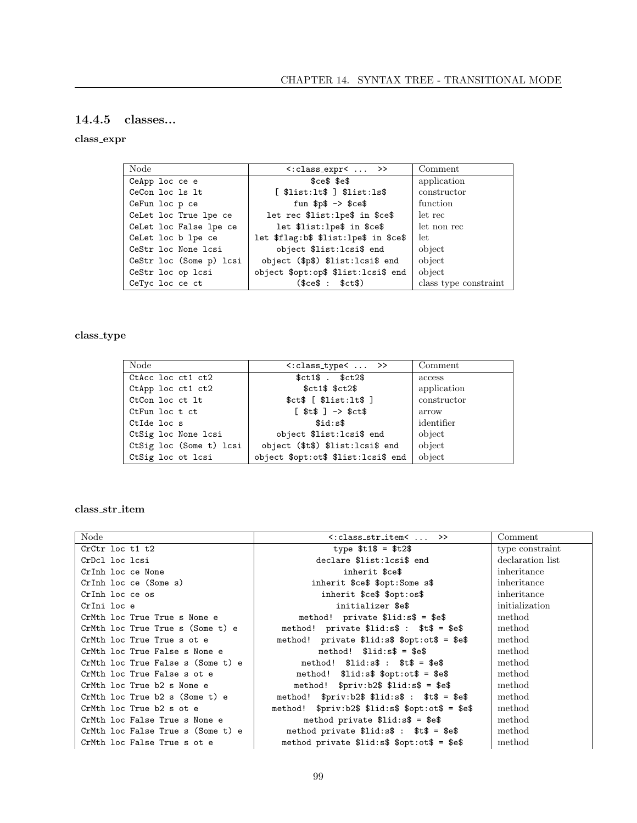### 14.4.5 classes...

#### $\operatorname{class\_expr}$

| Node                    | $\langle$ : class_expr $\langle \ldots \rangle$               | Comment               |
|-------------------------|---------------------------------------------------------------|-----------------------|
| CeApp loc ce e          | $sces$ $se$                                                   | application           |
| CeCon loc 1s 1t         | $[$ \$list:lt\$ $]$ \$list:ls\$                               | constructor           |
| CeFun loc p ce          | fun $p$ $\rightarrow$ $p$ $\rightarrow$ $p$ $\rightarrow$ $p$ | function              |
| CeLet loc True lpe ce   | let rec \$list:lpe\$ in \$ce\$                                | let rec               |
| CeLet loc False lpe ce  | let \$list:lpe\$ in \$ce\$                                    | let non rec           |
| CeLet loc b lpe ce      | let \$flag:b\$ \$list:lpe\$ in \$ce\$                         | let.                  |
| CeStr loc None lcsi     | object \$list:lcsi\$ end                                      | object                |
| CeStr loc (Some p) lcsi | object (\$p\$) \$list:lcsi\$ end                              | object                |
| CeStr loc op lcsi       | object \$opt:op\$ \$list:lcsi\$ end                           | object                |
| CeTyc loc ce ct         | (\$ce\$ : \$ct\$)                                             | class type constraint |

## $\operatorname{class\_type}$

| Node                    | $\langle$ : class_type $\langle \ldots \rangle$ | Comment     |
|-------------------------|-------------------------------------------------|-------------|
| CtAcc loc ct1 ct2       | $$ct1$$ . $$ct2$$                               | access      |
| CtApp loc ct1 ct2       | $$ct1$$ $$ct2$$                                 | application |
| CtCon loc ct lt         | $$ct$$ [ $$list:lt$$ ]                          | constructor |
| CtFun loc t ct          | $[ $t$ 3  ] -> $c t$$                           | arrow       |
| CtIde loc s             | \$id:s\$                                        | identifier  |
| CtSig loc None lcsi     | object \$list:lcsi\$ end                        | object      |
| CtSig loc (Some t) lcsi | object (\$t\$) \$list:lcsi\$ end                | object      |
| CtSig loc ot lcsi       | object \$opt:ot\$ \$list:lcsi\$ end             | object      |

#### $\operatorname{class\_str\_item}$

| Node                              | $\langle$ : class_str_item $\langle$ $\rangle$        | Comment          |
|-----------------------------------|-------------------------------------------------------|------------------|
| CrCtr loc t1 t2                   | type $$t1$ = $t2$$                                    | type constraint  |
| CrDcl loc lcsi                    | declare \$list: lcsi\$ end                            | declaration list |
| CrInh loc ce None                 | inherit \$ce\$                                        | inheritance      |
| CrInh loc ce (Some s)             | inherit \$ce\$ \$opt:Some s\$                         | inheritance      |
| CrInh loc ce os                   | inherit \$ce\$ \$opt:os\$                             | inheritance      |
| CrIni loc e                       | initializer \$e\$                                     | initialization   |
| CrMth loc True True s None e      | method! private $\$lid:s$ = $e$$                      | method           |
| CrMth loc True True s (Some t) e  | method! private $\$lid:s$ : $t$ = $e$$                | method           |
| CrMth loc True True s ot e        | method! private $\$lid: s$ \$ $\$opt:ot$ \$ = $\$ e\$ | method           |
| CrMth loc True False s None e     | $method!$ $$lid:s$$ = $$e$$                           | method           |
| CrMth loc True False s (Some t) e | method! $\$lid:s\$ : $\$t\$ = $\$e\$                  | method           |
| CrMth loc True False s ot e       | method! $$list: s$ \$ text{opt:ot\$ = \$e\$}          | method           |
| CrMth loc True b2 s None e        | method! $$priv: b2$$ $$lid: s$$ = $$e$$               | method           |
| CrMth loc True $b2 s$ (Some t) e  | method! $$priv: b2$$ $$lid: s$ : $ts = $e$$           | method           |
| CrMth loc True b2 s ot e          | method! $$priv: b2$$ $ીid: s$$ $$opt:ot$ = $e$$       | method           |
| CrMth loc False True s None e     | method private $\$lid:s$ = $e$$                       | method           |
| CrMth loc False True s (Some t) e | method private $\$lid:s$ :$ $$t$ = $e$$               | method           |
| CrMth loc False True s ot e       | method private $i$ id:s $\$ \$opt:ot $\$ = \$e\$      | method           |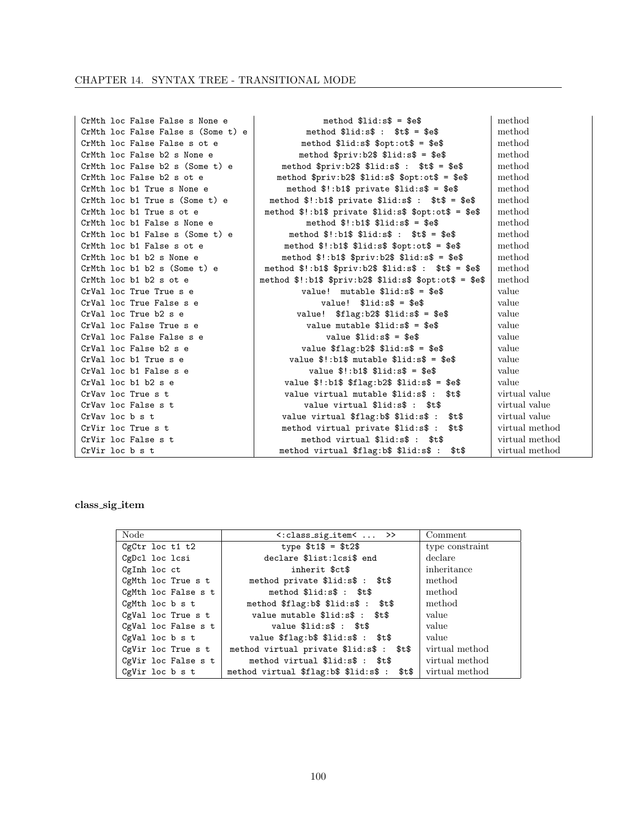| CrMth loc False False s None e     | method $\$lid:s$ = $e$$                                                                                                                                                                                                                                                                                               | method         |
|------------------------------------|-----------------------------------------------------------------------------------------------------------------------------------------------------------------------------------------------------------------------------------------------------------------------------------------------------------------------|----------------|
| CrMth loc False False s (Some t) e | method $\$lid:s$$ : $\$t$ = \$e$$                                                                                                                                                                                                                                                                                     | method         |
| CrMth loc False False s ot e       | method $\text{\$lid:s$ \$ $\text{\$opt:ot$ = \$e$}$                                                                                                                                                                                                                                                                   | method         |
| CrMth loc False b2 s None e        | method $\frac{m}{2}$ : b2 $\frac{m}{2}$ $\frac{m}{2}$ : s\$ = $\frac{m}{2}$                                                                                                                                                                                                                                           | method         |
| CrMth loc False b2 s (Some t) e    | method $\frac{m}{2}$ $\frac{m}{2}$ $\frac{m}{2}$ $\frac{m}{2}$ $\frac{m}{2}$ $\frac{m}{2}$ $\frac{m}{2}$ $\frac{m}{2}$ $\frac{m}{2}$ $\frac{m}{2}$ $\frac{m}{2}$ $\frac{m}{2}$ $\frac{m}{2}$ $\frac{m}{2}$ $\frac{m}{2}$ $\frac{m}{2}$ $\frac{m}{2}$ $\frac{m}{2}$ $\frac{m}{2}$ $\frac{m}{2}$ $\frac{m}{2}$ $\frac{$ | method         |
| CrMth loc False b2 s ot e          | method $priv:b2$ \$ \$lid:s\$ \$opt:ot\$ = \$e\$                                                                                                                                                                                                                                                                      | method         |
| CrMth loc b1 True s None e         | method $\frac{1}{2}$ : b1\$ private $\frac{1}{3}$ id: s\$ = \$e\$                                                                                                                                                                                                                                                     | method         |
| CrMth loc b1 True s (Some t) e     | method $\frac{1}{2}$ : b1\$ private $\frac{1}{3}$ id: s\$ : $\frac{1}{3}$ t\$ = \$e\$                                                                                                                                                                                                                                 | method         |
| CrMth loc b1 True s ot e           | method $\text{\$!::b1\$ } private $\text{\$}list:ss\$ $\text{\$}opt:ot\$ = $\text{\$e\$}$                                                                                                                                                                                                                             | method         |
| CrMth loc b1 False s None e        | $method$ $*! : b1$ $*$ $*li1 : d:s$ $* =$ $e$                                                                                                                                                                                                                                                                         | method         |
| CrMth loc b1 False s (Some t) e    | method $\frac{1}{2}$ : b1\$ $\frac{1}{3}$ lid: s\$ : $\frac{1}{3}$ t\$ = $\frac{1}{3}$ e\$                                                                                                                                                                                                                            | method         |
| CrMth loc b1 False s ot e          | method $\frac{1}{2}$ : b1\$ $\frac{1}{3}$ id: s\$ $\frac{1}{3}$ opt: ot\$ = $\frac{1}{3}$ e\$                                                                                                                                                                                                                         | method         |
| CrMth loc b1 b2 s None e           | method $\frac{1}{2}$ : b1\$ $\frac{1}{2}$ $\frac{1}{2}$ $\frac{1}{3}$ $\frac{1}{3}$ $\frac{1}{3}$ $\frac{1}{3}$ $\frac{1}{2}$ $\frac{1}{2}$ $\frac{1}{2}$ $\frac{1}{2}$ $\frac{1}{2}$ $\frac{1}{2}$ $\frac{1}{2}$ $\frac{1}{2}$ $\frac{1}{2}$ $\frac{1}{2}$ $\frac{1}{2}$ $\frac{1}{2}$ $\frac{1}{2}$ $\frac{1}{2}$   | method         |
| CrMth loc $b1$ $b2$ s (Some t) e   | method $\frac{1}{2}$ : b1\$ $\frac{1}{2}$ $\frac{1}{2}$ $\frac{1}{2}$ $\frac{1}{2}$ $\frac{1}{2}$ $\frac{1}{2}$ $\frac{1}{2}$ $\frac{1}{2}$ $\frac{1}{2}$ $\frac{1}{2}$ $\frac{1}{2}$ $\frac{1}{2}$ $\frac{1}{2}$ $\frac{1}{2}$ $\frac{1}{2}$ $\frac{1}{2}$ $\frac{1}{2}$ $\frac{1}{2}$ $\frac{1}{2}$ $\frac{1}{2}$   | method         |
| CrMth loc b1 b2 s ot e             | method $\$ !\!:b1\$ \$priv:b2\$ \$lid:s\$ \$opt:ot\$ = \$e\$                                                                                                                                                                                                                                                          | method         |
| CrVal loc True True s e            | value! mutable $\$lid:s$ = §e$$                                                                                                                                                                                                                                                                                       | value          |
| CrVal loc True False s e           | value! $$list: s$ = $e$$                                                                                                                                                                                                                                                                                              | value          |
| CrVal loc True b2 s e              | value! $$flag:b2$$ $$lid:s$ = $e$$                                                                                                                                                                                                                                                                                    | value          |
| CrVal loc False True s e           | value mutable $\$lid:s$ = $e$$                                                                                                                                                                                                                                                                                        | value          |
| CrVal loc False False s e          | value $\$lid:s$ = $e$$                                                                                                                                                                                                                                                                                                | value          |
| CrVal loc False b2 s e             | value $flag:b2\$ $flid:s\$ = $\$ e\                                                                                                                                                                                                                                                                                   | value          |
| CrVal loc b1 True s e              | value $\text{\$!}:b1\text{\$}$ mutable $\text{\$}list:sb = \text{\$}es$                                                                                                                                                                                                                                               | value          |
| CrVal loc b1 False s e             | value $\frac{1}{2}$ : b1\$ $\frac{1}{3}$ id: s\$ = \$e\$                                                                                                                                                                                                                                                              | value          |
| $CrVal$ loc b1 b2 s e              | value $\text{$}!:\text{b1}\$ $\text{$}!:\text{b2}\$ $\text{$}!:\text{b2}\$ $\text{$}!:\text{d1}\text{3}\$ = $\text{$}*\text{6}\text{$}$                                                                                                                                                                               | value          |
| CrVay loc True s t                 | value virtual mutable \$lid:s\$ :<br>\$t\$                                                                                                                                                                                                                                                                            | virtual value  |
| CrVav loc False s t                | value virtual \$lid:s\$ : \$t\$                                                                                                                                                                                                                                                                                       | virtual value  |
| CrVay loc b s t                    | value virtual \$flag:b\$ \$lid:s\$ :<br>\$t\$                                                                                                                                                                                                                                                                         | virtual value  |
| CrVir loc True s t                 | method virtual private \$lid:s\$ :<br>\$t\$                                                                                                                                                                                                                                                                           | virtual method |
| CrVir loc False s t                | method virtual \$lid:s\$ : \$t\$                                                                                                                                                                                                                                                                                      | virtual method |
| CrVir loc b s t                    | \$t\$<br>method virtual \$flag:b\$ \$lid:s\$ :                                                                                                                                                                                                                                                                        | virtual method |

 $\operatorname{class\_sig\_item}$ 

| Node                | <: class_sig_item<  >>                      | Comment         |
|---------------------|---------------------------------------------|-----------------|
| CgCtr loc t1 t2     | type $$t1$ = $t2$$                          | type constraint |
| CgDcl loc lcsi      | declare \$list:lcsi\$ end                   | declare         |
| CgInh loc ct        | inherit \$ct\$                              | inheritance     |
| CgMth loc True s t  | method private \$lid:s\$ : \$t\$            | method          |
| CgMth loc False s t | method \$lid:s\$ : \$t\$                    | method          |
| CgMth loc b s t     | method \$flag:b\$ \$lid:s\$ : \$t\$         | method          |
| CgVal loc True s t  | value mutable \$lid:s\$ : \$t\$             | value           |
| CgVal loc False s t | value \$lid:s\$ : \$t\$                     | value           |
| CgVal loc b s t     | value \$flag:b\$ \$lid:s\$ : \$t\$          | value           |
| CgVir loc True s t  | method virtual private \$lid:s\$ : \$t\$    | virtual method  |
| CgVir loc False s t | method virtual \$lid:s\$ : \$t\$            | virtual method  |
| CgVir loc b s t     | method virtual \$flag:b\$ \$lid:s\$ : \$t\$ | virtual method  |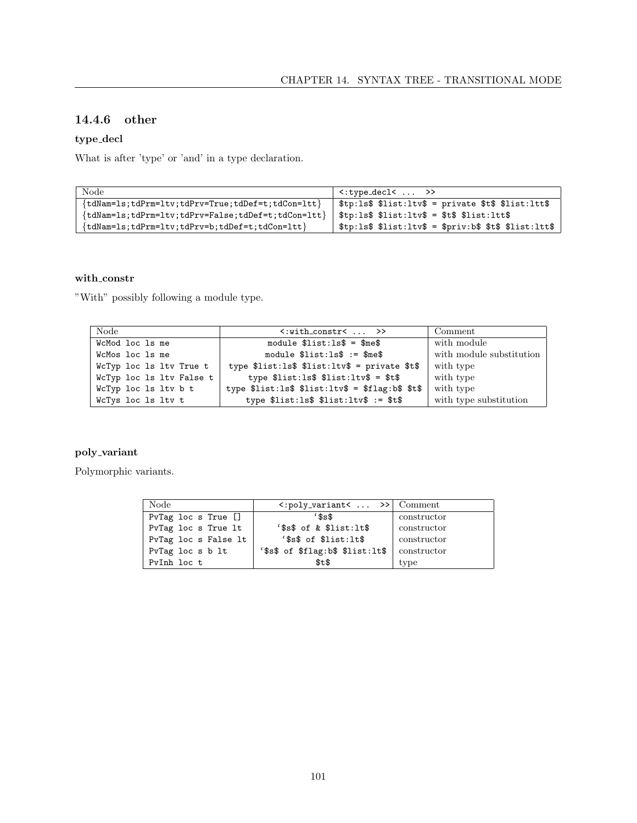### 14.4.6 other

## $type\_decl$

What is after 'type' or 'and' in a type declaration.

| Node                                                   | $\langle :type\_dec1\langle  \rangle \rangle$            |
|--------------------------------------------------------|----------------------------------------------------------|
| $\{tdNam=ls;tdPrm=ltv;tdPrv=True;tdDef=t;tdCon=ltt\}$  | $$tp:ls$ \$                                              |
| $\{tdNam=ls;tdPrm=ltv;tdPrv=False;tdDef=t;tdCon=1tt\}$ | $$tp:ls$ \$                                              |
| $\{tdNam=ls;tdPrm=ltv;tdPrv=b;tdDef=t;tdCon=ltt\}$     | $$tp:ls$ \$ \$list:ltv\$ = \$priv:b\$ \$t\$ \$list:ltt\$ |

#### $\textbf{with}\_\textbf{constr}$

"With" possibly following a module type.

| <b>Node</b>              | $\langle$ :with_constr $\langle$ >>             | Comment                  |
|--------------------------|-------------------------------------------------|--------------------------|
| WcMod loc 1s me          | module $\text{first:ls\$ = $\text{8me\$         | with module              |
| WcMos loc 1s me          | module $\$list:ls$ := $\$me$                    | with module substitution |
| WcTyp loc 1s ltv True t  | type $flist:ls$ \$ \$list:ltv\$ = private \$t\$ | with type                |
| WcTyp loc 1s ltv False t | type $\$list:ls$ $\$list:ltv$ $\$ =$ $*t$       | with type                |
| WcTyp loc 1s ltv b t     | type $flist:ls$ filist:ltv$ = fllag:b$ st$$     | with type                |
| WcTys loc ls ltv t       | type $\$list:ls$ $\$list:ltv$ $*$ := $*$ t $*$  | with type substitution   |

#### $\operatorname{poly\_variant}$

Polymorphic variants.

| Node                      | $\langle :poly\_variant\langle \ldots \rangle \rangle$ Comment |             |
|---------------------------|----------------------------------------------------------------|-------------|
| $PvTag$ loc s $True$ $[]$ | \$s                                                            | constructor |
| PvTag loc s True lt       | $'ss\$ of & $slist:lt\$                                        | constructor |
| PvTag loc s False lt      | '\$s\$ of \$list:1t\$                                          | constructor |
| PvTag loc s b lt          | '\$s\$ of \$flag:b\$ \$list:lt\$                               | constructor |
| PyInh loc t               | \$t\$                                                          | type        |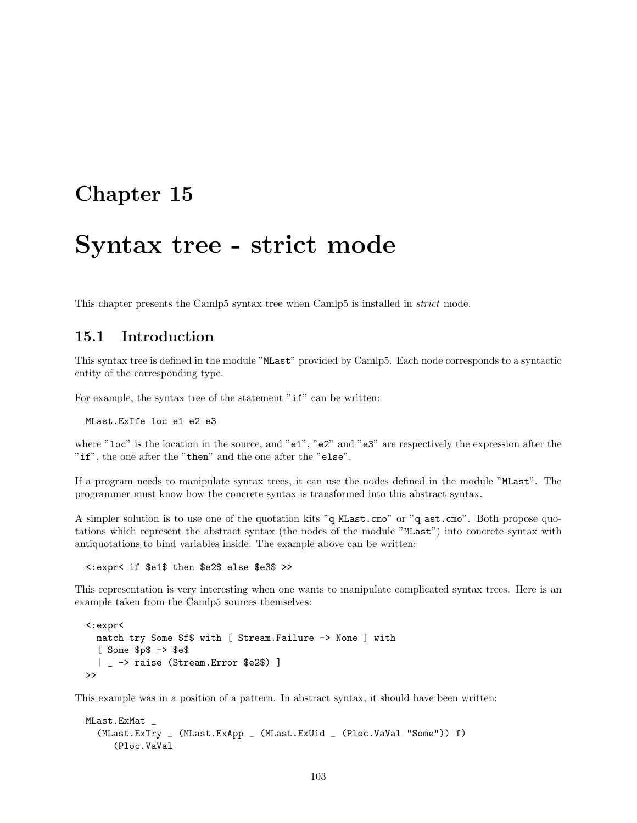## Chapter 15

## Syntax tree - strict mode

This chapter presents the Camlp5 syntax tree when Camlp5 is installed in strict mode.

## 15.1 Introduction

This syntax tree is defined in the module "MLast" provided by Camlp5. Each node corresponds to a syntactic entity of the corresponding type.

For example, the syntax tree of the statement " $if$ " can be written:

MLast.ExIfe loc e1 e2 e3

where "loc" is the location in the source, and "e1", "e2" and "e3" are respectively the expression after the "if", the one after the "then" and the one after the "else".

If a program needs to manipulate syntax trees, it can use the nodes defined in the module "MLast". The programmer must know how the concrete syntax is transformed into this abstract syntax.

A simpler solution is to use one of the quotation kits "q MLast.cmo" or "q ast.cmo". Both propose quotations which represent the abstract syntax (the nodes of the module "MLast") into concrete syntax with antiquotations to bind variables inside. The example above can be written:

<:expr< if \$e1\$ then \$e2\$ else \$e3\$ >>

This representation is very interesting when one wants to manipulate complicated syntax trees. Here is an example taken from the Camlp5 sources themselves:

```
<:expr<
  match try Some $f$ with [ Stream.Failure -> None ] with
  [ Some $p$ -> $e$
  | _ -> raise (Stream.Error $e2$) ]
\rightarrow
```
This example was in a position of a pattern. In abstract syntax, it should have been written:

```
MLast.ExMat _
  (MLast.ExTry _ (MLast.ExApp _ (MLast.ExUid _ (Ploc.VaVal "Some")) f)
     (Ploc.VaVal
```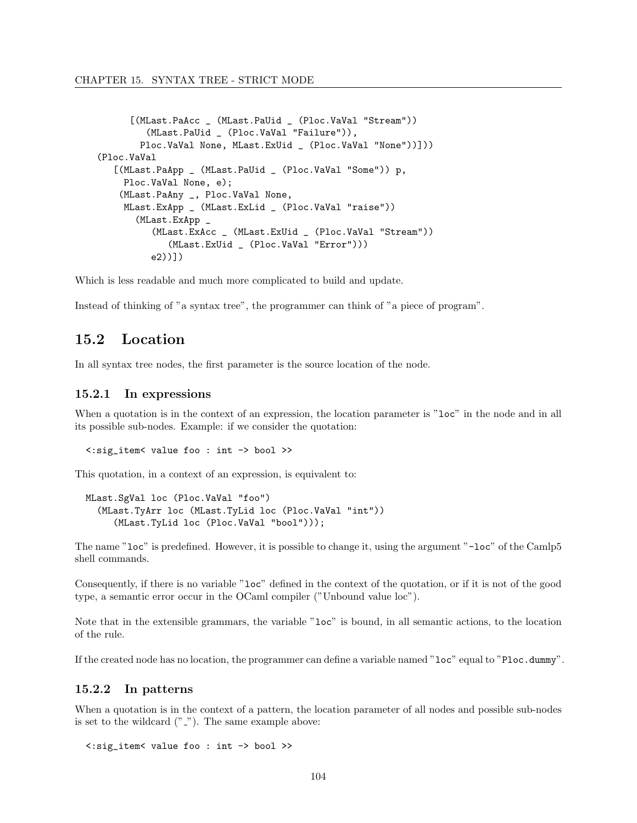```
[(MLast.PaAcc _ (MLast.PaUid _ (Ploc.VaVal "Stream"))
         (MLast.PaUid _ (Ploc.VaVal "Failure")),
       Ploc.VaVal None, MLast.ExUid _ (Ploc.VaVal "None"))]))
(Ploc.VaVal
   [(MLast.PaApp _ (MLast.PaUid _ (Ploc.VaVal "Some")) p,
    Ploc.VaVal None, e);
   (MLast.PaAny _, Ploc.VaVal None,
    MLast.ExApp _ (MLast.ExLid _ (Ploc.VaVal "raise"))
       (MLast.ExApp _
          (MLast.ExAcc _ (MLast.ExUid _ (Ploc.VaVal "Stream"))
             (MLast.ExUid _ (Ploc.VaVal "Error")))
          e2))])
```
Which is less readable and much more complicated to build and update.

Instead of thinking of "a syntax tree", the programmer can think of "a piece of program".

## 15.2 Location

In all syntax tree nodes, the first parameter is the source location of the node.

#### 15.2.1 In expressions

When a quotation is in the context of an expression, the location parameter is "loc" in the node and in all its possible sub-nodes. Example: if we consider the quotation:

<:sig\_item< value foo : int -> bool >>

This quotation, in a context of an expression, is equivalent to:

```
MLast.SgVal loc (Ploc.VaVal "foo")
  (MLast.TyArr loc (MLast.TyLid loc (Ploc.VaVal "int"))
     (MLast.TyLid loc (Ploc.VaVal "bool")));
```
The name "loc" is predefined. However, it is possible to change it, using the argument "-loc" of the Camlp5 shell commands.

Consequently, if there is no variable "loc" defined in the context of the quotation, or if it is not of the good type, a semantic error occur in the OCaml compiler ("Unbound value loc").

Note that in the extensible grammars, the variable "loc" is bound, in all semantic actions, to the location of the rule.

If the created node has no location, the programmer can define a variable named "loc" equal to "Ploc.dummy".

#### 15.2.2 In patterns

When a quotation is in the context of a pattern, the location parameter of all nodes and possible sub-nodes is set to the wildcard  $("_")$ . The same example above:

<:sig\_item< value foo : int -> bool >>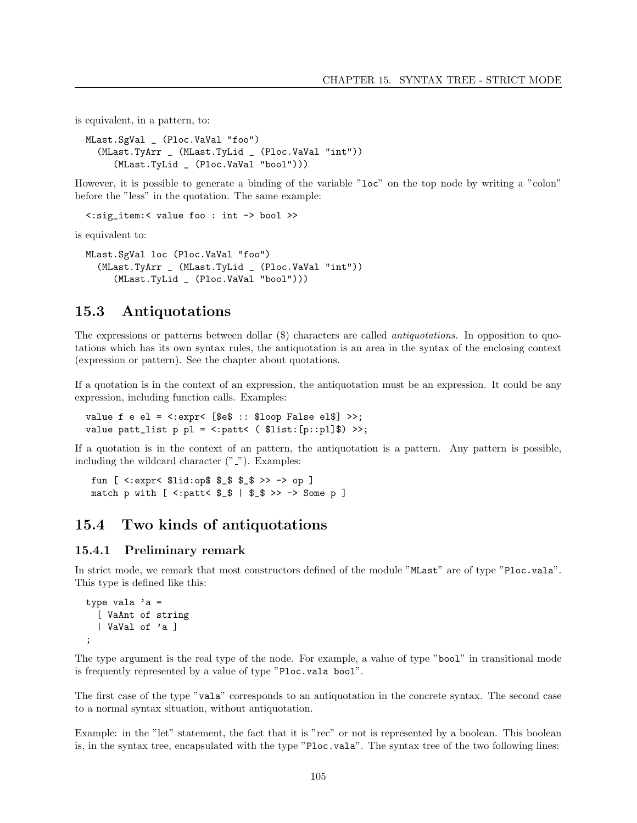is equivalent, in a pattern, to:

```
MLast.SgVal _ (Ploc.VaVal "foo")
  (MLast.TyArr _ (MLast.TyLid _ (Ploc.VaVal "int"))
     (MLast.TyLid _ (Ploc.VaVal "bool")))
```
However, it is possible to generate a binding of the variable "loc" on the top node by writing a "colon" before the "less" in the quotation. The same example:

<:sig\_item:< value foo : int -> bool >>

is equivalent to:

```
MLast.SgVal loc (Ploc.VaVal "foo")
  (MLast.TyArr _ (MLast.TyLid _ (Ploc.VaVal "int"))
     (MLast.TyLid _ (Ploc.VaVal "bool")))
```
### 15.3 Antiquotations

The expressions or patterns between dollar (\$) characters are called antiquotations. In opposition to quotations which has its own syntax rules, the antiquotation is an area in the syntax of the enclosing context (expression or pattern). See the chapter about quotations.

If a quotation is in the context of an expression, the antiquotation must be an expression. It could be any expression, including function calls. Examples:

value f e el =  $\langle : \text{expr} \langle \cdot | \text{Set} : : \text{floor False ell} \rangle \rangle$ ; value patt\_list  $p$   $p1 = \langle :$ patt $\langle$  (\$list:[p::pl]\$) >>;

If a quotation is in the context of an pattern, the antiquotation is a pattern. Any pattern is possible, including the wildcard character  $(" \_")$ . Examples:

fun [ <:expr< \$lid:op\$ \$\_\$ \$\_\$ >> -> op ] match p with  $[$  <:patt<  $\$_$   $\$$   $]$   $\$_$   $\$$   $>$   $\rightarrow$  Some p  $]$ 

### 15.4 Two kinds of antiquotations

#### 15.4.1 Preliminary remark

In strict mode, we remark that most constructors defined of the module "MLast" are of type "Ploc.vala". This type is defined like this:

```
type vala a =[ VaAnt of string
  | VaVal of 'a ]
;
```
The type argument is the real type of the node. For example, a value of type "bool" in transitional mode is frequently represented by a value of type "Ploc.vala bool".

The first case of the type "vala" corresponds to an antiquotation in the concrete syntax. The second case to a normal syntax situation, without antiquotation.

Example: in the "let" statement, the fact that it is "rec" or not is represented by a boolean. This boolean is, in the syntax tree, encapsulated with the type "Ploc.vala". The syntax tree of the two following lines: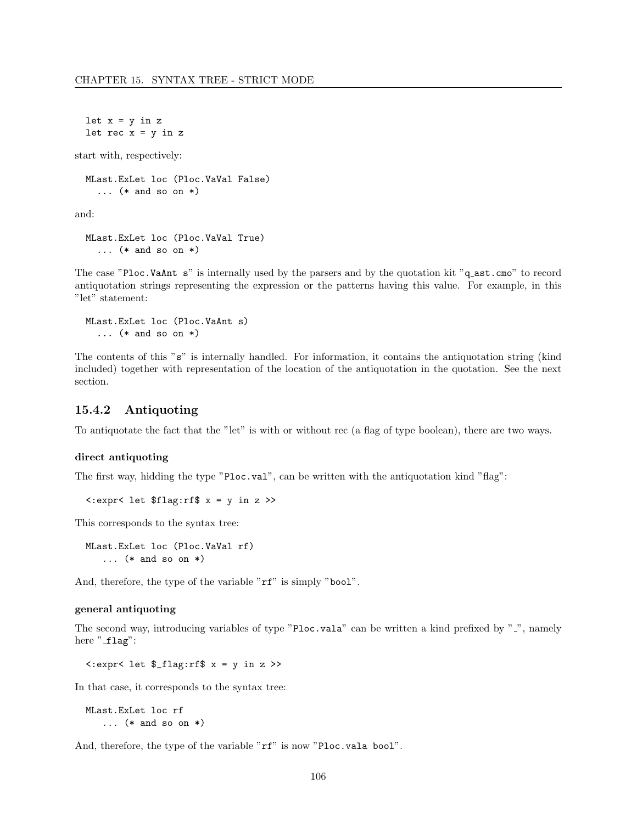let  $x = y$  in  $z$ let rec  $x = y$  in  $z$ 

start with, respectively:

```
MLast.ExLet loc (Ploc.VaVal False)
  ... (* and so on *)
```
and:

```
MLast.ExLet loc (Ploc.VaVal True)
  \ldots (* and so on *)
```
The case "Ploc.VaAnt s" is internally used by the parsers and by the quotation kit "q\_ast.cmo" to record antiquotation strings representing the expression or the patterns having this value. For example, in this "let" statement:

```
MLast.ExLet loc (Ploc.VaAnt s)
  ... (* and so on *)
```
The contents of this "s" is internally handled. For information, it contains the antiquotation string (kind included) together with representation of the location of the antiquotation in the quotation. See the next section.

#### 15.4.2 Antiquoting

To antiquotate the fact that the "let" is with or without rec (a flag of type boolean), there are two ways.

#### direct antiquoting

The first way, hidding the type "Ploc.val", can be written with the antiquotation kind "flag":

```
<:expr< let $flag:rf$ x = y in z >>
```
This corresponds to the syntax tree:

MLast.ExLet loc (Ploc.VaVal rf) ... (\* and so on \*)

And, therefore, the type of the variable " $rf$ " is simply "bool".

#### general antiquoting

The second way, introducing variables of type "Ploc.vala" can be written a kind prefixed by " $\cdot$ ", namely here "flag":

<:expr< let \$\_flag:rf\$ x = y in z >>

In that case, it corresponds to the syntax tree:

```
MLast.ExLet loc rf
   ... (* and so on *)
```
And, therefore, the type of the variable "rf" is now "Ploc.vala bool".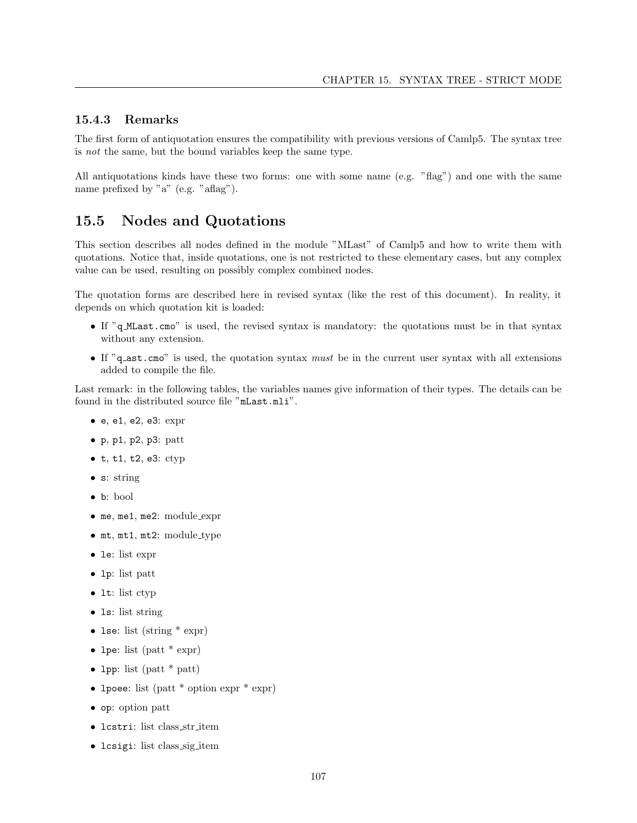# 15.4.3 Remarks

The first form of antiquotation ensures the compatibility with previous versions of Camlp5. The syntax tree is not the same, but the bound variables keep the same type.

All antiquotations kinds have these two forms: one with some name (e.g. "flag") and one with the same name prefixed by "a" (e.g. "aflag").

# 15.5 Nodes and Quotations

This section describes all nodes defined in the module "MLast" of Camlp5 and how to write them with quotations. Notice that, inside quotations, one is not restricted to these elementary cases, but any complex value can be used, resulting on possibly complex combined nodes.

The quotation forms are described here in revised syntax (like the rest of this document). In reality, it depends on which quotation kit is loaded:

- If "q\_MLast.cmo" is used, the revised syntax is mandatory: the quotations must be in that syntax without any extension.
- If "q\_ast.cmo" is used, the quotation syntax must be in the current user syntax with all extensions added to compile the file.

Last remark: in the following tables, the variables names give information of their types. The details can be found in the distributed source file "mLast.mli".

- e, e1, e2, e3: expr
- $\bullet$  p, p1, p2, p3: patt
- $\bullet$  t, t1, t2, e3: ctyp
- s: string
- b: bool
- me, me1, me2: module\_expr
- mt, mt1, mt2: module type
- le: list expr
- lp: list patt
- 1t: list ctyp
- 1s: list string
- lse: list (string \* expr)
- lpe: list (patt  $*$  expr)
- lpp: list (patt \* patt)
- lpoee: list (patt \* option expr \* expr)
- op: option patt
- lcstri: list class str item
- lcsigi: list class sig item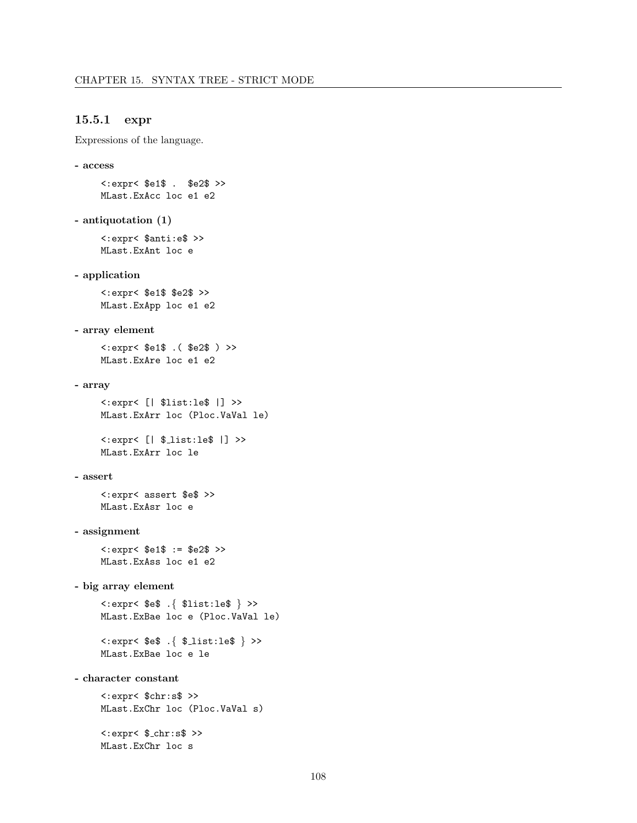# 15.5.1 expr

Expressions of the language.

```
- access
```
<:expr< \$e1\$ . \$e2\$ >> MLast.ExAcc loc e1 e2

```
- antiquotation (1)
```
<:expr< \$anti:e\$ >> MLast.ExAnt loc e

# - application

<:expr< \$e1\$ \$e2\$ >> MLast.ExApp loc e1 e2

### - array element

<:expr< \$e1\$ .( \$e2\$ ) >> MLast.ExAre loc e1 e2

### - array

```
<:expr< [| $list:le$ |] >>
MLast.ExArr loc (Ploc.VaVal le)
```
<:expr< [| \$\_list:le\$ |] >> MLast.ExArr loc le

### - assert

<:expr< assert \$e\$ >> MLast.ExAsr loc e

# - assignment

<:expr< \$e1\$ := \$e2\$ >> MLast.ExAss loc e1 e2

# - big array element

<:expr< \$e\$ .{ \$list:le\$ } >> MLast.ExBae loc e (Ploc.VaVal le)

<:expr< \$e\$ .{ \$ list:le\$ } >> MLast.ExBae loc e le

# - character constant

<:expr< \$chr:s\$ >> MLast.ExChr loc (Ploc.VaVal s)  $\langle : \text{expr} \langle \, \, \text{\$\_chr} : \text{s$} \, \, \rangle$ 

MLast.ExChr loc s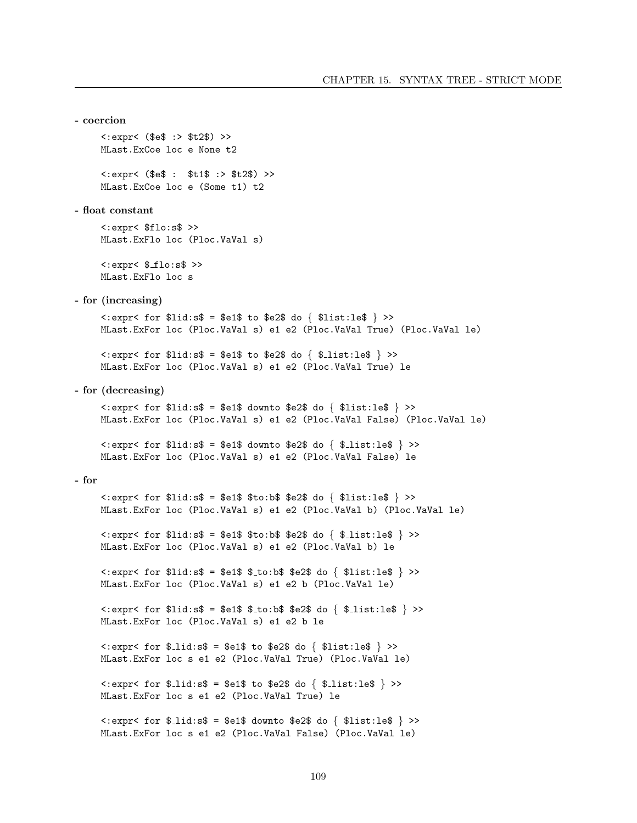```
- coercion
      \text{<<}:\text{expr}< ($e$ :> $t2$) >>
      MLast. ExCoe loc e None t2
      \text{<<}:\text{expr}< ($e$ : $t1$ :> $t2$) >>
      MLast. ExCoe loc e (Some t1) t2
- float constant
      \text{<:} \text{expr} \text{$} \text{flo}: \text{ss} \text{$} \text{~} \text{>}MLast. ExFlo loc (Ploc. VaVal s)
      \texttt{<:expr}< $_flo:s$ >>
      MLast. ExFlo loc s
- for (increasing)
      \langle .expr \langle for $llid:s$ = $e1$ to $e2$ do { $llist:le$ } > \rangleMLast. ExFor loc (Ploc. VaVal s) e1 e2 (Ploc. VaVal True) (Ploc. VaVal le)
      \langle \text{expr} \rangle for $lid:s$ = $e1$ to $e2$ do { $_list:le$ } >>
      MLast. ExFor loc (Ploc. VaVal s) e1 e2 (Ploc. VaVal True) le
- for (decreasing)
      \langle \text{expr} \rangle for $lid:s$ = $e1$ downto $e2$ do { $list:le$ } >>
      MLast. ExFor loc (Ploc. VaVal s) e1 e2 (Ploc. VaVal False) (Ploc. VaVal le)
      \langle \text{expr} \times \text{for } \text{fil}: \text{ss} \rangle = \text{Set} \ downto \text{se2} \ do \{ \text{1st}: \text{le} \} \rangleMLast. ExFor loc (Ploc. VaVal s) e1 e2 (Ploc. VaVal False) le
- for
      \langle \text{expr} \rangle for $lid:s$ = $e1$ $to:b$ $e2$ do { $list:le$ } >>
      MLast. ExFor loc (Ploc. VaVal s) e1 e2 (Ploc. VaVal b) (Ploc. VaVal le)
      \langle \text{expr} \rangle for $lid:s$ = $e1$ $to:b$ $e2$ do { $_list:le$ } >>
      MLast. ExFor loc (Ploc. VaVal s) e1 e2 (Ploc. VaVal b) le
      \langle \text{expr} \rangle for $lid:s$ = $e1$ $_to:b$ $e2$ do { $list:le$ } >>
      MLast. ExFor loc (Ploc. VaVal s) e1 e2 b (Ploc. VaVal le)
      \langle \text{expr} \rangle for $lid:s$ = $e1$ $_to:b$ $e2$ do { $_list:le$ } >>
      MLast. ExFor loc (Ploc. VaVal s) e1 e2 b le
      \langle \text{expr} \rangle for $_lid:s$ = $e1$ to $e2$ do { $list:le$ } >>
      MLast. ExFor loc s e1 e2 (Ploc. VaVal True) (Ploc. VaVal le)
      \langle .expr \langle for \; \text{\textsterling} \cdot \text{list} : s \text{\textsterling} = \text{\textsterling} 1 \text{\textsterling} 1 \text{\textsterling} 1 \text{\textsterling} \rangle \rangleMLast. ExFor loc s e1 e2 (Ploc. VaVal True) le
      \langle \text{expr} \rangle for $_lid:s$ = $e1$ downto $e2$ do { $list:le$ } >>
      MLast. ExFor loc s e1 e2 (Ploc. VaVal False) (Ploc. VaVal le)
```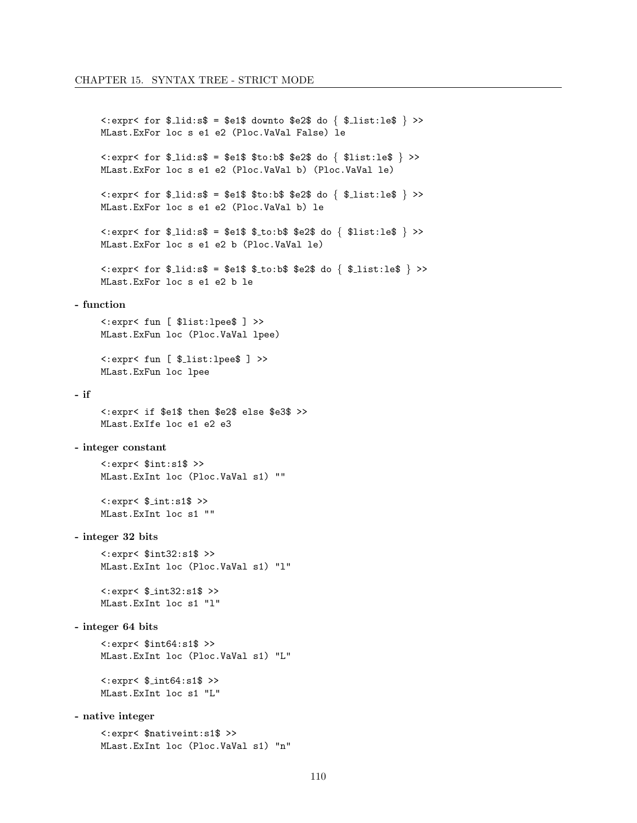```
\langle \text{expr} \rangle for $_lid:s$ = $e1$ downto $e2$ do { $_list:le$ } >>
       MLast. ExFor loc s e1 e2 (Ploc. VaVal False) le
       \langle \text{expr} \rangle for $_lid:s$ = $e1$ $to:b$ $e2$ do { $list:le$ } >>
       MLast. ExFor loc s e1 e2 (Ploc. VaVal b) (Ploc. VaVal le)
       \langle \text{expr} \rangle for \text{\$}_1 \text{id}: \text{s}\text{\$} = \text{\$} \text{ed} \text{\$} \text{st} \text{o}: \text{b}\text{\$} \text{se2}\text{\$} \text{do} \{ \text{\$}_1 \text{ist}: \text{le}\text{\$} \} \rangleMLast. ExFor loc s e1 e2 (Ploc. VaVal b) le
       \langle \text{expr} \rangle for \text{\$}lid:s\text{\$} = \text{\$}e1\text{\$} \text{\$} to:b\text{\$} \text{\$}e2\text{\$} do \{ \text{\$}list:le\text{\$} \rangle >>
       MLast. ExFor loc s e1 e2 b (Ploc. VaVal le)
       \text{<:} \text{expr} \text{5} for \text{\$}lid:s\text{\$} = \text{\$} \text{e1}\text{\$} \text{ $} \text{\$}to:b\text{\$} \text{ se2}\text{\$} do \{ \text{\$}list:le\text{\$} \} >>
       MLast. ExFor loc s e1 e2 b le
- function
       <:expr< fun [ $list:lpee$ ] >>
       MLast. ExFun loc (Ploc. VaVal lpee)
       <:expr< fun [ $_list:lpee$ ] >>
       MLast. ExFun loc lpee
- if
       <:expr< if $e1$ then $e2$ else $e3$ >>
       MLast. ExIfe loc e1 e2 e3
- integer constant
       \texttt{<:expr}< $int:s1$ >>
       MLast. ExInt loc (Ploc. VaVal s1) ""
       \texttt{<:expr}< $_int:s1$ >>
       MLast. ExInt loc s1 ""
- integer 32 bits
       \text{<:} \text{expr} \text{<} \text{§} \text{int} 32 \text{:} \text{s} 1\$ \text{>}MLast. ExInt loc (Ploc. VaVal s1) "1"
       \texttt{<:expr}< $_int32:s1$ >>
       MLast. ExInt loc s1 "l"
- integer 64 bits
       \texttt{<:expr}< $int64:s1$ >>
       MLast. ExInt loc (Ploc. VaVal s1) "L"
       \texttt{<:expr}< $_int64:s1$ >>
       MLast. ExInt loc s1 "L"
- native integer
       <:expr< $nativeint:s1$ >>
       MLast. ExInt loc (Ploc. VaVal s1) "n"
```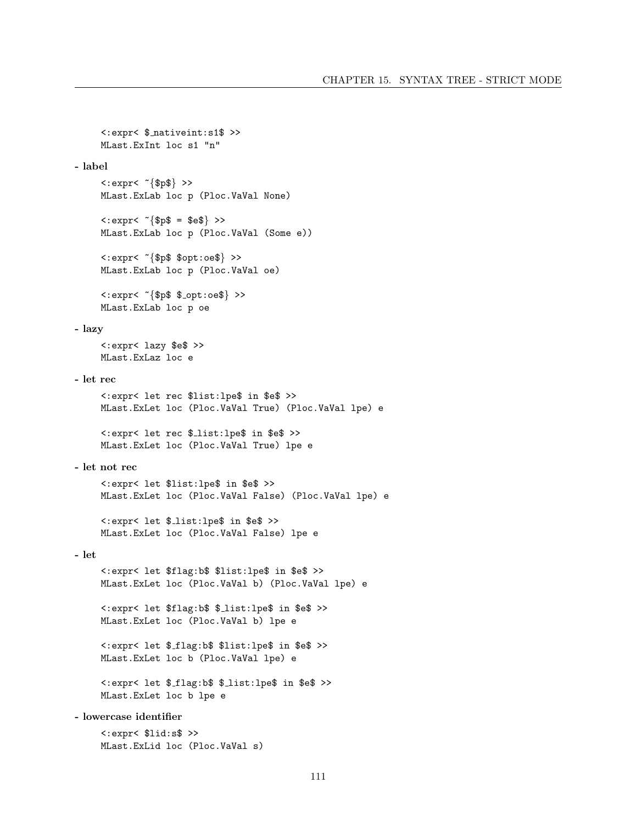```
<:expr< $ nativeint:s1$ >>
     MLast.ExInt loc s1 "n"
- label
     \langle : \text{expr} \langle \, \, \tilde{\text{sp}} \, \, \} \rangle >>
     MLast.ExLab loc p (Ploc.VaVal None)
     \langle : \text{expr} \langle \, \, \tilde{\mathcal{F}} \, | \, \, \text{spf} \, \, = \, \, \text{seq} \, \} \, \, > \,MLast.ExLab loc p (Ploc.VaVal (Some e))
     <:expr< ~{$p$ $opt:oe$} >>
     MLast.ExLab loc p (Ploc.VaVal oe)
     \langle : \text{expr} \langle \, \, \tilde{\,} \, \, \} \, \, \text{sqrt} \, \, \, \, \, \rangleMLast.ExLab loc p oe
- lazy
     <:expr< lazy $e$ >>
     MLast.ExLaz loc e
- let rec
     <:expr< let rec $list:lpe$ in $e$ >>
     MLast.ExLet loc (Ploc.VaVal True) (Ploc.VaVal lpe) e
     <:expr< let rec $ list:lpe$ in $e$ >>
     MLast.ExLet loc (Ploc.VaVal True) lpe e
- let not rec
     <:expr< let $list:lpe$ in $e$ >>
     MLast.ExLet loc (Ploc.VaVal False) (Ploc.VaVal lpe) e
     <:expr< let $ list:lpe$ in $e$ >>
     MLast.ExLet loc (Ploc.VaVal False) lpe e
- let
     <:expr< let $flag:b$ $list:lpe$ in $e$ >>
     MLast.ExLet loc (Ploc.VaVal b) (Ploc.VaVal lpe) e
     <:expr< let $flag:b$ $ list:lpe$ in $e$ >>
     MLast.ExLet loc (Ploc.VaVal b) lpe e
     <:expr< let $ flag:b$ $list:lpe$ in $e$ >>
     MLast.ExLet loc b (Ploc.VaVal lpe) e
     <:expr< let $ flag:b$ $ list:lpe$ in $e$ >>
     MLast.ExLet loc b lpe e
- lowercase identifier
```
<:expr< \$lid:s\$ >> MLast.ExLid loc (Ploc.VaVal s)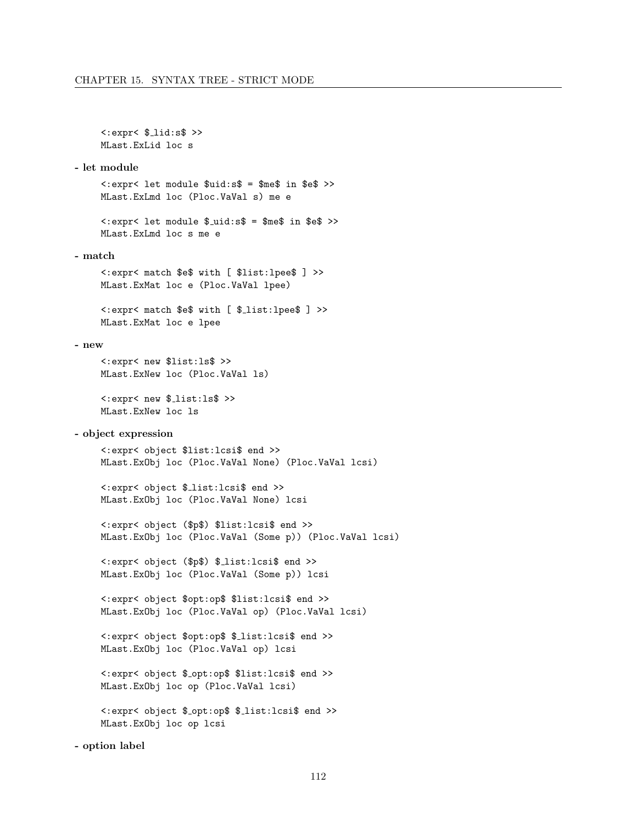$\langle : \text{expr} \langle \$  \_lid:s  $\rangle$  >> MLast.ExLid loc s

#### - let module

<:expr< let module \$uid:s\$ = \$me\$ in \$e\$ >> MLast.ExLmd loc (Ploc.VaVal s) me e

 $\langle \cdot | \text{expr} \rangle$  let module  $\text{\$uid}: \text{s} \} = \text{\$me}\$  in  $\text{\$e}\$  >> MLast.ExLmd loc s me e

- match

<:expr< match \$e\$ with [ \$list:lpee\$ ] >> MLast.ExMat loc e (Ploc.VaVal lpee)

<:expr< match \$e\$ with [ \$ list:lpee\$ ] >> MLast.ExMat loc e lpee

#### - new

<:expr< new \$list:ls\$ >> MLast.ExNew loc (Ploc.VaVal ls)

<:expr< new \$ list:ls\$ >> MLast.ExNew loc ls

### - object expression

<:expr< object \$list:lcsi\$ end >> MLast.ExObj loc (Ploc.VaVal None) (Ploc.VaVal lcsi)

<:expr< object \$ list:lcsi\$ end >> MLast.ExObj loc (Ploc.VaVal None) lcsi

<:expr< object (\$p\$) \$list:lcsi\$ end >> MLast.ExObj loc (Ploc.VaVal (Some p)) (Ploc.VaVal lcsi)

<:expr< object (\$p\$) \$ list:lcsi\$ end >> MLast.ExObj loc (Ploc.VaVal (Some p)) lcsi

<:expr< object \$opt:op\$ \$list:lcsi\$ end >> MLast.ExObj loc (Ploc.VaVal op) (Ploc.VaVal lcsi)

<:expr< object \$opt:op\$ \$ list:lcsi\$ end >> MLast.ExObj loc (Ploc.VaVal op) lcsi

<:expr< object \$ opt:op\$ \$list:lcsi\$ end >> MLast.ExObj loc op (Ploc.VaVal lcsi)

<:expr< object \$ opt:op\$ \$ list:lcsi\$ end >> MLast.ExObj loc op lcsi

- option label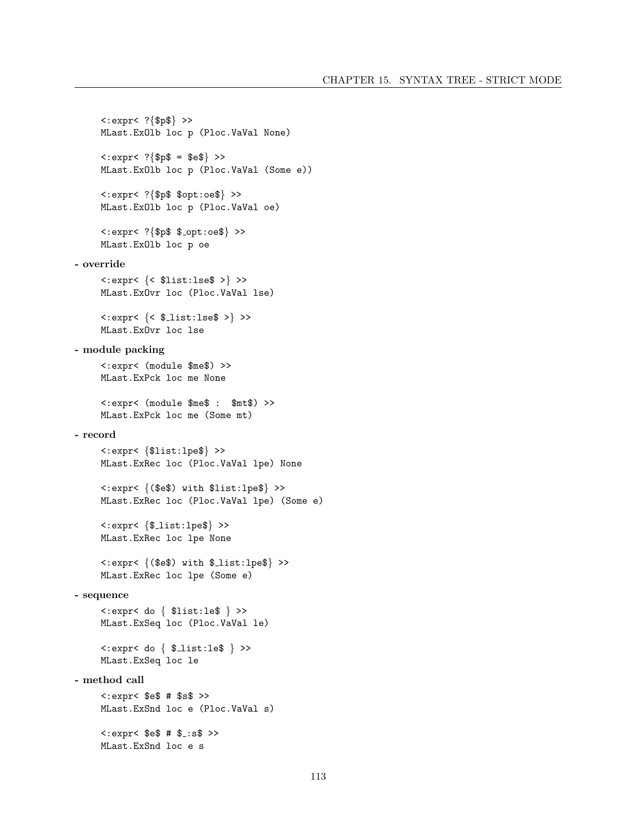```
<:expr< ?{$p$} >>
      MLast.ExOlb loc p (Ploc.VaVal None)
       \langle : \text{expr} \langle ? \{\$ \text{p\$} = \$ \text{e\$} \} \rangleMLast.ExOlb loc p (Ploc.VaVal (Some e))
       <:expr< ?{$p$ $opt:oe$} >>
      MLast.ExOlb loc p (Ploc.VaVal oe)
       \langle : \text{expr} \langle ? \{\$ \text{p$}\$ \$ \_ \text{opt} : \text{o.e} \$\} \rangleMLast.ExOlb loc p oe
- override
       <:expr< {< $list:lse$ >} >>
       MLast.ExOvr loc (Ploc.VaVal lse)
       \langle : \text{expr} \langle \} \rangle >> \langle : \text{expr} \rangleMLast.ExOvr loc lse
- module packing
       <:expr< (module $me$) >>
      MLast.ExPck loc me None
       <:expr< (module $me$ : $mt$) >>
      MLast.ExPck loc me (Some mt)
- record
       <:expr< {$list:lpe$} >>
       MLast.ExRec loc (Ploc.VaVal lpe) None
       <:expr< {($e$) with $list:lpe$} >>
       MLast.ExRec loc (Ploc.VaVal lpe) (Some e)
       \langle : \text{expr} \langle \{\text{\$\_list:lpe}\}\rangle \rangleMLast.ExRec loc lpe None
       \langle : \text{expr} \langle \{ (\$e$) with $1$ list : le$\rangle$ \rangleMLast.ExRec loc lpe (Some e)
- sequence
       <:expr< do { $list:le$ } >>
       MLast.ExSeq loc (Ploc.VaVal le)
       \langle : \text{expr} \langle \text{do} \{ \text{ } \pounds \text{list} : \text{le} \pounds \} \rangleMLast.ExSeq loc le
- method call
       \text{<:} \text{expr} \text{<} \text{ } \$ \text{e} \$ \text{ } # \text{ } \$ \text{s} \$ \text{ } \text{>}MLast.ExSnd loc e (Ploc.VaVal s)
       \text{<<}:\text{expr}< $e$ # $_:s$ >>
      MLast.ExSnd loc e s
```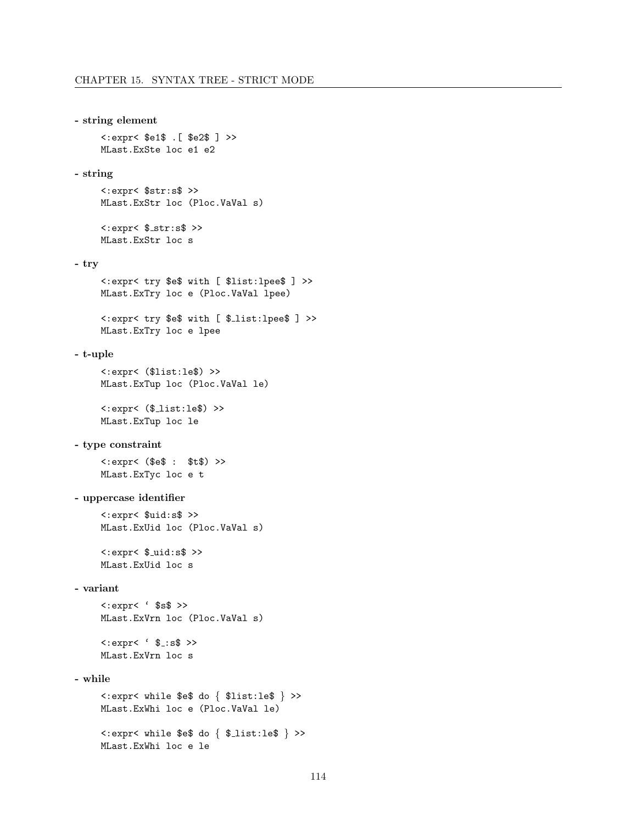#### - string element

<:expr< \$e1\$ .[ \$e2\$ ] >> MLast.ExSte loc e1 e2

### - string

<:expr< \$str:s\$ >> MLast.ExStr loc (Ploc.VaVal s)

 $\langle : \text{expr} \langle \, \, \text{\$str:str:s$} \, \, \rangle$ MLast.ExStr loc s

# - try

```
<:expr< try $e$ with [ $list:lpee$ ] >>
MLast.ExTry loc e (Ploc.VaVal lpee)
```

```
<:expr< try $e$ with [ $ list:lpee$ ] >>
MLast.ExTry loc e lpee
```
# - t-uple

<:expr< (\$list:le\$) >> MLast.ExTup loc (Ploc.VaVal le)

<:expr< (\$ list:le\$) >> MLast.ExTup loc le

# - type constraint

<:expr< (\$e\$ : \$t\$) >> MLast.ExTyc loc e t

# - uppercase identifier

<:expr< \$uid:s\$ >> MLast.ExUid loc (Ploc.VaVal s)

 $\langle : \text{expr} \langle \, \, \text{\$_uid}: \text{sf} \, \, \rangle$ MLast.ExUid loc s

# - variant

<:expr< ' \$s\$ >> MLast.ExVrn loc (Ploc.VaVal s)

 $\langle : \text{expr} \langle \, ' \, \$ \_ : \text{s$} \rangle \rangle$ MLast.ExVrn loc s

# - while

```
<:expr< while $e$ do { $list:le$ } >>
MLast.ExWhi loc e (Ploc.VaVal le)
```
<:expr< while \$e\$ do { \$ list:le\$ } >> MLast.ExWhi loc e le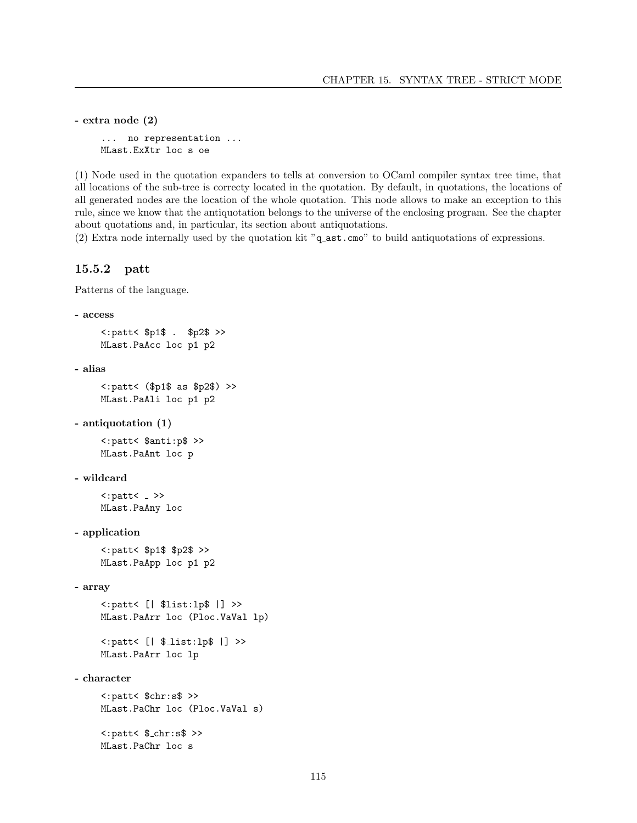```
- extra node (2)
     ... no representation ...
    MLast.ExXtr loc s oe
```
(1) Node used in the quotation expanders to tells at conversion to OCaml compiler syntax tree time, that all locations of the sub-tree is correcty located in the quotation. By default, in quotations, the locations of all generated nodes are the location of the whole quotation. This node allows to make an exception to this rule, since we know that the antiquotation belongs to the universe of the enclosing program. See the chapter about quotations and, in particular, its section about antiquotations.

(2) Extra node internally used by the quotation kit "q ast.cmo" to build antiquotations of expressions.

# 15.5.2 patt

Patterns of the language.

```
- access
```

```
<:patt< $p1$ . $p2$ >>
MLast.PaAcc loc p1 p2
```

```
- alias
```

```
<:patt< ($p1$ as $p2$) >>
MLast.PaAli loc p1 p2
```

```
- antiquotation (1)
```
<:patt< \$anti:p\$ >> MLast.PaAnt loc p

```
- wildcard
```
 $\langle :$ patt $\langle - \rangle$ MLast.PaAny loc

```
- application
```
<:patt< \$p1\$ \$p2\$ >> MLast.PaApp loc p1 p2

```
- array
```
<:patt< [| \$list:lp\$ |] >> MLast.PaArr loc (Ploc.VaVal lp)

```
<: patt< [| $_list: lp$ |] >>
MLast.PaArr loc lp
```

```
- character
```
<:patt< \$chr:s\$ >> MLast.PaChr loc (Ploc.VaVal s)  $\langle :$ patt $\langle * , \text{char} : \text{ss} \rangle$ MLast.PaChr loc s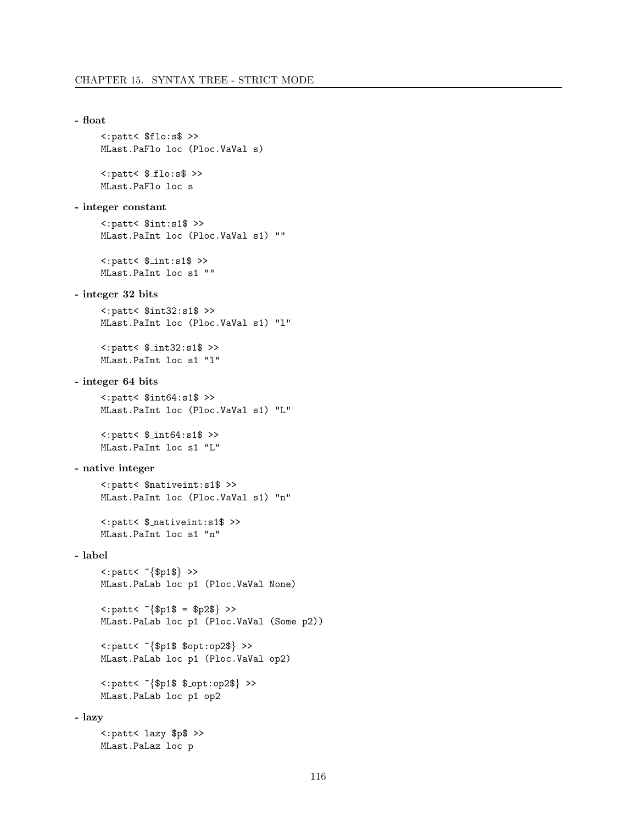```
- float
       <:patt< $flo:s$ >>
       MLast.PaFlo loc (Ploc.VaVal s)
       \texttt{<path} \leftarrow \texttt{\$_flo:s\$} \texttt{>}MLast.PaFlo loc s
- integer constant
       <:patt< $int:s1$ >>
       MLast.PaInt loc (Ploc.VaVal s1) ""
       \langle :patt\langle * , :nt:s1\rangle>>
       MLast.PaInt loc s1 ""
- integer 32 bits
       <:patt< $int32:s1$ >>
       MLast.PaInt loc (Ploc.VaVal s1) "l"
       <:patt< $ int32:s1$ >>
       MLast.PaInt loc s1 "l"
- integer 64 bits
       <:patt< $int64:s1$ >>
       MLast.PaInt loc (Ploc.VaVal s1) "L"
       \langle :patt\langle * , :nt64 :s1$ >>
       MLast.PaInt loc s1 "L"
- native integer
       <:patt< $nativeint:s1$ >>
       MLast.PaInt loc (Ploc.VaVal s1) "n"
       <:patt< $ nativeint:s1$ >>
       MLast.PaInt loc s1 "n"
- label
       \langle :patt\langle \\\} >>
       MLast.PaLab loc p1 (Ploc.VaVal None)
       \text{1:} \text{parts} \times \text{1:} \{ \text{1:} \text{1:} \text{1:} \text{1:} \text{1:} \text{1:} \text{1:} \text{1:} \text{1:} \text{1:} \text{1:} \text{1:} \text{1:} \text{1:} \text{1:} \text{1:} \text{1:} \text{1:} \text{1:} \text{1:} \text{1:} \text{1:} \text{1:} \text{1:} \text{1:} \text{1:} \text{1:} \text{1:} \text{1:} \text{1:} \text{1:} \text{1:} \text{1:} \MLast.PaLab loc p1 (Ploc.VaVal (Some p2))
       <:patt< ~{$p1$ $opt:op2$} >>
       MLast.PaLab loc p1 (Ploc.VaVal op2)
       <: patt< "{$p1$ $_opt: op2$} >>
       MLast.PaLab loc p1 op2
- lazy
       <:patt< lazy $p$ >>
       MLast.PaLaz loc p
```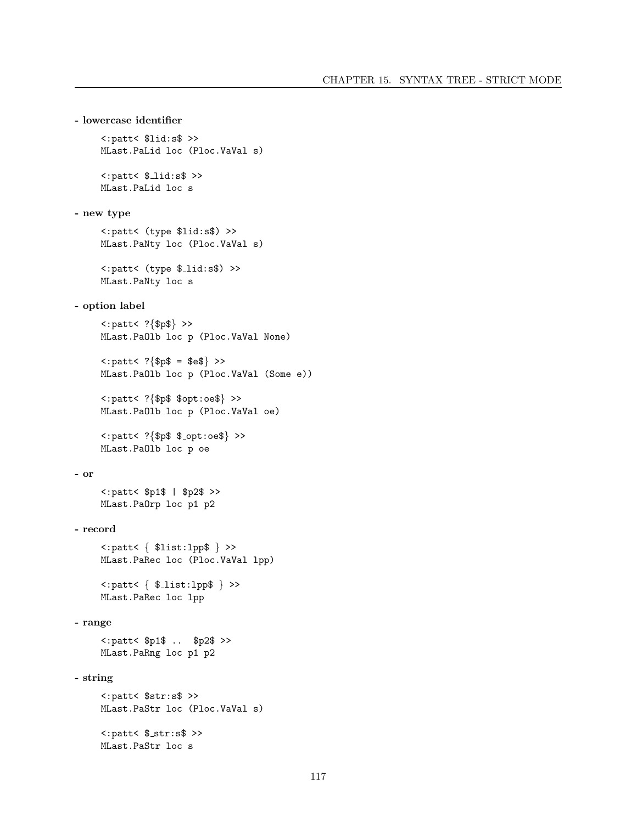```
- lowercase identifier
      <:patt< $lid:s$ >>
      MLast.PaLid loc (Ploc.VaVal s)
      \langle :patt\langle *1id :s\rangle \rangleMLast.PaLid loc s
- new type
      <:patt< (type $lid:s$) >>
      MLast.PaNty loc (Ploc.VaVal s)
      <:patt< (type $ lid:s$) >>
      MLast.PaNty loc s
- option label
      <:patt< ?{$p$} >>
      MLast.PaOlb loc p (Ploc.VaVal None)
      \langle :patt\langle ? \{ \$p\$ = \$e\$ \} \rangleMLast.PaOlb loc p (Ploc.VaVal (Some e))
      <:patt< ?{$p$ $opt:oe$} >>
      MLast.PaOlb loc p (Ploc.VaVal oe)
      \text{1:} p \text{1:} p \text{1:} \text{1:} \text{1:} \text{1:} \text{1:} \text{1:} \text{1:} \text{1:} \text{1:} \text{1:} \text{1:} \text{1:} \text{1:} \text{1:} \text{1:} \text{1:} \text{1:} \text{1:} \text{1:} \text{1:} \text{1:} \text{1:MLast.PaOlb loc p oe
- or
      <:patt< $p1$ | $p2$ >>
      MLast.PaOrp loc p1 p2
- record
      <:patt< { $list:lpp$ } >>
      MLast.PaRec loc (Ploc.VaVal lpp)
      <:patt< { $ list:lpp$ } >>
      MLast.PaRec loc lpp
- range
      <:patt< $p1$ .. $p2$ >>
      MLast.PaRng loc p1 p2
- string
      <:patt< $str:s$ >>
      MLast.PaStr loc (Ploc.VaVal s)
      \langle :patt\langle $_str:s$ >>
      MLast.PaStr loc s
```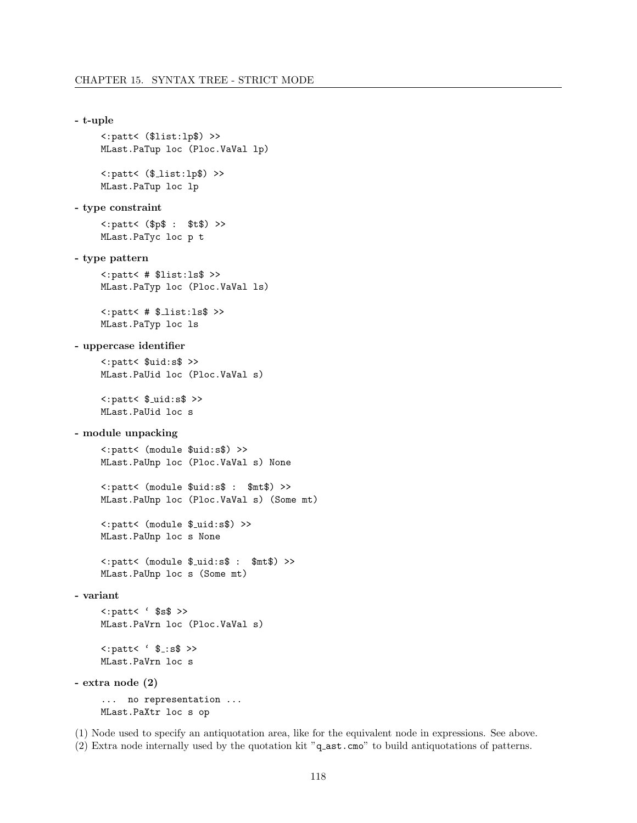```
- t-uple
       <:patt< ($list:lp$) >>
       MLast.PaTup loc (Ploc.VaVal lp)
       \langle :patt\langle (*_1 is t : 1p*) \rangle >>
       MLast.PaTup loc lp
- type constraint
       <:patt< ($p$ : $t$) >>
       MLast.PaTyc loc p t
- type pattern
       <:patt< # $list:ls$ >>
       MLast.PaTyp loc (Ploc.VaVal ls)
       \texttt{<path} # \texttt{11st:ls} >>
       MLast.PaTyp loc ls
- uppercase identifier
       <:patt< $uid:s$ >>
       MLast.PaUid loc (Ploc.VaVal s)
       \langle :patt\langle * \rangle + \langle * \rangle + \langle * \rangle + \langle * \rangle + \langle * \rangle + \langle * \rangle + \langle * \rangle + \langle * \rangle + \langle * \rangle + \langle * \rangle + \langle * \rangle + \langle * \rangle + \langle * \rangle + \langle * \rangle + \langle * \rangle + \langle * \rangle + \langle * \rangle + \langle * \rangle + \langle * \rangle + \langle * \rangle + \langle * \rangle + \MLast.PaUid loc s
- module unpacking
       <:patt< (module $uid:s$) >>
       MLast.PaUnp loc (Ploc.VaVal s) None
       <:patt< (module $uid:s$ : $mt$) >>
       MLast.PaUnp loc (Ploc.VaVal s) (Some mt)
       <:patt< (module $ uid:s$) >>
       MLast.PaUnp loc s None
       <:patt< (module $ uid:s$ : $mt$) >>
       MLast.PaUnp loc s (Some mt)
- variant
       \langle :patt\langle \rangle \ \ \MLast.PaVrn loc (Ploc.VaVal s)
       \texttt{<:} \texttt{parts} \cdot \texttt{\$} \texttt{...} \texttt{ss} \texttt{>}MLast.PaVrn loc s
- extra node (2)
        ... no representation ...
       MLast.PaXtr loc s op
```
(1) Node used to specify an antiquotation area, like for the equivalent node in expressions. See above. (2) Extra node internally used by the quotation kit "q ast.cmo" to build antiquotations of patterns.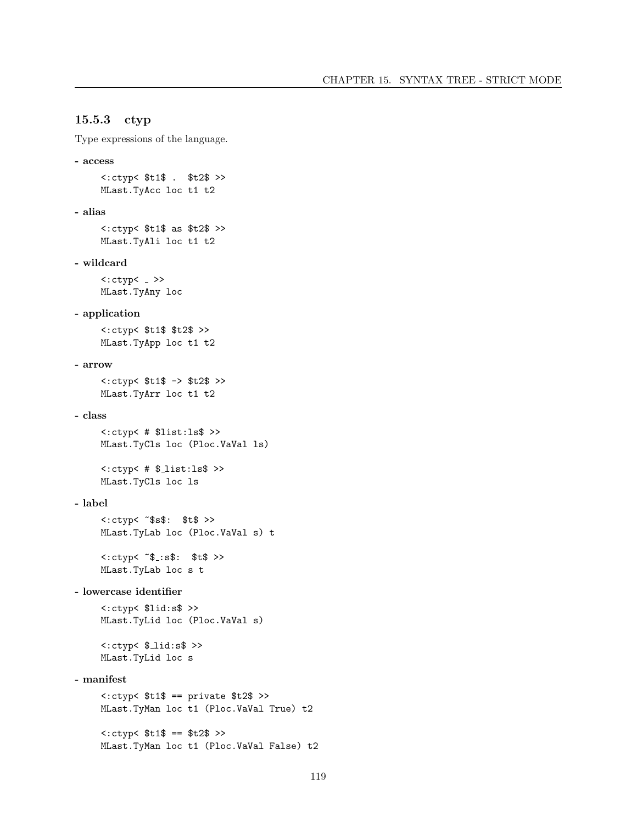# 15.5.3 ctyp

Type expressions of the language.

```
- access
     <:ctyp< $t1$ . $t2$ >>
     MLast.TyAcc loc t1 t2
- alias
     <:ctyp< $t1$ as $t2$ >>
     MLast.TyAli loc t1 t2
- wildcard
     <:ctyp< >>
     MLast.TyAny loc
- application
     <:ctyp< $t1$ $t2$ >>
     MLast.TyApp loc t1 t2
- arrow
     <:ctyp< $t1$ -> $t2$ >>
     MLast.TyArr loc t1 t2
- class
     <:ctyp< # $list:ls$ >>
     MLast.TyCls loc (Ploc.VaVal ls)
     \texttt{<<:ctyp&# } $-list: 1s$ \rightarrow$MLast.TyCls loc ls
- label
     <:ctyp< ~$s$: $t$ >>
     MLast.TyLab loc (Ploc.VaVal s) t
     <<:ctyp< *$:s$: $t$ >>
     MLast.TyLab loc s t
- lowercase identifier
     <:ctyp< $lid:s$ >>
     MLast.TyLid loc (Ploc.VaVal s)
     \langle : \text{ctyp} \langle \ lid:s \rangleMLast.TyLid loc s
- manifest
     \texttt{<:ctyp}< $t1$ == private $t2$ >MLast.TyMan loc t1 (Ploc.VaVal True) t2
```
<:ctyp< \$t1\$ == \$t2\$ >>

MLast.TyMan loc t1 (Ploc.VaVal False) t2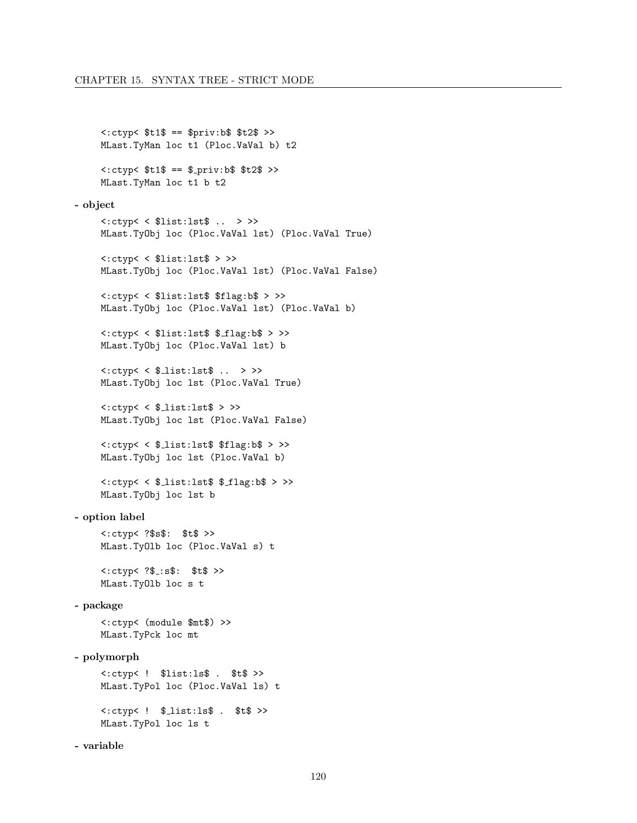```
<:ctyp< $t1$ == $priv:b$ $t2$ >>
     MLast.TyMan loc t1 (Ploc.VaVal b) t2
     <<:ctyp< $t1$ == $_{\text{priv}}:b$ $t2$ >>MLast.TyMan loc t1 b t2
- object
     <:ctyp< < $list:lst$ .. > >>
     MLast.TyObj loc (Ploc.VaVal lst) (Ploc.VaVal True)
     <:ctyp< < $list:lst$ > >>
     MLast.TyObj loc (Ploc.VaVal lst) (Ploc.VaVal False)
     <:ctyp< < $list:lst$ $flag:b$ > >>
     MLast.TyObj loc (Ploc.VaVal lst) (Ploc.VaVal b)
     <:ctyp< < $list:lst$ $ flag:b$ > >>
     MLast.TyObj loc (Ploc.VaVal lst) b
     \langle:ctyp\langle \xi $ list:lst$ .. > >>
     MLast.TyObj loc lst (Ploc.VaVal True)
     \texttt{<:ctyp}<\texttt{\$}_\texttt{list:lst\$} > >>
     MLast.TyObj loc lst (Ploc.VaVal False)
     <:ctyp< < $ list:lst$ $flag:b$ > >>
     MLast.TyObj loc lst (Ploc.VaVal b)
     <:ctyp< < $ list:lst$ $ flag:b$ > >>
     MLast.TyObj loc lst b
- option label
     <:ctyp< ?$s$: $t$ >>
     MLast.TyOlb loc (Ploc.VaVal s) t
     <: ctyp< ?$_:s$: $t$ >>
     MLast.TyOlb loc s t
- package
     <:ctyp< (module $mt$) >>
     MLast.TyPck loc mt
- polymorph
     <:ctyp< ! $list:ls$ . $t$ >>
     MLast.TyPol loc (Ploc.VaVal ls) t
     \langle : \text{ctyp} \langle : 1 \rangle \ . \text{dist:ls} \ . \text{st} \ >>
     MLast.TyPol loc ls t
- variable
```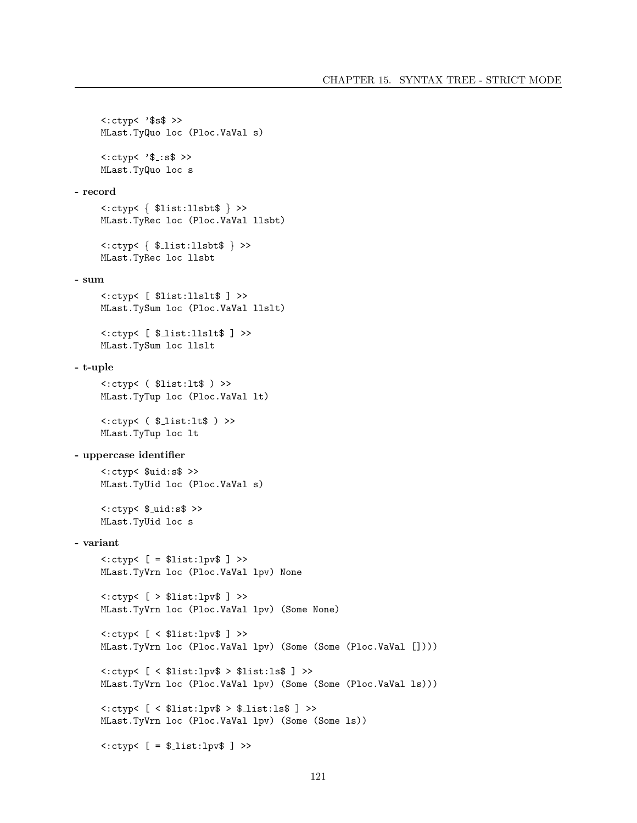```
<:ctyp< '$s$ >>
     MLast.TyQuo loc (Ploc.VaVal s)
     <<: \text{ctyp} &lt; :$:s$ >>
     MLast.TyQuo loc s
- record
     <:ctyp< { $list:llsbt$ } >>
     MLast.TyRec loc (Ploc.VaVal llsbt)
     <:ctyp< { $ list:llsbt$ } >>
     MLast.TyRec loc llsbt
- sum
     <:ctyp< [ $list:llslt$ ] >>
     MLast.TySum loc (Ploc.VaVal llslt)
     <:ctyp< [ $ list:llslt$ ] >>
     MLast.TySum loc llslt
- t-uple
     <:ctyp< ( $list:lt$ ) >>
     MLast.TyTup loc (Ploc.VaVal lt)
     \langle : \text{ctyp} \langle \xi \rangle \rangle = \langle \xi \rangle = \langle \xi \rangle = \langle \xi \rangle = \langle \xi \rangleMLast.TyTup loc lt
- uppercase identifier
     <:ctyp< $uid:s$ >>
     MLast.TyUid loc (Ploc.VaVal s)
     \langle : \text{ctyp} \rangle \ _uid:s$ >>
     MLast.TyUid loc s
- variant
     <:ctyp< [ = $list:lpv$ ] >>
     MLast.TyVrn loc (Ploc.VaVal lpv) None
     <:ctyp< [ > $list:lpv$ ] >>
     MLast.TyVrn loc (Ploc.VaVal lpv) (Some None)
     <:ctyp< [ < $list:lpv$ ] >>
     MLast.TyVrn loc (Ploc.VaVal lpv) (Some (Some (Ploc.VaVal [])))
     <:ctyp< [ < $list:lpv$ > $list:ls$ ] >>
     MLast.TyVrn loc (Ploc.VaVal lpv) (Some (Some (Ploc.VaVal ls)))
     <:ctyp< [ < $list:lpv$ > $ list:ls$ ] >>
     MLast.TyVrn loc (Ploc.VaVal lpv) (Some (Some ls))
     \text{<<}:\text{ctyp}< [ = \text{\text{\#}.\text{list:1pv}} ] >>
```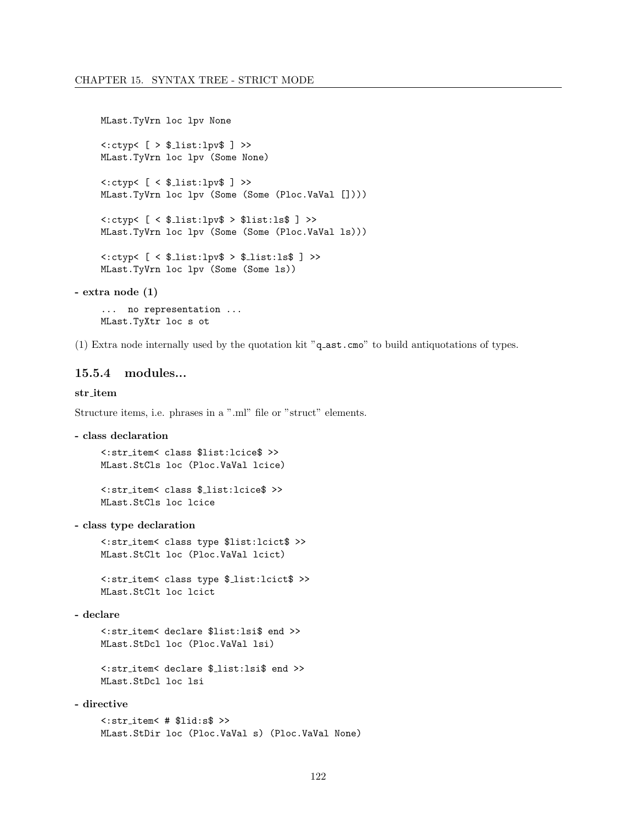```
MLast.TyVrn loc lpv None
      \langle : \text{ctvp} \langle \; [ \; > \; \text{\$\_list:lpv$} \; ] \; > \rangleMLast.TyVrn loc lpv (Some None)
      \texttt{<<ctyp} \left[ \texttt{&$\_list:lpv$ } \right] \rightarrowMLast.TyVrn loc lpv (Some (Some (Ploc.VaVal [])))
      <:ctyp< [ < $ list:lpv$ > $list:ls$ ] >>
      MLast.TyVrn loc lpv (Some (Some (Ploc.VaVal ls)))
      <:ctyp< [ < $ list:lpv$ > $ list:ls$ ] >>
      MLast.TyVrn loc lpv (Some (Some ls))
- extra node (1)
```
... no representation ... MLast.TyXtr loc s ot

(1) Extra node internally used by the quotation kit "q ast.cmo" to build antiquotations of types.

# 15.5.4 modules...

# str item

Structure items, i.e. phrases in a ".ml" file or "struct" elements.

```
- class declaration
```
<:str item< class \$list:lcice\$ >> MLast.StCls loc (Ploc.VaVal lcice)

<:str item< class \$ list:lcice\$ >> MLast.StCls loc lcice

- class type declaration

<:str item< class type \$list:lcict\$ >> MLast.StClt loc (Ploc.VaVal lcict)

<:str item< class type \$ list:lcict\$ >> MLast.StClt loc lcict

- declare

<:str item< declare \$list:lsi\$ end >> MLast.StDcl loc (Ploc.VaVal lsi)

<:str item< declare \$ list:lsi\$ end >> MLast.StDcl loc lsi

# - directive

<:str item< # \$lid:s\$ >> MLast.StDir loc (Ploc.VaVal s) (Ploc.VaVal None)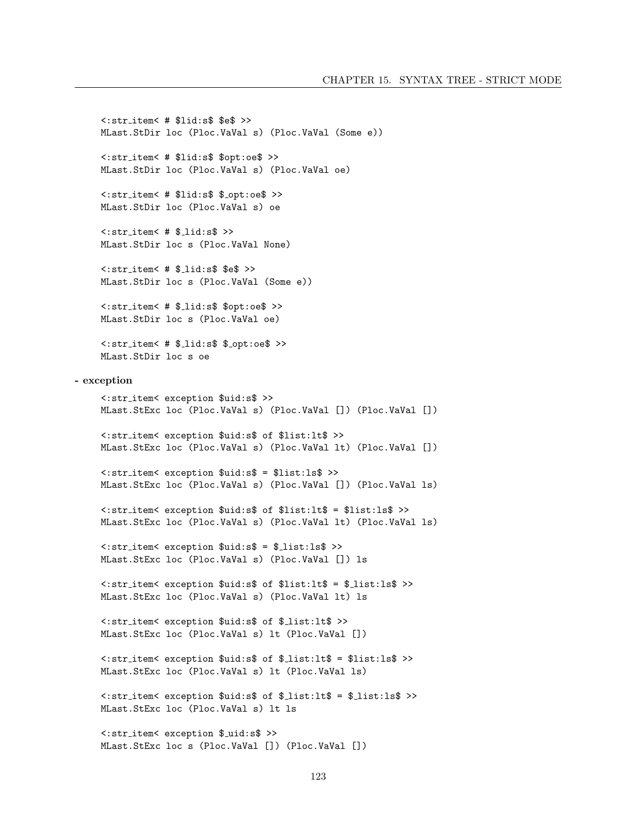<:str item< # \$lid:s\$ \$e\$ >> MLast.StDir loc (Ploc.VaVal s) (Ploc.VaVal (Some e)) <:str item< # \$lid:s\$ \$opt:oe\$ >> MLast.StDir loc (Ploc.VaVal s) (Ploc.VaVal oe) <:str item< # \$lid:s\$ \$ opt:oe\$ >> MLast.StDir loc (Ploc.VaVal s) oe  $\texttt{<:str\_item}<$  #  $\texttt{\$\_lid:s\$}$  >> MLast.StDir loc s (Ploc.VaVal None)  $\texttt{<:str\_item}<$  #  $\texttt{\$\_lid:s$}$  \$e\$ >> MLast.StDir loc s (Ploc.VaVal (Some e)) <:str item< # \$ lid:s\$ \$opt:oe\$ >> MLast.StDir loc s (Ploc.VaVal oe)  $\texttt{<:str}$  item< #  $\texttt{\$}\_$ lid:s $\texttt{\$}\_$   $\texttt{\$}\_$ opt:oe $\texttt{\$}\texttt{>}$ MLast.StDir loc s oe - exception <:str item< exception \$uid:s\$ >> MLast.StExc loc (Ploc.VaVal s) (Ploc.VaVal []) (Ploc.VaVal []) <:str item< exception \$uid:s\$ of \$list:lt\$ >> MLast.StExc loc (Ploc.VaVal s) (Ploc.VaVal lt) (Ploc.VaVal []) <:str item< exception \$uid:s\$ = \$list:ls\$ >> MLast.StExc loc (Ploc.VaVal s) (Ploc.VaVal []) (Ploc.VaVal ls) <:str item< exception \$uid:s\$ of \$list:lt\$ = \$list:ls\$ >> MLast.StExc loc (Ploc.VaVal s) (Ploc.VaVal lt) (Ploc.VaVal ls) <:str item< exception \$uid:s\$ = \$ list:ls\$ >> MLast.StExc loc (Ploc.VaVal s) (Ploc.VaVal []) ls <:str item< exception \$uid:s\$ of \$list:lt\$ = \$ list:ls\$ >> MLast.StExc loc (Ploc.VaVal s) (Ploc.VaVal lt) ls <:str item< exception \$uid:s\$ of \$ list:lt\$ >> MLast.StExc loc (Ploc.VaVal s) lt (Ploc.VaVal []) <:str item< exception \$uid:s\$ of \$ list:lt\$ = \$list:ls\$ >> MLast.StExc loc (Ploc.VaVal s) lt (Ploc.VaVal ls) <:str item< exception \$uid:s\$ of \$ list:lt\$ = \$ list:ls\$ >> MLast.StExc loc (Ploc.VaVal s) lt ls

<:str item< exception \$ uid:s\$ >> MLast.StExc loc s (Ploc.VaVal []) (Ploc.VaVal [])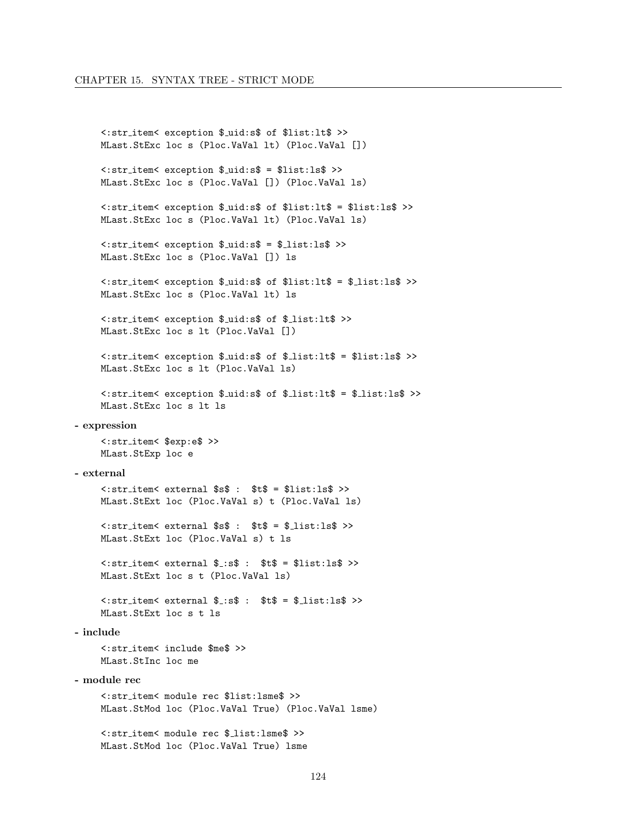```
<: str_item< exception $_uid:s$ of $list:1t$ >>
     MLast. StExc loc s (Ploc. VaVal 1t) (Ploc. VaVal [])
     <: str_item< exception $_uid:s$ = $list:ls$ >>
     MLast.StExc loc s (Ploc.VaVal []) (Ploc.VaVal ls)
     <: str_item< exception $_uid:s$ of $list:lt$ = $list:ls$ >>
    MLast. StExc loc s (Ploc. VaVal lt) (Ploc. VaVal ls)
     <: str_item< exception $_uid:s$ = $_list:ls$ >>
    MLast.StExc loc s (Ploc.VaVal []) ls
     <: str_item< exception $_uid:s$ of $list:lt$ = $_list:ls$ >>
    MLast. StExc loc s (Ploc. VaVal lt) ls
     <: str_item< exception $_uid:s$ of $_list:lt$ >>
    MLast. StExc loc s lt (Ploc. VaVal [])
     <: str_item< exception $_uid:s$ of $_list:lt$ = $list:ls$ >>
    MLast. StExc loc s 1t (Ploc. VaVal 1s)
     <: str_item< exception $_uid:s$ of $_list:lt$ = $_list:ls$ >>
     MLast. StExc loc s lt ls
- expression
     <: str_item< $exp:e$ >>
     MLast.StExp loc e
- external
     <: str_item< external $s$ : $t$ = $list:1s$ >>
     MLast. StExt loc (Ploc. VaVal s) t (Ploc. VaVal 1s)
     \texttt{~:str} item< external \texttt{ss}\ : \texttt{st}\ = \texttt{sl} ist:ls$ >>
    MLast. StExt loc (Ploc. VaVal s) t ls
     \text{~sstr\_item} \text{~external} \text{~s~: s$ : $ t$ = $list:ls$ } \text{~s$}MLast. StExt loc s t (Ploc. VaVal ls)
     MLast. StExt loc s t ls
- include
     <: str_item< include $me$ >>
     MLast.StInc loc me
- module rec
     <: str_item< module rec $list: lsme$ >>
     MLast.StMod loc (Ploc.VaVal True) (Ploc.VaVal lsme)
     <: str_item< module rec $_list: lsme$ >>
    MLast. StMod loc (Ploc. VaVal True) lsme
```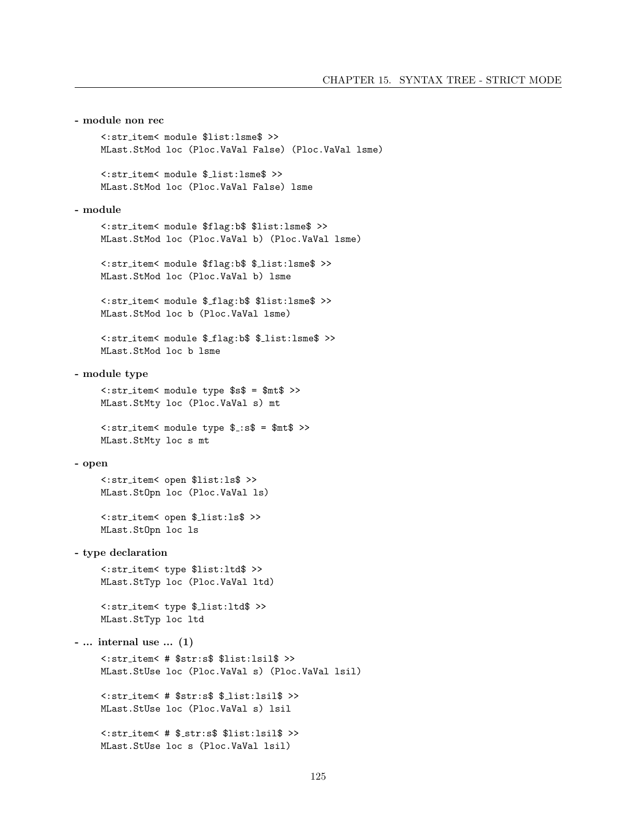```
<:str item< module $list:lsme$ >>
    MLast.StMod loc (Ploc.VaVal False) (Ploc.VaVal lsme)
    <:str item< module $ list:lsme$ >>
    MLast.StMod loc (Ploc.VaVal False) lsme
- module
    <:str item< module $flag:b$ $list:lsme$ >>
    MLast.StMod loc (Ploc.VaVal b) (Ploc.VaVal lsme)
    <:str item< module $flag:b$ $ list:lsme$ >>
    MLast.StMod loc (Ploc.VaVal b) lsme
    <:str item< module $ flag:b$ $list:lsme$ >>
    MLast.StMod loc b (Ploc.VaVal lsme)
    <:str item< module $ flag:b$ $ list:lsme$ >>
    MLast.StMod loc b lsme
- module type
    <:str item< module type $s$ = $mt$ >>
    MLast.StMty loc (Ploc.VaVal s) mt
    <:str item< module type $ :s$ = $mt$ >>
    MLast.StMty loc s mt
- open
    <:str item< open $list:ls$ >>
    MLast.StOpn loc (Ploc.VaVal ls)
    <:str item< open $ list:ls$ >>
    MLast.StOpn loc ls
- type declaration
    <:str item< type $list:ltd$ >>
    MLast.StTyp loc (Ploc.VaVal ltd)
    <:str item< type $ list:ltd$ >>
    MLast.StTyp loc ltd
- ... internal use ... (1)
    <:str item< # $str:s$ $list:lsil$ >>
    MLast.StUse loc (Ploc.VaVal s) (Ploc.VaVal lsil)
    <:str item< # $str:s$ $ list:lsil$ >>
    MLast.StUse loc (Ploc.VaVal s) lsil
    <:str item< # $ str:s$ $list:lsil$ >>
    MLast.StUse loc s (Ploc.VaVal lsil)
```
- module non rec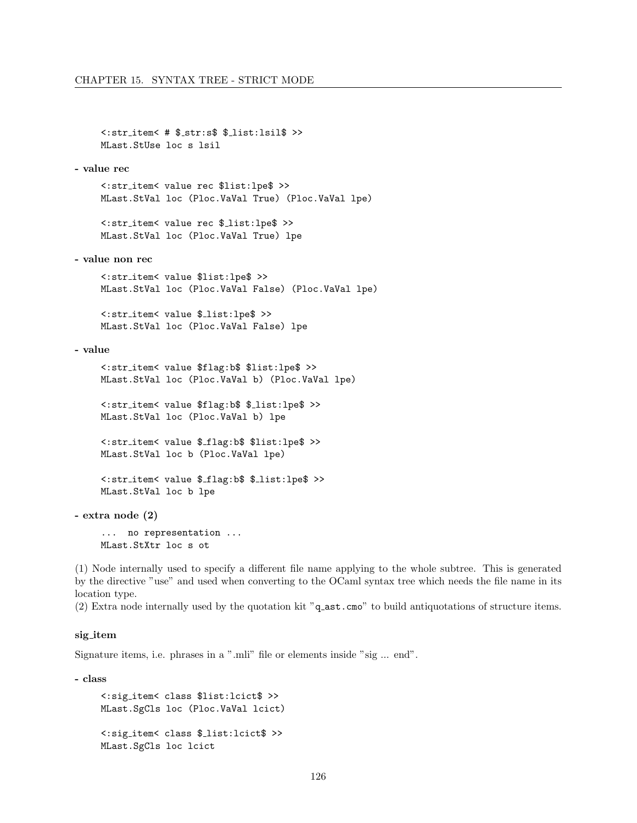```
<:str item< # $ str:s$ $ list:lsil$ >>
MLast.StUse loc s lsil
```
- value rec

<:str item< value rec \$list:lpe\$ >> MLast.StVal loc (Ploc.VaVal True) (Ploc.VaVal lpe)

<:str item< value rec \$ list:lpe\$ >> MLast.StVal loc (Ploc.VaVal True) lpe

- value non rec

<:str item< value \$list:lpe\$ >> MLast.StVal loc (Ploc.VaVal False) (Ploc.VaVal lpe)

<:str item< value \$ list:lpe\$ >> MLast.StVal loc (Ploc.VaVal False) lpe

#### - value

<:str item< value \$flag:b\$ \$list:lpe\$ >> MLast.StVal loc (Ploc.VaVal b) (Ploc.VaVal lpe)

<:str item< value \$flag:b\$ \$ list:lpe\$ >> MLast.StVal loc (Ploc.VaVal b) lpe

<:str item< value \$ flag:b\$ \$list:lpe\$ >> MLast.StVal loc b (Ploc.VaVal lpe)

<:str item< value \$ flag:b\$ \$ list:lpe\$ >> MLast.StVal loc b lpe

- extra node (2)

... no representation ... MLast.StXtr loc s ot

(1) Node internally used to specify a different file name applying to the whole subtree. This is generated by the directive "use" and used when converting to the OCaml syntax tree which needs the file name in its location type.

(2) Extra node internally used by the quotation kit "q ast.cmo" to build antiquotations of structure items.

#### sig item

Signature items, i.e. phrases in a ".mli" file or elements inside "sig ... end".

- class

```
<:sig item< class $list:lcict$ >>
MLast.SgCls loc (Ploc.VaVal lcict)
<:sig item< class $ list:lcict$ >>
MLast.SgCls loc lcict
```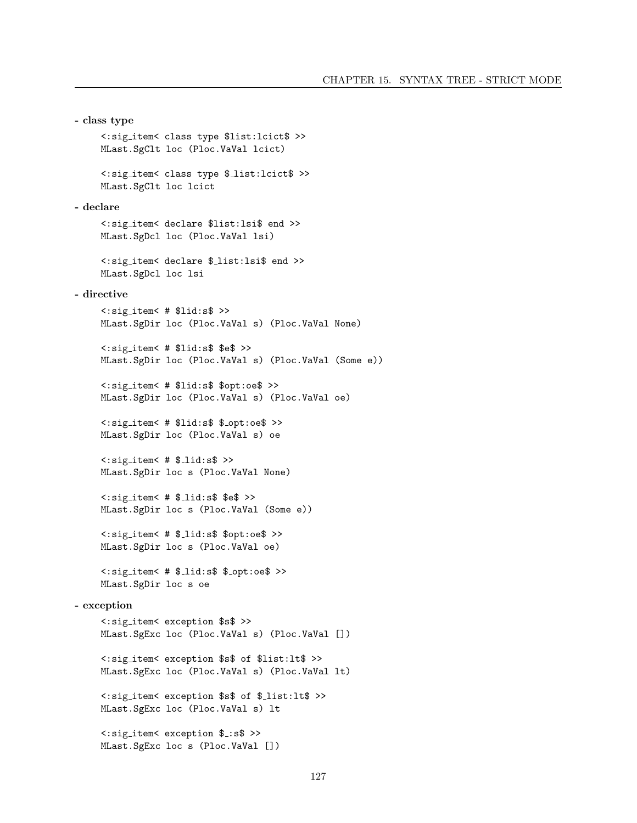```
- class type
    <:sig item< class type $list:lcict$ >>
    MLast.SgClt loc (Ploc.VaVal lcict)
    <:sig item< class type $ list:lcict$ >>
    MLast.SgClt loc lcict
- declare
    <:sig item< declare $list:lsi$ end >>
    MLast.SgDcl loc (Ploc.VaVal lsi)
    <:sig item< declare $ list:lsi$ end >>
    MLast.SgDcl loc lsi
- directive
    <:sig item< # $lid:s$ >>
    MLast.SgDir loc (Ploc.VaVal s) (Ploc.VaVal None)
    <:sig item< # $lid:s$ $e$ >>
    MLast.SgDir loc (Ploc.VaVal s) (Ploc.VaVal (Some e))
    <:sig item< # $lid:s$ $opt:oe$ >>
    MLast.SgDir loc (Ploc.VaVal s) (Ploc.VaVal oe)
    <:sig item< # $lid:s$ $ opt:oe$ >>
    MLast.SgDir loc (Ploc.VaVal s) oe
    \langle:sig_item\langle # $_lid:s$ >>
    MLast.SgDir loc s (Ploc.VaVal None)
    <:sig item< # $ lid:s$ $e$ >>
    MLast.SgDir loc s (Ploc.VaVal (Some e))
    <:sig item< # $ lid:s$ $opt:oe$ >>
    MLast.SgDir loc s (Ploc.VaVal oe)
    <:sig item< # $ lid:s$ $ opt:oe$ >>
    MLast.SgDir loc s oe
- exception
    <:sig item< exception $s$ >>
    MLast.SgExc loc (Ploc.VaVal s) (Ploc.VaVal [])
    <:sig item< exception $s$ of $list:lt$ >>
    MLast.SgExc loc (Ploc.VaVal s) (Ploc.VaVal lt)
    <:sig item< exception $s$ of $ list:lt$ >>
    MLast.SgExc loc (Ploc.VaVal s) lt
    <:sig item< exception $ :s$ >>
    MLast.SgExc loc s (Ploc.VaVal [])
```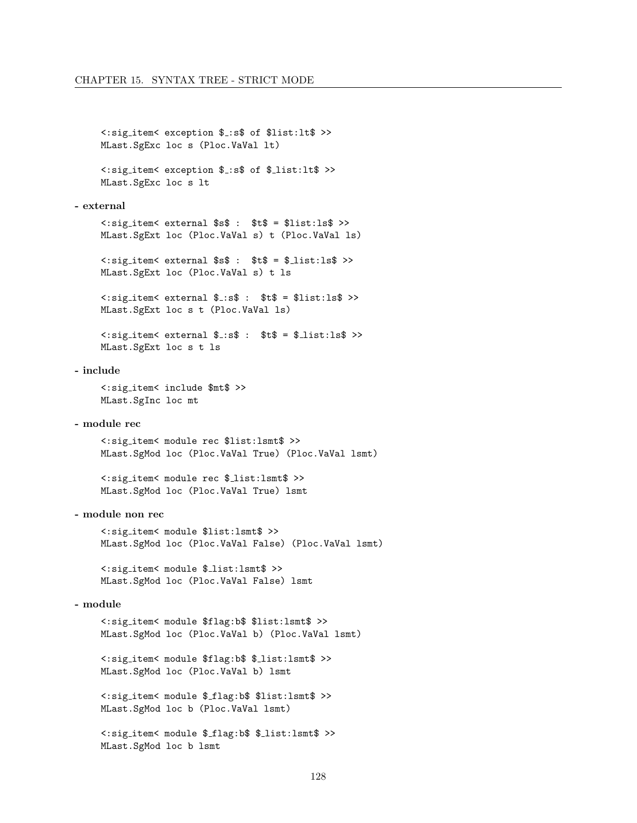```
<:sig item< exception $ :s$ of $list:lt$ >>
     MLast.SgExc loc s (Ploc.VaVal lt)
     <:sig item< exception $ :s$ of $ list:lt$ >>
     MLast.SgExc loc s lt
- external
     <:sig item< external $s$ : $t$ = $list:ls$ >>
     MLast.SgExt loc (Ploc.VaVal s) t (Ploc.VaVal ls)
     \langle:sig_item\langle external \s$ : \t$ = \frac{1}{2}list:ls$ >>
     MLast.SgExt loc (Ploc.VaVal s) t ls
     \langle:sig_item\langle external \frac{1}{2}:s$ : \frac{1}{2}t$ = \frac{1}{2}list:ls$ >>
     MLast.SgExt loc s t (Ploc.VaVal ls)
     \langle \cdot \rangle:sig_item\langle external \frac{1}{2}:s$ : \frac{1}{2} = \frac{1}{2}list:ls$ >>
     MLast.SgExt loc s t ls
- include
     <:sig item< include $mt$ >>
     MLast.SgInc loc mt
- module rec
     <:sig item< module rec $list:lsmt$ >>
     MLast.SgMod loc (Ploc.VaVal True) (Ploc.VaVal lsmt)
     <:sig item< module rec $ list:lsmt$ >>
     MLast.SgMod loc (Ploc.VaVal True) lsmt
- module non rec
     <:sig item< module $list:lsmt$ >>
     MLast.SgMod loc (Ploc.VaVal False) (Ploc.VaVal lsmt)
     <:sig item< module $ list:lsmt$ >>
     MLast.SgMod loc (Ploc.VaVal False) lsmt
- module
     <:sig item< module $flag:b$ $list:lsmt$ >>
     MLast.SgMod loc (Ploc.VaVal b) (Ploc.VaVal lsmt)
     <:sig item< module $flag:b$ $ list:lsmt$ >>
     MLast.SgMod loc (Ploc.VaVal b) lsmt
     <:sig item< module $ flag:b$ $list:lsmt$ >>
     MLast.SgMod loc b (Ploc.VaVal lsmt)
```
<:sig item< module \$ flag:b\$ \$ list:lsmt\$ >> MLast.SgMod loc b lsmt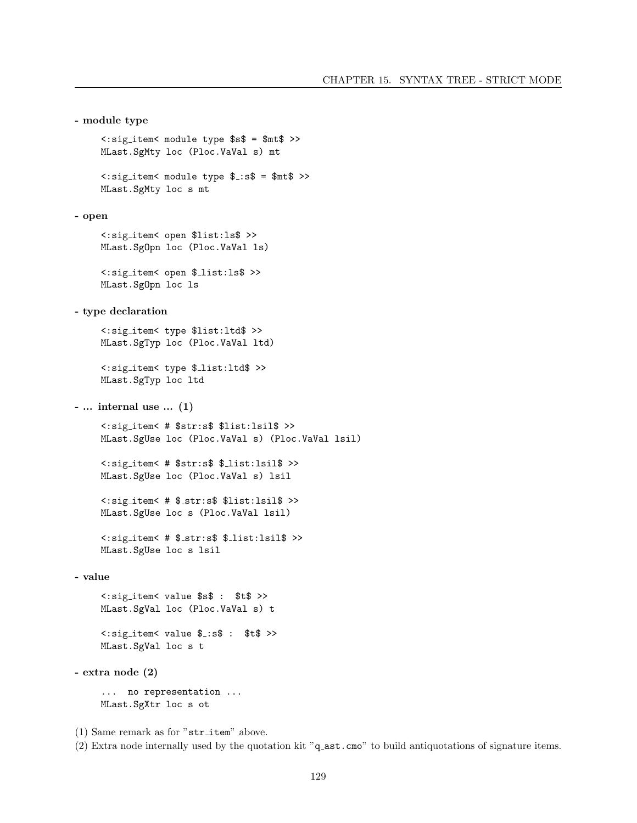```
- module type
     <:sig item< module type $s$ = $mt$ >>
     MLast.SgMty loc (Ploc.VaVal s) mt
     <:sig item< module type $ :s$ = $mt$ >>
     MLast.SgMty loc s mt
- open
     <:sig item< open $list:ls$ >>
     MLast.SgOpn loc (Ploc.VaVal ls)
     <:sig item< open $ list:ls$ >>
     MLast.SgOpn loc ls
- type declaration
     <:sig item< type $list:ltd$ >>
     MLast.SgTyp loc (Ploc.VaVal ltd)
     <:sig item< type $ list:ltd$ >>
     MLast.SgTyp loc ltd
- ... internal use ... (1)
     <:sig item< # $str:s$ $list:lsil$ >>
     MLast.SgUse loc (Ploc.VaVal s) (Ploc.VaVal lsil)
     <:sig item< # $str:s$ $ list:lsil$ >>
     MLast.SgUse loc (Ploc.VaVal s) lsil
     <:sig item< # $ str:s$ $list:lsil$ >>
     MLast.SgUse loc s (Ploc.VaVal lsil)
     <:sig item< # $ str:s$ $ list:lsil$ >>
     MLast.SgUse loc s lsil
- value
     <:sig item< value $s$ : $t$ >>
     MLast.SgVal loc (Ploc.VaVal s) t
     <:sig item< value $ :s$ : $t$ >>
     MLast.SgVal loc s t
- extra node (2)
     ... no representation ...
    MLast.SgXtr loc s ot
(1) Same remark as for "str item" above.
```
(2) Extra node internally used by the quotation kit "q ast.cmo" to build antiquotations of signature items.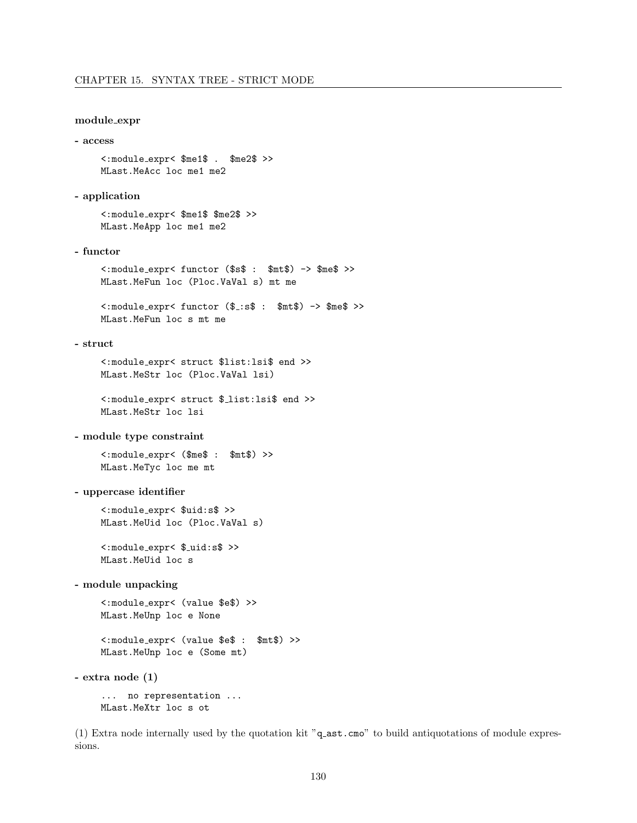### module expr

- access

```
<:module expr< $me1$ . $me2$ >>
MLast.MeAcc loc me1 me2
```
# - application

<:module expr< \$me1\$ \$me2\$ >> MLast.MeApp loc me1 me2

# - functor

<:module expr< functor (\$s\$ : \$mt\$) -> \$me\$ >> MLast.MeFun loc (Ploc.VaVal s) mt me

<:module expr< functor (\$ :s\$ : \$mt\$) -> \$me\$ >> MLast.MeFun loc s mt me

# - struct

<:module expr< struct \$list:lsi\$ end >> MLast.MeStr loc (Ploc.VaVal lsi)

<:module expr< struct \$ list:lsi\$ end >> MLast.MeStr loc lsi

### - module type constraint

<:module expr< (\$me\$ : \$mt\$) >> MLast.MeTyc loc me mt

- uppercase identifier

<:module expr< \$uid:s\$ >> MLast.MeUid loc (Ploc.VaVal s)

<:module expr< \$ uid:s\$ >> MLast.MeUid loc s

# - module unpacking

<:module expr< (value \$e\$) >> MLast.MeUnp loc e None

<:module expr< (value \$e\$ : \$mt\$) >> MLast.MeUnp loc e (Some mt)

- extra node (1)

... no representation ... MLast.MeXtr loc s ot

(1) Extra node internally used by the quotation kit "q ast.cmo" to build antiquotations of module expressions.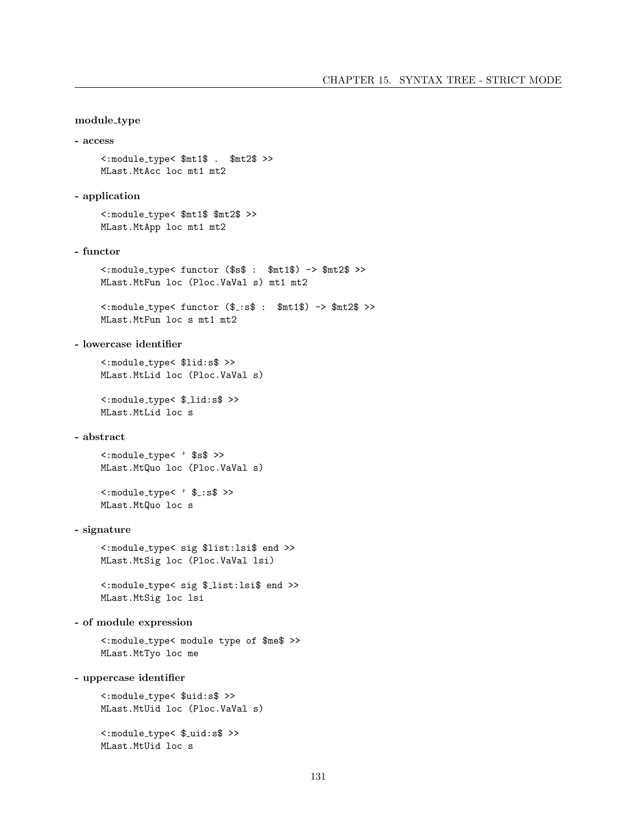# module type

```
- access
```
<:module type< \$mt1\$ . \$mt2\$ >> MLast.MtAcc loc mt1 mt2

# - application

<:module type< \$mt1\$ \$mt2\$ >> MLast.MtApp loc mt1 mt2

# - functor

<:module type< functor (\$s\$ : \$mt1\$) -> \$mt2\$ >> MLast.MtFun loc (Ploc.VaVal s) mt1 mt2

<:module type< functor (\$ :s\$ : \$mt1\$) -> \$mt2\$ >> MLast.MtFun loc s mt1 mt2

# - lowercase identifier

<:module type< \$lid:s\$ >> MLast.MtLid loc (Ploc.VaVal s)

<:module type< \$ lid:s\$ >> MLast.MtLid loc s

# - abstract

<:module type< ' \$s\$ >> MLast.MtQuo loc (Ploc.VaVal s)

<: module\_type< ' \$\_:s\$ >> MLast.MtQuo loc s

### - signature

<:module type< sig \$list:lsi\$ end >> MLast.MtSig loc (Ploc.VaVal lsi)

<:module type< sig \$ list:lsi\$ end >> MLast.MtSig loc lsi

- of module expression

<:module type< module type of \$me\$ >> MLast.MtTyo loc me

- uppercase identifier

<:module type< \$uid:s\$ >> MLast.MtUid loc (Ploc.VaVal s)

<:module type< \$ uid:s\$ >> MLast.MtUid loc s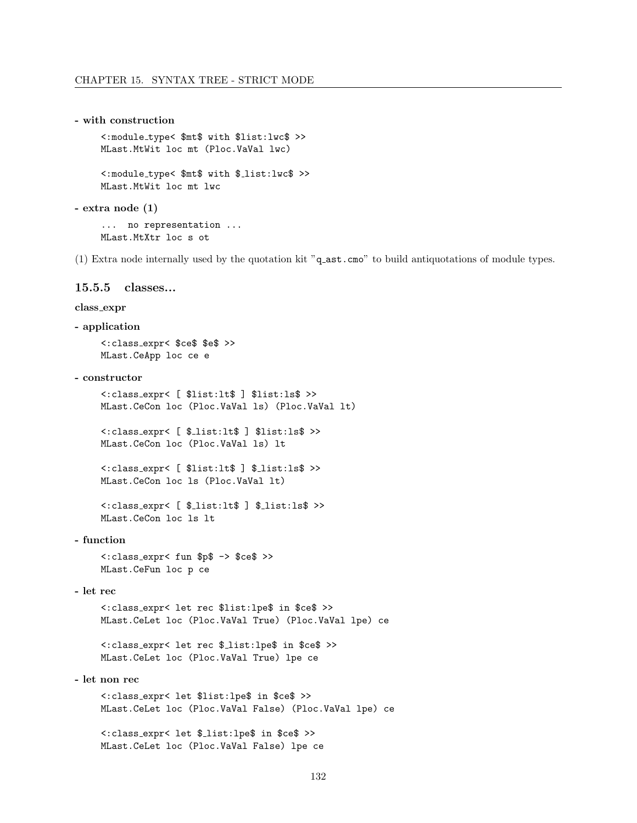# - with construction

<: module\_type< \$mt\$ with \$list: lwc\$ >> MLast. MtWit loc mt (Ploc. VaVal lwc)

<: module\_type< \$mt\$ with \$\_list:lwc\$ >> MLast. MtWit loc mt lwc

- extra node  $(1)$ 

... no representation ... MLast. MtXtr loc s ot

(1) Extra node internally used by the quotation kit "q\_ast.cmo" to build antiquotations of module types.

#### $15.5.5$ classes...

# class\_expr

- application

<: class\_expr< \$ce\$ \$e\$ >> MLast. CeApp loc ce e

#### $-$  constructor

<: class\_expr< [ \$list: lt\$ ] \$list: ls\$ >> MLast. CeCon loc (Ploc. VaVal ls) (Ploc. VaVal lt)

<: class\_expr< [ \$\_list:1t\$ ] \$list:1s\$ >> MLast. CeCon loc (Ploc. VaVal ls) lt

<: class\_expr< [ \$list: lt\$ ] \$\_list: ls\$ >> MLast. CeCon loc 1s (Ploc. VaVal 1t)

<: class\_expr< [ \$\_list:1t\$ ] \$\_list:1s\$ >> MLast. CeCon loc 1s 1t

### - function

<: class\_expr< fun \$p\$ -> \$ce\$ >> MLast.CeFun loc p ce

### - let rec

<: class\_expr< let rec \$list: lpe\$ in \$ce\$ >> MLast. CeLet loc (Ploc. VaVal True) (Ploc. VaVal lpe) ce

<: class\_expr< let rec \$\_list:lpe\$ in \$ce\$ >> MLast. CeLet loc (Ploc. VaVal True) lpe ce

- let non rec

<: class\_expr< let \$list:lpe\$ in \$ce\$ >> MLast. CeLet loc (Ploc. VaVal False) (Ploc. VaVal lpe) ce

<: class\_expr< let \$\_list:lpe\$ in \$ce\$ >> MLast. CeLet loc (Ploc. VaVal False) lpe ce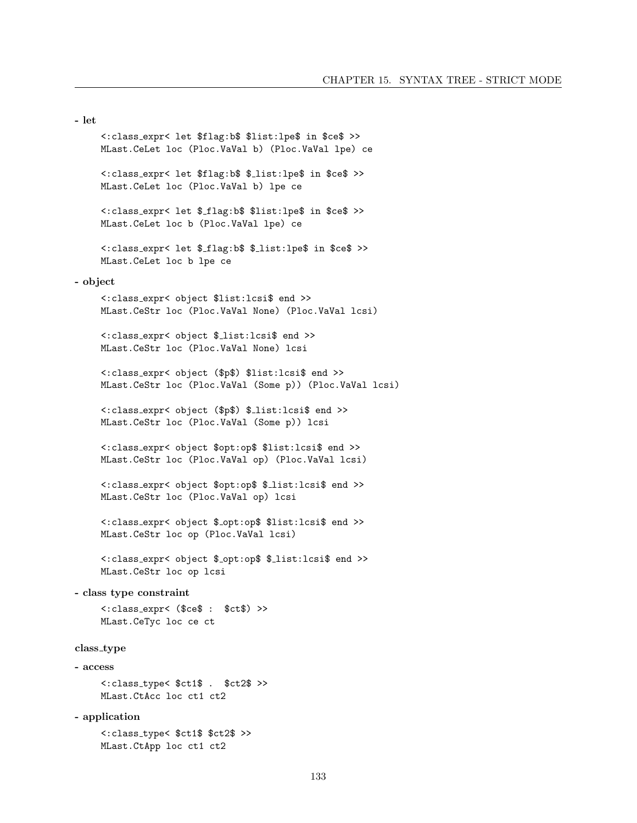- let <:class expr< let \$flag:b\$ \$list:lpe\$ in \$ce\$ >> MLast.CeLet loc (Ploc.VaVal b) (Ploc.VaVal lpe) ce <:class expr< let \$flag:b\$ \$ list:lpe\$ in \$ce\$ >> MLast.CeLet loc (Ploc.VaVal b) lpe ce <:class expr< let \$ flag:b\$ \$list:lpe\$ in \$ce\$ >> MLast.CeLet loc b (Ploc.VaVal lpe) ce <:class expr< let \$ flag:b\$ \$ list:lpe\$ in \$ce\$ >> MLast.CeLet loc b lpe ce - object <:class expr< object \$list:lcsi\$ end >> MLast.CeStr loc (Ploc.VaVal None) (Ploc.VaVal lcsi) <:class expr< object \$ list:lcsi\$ end >> MLast.CeStr loc (Ploc.VaVal None) lcsi <:class expr< object (\$p\$) \$list:lcsi\$ end >> MLast.CeStr loc (Ploc.VaVal (Some p)) (Ploc.VaVal lcsi) <:class expr< object (\$p\$) \$ list:lcsi\$ end >> MLast.CeStr loc (Ploc.VaVal (Some p)) lcsi <:class expr< object \$opt:op\$ \$list:lcsi\$ end >> MLast.CeStr loc (Ploc.VaVal op) (Ploc.VaVal lcsi) <:class expr< object \$opt:op\$ \$ list:lcsi\$ end >> MLast.CeStr loc (Ploc.VaVal op) lcsi <:class expr< object \$ opt:op\$ \$list:lcsi\$ end >> MLast.CeStr loc op (Ploc.VaVal lcsi) <:class expr< object \$ opt:op\$ \$ list:lcsi\$ end >> MLast.CeStr loc op lcsi - class type constraint <:class expr< (\$ce\$ : \$ct\$) >> MLast.CeTyc loc ce ct class\_type - access <:class type< \$ct1\$ . \$ct2\$ >> MLast.CtAcc loc ct1 ct2 - application

<:class type< \$ct1\$ \$ct2\$ >> MLast.CtApp loc ct1 ct2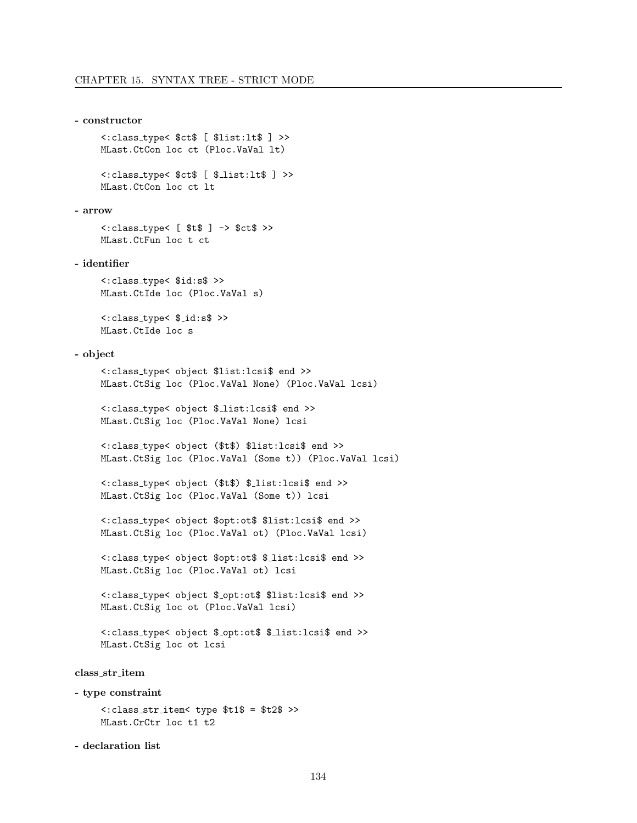```
- constructor
```
<:class type< \$ct\$ [ \$list:lt\$ ] >> MLast.CtCon loc ct (Ploc.VaVal lt)

<:class type< \$ct\$ [ \$ list:lt\$ ] >> MLast.CtCon loc ct lt

- arrow

<:class type< [ \$t\$ ] -> \$ct\$ >> MLast.CtFun loc t ct

- identifier

<:class type< \$id:s\$ >> MLast.CtIde loc (Ploc.VaVal s)

<:class type< \$ id:s\$ >> MLast.CtIde loc s

# - object

```
<:class type< object $list:lcsi$ end >>
MLast.CtSig loc (Ploc.VaVal None) (Ploc.VaVal lcsi)
```
<:class type< object \$ list:lcsi\$ end >> MLast.CtSig loc (Ploc.VaVal None) lcsi

<:class type< object (\$t\$) \$list:lcsi\$ end >> MLast.CtSig loc (Ploc.VaVal (Some t)) (Ploc.VaVal lcsi)

```
<:class type< object ($t$) $ list:lcsi$ end >>
MLast.CtSig loc (Ploc.VaVal (Some t)) lcsi
```

```
<:class type< object $opt:ot$ $list:lcsi$ end >>
MLast.CtSig loc (Ploc.VaVal ot) (Ploc.VaVal lcsi)
```
<:class type< object \$opt:ot\$ \$ list:lcsi\$ end >> MLast.CtSig loc (Ploc.VaVal ot) lcsi

<:class type< object \$ opt:ot\$ \$list:lcsi\$ end >> MLast.CtSig loc ot (Ploc.VaVal lcsi)

<:class type< object \$ opt:ot\$ \$ list:lcsi\$ end >> MLast.CtSig loc ot lcsi

class str item

- type constraint

```
<:class str item< type $t1$ = $t2$ >>
MLast.CrCtr loc t1 t2
```
- declaration list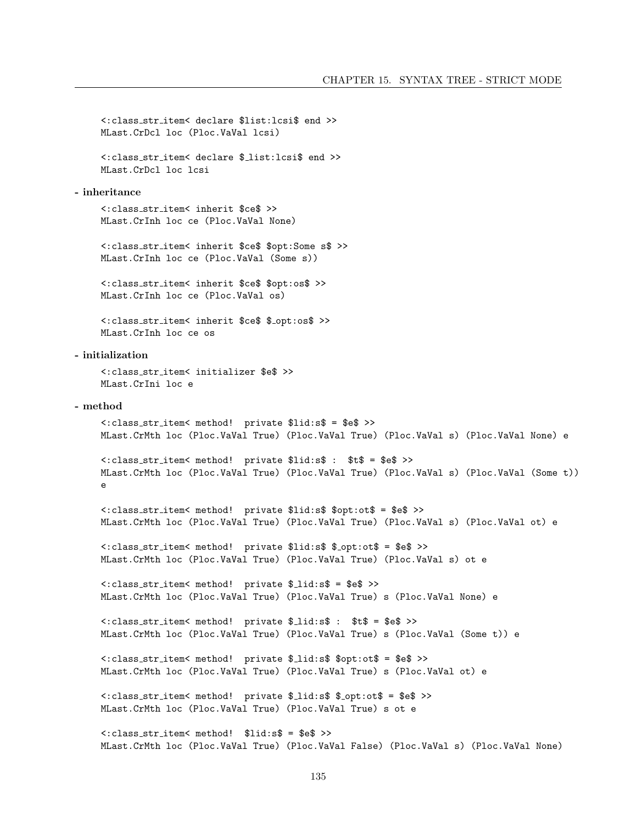```
<: class_str_item< declare $list: lcsi$ end >>
    MLast.CrDcl loc (Ploc.VaVal lcsi)
    <: class_str_item< declare $_list: lcsi$ end >>
    MLast. CrDcl loc lcsi
- inheritance
    <: class_str_item< inherit $ce$ >>
    MLast.CrInh loc ce (Ploc.VaVal None)
    <: class_str_item< inherit $ce$ $opt: Some s$ >>
    MLast.CrInh loc ce (Ploc.VaVal (Some s))
    <: class_str_item< inherit $ce$ $opt:os$ >>
    MLast.CrInh loc ce (Ploc.VaVal os)
    <: class_str_item< inherit $ce$ $_opt:os$ >>
    MLast. CrInh loc ce os
- initialization
    <: class_str_item< initializer $e$ >>
    MLast. CrIni loc e
- method
    <: class_str_item< method!    private $lid:s$ = $e$ >>
    MLast.CrMth loc (Ploc.VaVal True) (Ploc.VaVal True) (Ploc.VaVal s) (Ploc.VaVal None) e
    <: class_str_item< method! private $lid:s$ : $t$ = $e$ >>
    MLast.CrMth loc (Ploc.VaVal True) (Ploc.VaVal True) (Ploc.VaVal s) (Ploc.VaVal (Some t))
    \mathbf{a}<: class_str_item< method! private $lid:s$ $opt:ot$ = $e$ >>
    MLast.CrMth loc (Ploc.VaVal True) (Ploc.VaVal True) (Ploc.VaVal s) (Ploc.VaVal ot) e
    <: class_str_item< method! private $lid:s$ $_opt:ot$ = $e$ >>
    MLast.CrMth loc (Ploc.VaVal True) (Ploc.VaVal True) (Ploc.VaVal s) ot e
    <: class_str_item< method! private $_lid:s$ = $e$ >>
    MLast.CrMth loc (Ploc.VaVal True) (Ploc.VaVal True) s (Ploc.VaVal None) e
    <: class_str_item< method! private $_lid:s$ : $t$ = $e$ >>
    MLast.CrMth loc (Ploc.VaVal True) (Ploc.VaVal True) s (Ploc.VaVal (Some t)) e
    <: class_str_item< method! private $_lid:s$ $opt:ot$ = $e$ >>
    MLast. CrMth loc (Ploc. VaVal True) (Ploc. VaVal True) s (Ploc. VaVal ot) e
    <: class_str_item< method! private $_lid:s$ $_opt:ot$ = $e$ >>
    MLast. CrMth loc (Ploc. VaVal True) (Ploc. VaVal True) s ot e
    <: class_str_item< method! $lid:s$ = $e$ >>
    MLast.CrMth loc (Ploc.VaVal True) (Ploc.VaVal False) (Ploc.VaVal s) (Ploc.VaVal None)
```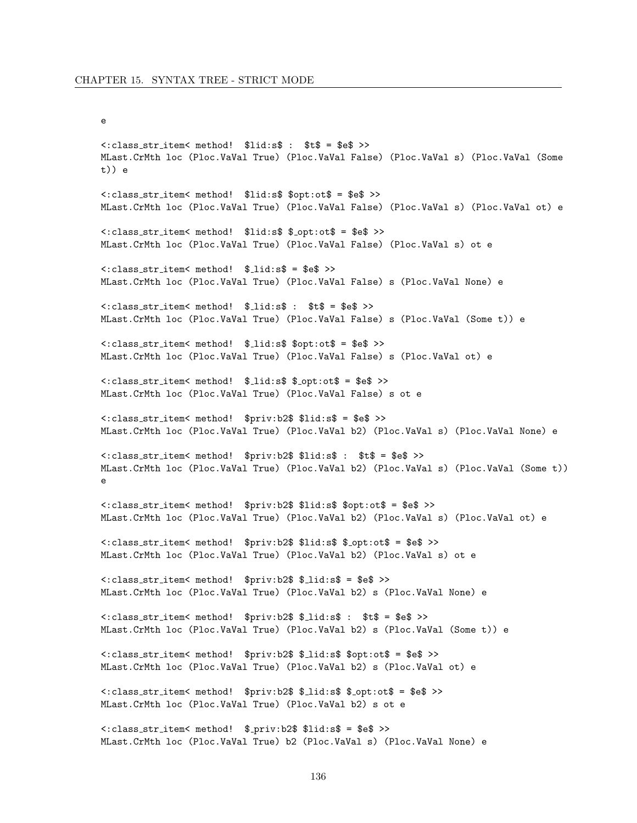```
\mathsf{e}\,
```

```
<: class_str_item< method! $lid:s$ : $t$ = $e$ >>
MLast.CrMth loc (Ploc.VaVal True) (Ploc.VaVal False) (Ploc.VaVal s) (Ploc.VaVal (Some
t)) e
<: class_str_item< method! $lid:s$ $opt:ot$ = $e$ >>
MLast.CrMth loc (Ploc.VaVal True) (Ploc.VaVal False) (Ploc.VaVal s) (Ploc.VaVal ot) e
<: class_str_item< method! $lid:s$ $_opt:ot$ = $e$ >>
MLast.CrMth loc (Ploc.VaVal True) (Ploc.VaVal False) (Ploc.VaVal s) ot e
<: class_str_item< method! $_lid:s$ = $e$ >>
MLast.CrMth loc (Ploc.VaVal True) (Ploc.VaVal False) s (Ploc.VaVal None) e
<: class_str_item< method! $_lid:s$ : $t$ = $e$ >>
MLast.CrMth loc (Ploc.VaVal True) (Ploc.VaVal False) s (Ploc.VaVal (Some t)) e
<: class_str_item< method! $_lid:s$ $opt:ot$ = $e$ >>
MLast.CrMth loc (Ploc.VaVal True) (Ploc.VaVal False) s (Ploc.VaVal ot) e
<: class_str_item< method! $_lid:s$ $_opt:ot$ = $e$ >>
MLast. CrMth loc (Ploc. VaVal True) (Ploc. VaVal False) s ot e
<: class_str_item< method! $priv:b2$ $lid:s$ = $e$ >>
MLast.CrMth loc (Ploc.VaVal True) (Ploc.VaVal b2) (Ploc.VaVal s) (Ploc.VaVal None) e
<: class_str_item< method! $priv:b2$ $lid:s$ : $t$ = $e$ >>
MLast.CrMth loc (Ploc.VaVal True) (Ploc.VaVal b2) (Ploc.VaVal s) (Ploc.VaVal (Some t))
\epsilon<: class_str_item< method! $priv:b2$ $lid:s$ $opt:ot$ = $e$ >>
MLast.CrMth loc (Ploc.VaVal True) (Ploc.VaVal b2) (Ploc.VaVal s) (Ploc.VaVal ot) e
<: class_str_item< method! $priv:b2$ $lid:s$ $_opt:ot$ = $e$ >>
MLast.CrMth loc (Ploc.VaVal True) (Ploc.VaVal b2) (Ploc.VaVal s) ot e
<: class_str_item< method! $priv:b2$ $_lid:s$ = $e$ >>
MLast.CrMth loc (Ploc.VaVal True) (Ploc.VaVal b2) s (Ploc.VaVal None) e
<: class_str_item< method! $priv:b2$ $_lid:s$ : $t$ = $e$ >>
MLast.CrMth loc (Ploc.VaVal True) (Ploc.VaVal b2) s (Ploc.VaVal (Some t)) e
<: class_str_item< method! $priv:b2$ $_lid:s$ $opt:ot$ = $e$ >>
MLast. CrMth loc (Ploc. VaVal True) (Ploc. VaVal b2) s (Ploc. VaVal ot) e
<: class_str_item< method! $priv:b2$ $_lid:s$ $_opt:ot$ = $e$ >>
MLast. CrMth loc (Ploc. VaVal True) (Ploc. VaVal b2) s ot e
<: class_str_item< method! $_priv:b2$ $lid:s$ = $e$ >>
MLast. CrMth loc (Ploc. VaVal True) b2 (Ploc. VaVal s) (Ploc. VaVal None) e
```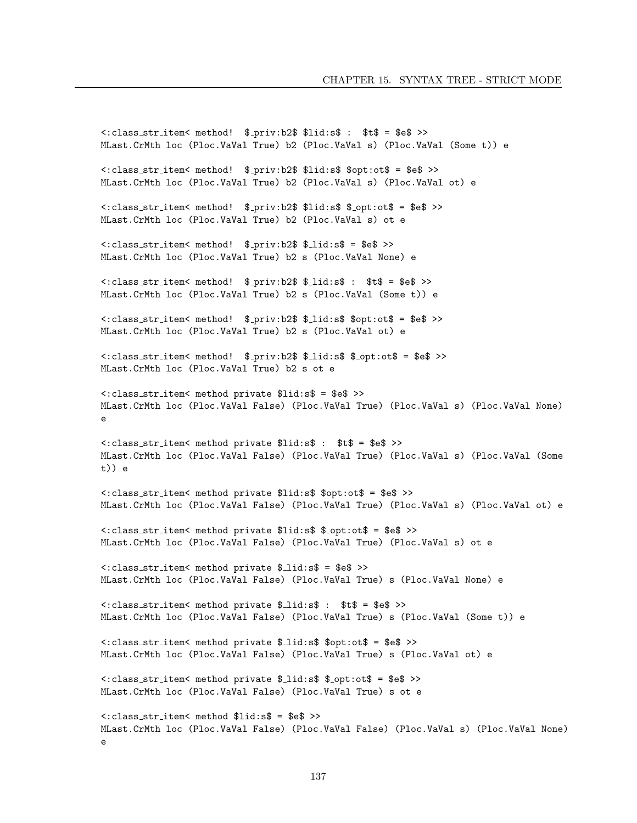```
<: class_str_item< method! $_priv:b2$ $lid:s$ : $t$ = $e$ >>
MLast.CrMth loc (Ploc.VaVal True) b2 (Ploc.VaVal s) (Ploc.VaVal (Some t)) e
<: class_str_item< method! $_priv:b2$ $lid:s$ $opt:ot$ = $e$ >>
MLast. CrMth loc (Ploc. VaVal True) b2 (Ploc. VaVal s) (Ploc. VaVal ot) e
<: class_str_item< method! $_priv:b2$ $lid:s$ $_opt:ot$ = $e$ >>
MLast. CrMth loc (Ploc. VaVal True) b2 (Ploc. VaVal s) ot e
<: class_str_item< method! $_priv: b2$ $_lid:s$ = $e$ >>
MLast.CrMth loc (Ploc.VaVal True) b2 s (Ploc.VaVal None) e
<: class_str_item< method! $_priv:b2$ $_lid:s$ : $t$ = $e$ >>
MLast. CrMth loc (Ploc. VaVal True) b2 s (Ploc. VaVal (Some t)) e
<: class_str_item< method! $_priv:b2$ $_lid:s$ $opt:ot$ = $e$ >>
MLast. CrMth loc (Ploc. VaVal True) b2 s (Ploc. VaVal ot) e
<: class_str_item< method! $_priv:b2$ $_lid:s$ $_opt:ot$ = $e$ >>
MLast. CrMth loc (Ploc. VaVal True) b2 s ot e
<: class_str_item< method private $lid:s$ = $e$ >>
MLast.CrMth loc (Ploc.VaVal False) (Ploc.VaVal True) (Ploc.VaVal s) (Ploc.VaVal None)
\sim<: class_str_item< method private $lid:s$ : $t$ = $e$ >>
MLast.CrMth loc (Ploc.VaVal False) (Ploc.VaVal True) (Ploc.VaVal s) (Ploc.VaVal (Some
t)) e
<: class_str_item< method private $lid:s$ $opt:ot$ = $e$ >>
MLast.CrMth loc (Ploc.VaVal False) (Ploc.VaVal True) (Ploc.VaVal s) (Ploc.VaVal ot) e
<: class_str_item< method private $lid:s$ $_opt:ot$ = $e$ >>
MLast.CrMth loc (Ploc.VaVal False) (Ploc.VaVal True) (Ploc.VaVal s) ot e
<: class_str_item< method private $_lid:s$ = $e$ >>
MLast.CrMth loc (Ploc.VaVal False) (Ploc.VaVal True) s (Ploc.VaVal None) e
<: class_str_item< method private $_lid:s$ : $t$ = $e$ >>
MLast.CrMth loc (Ploc.VaVal False) (Ploc.VaVal True) s (Ploc.VaVal (Some t)) e
<: class_str_item< method private $_lid:s$ $opt:ot$ = $e$ >>
MLast.CrMth loc (Ploc.VaVal False) (Ploc.VaVal True) s (Ploc.VaVal ot) e
<: class_str_item< method private $_lid:s$ $_opt:ot$ = $e$ >>
MLast. CrMth loc (Ploc. VaVal False) (Ploc. VaVal True) s ot e
<: class_str_item< method $lid:s$ = $e$ >>
MLast.CrMth loc (Ploc.VaVal False) (Ploc.VaVal False) (Ploc.VaVal s) (Ploc.VaVal None)
\mathbf{A}
```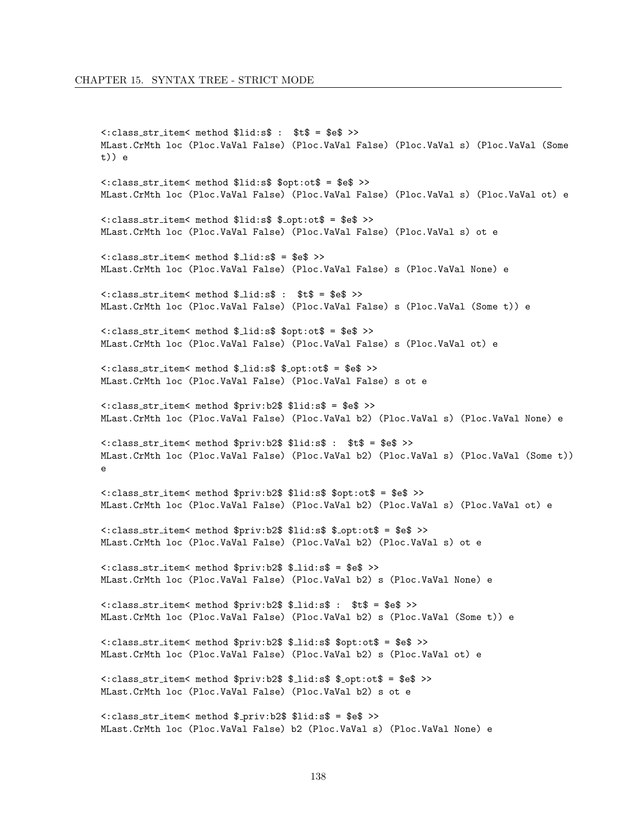# CHAPTER 15. SYNTAX TREE - STRICT MODE

```
<: class_str_item< method $lid:s$ : $t$ = $e$ >>
MLast.CrMth loc (Ploc.VaVal False) (Ploc.VaVal False) (Ploc.VaVal s) (Ploc.VaVal (Some
t)) e
<: class_str_item< method $lid:s$ $opt:ot$ = $e$ >>
MLast.CrMth loc (Ploc.VaVal False) (Ploc.VaVal False) (Ploc.VaVal s) (Ploc.VaVal ot) e
<: class_str_item< method $lid:s$ $_opt:ot$ = $e$ >>
MLast.CrMth loc (Ploc.VaVal False) (Ploc.VaVal False) (Ploc.VaVal s) ot e
<: class_str_item< method $_lid:s$ = $e$ >>
MLast.CrMth loc (Ploc.VaVal False) (Ploc.VaVal False) s (Ploc.VaVal None) e
<: class_str_item< method $_lid:s$ : $t$ = $e$ >>
MLast.CrMth loc (Ploc.VaVal False) (Ploc.VaVal False) s (Ploc.VaVal (Some t)) e
<: class_str_item< method $_lid:s$ $opt:ot$ = $e$ >>
MLast.CrMth loc (Ploc.VaVal False) (Ploc.VaVal False) s (Ploc.VaVal ot) e
<: class_str_item< method $_lid:s$ $_opt:ot$ = $e$ >>
MLast.CrMth loc (Ploc.VaVal False) (Ploc.VaVal False) s ot e
<: class_str_item< method $priv:b2$ $lid:s$ = $e$ >>
MLast.CrMth loc (Ploc.VaVal False) (Ploc.VaVal b2) (Ploc.VaVal s) (Ploc.VaVal None) e
<: class_str_item< method $priv:b2$ $lid:s$ : $t$ = $e$ >>
MLast.CrMth loc (Ploc.VaVal False) (Ploc.VaVal b2) (Ploc.VaVal s) (Ploc.VaVal (Some t))
\sim<: class_str_item< method $priv:b2$ $lid:s$ $opt:ot$ = $e$ >>
MLast.CrMth loc (Ploc.VaVal False) (Ploc.VaVal b2) (Ploc.VaVal s) (Ploc.VaVal ot) e
<: class_str_item< method $priv:b2$ $lid:s$ $_opt:ot$ = $e$ >>
MLast.CrMth loc (Ploc.VaVal False) (Ploc.VaVal b2) (Ploc.VaVal s) ot e
<: class_str_item< method $priv:b2$ $_lid:s$ = $e$ >>
MLast.CrMth loc (Ploc.VaVal False) (Ploc.VaVal b2) s (Ploc.VaVal None) e
<: class_str_item< method $priv:b2$ $_lid:s$ : $t$ = $e$ >>
MLast.CrMth loc (Ploc.VaVal False) (Ploc.VaVal b2) s (Ploc.VaVal (Some t)) e
<: class_str_item< method $priv:b2$ $_lid:s$ $opt:ot$ = $e$ >>
MLast.CrMth loc (Ploc.VaVal False) (Ploc.VaVal b2) s (Ploc.VaVal ot) e
<: class_str_item< method $priv:b2$ $_lid:s$ $_opt:ot$ = $e$ >>
MLast. CrMth loc (Ploc. VaVal False) (Ploc. VaVal b2) s ot e
<: class_str_item< method $_priv:b2$ $lid:s$ = $e$ >>
MLast.CrMth loc (Ploc.VaVal False) b2 (Ploc.VaVal s) (Ploc.VaVal None) e
```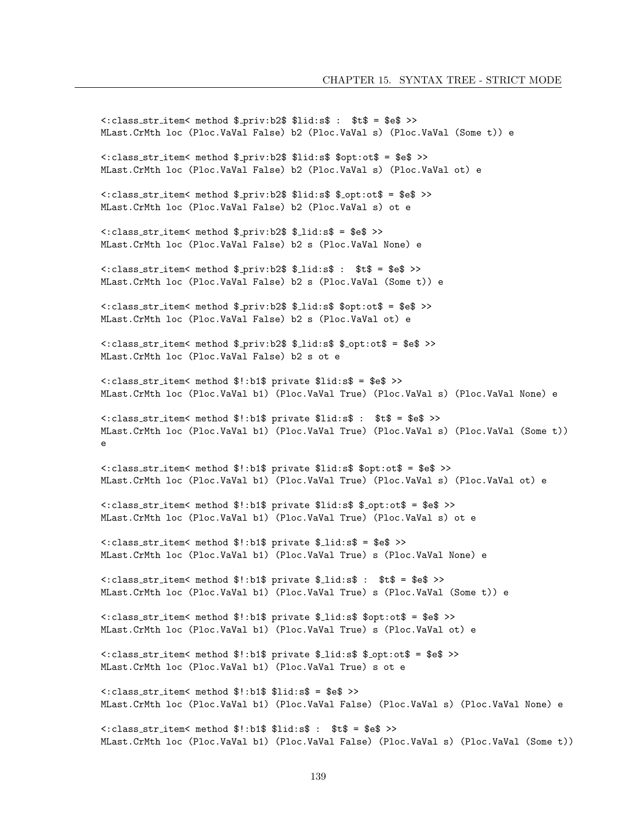```
<: class_str_item< method $_priv:b2$ $lid:s$ : $t$ = $e$ >>
MLast.CrMth loc (Ploc.VaVal False) b2 (Ploc.VaVal s) (Ploc.VaVal (Some t)) e
<: class_str_item< method $_priv:b2$ $lid:s$ $opt:ot$ = $e$ >>
MLast.CrMth loc (Ploc.VaVal False) b2 (Ploc.VaVal s) (Ploc.VaVal ot) e
<: class_str_item< method $_priv:b2$ $lid:s$ $_opt:ot$ = $e$ >>
MLast.CrMth loc (Ploc.VaVal False) b2 (Ploc.VaVal s) ot e
<: class_str_item< method $_priv:b2$ $_lid:s$ = $e$ >>
MLast.CrMth loc (Ploc.VaVal False) b2 s (Ploc.VaVal None) e
<: class_str_item< method $_priv:b2$ $_lid:s$ : $t$ = $e$ >>
MLast.CrMth loc (Ploc.VaVal False) b2 s (Ploc.VaVal (Some t)) e
<: class_str_item< method $_priv:b2$ $_lid:s$ $opt:ot$ = $e$ >>
MLast. CrMth loc (Ploc. VaVal False) b2 s (Ploc. VaVal ot) e
<: class_str_item< method $_priv:b2$ $_lid:s$ $_opt:ot$ = $e$ >>
MLast. CrMth loc (Ploc. VaVal False) b2 s ot e
<: class_str_item< method $!:b1$ private $lid:s$ = $e$ >>
MLast.CrMth loc (Ploc.VaVal b1) (Ploc.VaVal True) (Ploc.VaVal s) (Ploc.VaVal None) e
<: class_str_item< method $!: b1$ private $lid: s$ : $t$ = $e$ >>
MLast.CrMth loc (Ploc.VaVal b1) (Ploc.VaVal True) (Ploc.VaVal s) (Ploc.VaVal (Some t))
\sim<: class_str_item< method $!:b1$ private $lid:s$ $opt:ot$ = $e$ >>
MLast.CrMth loc (Ploc.VaVal b1) (Ploc.VaVal True) (Ploc.VaVal s) (Ploc.VaVal ot) e
<: class_str_item< method $!:b1$ private $lid:s$ $_opt:ot$ = $e$ >>
MLast.CrMth loc (Ploc.VaVal b1) (Ploc.VaVal True) (Ploc.VaVal s) ot e
<: class_str_item< method $!:b1$ private $_lid:s$ = $e$ >>
MLast.CrMth loc (Ploc.VaVal b1) (Ploc.VaVal True) s (Ploc.VaVal None) e
<: class_str_item< method $!:b1$ private $_lid:s$ : $t$ = $e$ >>
MLast.CrMth loc (Ploc.VaVal b1) (Ploc.VaVal True) s (Ploc.VaVal (Some t)) e
<: class_str_item< method $!:b1$ private $_lid:s$ $opt:ot$ = $e$ >>
MLast.CrMth loc (Ploc.VaVal b1) (Ploc.VaVal True) s (Ploc.VaVal ot) e
<: class_str_item< method $!:b1$ private $_lid:s$ $_opt:ot$ = $e$ >>
MLast. CrMth loc (Ploc. VaVal b1) (Ploc. VaVal True) s ot e
<: class_str_item< method $!:b1$ $lid:s$ = $e$ >>
MLast.CrMth loc (Ploc.VaVal b1) (Ploc.VaVal False) (Ploc.VaVal s) (Ploc.VaVal None) e
<: class_str_item< method $!:b1$ $lid:s$ : $t$ = $e$ >>
MLast.CrMth loc (Ploc.VaVal b1) (Ploc.VaVal False) (Ploc.VaVal s) (Ploc.VaVal (Some t))
```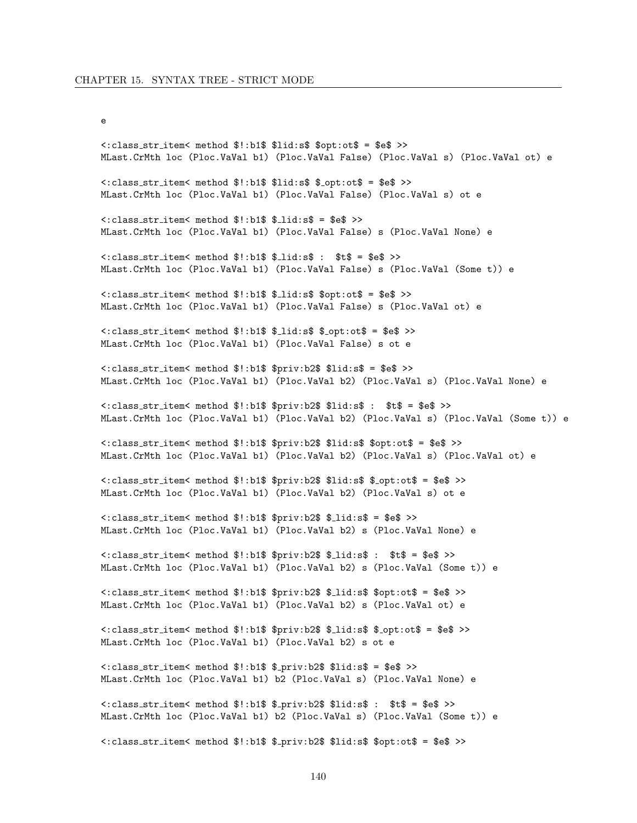#### $\mathsf{e}\,$

<: class\_str\_item< method \$!:b1\$ \$lid:s\$ \$opt:ot\$ = \$e\$ >> MLast.CrMth loc (Ploc.VaVal b1) (Ploc.VaVal False) (Ploc.VaVal s) (Ploc.VaVal ot) e <: class\_str\_item< method \$!:b1\$ \$lid:s\$ \$\_opt:ot\$ = \$e\$ >> MLast.CrMth loc (Ploc.VaVal b1) (Ploc.VaVal False) (Ploc.VaVal s) ot e  $\langle$ : class\_str\_item< method \$!:b1\$ \$\_lid:s\$ = \$e\$ >> MLast.CrMth loc (Ploc.VaVal b1) (Ploc.VaVal False) s (Ploc.VaVal None) e  $\texttt{<:class}\_str \_ \texttt{item}<\texttt{method}$  \$!:b1\$ \$ $\_ \texttt{lid}: \$  : \$t\$ = \$e\$ >> MLast.CrMth loc (Ploc.VaVal b1) (Ploc.VaVal False) s (Ploc.VaVal (Some t)) e <: class\_str\_item< method \$!:b1\$ \$\_lid:s\$ \$opt:ot\$ = \$e\$ >> MLast.CrMth loc (Ploc.VaVal b1) (Ploc.VaVal False) s (Ploc.VaVal ot) e <: class\_str\_item< method \$!:b1\$ \$\_lid:s\$ \$\_opt:ot\$ = \$e\$ >> MLast.CrMth loc (Ploc.VaVal b1) (Ploc.VaVal False) s ot e <: class\_str\_item< method \$!:b1\$ \$priv:b2\$ \$lid:s\$ = \$e\$ >> MLast.CrMth loc (Ploc.VaVal b1) (Ploc.VaVal b2) (Ploc.VaVal s) (Ploc.VaVal None) e <: class\_str\_item< method \$!:b1\$ \$priv:b2\$ \$lid:s\$ : \$t\$ = \$e\$ >> MLast.CrMth loc (Ploc.VaVal b1) (Ploc.VaVal b2) (Ploc.VaVal s) (Ploc.VaVal (Some t)) e <: class\_str\_item< method \$!:b1\$ \$priv:b2\$ \$lid:s\$ \$opt:ot\$ = \$e\$ >> MLast.CrMth loc (Ploc.VaVal b1) (Ploc.VaVal b2) (Ploc.VaVal s) (Ploc.VaVal ot) e <: class\_str\_item< method \$!:b1\$ \$priv:b2\$ \$lid:s\$ \$\_opt:ot\$ = \$e\$ >> MLast.CrMth loc (Ploc.VaVal b1) (Ploc.VaVal b2) (Ploc.VaVal s) ot e  $\texttt{<:class\_str\_item}<$  method  $\text{\$!':b1\$$   $\text{\$priv:}b2\$$   $\text{\$\_lid:}s\$ = \text{\$e\$} \text{>}$ MLast.CrMth loc (Ploc.VaVal b1) (Ploc.VaVal b2) s (Ploc.VaVal None) e <: class\_str\_item< method \$!:b1\$ \$priv:b2\$ \$\_lid:s\$ : \$t\$ = \$e\$ >> MLast.CrMth loc (Ploc.VaVal b1) (Ploc.VaVal b2) s (Ploc.VaVal (Some t)) e <: class\_str\_item< method \$!:b1\$ \$priv:b2\$ \$\_lid:s\$ \$opt:ot\$ = \$e\$ >> MLast.CrMth loc (Ploc.VaVal b1) (Ploc.VaVal b2) s (Ploc.VaVal ot) e <: class\_str\_item< method \$!:b1\$ \$priv:b2\$ \$\_lid:s\$ \$\_opt:ot\$ = \$e\$ >> MLast. CrMth loc (Ploc. VaVal b1) (Ploc. VaVal b2) s ot e <: class\_str\_item< method \$!:b1\$ \$\_priv:b2\$ \$lid:s\$ = \$e\$ >> MLast.CrMth loc (Ploc.VaVal b1) b2 (Ploc.VaVal s) (Ploc.VaVal None) e  $\texttt{<:class}\_str \_ \texttt{item}<$  method  $\texttt{\$!:\texttt{b1\$}\$   $\texttt{\$-priv:}$   $\texttt{b2\$}\$   $\texttt{\$}1id: \texttt{s\$}:$   $\texttt{\$t\$} = \texttt{\$e\$} \texttt{>>}$ MLast.CrMth loc (Ploc.VaVal b1) b2 (Ploc.VaVal s) (Ploc.VaVal (Some t)) e <: class\_str\_item< method \$!:b1\$ \$\_priv:b2\$ \$lid:s\$ \$opt:ot\$ = \$e\$ >>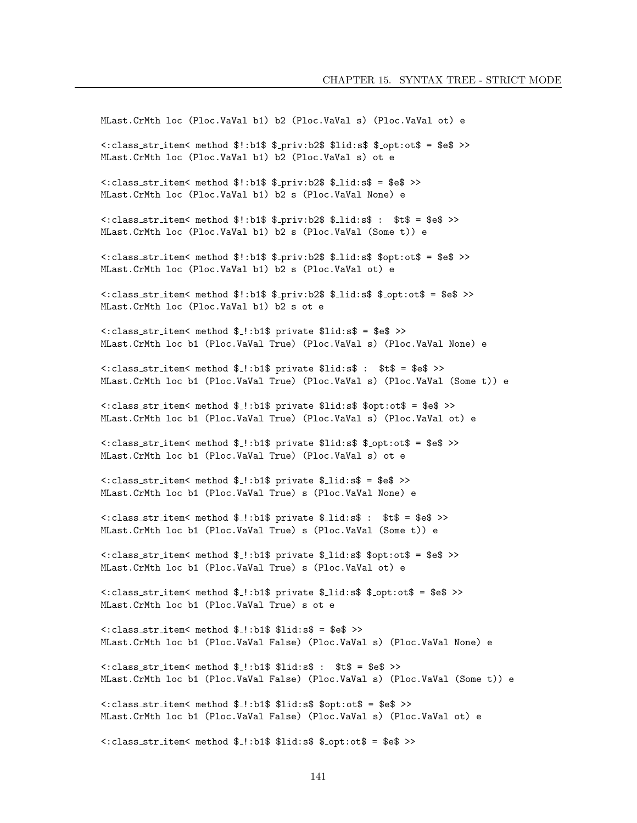MLast.CrMth loc (Ploc.VaVal b1) b2 (Ploc.VaVal s) (Ploc.VaVal ot) e <: class\_str\_item< method \$!:b1\$ \$\_priv:b2\$ \$lid:s\$ \$\_opt:ot\$ = \$e\$ >> MLast.CrMth loc (Ploc.VaVal b1) b2 (Ploc.VaVal s) ot e <: class\_str\_item< method \$!:b1\$ \$\_priv:b2\$ \$\_lid:s\$ = \$e\$ >> MLast. CrMth loc (Ploc. VaVal b1) b2 s (Ploc. VaVal None) e <: class\_str\_item< method \$!:b1\$ \$\_priv:b2\$ \$\_lid:s\$ : \$t\$ = \$e\$ >> MLast.CrMth loc (Ploc.VaVal b1) b2 s (Ploc.VaVal (Some t)) e <: class\_str\_item< method \$!:b1\$ \$\_priv:b2\$ \$\_lid:s\$ \$opt:ot\$ = \$e\$ >> MLast. CrMth loc (Ploc. VaVal b1) b2 s (Ploc. VaVal ot) e <: class\_str\_item< method \$!:b1\$ \$\_priv:b2\$ \$\_lid:s\$ \$\_opt:ot\$ = \$e\$ >> MLast. CrMth loc (Ploc. VaVal b1) b2 s ot e <: class\_str\_item< method \$\_!:b1\$ private \$lid:s\$ = \$e\$ >> MLast.CrMth loc b1 (Ploc.VaVal True) (Ploc.VaVal s) (Ploc.VaVal None) e <: class\_str\_item< method \$\_!:b1\$ private \$lid:s\$ : \$t\$ = \$e\$ >> MLast.CrMth loc b1 (Ploc.VaVal True) (Ploc.VaVal s) (Ploc.VaVal (Some t)) e <: class\_str\_item< method \$\_!:b1\$ private \$lid:s\$ \$opt:ot\$ = \$e\$ >> MLast.CrMth loc b1 (Ploc.VaVal True) (Ploc.VaVal s) (Ploc.VaVal ot) e <: class\_str\_item< method \$\_!:b1\$ private \$lid:s\$ \$\_opt:ot\$ = \$e\$ >> MLast. CrMth loc b1 (Ploc. VaVal True) (Ploc. VaVal s) ot e <: class\_str\_item< method \$\_!:b1\$ private \$\_lid:s\$ = \$e\$ >> MLast. CrMth loc b1 (Ploc. VaVal True) s (Ploc. VaVal None) e  $\texttt{<:class}\text{-}str\text{-}item\texttt{<}$  method  $\texttt{\$}.!:\texttt{b1\$}$  private  $\texttt{\$}.list:\texttt{\$}: \texttt{\$}:\texttt{\$}=\texttt{\$}e\texttt{\$}>>$ MLast.CrMth loc b1 (Ploc.VaVal True) s (Ploc.VaVal (Some t)) e <: class\_str\_item< method \$\_!:b1\$ private \$\_lid:s\$ \$opt:ot\$ = \$e\$ >> MLast. CrMth loc b1 (Ploc. VaVal True) s (Ploc. VaVal ot) e <: class\_str\_item< method \$\_!:b1\$ private \$\_lid:s\$ \$\_opt:ot\$ = \$e\$ >> MLast. CrMth loc b1 (Ploc. VaVal True) s ot e <: class\_str\_item< method \$\_!:b1\$ \$lid:s\$ = \$e\$ >> MLast.CrMth loc b1 (Ploc.VaVal False) (Ploc.VaVal s) (Ploc.VaVal None) e  $\texttt{<:class\_str\_item}<$  method  $\text{\$-.:b1\$$   $\text{\$}1id:s\$$  :  $\text{\$t$\$ = \text{\$e$} >>}$ MLast.CrMth loc b1 (Ploc.VaVal False) (Ploc.VaVal s) (Ploc.VaVal (Some t)) e <: class\_str\_item< method \$\_!:b1\$ \$lid:s\$ \$opt:ot\$ = \$e\$ >> MLast.CrMth loc b1 (Ploc.VaVal False) (Ploc.VaVal s) (Ploc.VaVal ot) e <: class\_str\_item< method \$\_!:b1\$ \$lid:s\$ \$\_opt:ot\$ = \$e\$ >>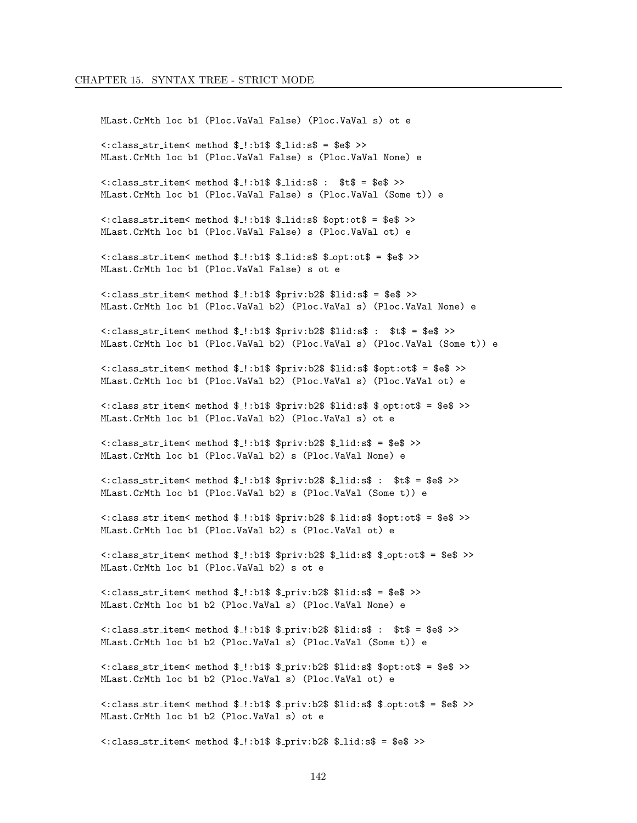MLast. CrMth loc b1 (Ploc. VaVal False) (Ploc. VaVal s) ot e  $\langle$ : class\_str\_item< method \$ !: b1\$ \$ lid: s\$ = \$e\$ >> MLast. CrMth loc b1 (Ploc. VaVal False) s (Ploc. VaVal None) e  $\texttt{<:class}\_str \_ \texttt{item<} \texttt{method}$  \$.!:b1\$ \$.lid:s\$ : \$t\$ = \$e\$ >> MLast.CrMth loc b1 (Ploc.VaVal False) s (Ploc.VaVal (Some t)) e <: class\_str\_item< method \$\_!:b1\$ \$\_lid:s\$ \$opt:ot\$ = \$e\$ >> MLast. CrMth loc b1 (Ploc. VaVal False) s (Ploc. VaVal ot) e  $\langle$ : class\_str\_item< method  $\frac{1}{2}$ : b1\$  $\frac{1}{2}$ id: s\$  $\frac{1}{2}$ opt: ot\$ = \$e\$ >> MLast. CrMth loc b1 (Ploc. VaVal False) s ot e <: class\_str\_item< method \$\_!:b1\$ \$priv:b2\$ \$lid:s\$ = \$e\$ >> MLast.CrMth loc b1 (Ploc.VaVal b2) (Ploc.VaVal s) (Ploc.VaVal None) e <: class\_str\_item< method \$\_!:b1\$ \$priv:b2\$ \$lid:s\$ : \$t\$ = \$e\$ >> MLast.CrMth loc b1 (Ploc.VaVal b2) (Ploc.VaVal s) (Ploc.VaVal (Some t)) e <: class\_str\_item< method \$\_!:b1\$ \$priv:b2\$ \$lid:s\$ \$opt:ot\$ = \$e\$ >> MLast.CrMth loc b1 (Ploc.VaVal b2) (Ploc.VaVal s) (Ploc.VaVal ot) e <: class\_str\_item< method \$\_!:b1\$ \$priv:b2\$ \$lid:s\$ \$\_opt:ot\$ = \$e\$ >> MLast.CrMth loc b1 (Ploc.VaVal b2) (Ploc.VaVal s) ot e <: class\_str\_item< method \$\_!:b1\$ \$priv:b2\$ \$\_lid:s\$ = \$e\$ >> MLast. CrMth loc b1 (Ploc. VaVal b2) s (Ploc. VaVal None) e <: class\_str\_item< method \$\_!:b1\$ \$priv:b2\$ \$\_lid:s\$ : \$t\$ = \$e\$ >> MLast. CrMth loc b1 (Ploc. VaVal b2) s (Ploc. VaVal (Some t)) e <: class\_str\_item< method \$\_!:b1\$ \$priv:b2\$ \$\_lid:s\$ \$opt:ot\$ = \$e\$ >> MLast. CrMth loc b1 (Ploc. VaVal b2) s (Ploc. VaVal ot) e <: class\_str\_item< method \$\_!:b1\$ \$priv:b2\$ \$\_lid:s\$ \$\_opt:ot\$ = \$e\$ >> MLast.CrMth loc b1 (Ploc.VaVal b2) s ot e  $\texttt{<:class\_str\_item}<$  method  $\text{\$!.]:b1\$   $\text{\$.priv:}b2\$   $\text{\$}1id:s\$  =  $\text{\$e\$}$  >> MLast. CrMth loc b1 b2 (Ploc. VaVal s) (Ploc. VaVal None) e <: class\_str\_item< method \$\_!:b1\$ \$\_priv:b2\$ \$lid:s\$ : \$t\$ = \$e\$ >> MLast. CrMth loc b1 b2 (Ploc. VaVal s) (Ploc. VaVal (Some t)) e <: class\_str\_item< method \$\_!:b1\$ \$\_priv:b2\$ \$lid:s\$ \$opt:ot\$ = \$e\$ >> MLast.CrMth loc b1 b2 (Ploc.VaVal s) (Ploc.VaVal ot) e <: class\_str\_item< method \$\_!:b1\$ \$\_priv:b2\$ \$lid:s\$ \$\_opt:ot\$ = \$e\$ >> MLast. CrMth loc b1 b2 (Ploc. VaVal s) ot e <: class\_str\_item< method \$\_!:b1\$ \$\_priv:b2\$ \$\_lid:s\$ = \$e\$ >>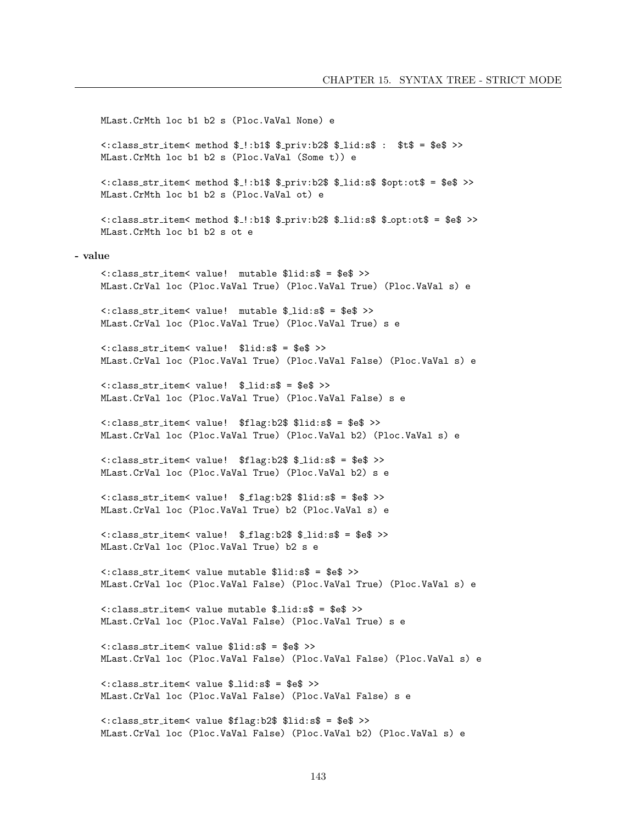```
MLast. CrMth loc b1 b2 s (Ploc. VaVal None) e
    <: class_str_item< method $_!:b1$ $_priv:b2$ $_lid:s$ : $t$ = $e$ >>
    MLast. CrMth loc b1 b2 s (Ploc. VaVal (Some t)) e
    <: class_str_item< method $_!:b1$ $_priv:b2$ $_lid:s$ $opt:ot$ = $e$ >>
    MLast. CrMth loc b1 b2 s (Ploc. VaVal ot) e
    <: class_str_item< method $_!:b1$ $_priv:b2$ $_lid:s$ $_opt:ot$ = $e$ >>
    MLast. CrMth loc b1 b2 s ot e
- value
    <: class_str_item< value! mutable $lid:s$ = $e$ >>
    MLast.CrVal loc (Ploc.VaVal True) (Ploc.VaVal True) (Ploc.VaVal s) e
    <: class_str_item< value! mutable $_lid:s$ = $e$ >>
    MLast. CrVal loc (Ploc. VaVal True) (Ploc. VaVal True) s e
    <: class_str_item< value! $lid:s$ = $e$ >>
    MLast.CrVal loc (Ploc.VaVal True) (Ploc.VaVal False) (Ploc.VaVal s) e
    <: class_str_item< value! $_lid:s$ = $e$ >>
    MLast. CrVal loc (Ploc. VaVal True) (Ploc. VaVal False) s e
    <: class_str_item< value! $flag:b2$ $lid:s$ = $e$ >>
    MLast. CrVal loc (Ploc. VaVal True) (Ploc. VaVal b2) (Ploc. VaVal s) e
    <: class_str_item< value! $flag:b2$ $_lid:s$ = $e$ >>
    MLast. CrVal loc (Ploc. VaVal True) (Ploc. VaVal b2) s e
    <: class_str_item< value! $_flag:b2$ $lid:s$ = $e$ >>
    MLast. CrVal loc (Ploc. VaVal True) b2 (Ploc. VaVal s) e
    <: class_str_item< value! $_flag:b2$ $_lid:s$ = $e$ >>
    MLast. CrVal loc (Ploc. VaVal True) b2 s e
    <: class_str_item< value mutable $lid:s$ = $e$ >>
    MLast.CrVal loc (Ploc.VaVal False) (Ploc.VaVal True) (Ploc.VaVal s) e
    <: class_str_item< value mutable $_lid:s$ = $e$ >>
    MLast. CrVal loc (Ploc. VaVal False) (Ploc. VaVal True) s e
    <: class_str_item< value $lid:s$ = $e$ >>
    MLast.CrVal loc (Ploc.VaVal False) (Ploc.VaVal False) (Ploc.VaVal s) e
    <: class_str_item<_ value $_lid:s$ = $e$ >>
    MLast. CrVal loc (Ploc. VaVal False) (Ploc. VaVal False) s e
    <: class_str_item< value $flag:b2$ $lid:s$ = $e$ >>
    MLast.CrVal loc (Ploc.VaVal False) (Ploc.VaVal b2) (Ploc.VaVal s) e
```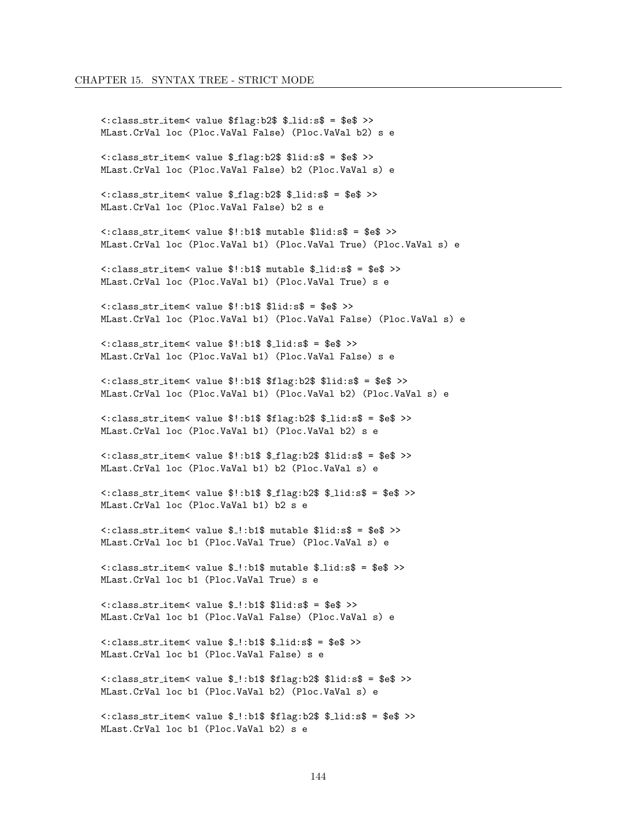```
<:class str item< value $flag:b2$ $ lid:s$ = $e$ >>
MLast.CrVal loc (Ploc.VaVal False) (Ploc.VaVal b2) s e
<:class str item< value $ flag:b2$ $lid:s$ = $e$ >>
MLast.CrVal loc (Ploc.VaVal False) b2 (Ploc.VaVal s) e
<:class str item< value $ flag:b2$ $ lid:s$ = $e$ >>
MLast.CrVal loc (Ploc.VaVal False) b2 s e
<:class str item< value $!:b1$ mutable $lid:s$ = $e$ >>
MLast.CrVal loc (Ploc.VaVal b1) (Ploc.VaVal True) (Ploc.VaVal s) e
<:class str item< value $!:b1$ mutable $ lid:s$ = $e$ >>
MLast.CrVal loc (Ploc.VaVal b1) (Ploc.VaVal True) s e
<:class str item< value $!:b1$ $lid:s$ = $e$ >>
MLast.CrVal loc (Ploc.VaVal b1) (Ploc.VaVal False) (Ploc.VaVal s) e
<:class str item< value $!:b1$ $ lid:s$ = $e$ >>
MLast.CrVal loc (Ploc.VaVal b1) (Ploc.VaVal False) s e
<:class str item< value $!:b1$ $flag:b2$ $lid:s$ = $e$ >>
MLast.CrVal loc (Ploc.VaVal b1) (Ploc.VaVal b2) (Ploc.VaVal s) e
\langle:class_str_item\langle value $!:b1$ $flag:b2$ $_lid:s$ = $e$ >>
MLast.CrVal loc (Ploc.VaVal b1) (Ploc.VaVal b2) s e
<:class str item< value $!:b1$ $ flag:b2$ $lid:s$ = $e$ >>
MLast.CrVal loc (Ploc.VaVal b1) b2 (Ploc.VaVal s) e
<:class str item< value $!:b1$ $ flag:b2$ $ lid:s$ = $e$ >>
MLast.CrVal loc (Ploc.VaVal b1) b2 s e
<:class str item< value $ !:b1$ mutable $lid:s$ = $e$ >>
MLast.CrVal loc b1 (Ploc.VaVal True) (Ploc.VaVal s) e
<:class str item< value $ !:b1$ mutable $ lid:s$ = $e$ >>
MLast.CrVal loc b1 (Ploc.VaVal True) s e
\texttt{<:class}\text{-}\texttt{str}\text{-}\texttt{item}<\texttt{value} $\text{-}\texttt{!}:b1\$ $lid:s$ = $e$ >>
MLast.CrVal loc b1 (Ploc.VaVal False) (Ploc.VaVal s) e
\langle:class_str_item\langle value $_!:b1$ $_lid:s$ = $e$ >>
MLast.CrVal loc b1 (Ploc.VaVal False) s e
<:class str item< value $ !:b1$ $flag:b2$ $lid:s$ = $e$ >>
MLast.CrVal loc b1 (Ploc.VaVal b2) (Ploc.VaVal s) e
<:class str item< value $ !:b1$ $flag:b2$ $ lid:s$ = $e$ >>
MLast.CrVal loc b1 (Ploc.VaVal b2) s e
```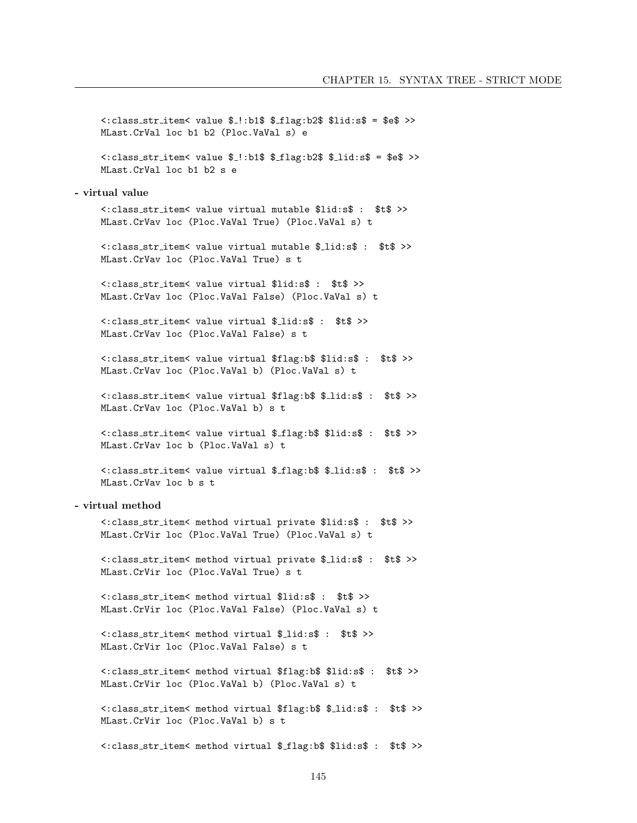```
<: class_str_item< value $_!:b1$ $_flag:b2$ $lid:s$ = $e$ >>
    MLast. CrVal loc b1 b2 (Ploc. VaVal s) e
    <: class_str_item< value $_!:b1$ $_flag:b2$ $_lid:s$ = $e$ >>
    MLast. CrVal loc b1 b2 s e
- virtual value
    <: class_str_item< value virtual mutable $lid:s$ : $t$ >>
    MLast. CrVav loc (Ploc. VaVal True) (Ploc. VaVal s) t
    <: class_str_item< value virtual mutable $_lid:s$ : $t$ >>
    MLast. CrVav loc (Ploc. VaVal True) s t
    <: class_str_item< value virtual $lid:s$ : $t$ >>
    MLast. CrVav loc (Ploc. VaVal False) (Ploc. VaVal s) t
    <: class_str_item< value virtual $_lid:s$ : $t$ >>
    MLast. CrVay loc (Ploc. VaVal False) s t
    <: class_str_item< value virtual $flag:b$ $lid:s$ : $t$ >>
    MLast. CrVav loc (Ploc. VaVal b) (Ploc. VaVal s) t
    <: class_str_item< value virtual $flag:b$ $_lid:s$ : $t$ >>
    MLast. CrVav loc (Ploc. VaVal b) s t
    <: class_str_item< value virtual $_flag:b$ $lid:s$ : $t$ >>
    MLast.CrVav loc b (Ploc.VaVal s) t
    <: class_str_item< value virtual $_flag:b$ $_lid:s$ : $t$ >>
    MLast. CrVav loc b s t
- virtual method
    <: class_str_item< method virtual private $lid:s$ : $t$ >>
    MLast. CrVir loc (Ploc. VaVal True) (Ploc. VaVal s) t
    <: class_str_item< method virtual private $_lid:s$ : $t$ >>
    MLast. CrVir loc (Ploc. VaVal True) s t
    <: class_str_item< method virtual $lid:s$ : $t$ >>
    MLast. CrVir loc (Ploc. VaVal False) (Ploc. VaVal s) t
    <: class_str_item< method virtual $_lid:s$ : $t$ >>
    MLast. CrVir loc (Ploc. VaVal False) s t
    <:class_str_item< method virtual $flag:b$ $lid:s$ : $t$ >>
    MLast. CrVir loc (Ploc. VaVal b) (Ploc. VaVal s) t
    <: class_str_item< method virtual $flag:b$ $_lid:s$ : $t$ >>
    MLast. CrVir loc (Ploc. VaVal b) s t
    <:class_str_item< method virtual $_flag:b$ $lid:s$ : $t$ >>
```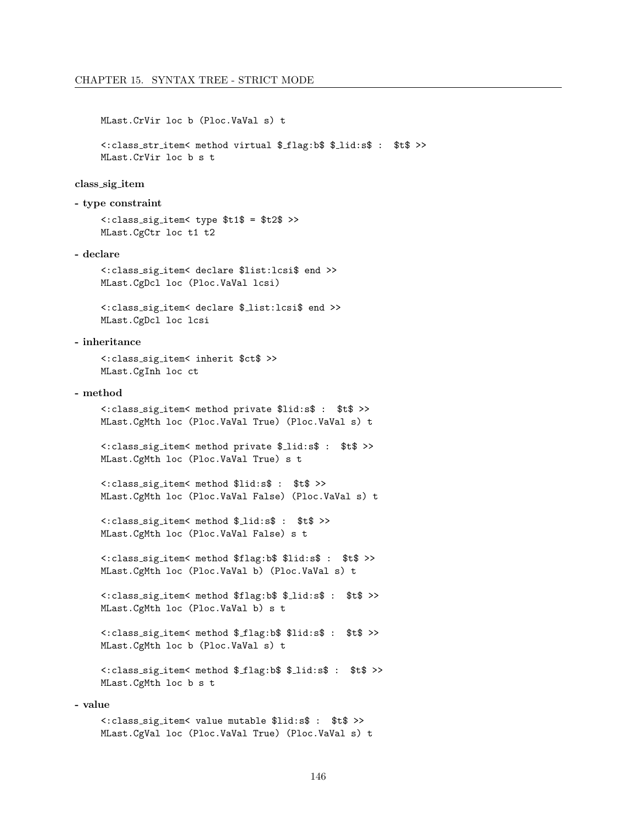```
MLast. CrVir loc b (Ploc. VaVal s) t
```
<: class\_str\_item< method virtual \$\_flag:b\$ \$\_lid:s\$ : \$t\$ >> MLast. CrVir loc b s t

#### class\_sig\_item

- type constraint

<: class\_sig\_item< type \$t1\$ = \$t2\$ >> MLast. CgCtr loc t1 t2

#### - declare

<: class\_sig\_item< declare \$list: lcsi\$ end >> MLast.CgDcl loc (Ploc.VaVal lcsi)

<: class\_sig\_item< declare \$\_list:lcsi\$ end >> MLast.CgDcl loc lcsi

#### - inheritance

<: class\_sig\_item< inherit \$ct\$ >> MLast.CgInh loc ct

#### - method

<: class\_sig\_item< method private \$lid:s\$ : \$t\$ >> MLast.CgMth loc (Ploc.VaVal True) (Ploc.VaVal s) t

```
<: class_sig_item< method private $_lid:s$ : $t$ >>
MLast. CgMth loc (Ploc. VaVal True) s t
```

```
<: class_sig_item< method $lid:s$ : $t$ >>
MLast.CgMth loc (Ploc.VaVal False) (Ploc.VaVal s) t
```

```
<: class_sig_item< method $_lid:s$ : $t$ >>
MLast.CgMth loc (Ploc.VaVal False) s t
```

```
<: class_sig_item< method $flag:b$ $lid:s$ : $t$ >>
MLast.CgMth loc (Ploc.VaVal b) (Ploc.VaVal s) t
```
<: class\_sig\_item< method \$flag:b\$ \$\_lid:s\$ : \$t\$ >> MLast.CgMth loc (Ploc.VaVal b) s t

```
<: class_sig_item< method $_flag:b$ $lid:s$ : $t$ >>
MLast. CgMth loc b (Ploc. VaVal s) t
```
<: class\_sig\_item< method \$\_flag:b\$ \$\_lid:s\$ : \$t\$ >> MLast. CgMth loc b s t

#### - value

<: class\_sig\_item< value mutable \$lid:s\$ : \$t\$ >> MLast.CgVal loc (Ploc.VaVal True) (Ploc.VaVal s) t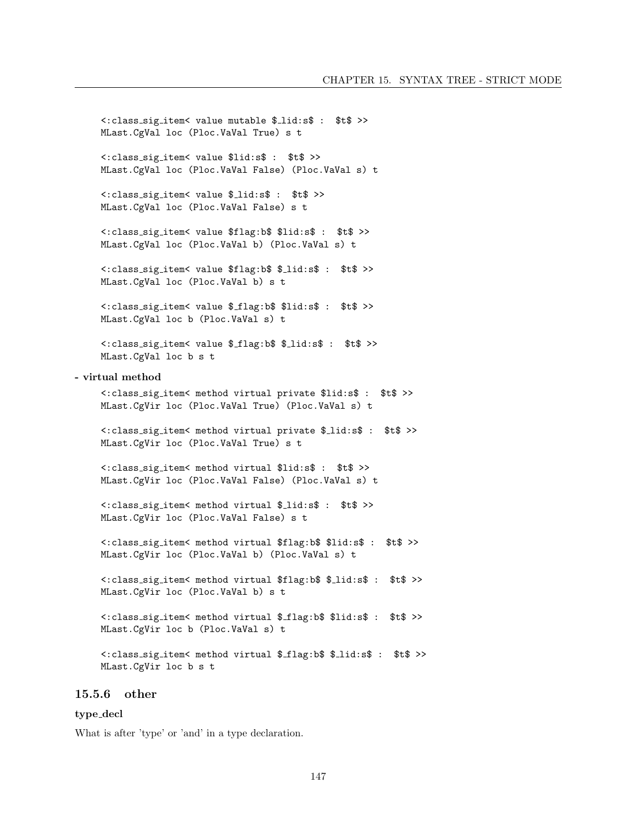```
<: class_sig_item< value mutable $_lid:s$ : $t$ >>
    MLast. CgVal loc (Ploc. VaVal True) s t
    <: class_sig_item< value $lid:s$ : $t$ >>
    MLast.CgVal loc (Ploc.VaVal False) (Ploc.VaVal s) t
    <: class_sig_item< value $_lid:s$ : $t$ >>
    MLast. CgVal loc (Ploc. VaVal False) s t
    <: class_sig_item< value $flag:b$ $lid:s$ : $t$ >>
    MLast.CgVal loc (Ploc.VaVal b) (Ploc.VaVal s) t
    <: class_sig_item< value $flag:b$ $_lid:s$ : $t$ >>
    MLast. CgVal loc (Ploc. VaVal b) s t
    <: class_sig_item< value $_flag:b$ $lid:s$ : $t$ >>
    MLast. CgVal loc b (Ploc. VaVal s) t
    <: class_sig_item< value $_flag:b$ $_lid:s$ : $t$ >>
    MLast. CgVal loc b s t
- virtual method
    <: class_sig_item< method virtual private $lid:s$ : $t$ >>
    MLast.CgVir loc (Ploc.VaVal True) (Ploc.VaVal s) t
    <: class_sig_item< method virtual private $_lid:s$ : $t$ >>
    MLast. CgVir loc (Ploc. VaVal True) s t
    <: class_sig_item< method virtual $lid:s$ : $t$ >>
    MLast. CgVir loc (Ploc. VaVal False) (Ploc. VaVal s) t
    <: class_sig_item< method virtual $_lid:s$ : $t$ >>
    MLast. CgVir loc (Ploc. VaVal False) s t
    <: class_sig_item< method virtual $flag:b$ $lid:s$ : $t$ >>
    MLast.CgVir loc (Ploc.VaVal b) (Ploc.VaVal s) t
    <: class_sig_item< method virtual $flag:b$ $_lid:s$ : $t$ >>
    MLast.CgVir loc (Ploc.VaVal b) s t
    <: class_sig_item< method virtual $_flag:b$ $lid:s$ : $t$ >>
    MLast.CgVir loc b (Ploc.VaVal s) t
    <: class_sig_item< method virtual $_flag:b$ $_lid:s$ : $t$ >>
    MLast. CgVir loc b s t
```
#### $15.5.6$  other

#### type\_decl

What is after 'type' or 'and' in a type declaration.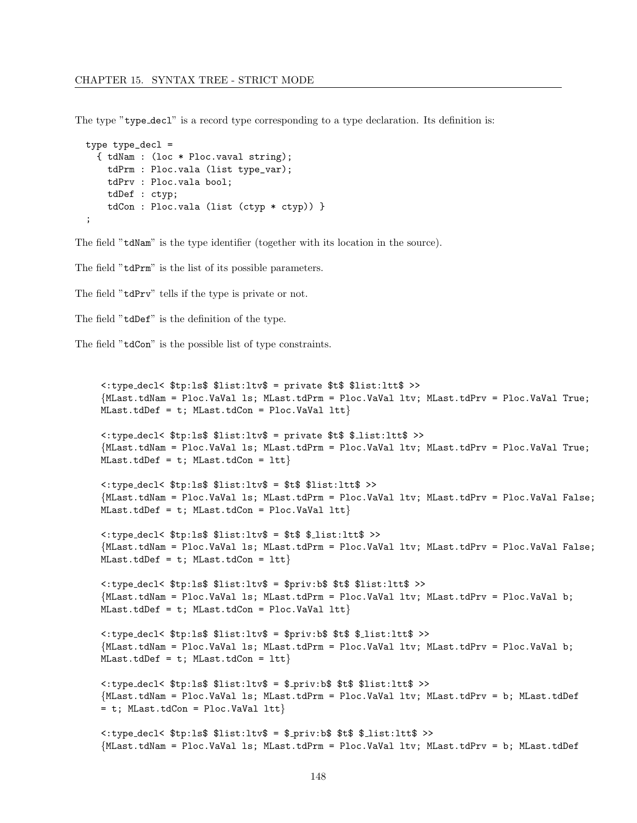The type "type\_decl" is a record type corresponding to a type declaration. Its definition is:

```
type type\_dec1 ={ tdNam : (loc * Ploc.vaval string);
    tdPrm : Ploc.vala (list type_var);
   tdPrv : Ploc.vala bool;
   tdDef : ctyp;
   tdCon : Ploc.vala (list (ctyp * ctyp)) }
;
```
The field "tdNam" is the type identifier (together with its location in the source).

The field "tdPrm" is the list of its possible parameters.

The field "tdPrv" tells if the type is private or not.

The field "tdDef" is the definition of the type.

The field "tdCon" is the possible list of type constraints.

```
<:type decl< $tp:ls$ $list:ltv$ = private $t$ $list:ltt$ >>
{MLast.tdNam = Ploc.VaVal ls; MLast.tdPrm = Ploc.VaVal ltv; MLast.tdPrv = Ploc.VaVal True;
MLast.tdDef = t; MLast.tdCon = Ploc.VaVal Itt<:type decl< $tp:ls$ $list:ltv$ = private $t$ $ list:ltt$ >>
{MLast.tdNam = Ploc.VaVal ls; MLast.tdPrm = Ploc.VaVal ltv; MLast.tdPrv = Ploc.VaVal True;
MLast.tdDef = t; MLast.tdCon = Itt<:type decl< $tp:ls$ $list:ltv$ = $t$ $list:ltt$ >>
{MLast.tdNam = Ploc.VaVal ls; MLast.tdPrm = Ploc.VaVal ltv; MLast.tdPrv = Ploc.VaVal False;
MLast.tdDef = t; MLast.tdCon = Ploc.VaVal Itt<:type decl< $tp:ls$ $list:ltv$ = $t$ $ list:ltt$ >>
{MLast.tdNam = Ploc.VaVal ls; MLast.tdPrm = Ploc.VaVal ltv; MLast.tdPrv = Ploc.VaVal False;
MLast.tdDef = t; MLast.tdCon = Itt<:type decl< $tp:ls$ $list:ltv$ = $priv:b$ $t$ $list:ltt$ >>
{MLast.tdNam = Ploc.VaVal ls; MLast.tdPrm = Ploc.VaVal ltv; MLast.tdPrv = Ploc.VaVal b;
MLast.tdDef = t; MLast.tdCon = Ploc.VaVal Itt<:type decl< $tp:ls$ $list:ltv$ = $priv:b$ $t$ $ list:ltt$ >>
{MLast.tdNam = Ploc.VaVal ls; MLast.tdPrm = Ploc.VaVal ltv; MLast.tdPrv = Ploc.VaVal b;
MLast.tdDef = t; MLast.tdCon = Itt<:type decl< $tp:ls$ $list:ltv$ = $ priv:b$ $t$ $list:ltt$ >>
{MLast.tdNam = Ploc.VaVal ls; MLast.tdPrm = Ploc.VaVal ltv; MLast.tdPrv = b; MLast.tdDef
= t; MLast.tdCon = Ploc.VaVal ltt}
<:type decl< $tp:ls$ $list:ltv$ = $ priv:b$ $t$ $ list:ltt$ >>
{MLast.tdNam = Ploc.VaVal ls; MLast.tdPrm = Ploc.VaVal ltv; MLast.tdPrv = b; MLast.tdDef
```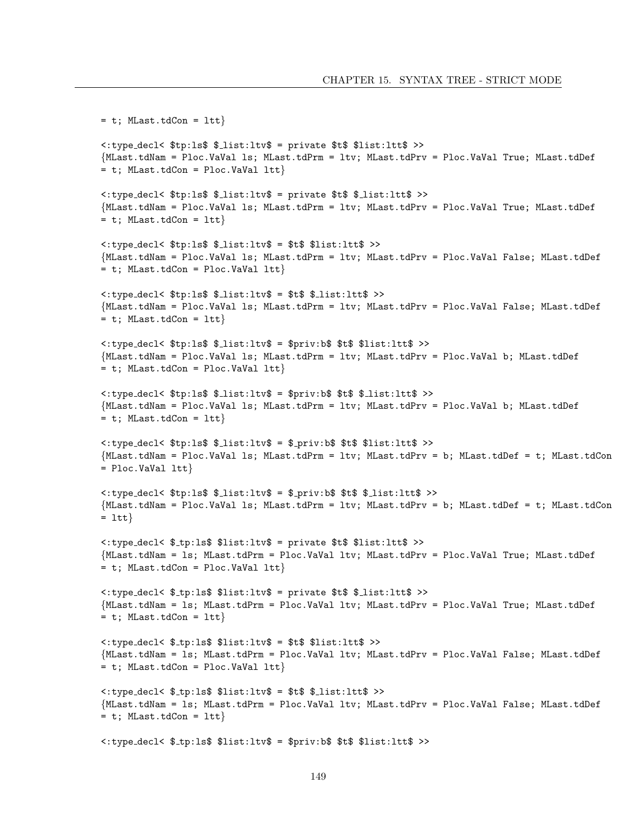```
= t; MLast.tdCon = ltt}
<: type_decl< $tp:1s$ $_list:1tv$ = private $t$ $list:1tt$ >>
{MLast.tdNam = Ploc.VaVal 1s; MLast.tdPrm = 1tv; MLast.tdPrv = Ploc.VaVal True; MLast.tdDef
= t; MLast.tdCon = Ploc.VaVal ltt}
<: type_decl< $tp:ls$ $_list:ltv$ = private $t$ $_list:ltt$ >>
{MLast.tdNam = Ploc.VaVal 1s; MLast.tdPrm = 1tv; MLast.tdPrv = Ploc.VaVal True; MLast.tdDef
= t; MLast.tdCon = ltt}
<: type_decl< $tp:ls$ $_list:ltv$ = $t$ $list:ltt$ >>
{MLast.tdNam = Ploc.VaVal 1s; MLast.tdPrm = 1tv; MLast.tdPrv = Ploc.VaVal False; MLast.tdDef
= t; MLast.tdCon = Ploc.VaVal ltt}
<: type_decl< $tp:ls$ $_list:ltv$ = $t$ $_list:ltt$ >>
{MLast.tdNam = Ploc.VaVal 1s; MLast.tdPrm = 1tv; MLast.tdPrv = Ploc.VaVal False; MLast.tdDef
= t; MLast.tdCon = ltt}
<: type_decl< $tp:ls$ $_list:ltv$ = $priv:b$ $t$ $list:ltt$ >>
{MLast.tdNam = Ploc.VaVal 1s; MLast.tdPrm = 1tv; MLast.tdPrv = Ploc.VaVal b; MLast.tdDef
= t; MLast.tdCon = Ploc.VaVal ltt}
<: type_decl< $tp:ls$ $_list:ltv$ = $priv:b$ $t$ $_list:ltt$ >>
{MLast.tdNam = Ploc.VaVal 1s; MLast.tdPrm = 1tv; MLast.tdPrv = Ploc.VaVal b; MLast.tdDef
= t; MLast.tdCon = ltt}
<: type_decl< $tp:ls$ $_list:ltv$ = $_priv:b$ $t$ $list:ltt$ >>
{MLast.tdNam = Ploc.VaVal 1s; MLast.tdPrm = 1tv; MLast.tdPrv = b; MLast.tdDef = t; MLast.tdCon
= Ploc. VaVal ltt}
\langle:type_decl< $tp:ls$ $_list:ltv$ = $_priv:b$ $t$ $_list:ltt$ >>
{MLast.tdNam = Ploc.VaVal 1s; MLast.tdPrm = 1tv; MLast.tdPrv = b; MLast.tdDef = t; MLast.tdCon
= ltt\}<: type_decl< $_tp:ls$ $list:ltv$ = private $t$ $list:ltt$ >>
{MLast.tdNam = 1s; MLast.tdPrm = Ploc.VaVal ltv; MLast.tdPrv = Ploc.VaVal True; MLast.tdDef
= t; MLast.tdCon = Ploc.VaVal ltt}
<: type_decl< $_tp:ls$ $list:ltv$ = private $t$ $_list:ltt$ >>
{MLast.tdNam = 1s; MLast.tdPrm = Ploc.VaVal ltv; MLast.tdPrv = Ploc.VaVal True; MLast.tdDef
= t; MLast.tdCon = ltt}
<: type_decl< $_tp:ls$ $list:ltv$ = $t$ $list:ltt$ >>
{MLast.tdNam = 1s; MLast.tdPrm = Ploc.VaVal ltv; MLast.tdPrv = Ploc.VaVal False; MLast.tdDef
= t; MLast.tdCon = Ploc.VaVal ltt}
<: type_decl< $_tp:ls$ $list:ltv$ = $t$ $_list:ltt$ >>
{MLast.tdNam = 1s; MLast.tdPrm = Ploc.VaVal ltv; MLast.tdPrv = Ploc.VaVal False; MLast.tdDef
= t; MLast.tdCon = ltt}
<: type_decl< $_tp:ls$ $list:ltv$ = $priv:b$ $t$ $list:ltt$ >>
```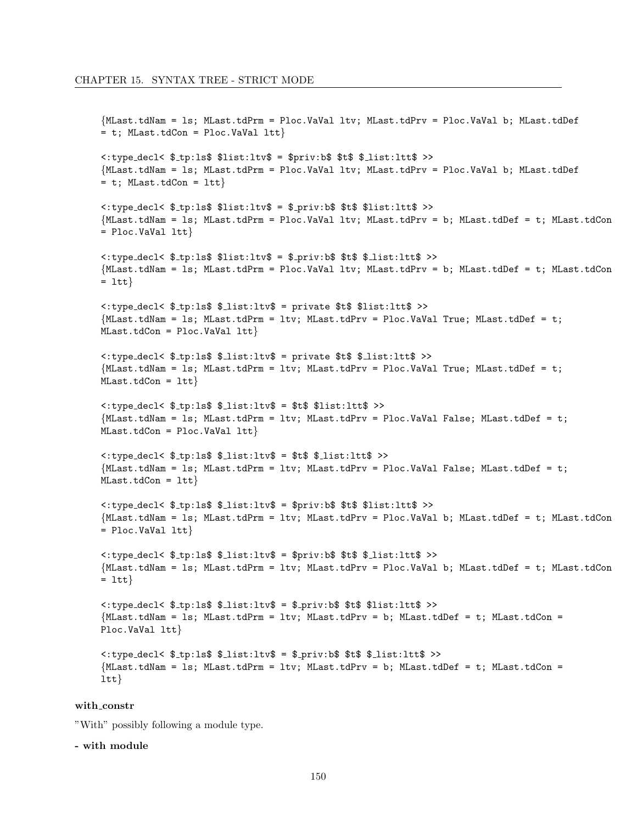```
{MLast.tdNam = 1s; MLast.tdPrm = Ploc.VaVal ltv; MLast.tdPrv = Ploc.VaVal b; MLast.tdDef
= t; MLast.tdCon = Ploc.VaVal ltt}
<: type_decl< $_tp:ls$ $list:ltv$ = $priv:b$ $t$ $_list:ltt$ >>
{MLast.tdNam = 1s; MLast.tdPrm = Ploc.VaVal ltv; MLast.tdPrv = Ploc.VaVal b; MLast.tdDef
= t; MLast.tdCon = ltt}
<: type_decl< $_tp:ls$ $list:ltv$ = $_priv:b$ $t$ $list:ltt$ >>
{MLast.tdNam = 1s; MLast.tdPrm = Ploc.VaVal ltv; MLast.tdPrv = b; MLast.tdDef = t; MLast.tdCon
= Ploc. VaVal ltt}
<: type_decl< $_tp:ls$ $list:ltv$ = $_priv:b$ $t$ $_list:ltt$ >>
{MLast.tdNam = 1s; MLast.tdPrm = Ploc.VaVal ltv; MLast.tdPrv = b; MLast.tdDef = t; MLast.tdCon
= ltt\}<: type_decl< $_tp:ls$ $_list:ltv$ = private $t$ $list:ltt$ >>
{MLast.tdNam = 1s; MLast.tdPrm = 1tv; MLast.tdPrv = Ploc.VaVal True; MLast.tdDef = t;
MLast.tdCon = Ploc.VaVal Itt<: type_decl< $_tp:ls$ $_list:ltv$ = private $t$ $_list:ltt$ >>
{MLast.tdNam = 1s; MLast.tdPrm = 1tv; MLast.tdPrv = Ploc.VaVal True; MLast.tdDef = t;
MLast.tdCon = Itt<: type_decl< $_tp:ls$ $_list:ltv$ = $t$ $list:ltt$ >>
{MLast.tdNam = 1s; MLast.tdPrm = 1tv; MLast.tdPrv = Ploc.VaVal False; MLast.tdDef = t;
MLast.tdCon = Ploc.VaVal Itt<: type_decl< $_tp:ls$ $_list:ltv$ = $t$ $_list:ltt$ >>
{MLast.tdNam = 1s; MLast.tdPrm = 1tv; MLast.tdPrv = Ploc.VaVal False; MLast.tdDef = t;
MLast.tdCon = Itt}<: type_decl< $_tp:ls$ $_list:ltv$ = $priv:b$ $t$ $list:ltt$ >>
{MLast.tdNam = 1s; MLast.tdPrm = 1tv; MLast.tdPrv = Ploc.VaVal b; MLast.tdDef = t; MLast.tdCon
= Ploc. VaVal ltt}
<: type_decl< $_tp:ls$ $_list:ltv$ = $priv:b$ $t$ $_list:ltt$ >>
{MLast.tdNam = 1s; MLast.tdPrm = 1tv; MLast.tdPrv = Ploc.VaVal b; MLast.tdDef = t; MLast.tdCon
= 1tt<: type_decl< $_tp:ls$ $_list:ltv$ = $_priv:b$ $t$ $list:ltt$ >>
{MLast.tdNam = 1s; MLast.tdPrm = 1tv; MLast.tdPrv = b; MLast.tdDef = t; MLast.tdCon =
Ploc.VaVal ltt}
<:type_decl< $_tp:ls$ $_list:ltv$ = $_priv:b$ $t$ $_list:ltt$ >>
{MLast.tdNam = 1s; MLast.tdPrm = 1tv; MLast.tdPrv = b; MLast.tdDef = t; MLast.tdCon =
ltt
```
#### with constr

"With" possibly following a module type.

- with module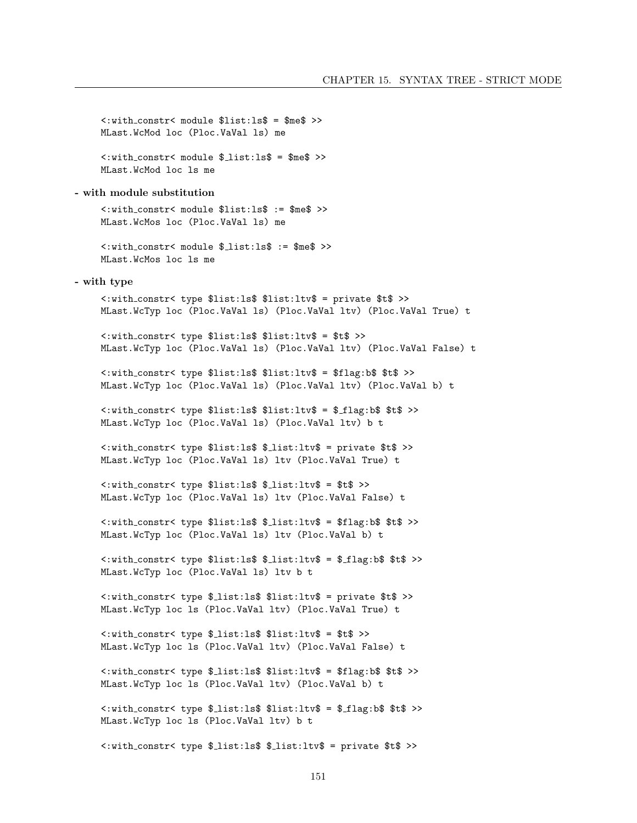```
<: with_constr< module $list:1s$ = $me$ >>
    MLast. WcMod loc (Ploc. VaVal 1s) me
    <: with_constr< module $_list:1s$ = $me$ >>
    MLast. WcMod loc 1s me
- with module substitution
    <: with_constr< module $list:1s$ := $me$ >>
    MLast.WcMos loc (Ploc.VaVal ls) me
    <: with_constr< module $_list:ls$ := $me$ >>
    MLast. WcMos loc ls me
- with type
    <: with_constr< type $list:ls$ $list:ltv$ = private $t$ >>
    MLast.WcTyp loc (Ploc.VaVal 1s) (Ploc.VaVal 1tv) (Ploc.VaVal True) t
    <: with_constr< type $list:ls$ $list:ltv$ = $t$ >>
    MLast.WcTyp loc (Ploc.VaVal ls) (Ploc.VaVal ltv) (Ploc.VaVal False) t
    <: with_constr< type $list:ls$ $list:ltv$ = $flag:b$ $t$ >>
    MLast.WcTyp loc (Ploc.VaVal ls) (Ploc.VaVal ltv) (Ploc.VaVal b) t
    <: with_constr< type $list:ls$ $list:ltv$ = $_flag:b$ $t$ >>
    MLast.WcTyp loc (Ploc.VaVal 1s) (Ploc.VaVal 1tv) b t
    <: with_constr< type $list:ls$ $_list:ltv$ = private $t$ >>
    MLast.WcTyp loc (Ploc.VaVal ls) ltv (Ploc.VaVal True) t
    <: with_constr< type $list:ls$ $_list:ltv$ = $t$ >>
    MLast.WcTyp loc (Ploc.VaVal ls) ltv (Ploc.VaVal False) t
    <: with_constr< type $list:ls$ $_list:ltv$ = $flag:b$ $t$ >>
    MLast.WcTyp loc (Ploc.VaVal ls) ltv (Ploc.VaVal b) t
    <: with_constr< type $list:ls$ $_list:ltv$ = $_flag:b$ $t$ >>
    MLast.WcTyp loc (Ploc.VaVal ls) ltv b t
    <: with_constr< type $_list:ls$ $list:ltv$ = private $t$ >>
    MLast.WcTyp loc ls (Ploc.VaVal ltv) (Ploc.VaVal True) t
    <: with_constr< type $_list:ls$ $list:ltv$ = $t$ >>
    MLast.WcTyp loc ls (Ploc.VaVal ltv) (Ploc.VaVal False) t
    <:with_constr< type $_list:ls$ $list:ltv$ = $flag:b$ $t$ >>
    MLast.WcTyp loc ls (Ploc.VaVal ltv) (Ploc.VaVal b) t
    <: with_constr< type $_list:ls$ $list:ltv$ = $_flag:b$ $t$ >>
    MLast.WcTyp loc ls (Ploc.VaVal ltv) b t
```
<: with\_constr< type \$\_list:ls\$ \$\_list:ltv\$ = private \$t\$ >>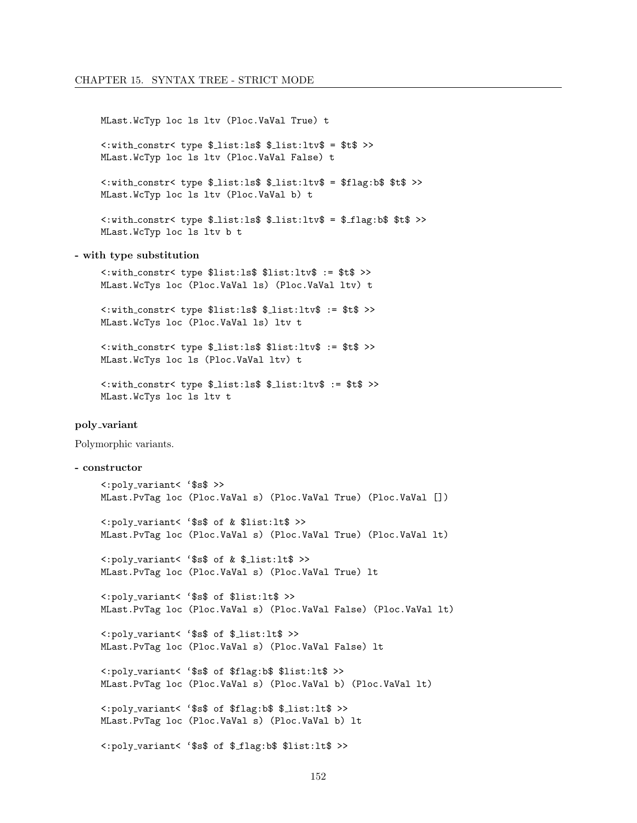MLast.WcTyp loc ls ltv (Ploc.VaVal True) t

<: with\_constr< type \$\_list:1s\$ \$\_list:1tv\$ = \$t\$ >> MLast.WcTyp loc ls ltv (Ploc.VaVal False) t

<: with\_constr< type \$\_list:ls\$ \$\_list:ltv\$ = \$flag:b\$ \$t\$ >> MLast.WcTyp loc ls ltv (Ploc.VaVal b) t

<: with\_constr< type \$\_list:ls\$ \$\_list:ltv\$ = \$\_flag:b\$ \$t\$ >> MLast.WcTyp loc ls ltv b t

#### - with type substitution

<: with\_constr< type \$list:ls\$ \$list:ltv\$ := \$t\$ >> MLast.WcTys loc (Ploc.VaVal ls) (Ploc.VaVal ltv) t

<: with\_constr< type \$list:ls\$ \$\_list:ltv\$ := \$t\$ >> MLast.WcTys loc (Ploc.VaVal ls) ltv t

<: with\_constr< type \$\_list:ls\$ \$list:ltv\$ := \$t\$ >> MLast. WcTys loc ls (Ploc. VaVal ltv) t

```
<: with_constr< type $_list:ls$ $_list:ltv$ := $t$ >>
MLast. WcTys loc ls ltv t
```
#### poly\_variant

Polymorphic variants.

#### - constructor

```
<: poly_variant< '$s$ >>
MLast.PvTag loc (Ploc.VaVal s) (Ploc.VaVal True) (Ploc.VaVal [])
<: poly_variant< '$s$ of & $list: lt$ >>
MLast.PvTag loc (Ploc.VaVal s) (Ploc.VaVal True) (Ploc.VaVal lt)
<: poly_variant< '$s$ of & $_list:lt$ >>
MLast.PvTag loc (Ploc.VaVal s) (Ploc.VaVal True) lt
<: poly_variant< '$s$ of $list: lt$ >>
MLast.PvTag loc (Ploc.VaVal s) (Ploc.VaVal False) (Ploc.VaVal lt)
<: poly_variant< '$s$ of $_list:lt$ >>
MLast.PvTag loc (Ploc.VaVal s) (Ploc.VaVal False) lt
<:poly_variant< '$s$ of $flag:b$ $list:lt$ >>
MLast.PvTag loc (Ploc.VaVal s) (Ploc.VaVal b) (Ploc.VaVal lt)
<: poly_variant< '$s$ of $flag:b$ $_list:lt$ >>
MLast.PvTag loc (Ploc.VaVal s) (Ploc.VaVal b) lt
<:poly_variant< '$s$ of $_flag:b$ $list:lt$ >>
```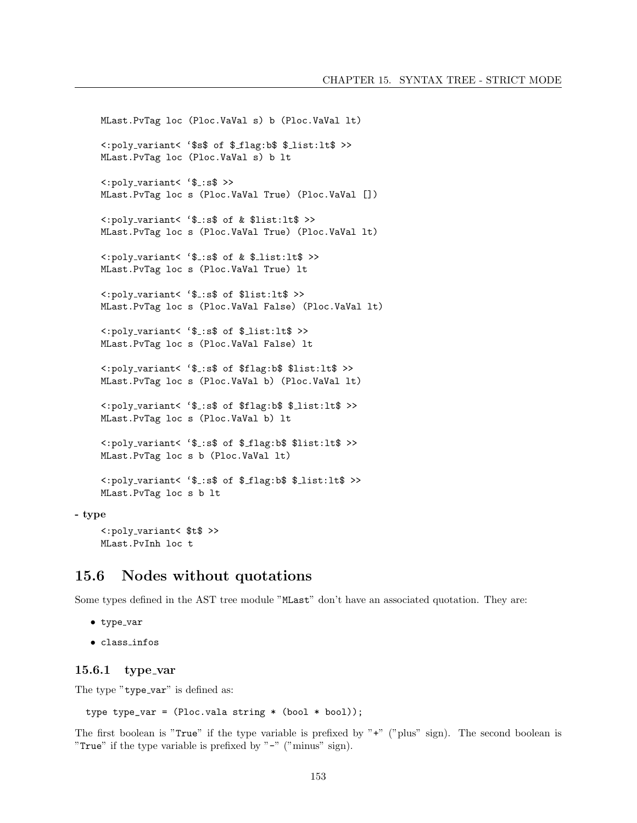MLast.PvTag loc (Ploc.VaVal s) b (Ploc.VaVal lt) <:poly variant< '\$s\$ of \$ flag:b\$ \$ list:lt\$ >> MLast.PvTag loc (Ploc.VaVal s) b lt <:poly variant< '\$ :s\$ >> MLast.PvTag loc s (Ploc.VaVal True) (Ploc.VaVal []) <:poly variant< '\$ :s\$ of & \$list:lt\$ >> MLast.PvTag loc s (Ploc.VaVal True) (Ploc.VaVal lt) <:poly variant< '\$ :s\$ of & \$ list:lt\$ >> MLast.PvTag loc s (Ploc.VaVal True) lt <:poly variant< '\$ :s\$ of \$list:lt\$ >> MLast.PvTag loc s (Ploc.VaVal False) (Ploc.VaVal lt) <:poly variant< '\$ :s\$ of \$ list:lt\$ >> MLast.PvTag loc s (Ploc.VaVal False) lt <:poly variant< '\$ :s\$ of \$flag:b\$ \$list:lt\$ >> MLast.PvTag loc s (Ploc.VaVal b) (Ploc.VaVal lt) <:poly variant< '\$ :s\$ of \$flag:b\$ \$ list:lt\$ >> MLast.PvTag loc s (Ploc.VaVal b) lt <:poly variant< '\$ :s\$ of \$ flag:b\$ \$list:lt\$ >> MLast.PvTag loc s b (Ploc.VaVal lt) <:poly variant< '\$ :s\$ of \$ flag:b\$ \$ list:lt\$ >> MLast.PvTag loc s b lt

#### - type

<:poly variant< \$t\$ >> MLast.PvInh loc t

### 15.6 Nodes without quotations

Some types defined in the AST tree module "MLast" don't have an associated quotation. They are:

```
\bullet type_var
```
• class infos

#### $15.6.1$  type\_var

The type "type\_var" is defined as:

type type\_var =  $(Proc. value string * (bool * bool));$ 

The first boolean is "True" if the type variable is prefixed by "+" ("plus" sign). The second boolean is "True" if the type variable is prefixed by " $-$ " ("minus" sign).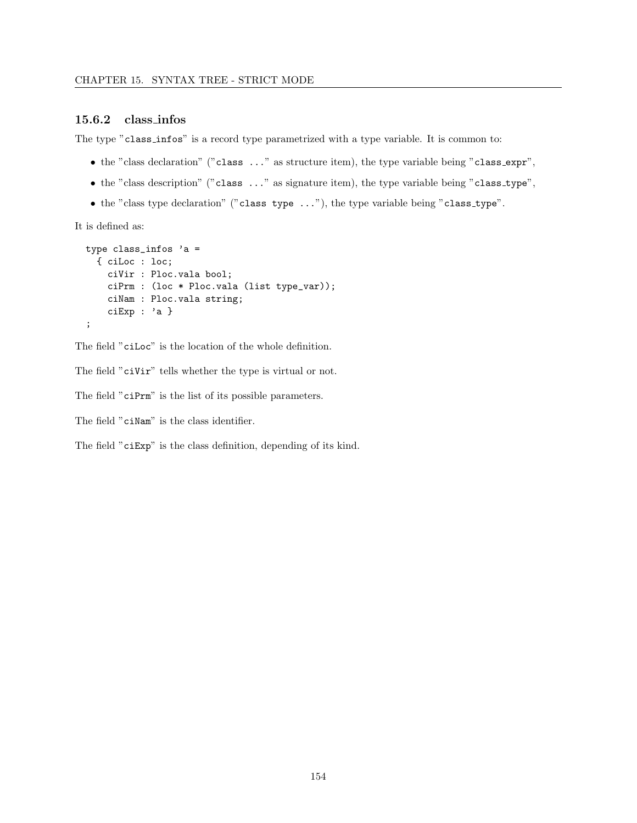#### 15.6.2 class infos

The type "class infos" is a record type parametrized with a type variable. It is common to:

- $\bullet$  the "class declaration" ("class  $\dots$ " as structure item), the type variable being "class\_expr",
- the "class description" ("class ..." as signature item), the type variable being "class\_type",
- the "class type declaration" ("class type ..."), the type variable being "class type".

It is defined as:

```
type class_infos 'a =
 { ciLoc : loc;
   ciVir : Ploc.vala bool;
   ciPrm : (loc * Ploc.vala (list type_var));
   ciNam : Ploc.vala string;
   ciExp : 'a }
;
```
The field "ciLoc" is the location of the whole definition.

The field "ciVir" tells whether the type is virtual or not.

The field "ciPrm" is the list of its possible parameters.

The field "ciNam" is the class identifier.

The field "ciExp" is the class definition, depending of its kind.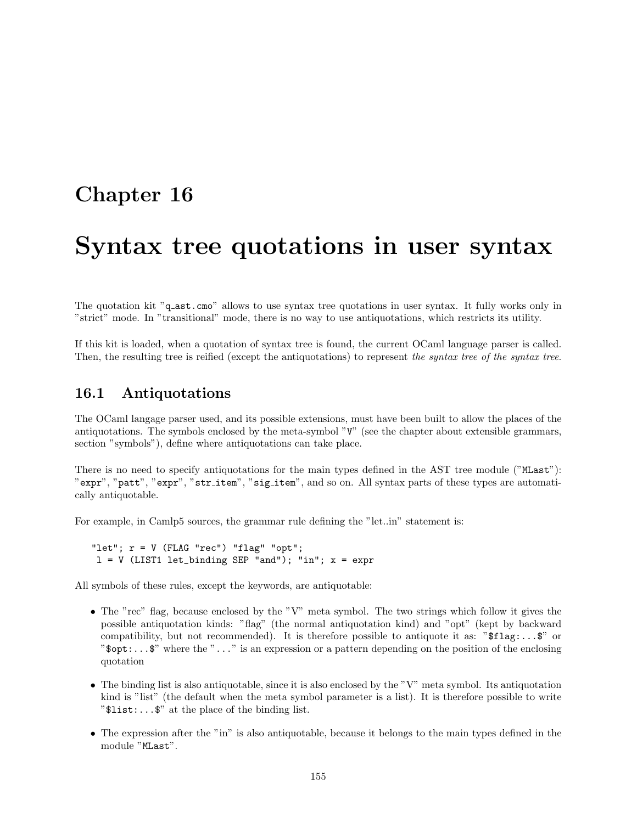## Chapter 16

## Syntax tree quotations in user syntax

The quotation kit "q\_ast.cmo" allows to use syntax tree quotations in user syntax. It fully works only in "strict" mode. In "transitional" mode, there is no way to use antiquotations, which restricts its utility.

If this kit is loaded, when a quotation of syntax tree is found, the current OCaml language parser is called. Then, the resulting tree is reified (except the antiquotations) to represent the syntax tree of the syntax tree.

## 16.1 Antiquotations

The OCaml langage parser used, and its possible extensions, must have been built to allow the places of the antiquotations. The symbols enclosed by the meta-symbol "V" (see the chapter about extensible grammars, section "symbols"), define where antiquotations can take place.

There is no need to specify antiquotations for the main types defined in the AST tree module ("MLast"): "expr", "patt", "expr", "str item", "sig item", and so on. All syntax parts of these types are automatically antiquotable.

For example, in Camlp5 sources, the grammar rule defining the "let..in" statement is:

"let";  $r = V$  (FLAG "rec") "flag" "opt";  $l = V$  (LIST1 let\_binding SEP "and"); "in";  $x = \text{expr}$ 

All symbols of these rules, except the keywords, are antiquotable:

- The "rec" flag, because enclosed by the "V" meta symbol. The two strings which follow it gives the possible antiquotation kinds: "flag" (the normal antiquotation kind) and "opt" (kept by backward compatibility, but not recommended). It is therefore possible to antiquote it as: " $$flag:..$ " or " $\text{Spot}$ :... $\text{\$}$ " where the "..." is an expression or a pattern depending on the position of the enclosing quotation
- The binding list is also antiquotable, since it is also enclosed by the "V" meta symbol. Its antiquotation kind is "list" (the default when the meta symbol parameter is a list). It is therefore possible to write "\$list:...\$" at the place of the binding list.
- The expression after the "in" is also antiquotable, because it belongs to the main types defined in the module "MLast".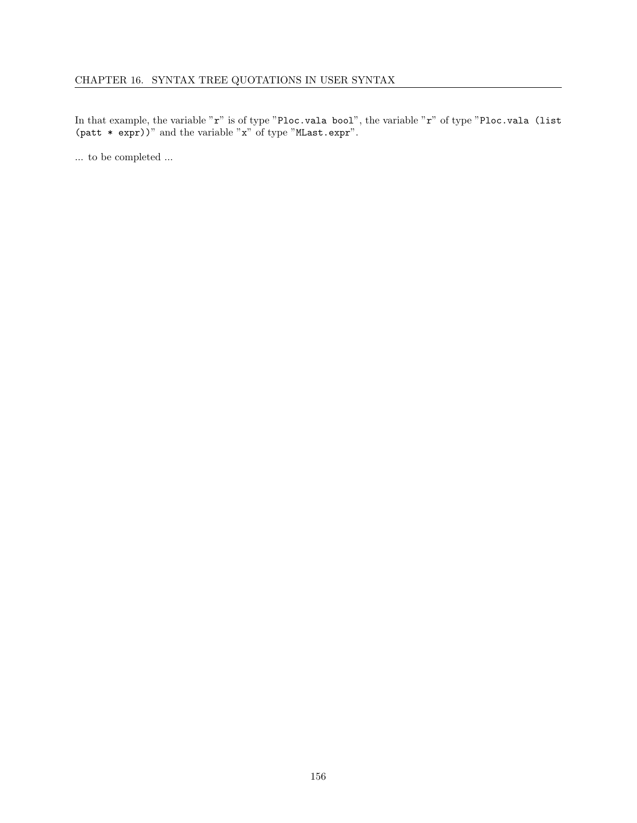In that example, the variable "r" is of type "Ploc.vala bool", the variable "r" of type "Ploc.vala (list (patt \* expr))" and the variable "x" of type "MLast.expr".

... to be completed ...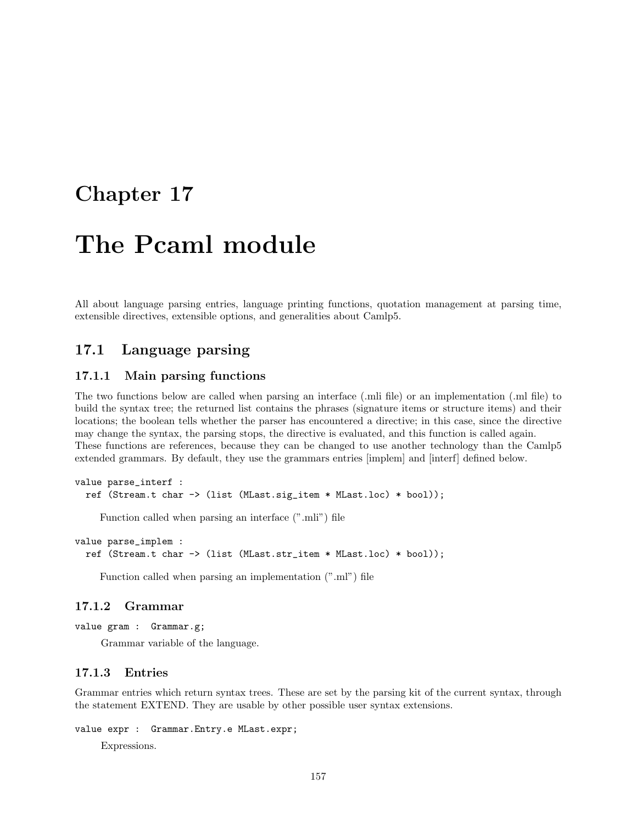## Chapter 17

# The Pcaml module

All about language parsing entries, language printing functions, quotation management at parsing time, extensible directives, extensible options, and generalities about Camlp5.

## 17.1 Language parsing

#### 17.1.1 Main parsing functions

The two functions below are called when parsing an interface (.mli file) or an implementation (.ml file) to build the syntax tree; the returned list contains the phrases (signature items or structure items) and their locations; the boolean tells whether the parser has encountered a directive; in this case, since the directive may change the syntax, the parsing stops, the directive is evaluated, and this function is called again. These functions are references, because they can be changed to use another technology than the Camlp5 extended grammars. By default, they use the grammars entries [implem] and [interf] defined below.

```
value parse_interf :
  ref (Stream.t char -> (list (MLast.sig_item * MLast.loc) * bool));
```
Function called when parsing an interface (".mli") file

```
value parse_implem :
  ref (Stream.t char -> (list (MLast.str_item * MLast.loc) * bool));
```
Function called when parsing an implementation (".ml") file

#### 17.1.2 Grammar

```
value gram : Grammar.g;
```
Grammar variable of the language.

#### 17.1.3 Entries

Grammar entries which return syntax trees. These are set by the parsing kit of the current syntax, through the statement EXTEND. They are usable by other possible user syntax extensions.

```
value expr : Grammar.Entry.e MLast.expr;
```
Expressions.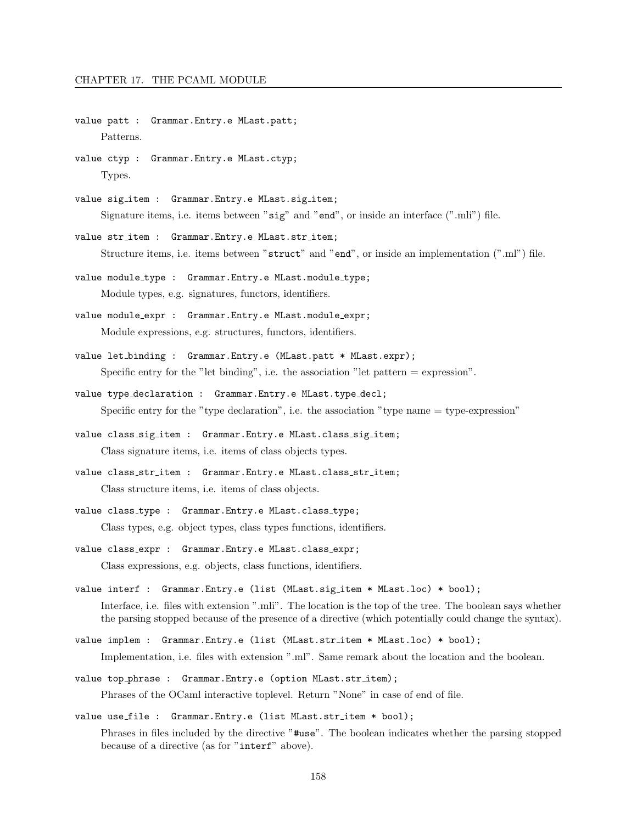- value patt : Grammar.Entry.e MLast.patt; Patterns.
- value ctyp : Grammar.Entry.e MLast.ctyp; Types.
- value sig\_item : Grammar. Entry.e MLast.sig\_item; Signature items, i.e. items between "sig" and "end", or inside an interface (".mli") file.
- value str\_item : Grammar.Entry.e MLast.str\_item; Structure items, i.e. items between "struct" and "end", or inside an implementation (".ml") file.
- value module\_type : Grammar. Entry.e MLast. module\_type; Module types, e.g. signatures, functors, identifiers.
- value module expr : Grammar.Entry.e MLast.module expr; Module expressions, e.g. structures, functors, identifiers.
- value let binding : Grammar.Entry.e (MLast.patt \* MLast.expr); Specific entry for the "let binding", i.e. the association "let pattern  $=$  expression".
- value type declaration : Grammar.Entry.e MLast.type decl; Specific entry for the "type declaration", i.e. the association "type name  $=$  type-expression"
- value class\_sig\_item : Grammar.Entry.e MLast.class\_sig\_item; Class signature items, i.e. items of class objects types.
- value class str item : Grammar.Entry.e MLast.class str item; Class structure items, i.e. items of class objects.
- value class type : Grammar.Entry.e MLast.class type;

Class types, e.g. object types, class types functions, identifiers.

- value class expr : Grammar.Entry.e MLast.class expr; Class expressions, e.g. objects, class functions, identifiers.
- value interf : Grammar.Entry.e (list (MLast.sig item \* MLast.loc) \* bool);

Interface, i.e. files with extension ".mli". The location is the top of the tree. The boolean says whether the parsing stopped because of the presence of a directive (which potentially could change the syntax).

value implem : Grammar.Entry.e (list (MLast.str item \* MLast.loc) \* bool);

Implementation, i.e. files with extension ".ml". Same remark about the location and the boolean.

value top\_phrase : Grammar. Entry.e (option MLast.str\_item);

Phrases of the OCaml interactive toplevel. Return "None" in case of end of file.

value use file : Grammar.Entry.e (list MLast.str item \* bool);

Phrases in files included by the directive "#use". The boolean indicates whether the parsing stopped because of a directive (as for "interf" above).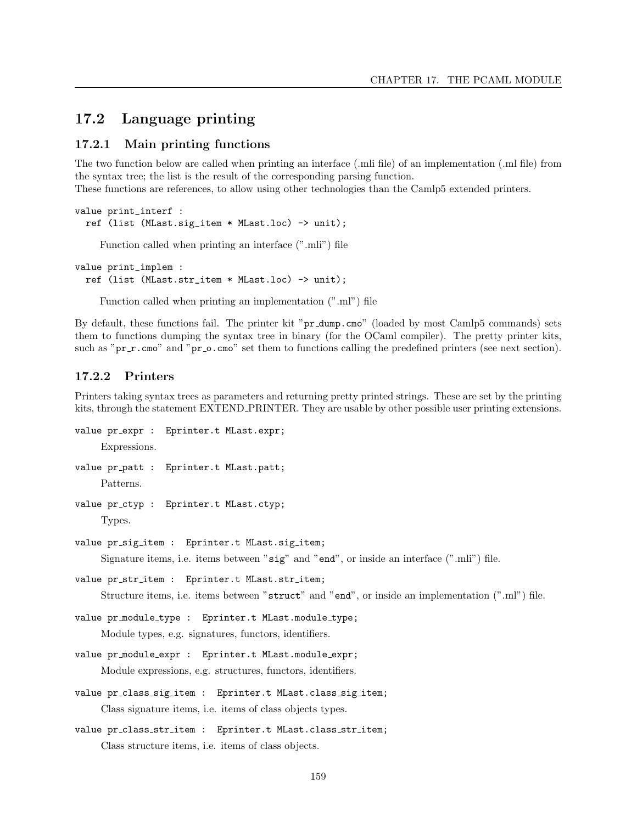## 17.2 Language printing

#### 17.2.1 Main printing functions

The two function below are called when printing an interface (.mli file) of an implementation (.ml file) from the syntax tree; the list is the result of the corresponding parsing function. These functions are references, to allow using other technologies than the Camlp5 extended printers.

```
value print_interf :
  ref (list (MLast.sig_item * MLast.loc) -> unit);
```
Function called when printing an interface (".mli") file

```
value print_implem :
  ref (list (MLast.str_item * MLast.loc) -> unit);
```
Function called when printing an implementation (".ml") file

By default, these functions fail. The printer kit "pr dump.cmo" (loaded by most Camlp5 commands) sets them to functions dumping the syntax tree in binary (for the OCaml compiler). The pretty printer kits, such as "pr\_r.cmo" and "pr\_o.cmo" set them to functions calling the predefined printers (see next section).

#### 17.2.2 Printers

Printers taking syntax trees as parameters and returning pretty printed strings. These are set by the printing kits, through the statement EXTEND PRINTER. They are usable by other possible user printing extensions.

```
value pr_expr : Eprinter.t MLast.expr;
    Expressions.
value pr patt : Eprinter.t MLast.patt;
```
Patterns.

value pr\_ctyp : Eprinter.t MLast.ctyp;

```
Types.
```
value pr\_sig\_item : Eprinter.t MLast.sig\_item;

Signature items, i.e. items between "sig" and "end", or inside an interface (".mli") file.

```
value pr_str_item : Eprinter.t MLast.str_item;
```
Structure items, i.e. items between "struct" and "end", or inside an implementation (".ml") file.

```
value pr_module_type : Eprinter.t MLast.module_type;
```
Module types, e.g. signatures, functors, identifiers.

- value pr module expr : Eprinter.t MLast.module expr; Module expressions, e.g. structures, functors, identifiers.
- value pr\_class\_sig\_item : Eprinter.t MLast.class\_sig\_item; Class signature items, i.e. items of class objects types.

```
value pr_class_str_item : Eprinter.t MLast.class_str_item;
     Class structure items, i.e. items of class objects.
```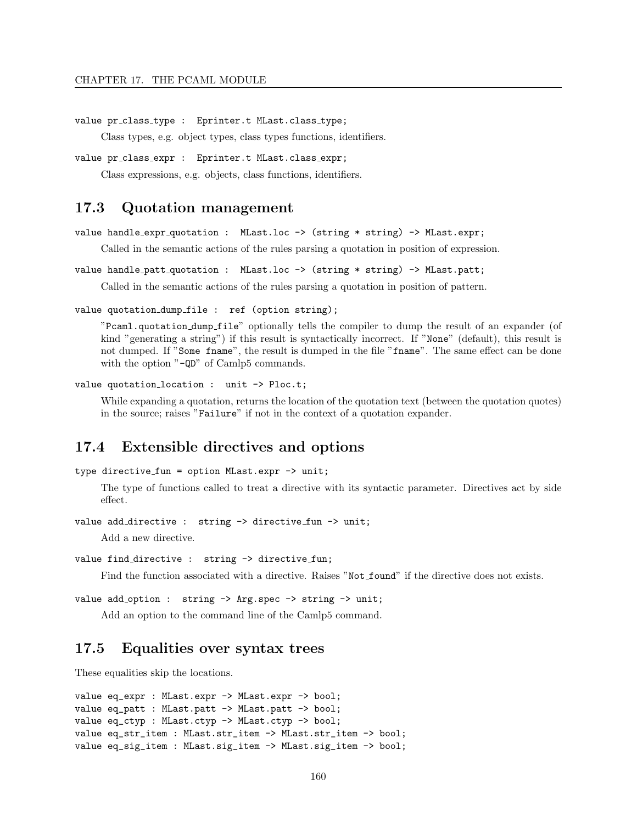```
value pr_class_type : Eprinter.t MLast.class_type;
```
Class types, e.g. object types, class types functions, identifiers.

```
value pr_class_expr : Eprinter.t MLast.class_expr;
```
Class expressions, e.g. objects, class functions, identifiers.

## 17.3 Quotation management

```
value handle expr quotation : MLast.loc -> (string * string) -> MLast.expr;
```
Called in the semantic actions of the rules parsing a quotation in position of expression.

```
value handle patt quotation : MLast.loc -> (string * string) -> MLast.patt;
```
Called in the semantic actions of the rules parsing a quotation in position of pattern.

value quotation dump file : ref (option string);

"Pcaml.quotation dump file" optionally tells the compiler to dump the result of an expander (of kind "generating a string") if this result is syntactically incorrect. If "None" (default), this result is not dumped. If "Some fname", the result is dumped in the file "fname". The same effect can be done with the option "-QD" of Camlp5 commands.

value quotation\_location : unit -> Ploc.t;

While expanding a quotation, returns the location of the quotation text (between the quotation quotes) in the source; raises "Failure" if not in the context of a quotation expander.

## 17.4 Extensible directives and options

```
type directive fun = option MLast.expr -> unit;
```
The type of functions called to treat a directive with its syntactic parameter. Directives act by side effect.

value add\_directive : string -> directive\_fun -> unit;

Add a new directive.

```
value find_directive : string -> directive_fun;
```
Find the function associated with a directive. Raises "Not found" if the directive does not exists.

value add\_option : string -> Arg.spec -> string -> unit;

Add an option to the command line of the Camlp5 command.

## 17.5 Equalities over syntax trees

These equalities skip the locations.

```
value eq_expr : MLast.expr -> MLast.expr -> bool;
value eq_patt : MLast.patt -> MLast.patt -> bool;
value eq_ctyp : MLast.ctyp -> MLast.ctyp -> bool;
value eq_str_item : MLast.str_item -> MLast.str_item -> bool;
value eq_sig_item : MLast.sig_item -> MLast.sig_item -> bool;
```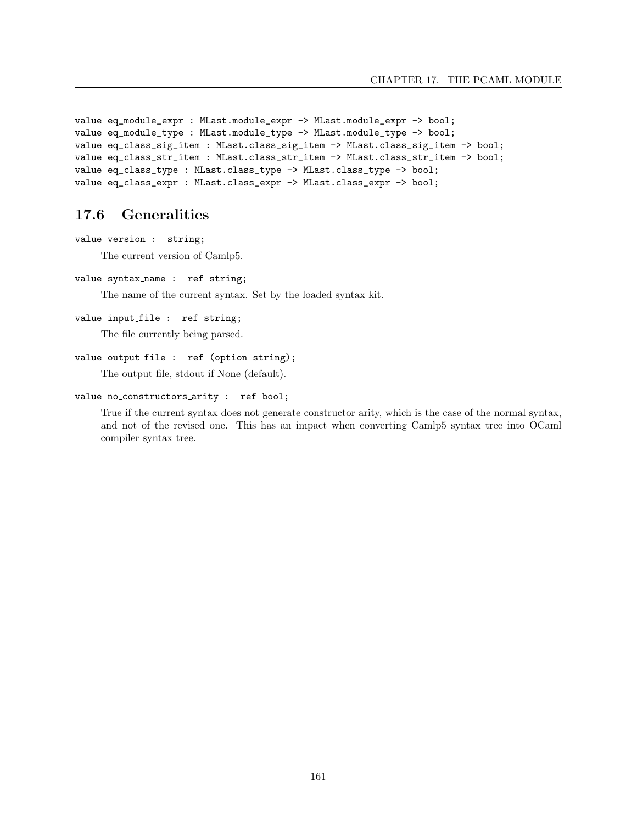```
value eq_module_expr : MLast.module_expr -> MLast.module_expr -> bool;
value eq_module_type : MLast.module_type -> MLast.module_type -> bool;
value eq_class_sig_item : MLast.class_sig_item -> MLast.class_sig_item -> bool;
value eq_class_str_item : MLast.class_str_item -> MLast.class_str_item -> bool;
value eq_class_type : MLast.class_type -> MLast.class_type -> bool;
value eq_class_expr : MLast.class_expr -> MLast.class_expr -> bool;
```
## 17.6 Generalities

value version : string;

The current version of Camlp5.

```
value syntax name : ref string;
```
The name of the current syntax. Set by the loaded syntax kit.

```
value input_file : ref string;
```
The file currently being parsed.

```
value output_file : ref (option string);
```
The output file, stdout if None (default).

```
value no_constructors_arity : ref bool;
```
True if the current syntax does not generate constructor arity, which is the case of the normal syntax, and not of the revised one. This has an impact when converting Camlp5 syntax tree into OCaml compiler syntax tree.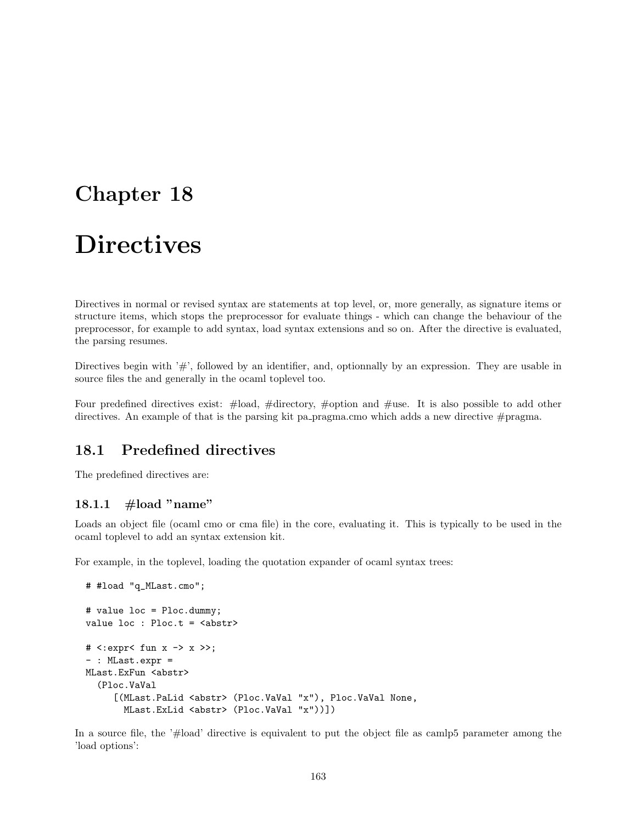## Chapter 18

# **Directives**

Directives in normal or revised syntax are statements at top level, or, more generally, as signature items or structure items, which stops the preprocessor for evaluate things - which can change the behaviour of the preprocessor, for example to add syntax, load syntax extensions and so on. After the directive is evaluated, the parsing resumes.

Directives begin with  $'#$ ', followed by an identifier, and, optionnally by an expression. They are usable in source files the and generally in the ocaml toplevel too.

Four predefined directives exist: #load, #directory, #option and #use. It is also possible to add other directives. An example of that is the parsing kit pa pragma.cmo which adds a new directive #pragma.

## 18.1 Predefined directives

The predefined directives are:

### 18.1.1  $\#$ load "name"

Loads an object file (ocaml cmo or cma file) in the core, evaluating it. This is typically to be used in the ocaml toplevel to add an syntax extension kit.

For example, in the toplevel, loading the quotation expander of ocaml syntax trees:

```
# #load "q_MLast.cmo";
# value loc = Ploc.dummy;
value loc : Ploc.t = <abstr>
# <:expr< fun x -> x >>;
- : MLast.expr =
MLast.ExFun <abstr>
  (Ploc.VaVal
     [(MLast.PaLid <abstr> (Ploc.VaVal "x"), Ploc.VaVal None,
       MLast.ExLid <abstr> (Ploc.VaVal "x"))])
```
In a source file, the '#load' directive is equivalent to put the object file as camlp5 parameter among the 'load options':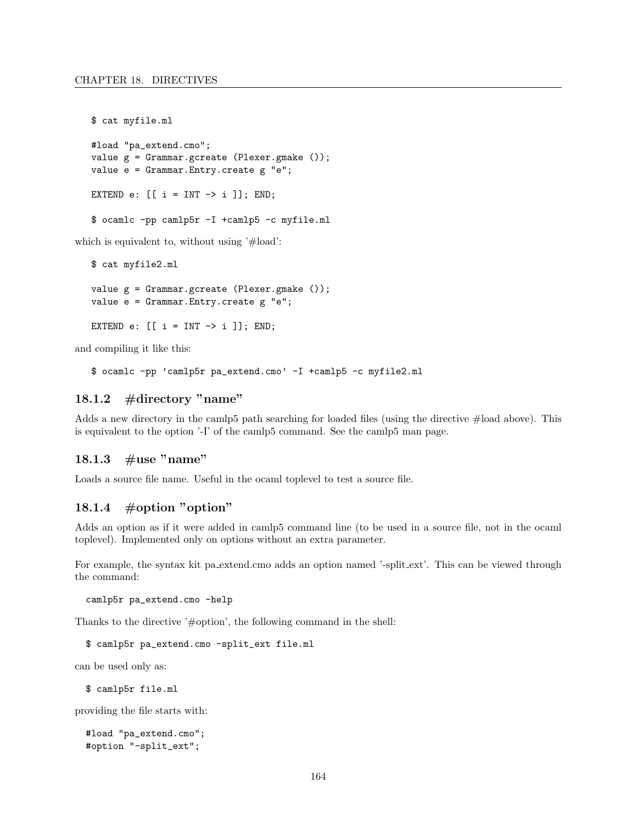\$ cat myfile.ml

```
#load "pa_extend.cmo";
value g = Grammar.gcreate (Plexer.gmake ());
value e = Grammar.Entry.create g "e";
EXTEND e: [ [i = INT -> i ] ; END;
$ ocamlc -pp camlp5r -I +camlp5 -c myfile.ml
```
which is equivalent to, without using '#load':

```
$ cat myfile2.ml
value g = Grammar.gcreate (Plexer.gmake ());
value e = Grammar.Entry.create g "e";
EXTEND e: [ [i = INT -> i ] ; END;
```
and compiling it like this:

\$ ocamlc -pp 'camlp5r pa\_extend.cmo' -I +camlp5 -c myfile2.ml

#### 18.1.2 #directory "name"

Adds a new directory in the camlp5 path searching for loaded files (using the directive #load above). This is equivalent to the option '-I' of the camlp5 command. See the camlp5 man page.

#### 18.1.3  $\#$ use "name"

Loads a source file name. Useful in the ocaml toplevel to test a source file.

#### 18.1.4  $\#$ option "option"

Adds an option as if it were added in camlp5 command line (to be used in a source file, not in the ocaml toplevel). Implemented only on options without an extra parameter.

For example, the syntax kit pa extend.cmo adds an option named '-split ext'. This can be viewed through the command:

camlp5r pa\_extend.cmo -help

Thanks to the directive '#option', the following command in the shell:

\$ camlp5r pa\_extend.cmo -split\_ext file.ml

can be used only as:

\$ camlp5r file.ml

providing the file starts with:

```
#load "pa_extend.cmo";
#option "-split_ext";
```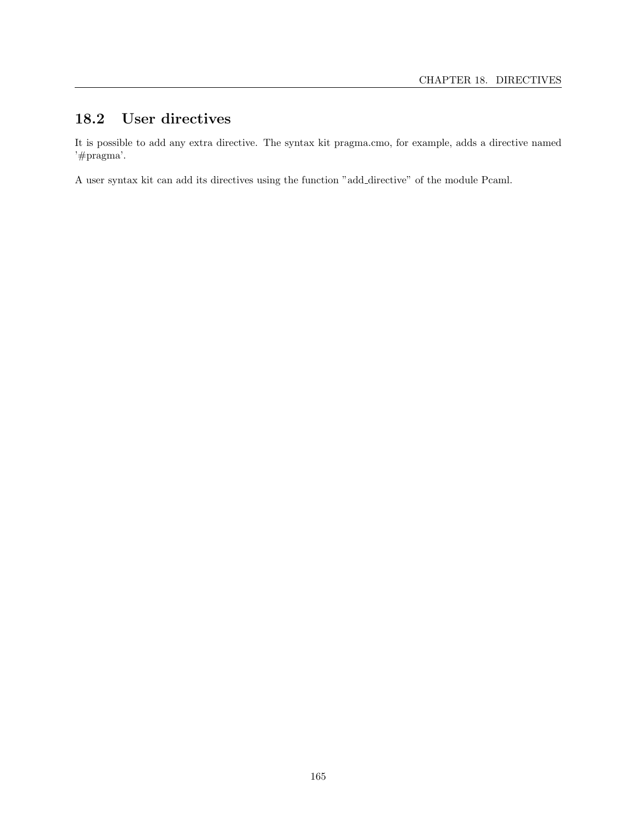## 18.2 User directives

It is possible to add any extra directive. The syntax kit pragma.cmo, for example, adds a directive named '#pragma'.

A user syntax kit can add its directives using the function "add directive" of the module Pcaml.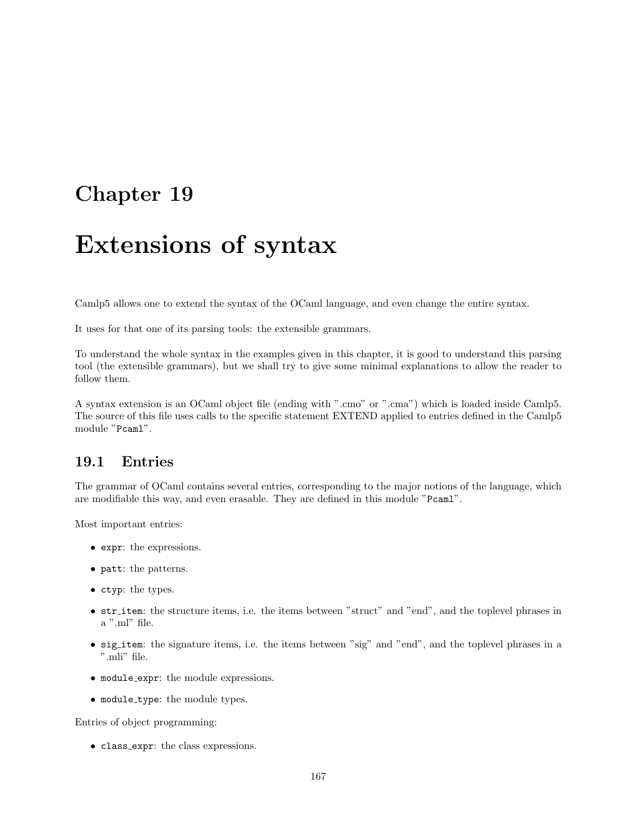## Chapter 19

# Extensions of syntax

Camlp5 allows one to extend the syntax of the OCaml language, and even change the entire syntax.

It uses for that one of its parsing tools: the extensible grammars.

To understand the whole syntax in the examples given in this chapter, it is good to understand this parsing tool (the extensible grammars), but we shall try to give some minimal explanations to allow the reader to follow them.

A syntax extension is an OCaml object file (ending with ".cmo" or ".cma") which is loaded inside Camlp5. The source of this file uses calls to the specific statement EXTEND applied to entries defined in the Camlp5 module "Pcaml".

### 19.1 Entries

The grammar of OCaml contains several entries, corresponding to the major notions of the language, which are modifiable this way, and even erasable. They are defined in this module "Pcaml".

Most important entries:

- expr: the expressions.
- patt: the patterns.
- ctyp: the types.
- str item: the structure items, i.e. the items between "struct" and "end", and the toplevel phrases in a ".ml" file.
- sig\_item: the signature items, i.e. the items between "sig" and "end", and the toplevel phrases in a ".mli" file.
- module expr: the module expressions.
- module type: the module types.

Entries of object programming:

• class expr: the class expressions.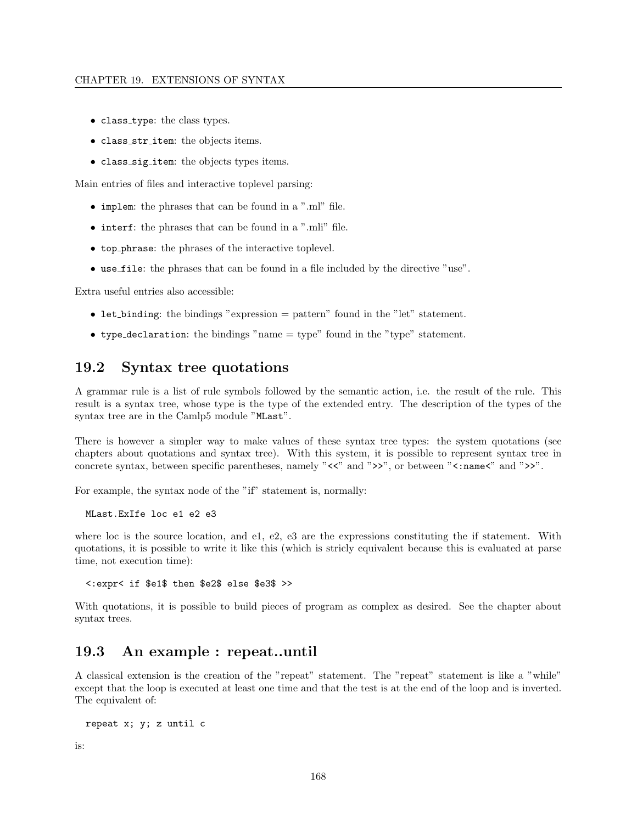#### CHAPTER 19. EXTENSIONS OF SYNTAX

- class type: the class types.
- class str item: the objects items.
- class sig item: the objects types items.

Main entries of files and interactive toplevel parsing:

- implem: the phrases that can be found in a ".ml" file.
- interf: the phrases that can be found in a ".mli" file.
- top phrase: the phrases of the interactive toplevel.
- use file: the phrases that can be found in a file included by the directive "use".

Extra useful entries also accessible:

- let binding: the bindings "expression  $=$  pattern" found in the "let" statement.
- type declaration: the bindings "name = type" found in the "type" statement.

## 19.2 Syntax tree quotations

A grammar rule is a list of rule symbols followed by the semantic action, i.e. the result of the rule. This result is a syntax tree, whose type is the type of the extended entry. The description of the types of the syntax tree are in the Camlp5 module "MLast".

There is however a simpler way to make values of these syntax tree types: the system quotations (see chapters about quotations and syntax tree). With this system, it is possible to represent syntax tree in concrete syntax, between specific parentheses, namely " $\langle \langle \cdot \rangle$ " and " $\rangle$ ", or between " $\langle \cdot \rangle$ " and " $\rangle$ ".

For example, the syntax node of the "if" statement is, normally:

MLast.ExIfe loc e1 e2 e3

where loc is the source location, and e1, e2, e3 are the expressions constituting the if statement. With quotations, it is possible to write it like this (which is stricly equivalent because this is evaluated at parse time, not execution time):

<:expr< if \$e1\$ then \$e2\$ else \$e3\$ >>

With quotations, it is possible to build pieces of program as complex as desired. See the chapter about syntax trees.

## 19.3 An example : repeat..until

A classical extension is the creation of the "repeat" statement. The "repeat" statement is like a "while" except that the loop is executed at least one time and that the test is at the end of the loop and is inverted. The equivalent of:

```
repeat x; y; z until c
```
is: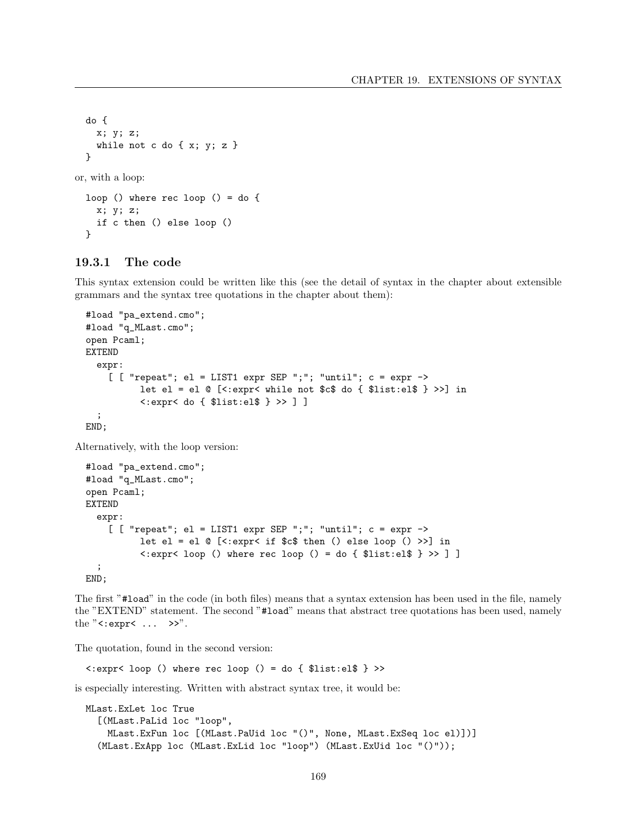```
do {
    x; y; z;
    while not c do \{x; y; z\}}
or, with a loop:
 loop () where rec loop () = do {
    x; y; z;
    if c then () else loop ()
  }
```
#### 19.3.1 The code

This syntax extension could be written like this (see the detail of syntax in the chapter about extensible grammars and the syntax tree quotations in the chapter about them):

```
#load "pa_extend.cmo";
#load "q_MLast.cmo";
open Pcaml;
EXTEND
  expr:
    [ [ "repeat"; el = LIST1 expr SEP ";"; "until"; c = expr ->
          let el = el @ [<:expr< while not $c$ do { $list:el$ } >>] in
          <:expr< do { $list:el$ } >> ] ]
  ;
END;
```
Alternatively, with the loop version:

```
#load "pa_extend.cmo";
#load "q_MLast.cmo";
open Pcaml;
EXTEND
  expr:
    [ [ " repeat"; el = LIST1 expr SEP ";"; "until"; c = \exp r ->
          let el = el @ [<:expr< if c$ then () else loop () >>] in
          <:expr< loop () where rec loop () = do { $list:el$ } >> ] ]
  ;
END;
```
The first "#load" in the code (in both files) means that a syntax extension has been used in the file, namely the "EXTEND" statement. The second "#load" means that abstract tree quotations has been used, namely the "<:expr< ... >>".

The quotation, found in the second version:

<:expr< loop () where rec loop () = do { \$list:el\$ } >>

is especially interesting. Written with abstract syntax tree, it would be:

```
MLast.ExLet loc True
  [(MLast.PaLid loc "loop",
   MLast.ExFun loc [(MLast.PaUid loc "()", None, MLast.ExSeq loc el)])]
  (MLast.ExApp loc (MLast.ExLid loc "loop") (MLast.ExUid loc "()"));
```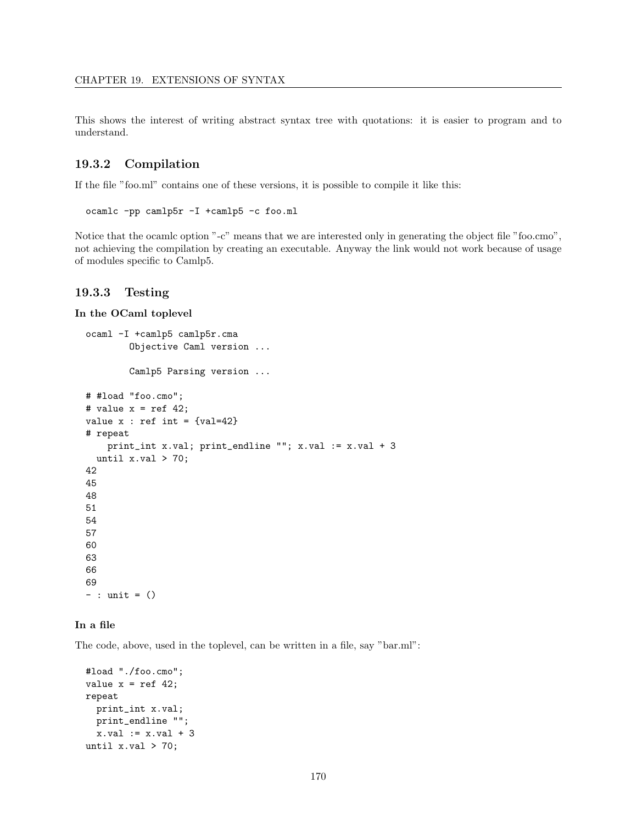This shows the interest of writing abstract syntax tree with quotations: it is easier to program and to understand.

#### 19.3.2 Compilation

If the file "foo.ml" contains one of these versions, it is possible to compile it like this:

```
ocamlc -pp camlp5r -I +camlp5 -c foo.ml
```
Notice that the ocamlc option "-c" means that we are interested only in generating the object file "foo.cmo", not achieving the compilation by creating an executable. Anyway the link would not work because of usage of modules specific to Camlp5.

#### 19.3.3 Testing

In the OCaml toplevel

```
ocaml -I +camlp5 camlp5r.cma
        Objective Caml version ...
        Camlp5 Parsing version ...
# #load "foo.cmo";
# value x = ref 42;
value x : ref int = {val=42}# repeat
    print_int x.val; print_endline ""; x.val := x.val + 3
  until x.val > 70;
42
45
48
51
54
57
60
63
66
69
- : unit = ()
```
#### In a file

The code, above, used in the toplevel, can be written in a file, say "bar.ml":

```
#load "./foo.cmo";
value x = ref 42;
repeat
 print_int x.val;
 print_endline "";
 x.val := x.val + 3
until x.val > 70;
```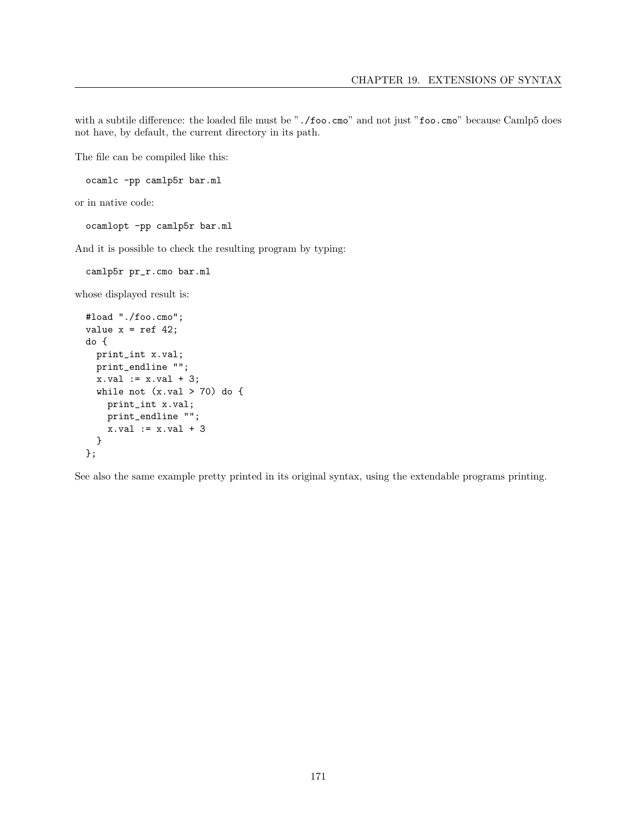with a subtile difference: the loaded file must be "./foo.cmo" and not just "foo.cmo" because Camlp5 does not have, by default, the current directory in its path.

The file can be compiled like this:

```
ocamlc -pp camlp5r bar.ml
```
or in native code:

ocamlopt -pp camlp5r bar.ml

And it is possible to check the resulting program by typing:

```
camlp5r pr_r.cmo bar.ml
```
whose displayed result is:

```
#load "./foo.cmo";
value x = ref 42;
do {
  print_int x.val;
  print_endline "";
  x.val := x.val + 3;
  while not (x.val > 70) do {
   print_int x.val;
   print_endline "";
    x.val := x.val + 3
  }
};
```
See also the same example pretty printed in its original syntax, using the extendable programs printing.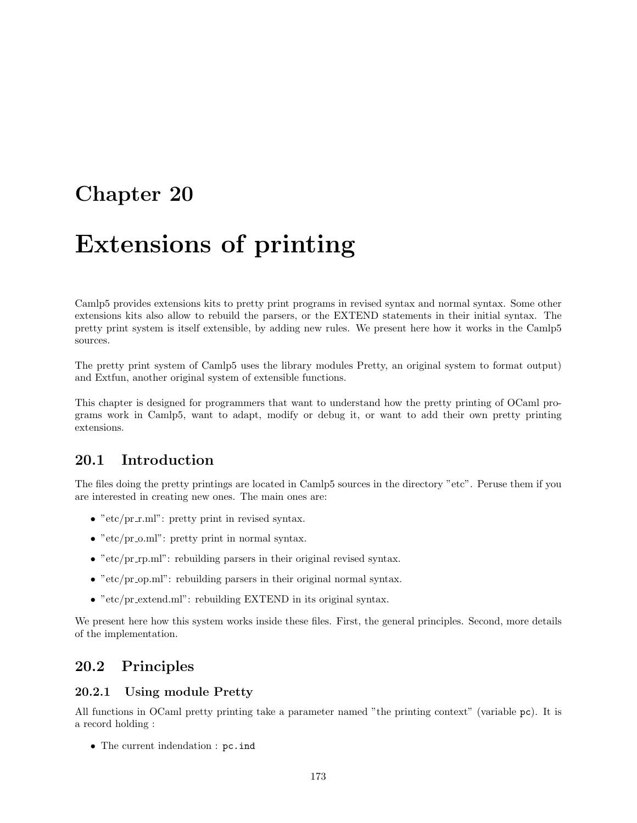## Chapter 20

# Extensions of printing

Camlp5 provides extensions kits to pretty print programs in revised syntax and normal syntax. Some other extensions kits also allow to rebuild the parsers, or the EXTEND statements in their initial syntax. The pretty print system is itself extensible, by adding new rules. We present here how it works in the Camlp5 sources.

The pretty print system of Camlp5 uses the library modules Pretty, an original system to format output) and Extfun, another original system of extensible functions.

This chapter is designed for programmers that want to understand how the pretty printing of OCaml programs work in Camlp5, want to adapt, modify or debug it, or want to add their own pretty printing extensions.

## 20.1 Introduction

The files doing the pretty printings are located in Camlp5 sources in the directory "etc". Peruse them if you are interested in creating new ones. The main ones are:

- "etc/pr\_r.ml": pretty print in revised syntax.
- " $etc/pr.o.ml$ ": pretty print in normal syntax.
- "etc/pr\_rp.ml": rebuilding parsers in their original revised syntax.
- $\bullet$  "etc/pr\_op.ml": rebuilding parsers in their original normal syntax.
- "etc/pr\_extend.ml": rebuilding EXTEND in its original syntax.

We present here how this system works inside these files. First, the general principles. Second, more details of the implementation.

## 20.2 Principles

#### 20.2.1 Using module Pretty

All functions in OCaml pretty printing take a parameter named "the printing context" (variable pc). It is a record holding :

• The current indendation : pc. ind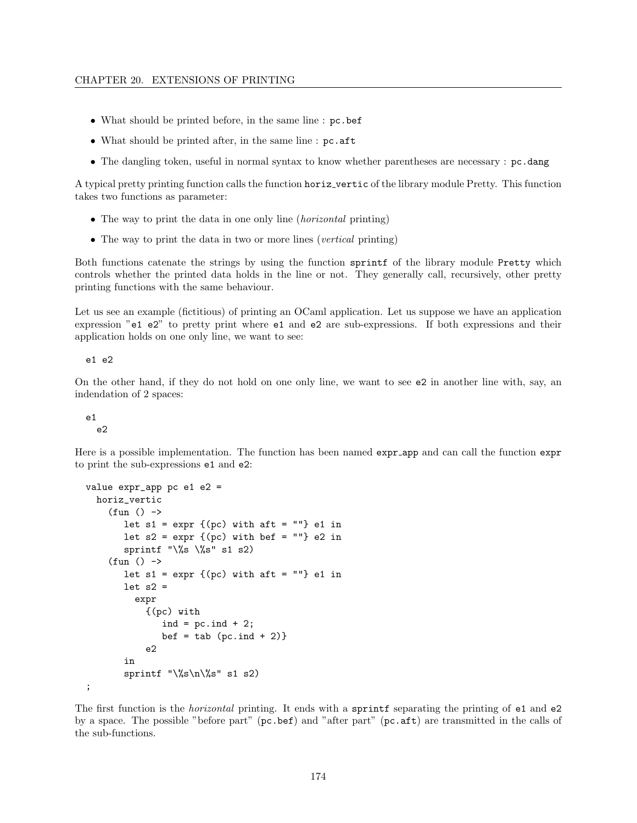- What should be printed before, in the same line : pc.bef
- What should be printed after, in the same line : pc.aft
- The dangling token, useful in normal syntax to know whether parentheses are necessary : pc.dang

A typical pretty printing function calls the function horiz vertic of the library module Pretty. This function takes two functions as parameter:

- The way to print the data in one only line *(horizontal printing)*
- The way to print the data in two or more lines (vertical printing)

Both functions catenate the strings by using the function sprintf of the library module Pretty which controls whether the printed data holds in the line or not. They generally call, recursively, other pretty printing functions with the same behaviour.

Let us see an example (fictitious) of printing an OCaml application. Let us suppose we have an application expression "e1 e2" to pretty print where e1 and e2 are sub-expressions. If both expressions and their application holds on one only line, we want to see:

e1 e2

On the other hand, if they do not hold on one only line, we want to see e2 in another line with, say, an indendation of 2 spaces:

#### e1 e2

Here is a possible implementation. The function has been named expr app and can call the function expr to print the sub-expressions e1 and e2:

```
value expr_app pc e1 e2 =
  horiz_vertic
    (fun () \rightarrowlet s1 = expr {(pc) with aft = ""} e1 in
       let s2 = expr {(pc) with bef = ""} e2 in
       sprintf "\%s \ \_{s}" s1 s2)
    (fun () \rightarrowlet s1 = expr {(pc) with aft = ""} e1 in
       let s2 =expr
            {(pc) with
               ind = pc.ind + 2;
               bef = tab (pc.ind + 2)e2
       in
       sprintf "\%s\n\%s" s1 s2);
```
The first function is the *horizontal* printing. It ends with a sprintf separating the printing of e1 and e2 by a space. The possible "before part" (pc.bef) and "after part" (pc.aft) are transmitted in the calls of the sub-functions.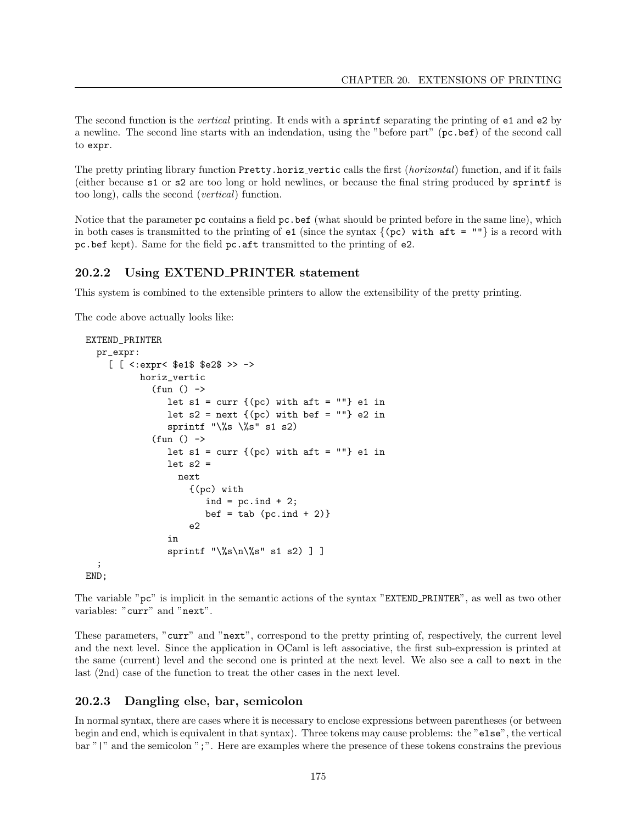The second function is the *vertical* printing. It ends with a sprintf separating the printing of e1 and e2 by a newline. The second line starts with an indendation, using the "before part" (pc.bef) of the second call to expr.

The pretty printing library function Pretty.horiz\_vertic calls the first (*horizontal*) function, and if it fails (either because s1 or s2 are too long or hold newlines, or because the final string produced by sprintf is too long), calls the second (vertical) function.

Notice that the parameter pc contains a field pc.bef (what should be printed before in the same line), which in both cases is transmitted to the printing of  $e1$  (since the syntax  $\{ (pc)$  with  $aft = ""\}$  is a record with pc.bef kept). Same for the field pc.aft transmitted to the printing of e2.

#### 20.2.2 Using EXTEND PRINTER statement

This system is combined to the extensible printers to allow the extensibility of the pretty printing.

The code above actually looks like:

```
EXTEND_PRINTER
  pr_expr:
     [ [ <:expr< $e1$ $e2$ >> ->
             horiz_vertic
               (fun () \rightarrowlet s1 = \text{curr } \{(pc) \text{ with } \text{aft} = \text{""}\} e1 in
                   let s2 = next \{(pc) with bef = ""} e2 in
                   sprintf "\%s \ \_{s}" s1 s2)
               (fun () \rightarrowlet s1 = \text{curr } \{(pc) \text{ with } \text{aft} = \text{""}\}\text{ e1 in}let s2 =next
                         {(pc) with
                            ind = pc. ind + 2;
                            bef = tab (pc.ind + 2)e2
                   in
                   sprintf "\%s\n\%s" s1 s2) ]
  ;
END;
```
The variable "pc" is implicit in the semantic actions of the syntax "EXTEND PRINTER", as well as two other variables: "curr" and "next".

These parameters, "curr" and "next", correspond to the pretty printing of, respectively, the current level and the next level. Since the application in OCaml is left associative, the first sub-expression is printed at the same (current) level and the second one is printed at the next level. We also see a call to next in the last (2nd) case of the function to treat the other cases in the next level.

#### 20.2.3 Dangling else, bar, semicolon

In normal syntax, there are cases where it is necessary to enclose expressions between parentheses (or between begin and end, which is equivalent in that syntax). Three tokens may cause problems: the "else", the vertical bar "|" and the semicolon ";". Here are examples where the presence of these tokens constrains the previous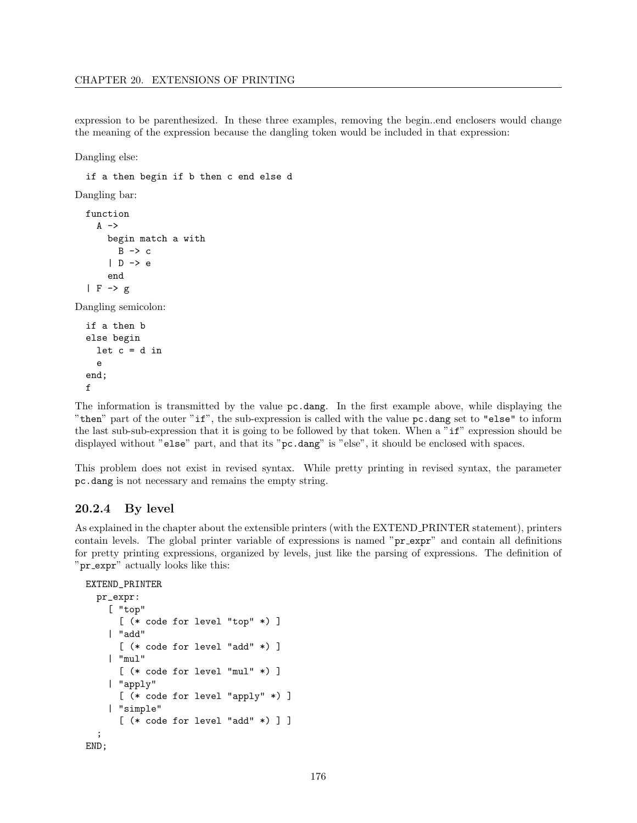expression to be parenthesized. In these three examples, removing the begin..end enclosers would change the meaning of the expression because the dangling token would be included in that expression:

Dangling else:

if a then begin if b then c end else d Dangling bar: function  $A \rightarrow$ begin match a with  $B \rightarrow c$ | D -> e end  $| F \rightarrow g$ Dangling semicolon: if a then b else begin

```
let c = d ine
end;
f
```
The information is transmitted by the value pc.dang. In the first example above, while displaying the "then" part of the outer "if", the sub-expression is called with the value pc.dang set to "else" to inform the last sub-sub-expression that it is going to be followed by that token. When a "if" expression should be displayed without "else" part, and that its "pc.dang" is "else", it should be enclosed with spaces.

This problem does not exist in revised syntax. While pretty printing in revised syntax, the parameter pc.dang is not necessary and remains the empty string.

#### 20.2.4 By level

As explained in the chapter about the extensible printers (with the EXTEND PRINTER statement), printers contain levels. The global printer variable of expressions is named "pr expr" and contain all definitions for pretty printing expressions, organized by levels, just like the parsing of expressions. The definition of "pr expr" actually looks like this:

```
EXTEND_PRINTER
```

```
pr_expr:
    [ "top"
      [ (* code for level "top" *) ]
    | "add"
      [ (* code for level "add" *) ]
    | "mul"
      [ (* code for level "mul" *) ]
    | "apply"
      [ (* code for level "apply" *) ]
    | "simple"
      [ (* code for level "add" *) ] ]
  ;
END;
```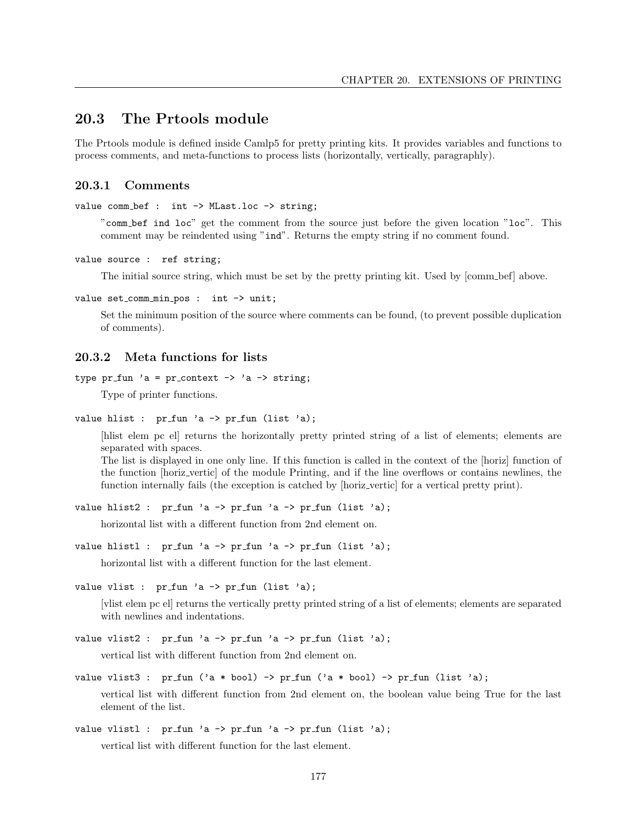## 20.3 The Prtools module

The Prtools module is defined inside Camlp5 for pretty printing kits. It provides variables and functions to process comments, and meta-functions to process lists (horizontally, vertically, paragraphly).

### 20.3.1 Comments

value comm\_bef : int -> MLast.loc -> string;

"comm bef ind loc" get the comment from the source just before the given location "loc". This comment may be reindented using "ind". Returns the empty string if no comment found.

```
value source : ref string;
```
The initial source string, which must be set by the pretty printing kit. Used by  $\lfloor$  comm bef above.

value set\_comm\_min\_pos : int  $\rightarrow$  unit;

Set the minimum position of the source where comments can be found, (to prevent possible duplication of comments).

#### 20.3.2 Meta functions for lists

```
type pr_fun 'a = pr_context \rightarrow 'a \rightarrow string;
```
Type of printer functions.

```
value hlist : pr_fun 'a -> pr_fun (list 'a);
```
[hlist elem pc el] returns the horizontally pretty printed string of a list of elements; elements are separated with spaces.

The list is displayed in one only line. If this function is called in the context of the [horiz] function of the function [horiz vertic] of the module Printing, and if the line overflows or contains newlines, the function internally fails (the exception is catched by [horiz\_vertic] for a vertical pretty print).

```
value hlist2 : pr_fun 'a -> pr_fun 'a -> pr_fun (list 'a);
```
horizontal list with a different function from 2nd element on.

```
value hlistl : pr_fun 'a -> pr_fun 'a -> pr_fun (list 'a);
```
horizontal list with a different function for the last element.

```
value vlist : pr_fun'a \rightarrow pr_fun (list 'a);
```
[vlist elem pc el] returns the vertically pretty printed string of a list of elements; elements are separated with newlines and indentations.

value vlist2 : pr\_fun 'a  $\rightarrow$  pr\_fun 'a  $\rightarrow$  pr\_fun (list 'a);

vertical list with different function from 2nd element on.

value vlist3 :  $pr_fum('a * bool) \rightarrow pr_fun('a * bool) \rightarrow pr_fun (list 'a);$ 

vertical list with different function from 2nd element on, the boolean value being True for the last element of the list.

value vlistl :  $pr_fun 'a \rightarrow pr_fun 'a \rightarrow pr_fun (list 'a);$ 

vertical list with different function for the last element.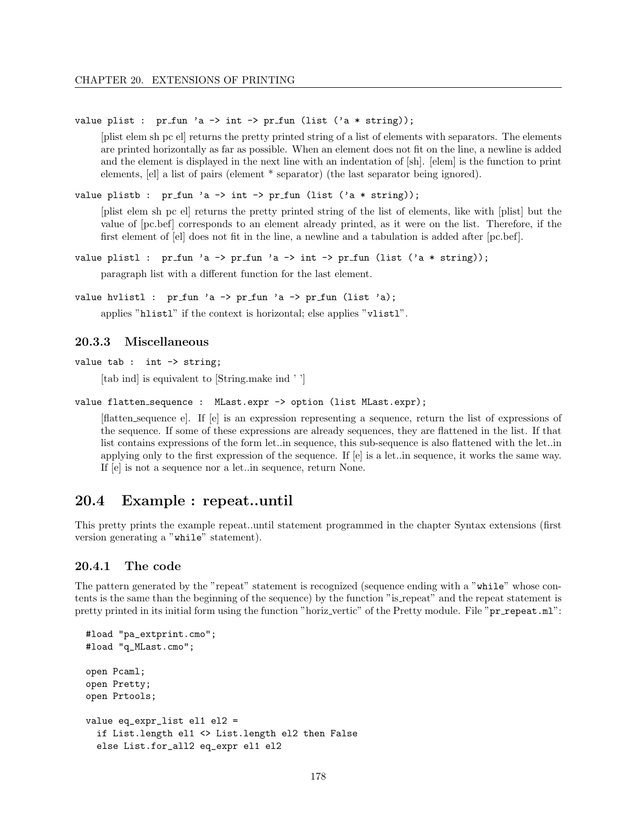#### value plist : pr\_fun 'a -> int -> pr\_fun (list ('a \* string));

[plist elem sh pc el] returns the pretty printed string of a list of elements with separators. The elements are printed horizontally as far as possible. When an element does not fit on the line, a newline is added and the element is displayed in the next line with an indentation of [sh]. [elem] is the function to print elements, [el] a list of pairs (element \* separator) (the last separator being ignored).

value plistb : pr\_fun 'a -> int -> pr\_fun (list ('a \* string));

[plist elem sh pc el] returns the pretty printed string of the list of elements, like with [plist] but the value of [pc.bef] corresponds to an element already printed, as it were on the list. Therefore, if the first element of [el] does not fit in the line, a newline and a tabulation is added after [pc.bef].

value plistl : pr\_fun 'a -> pr\_fun 'a -> int -> pr\_fun (list ('a \* string)); paragraph list with a different function for the last element.

```
value hvlistl : pr_fun 'a -> pr_fun 'a -> pr_fun (list 'a);
```
applies "hlistl" if the context is horizontal; else applies "vlistl".

#### 20.3.3 Miscellaneous

```
value tab : int -> string:
```
[tab ind] is equivalent to [String.make ind '']

```
value flatten_sequence : MLast.expr -> option (list MLast.expr);
```
[flatten sequence e]. If [e] is an expression representing a sequence, return the list of expressions of the sequence. If some of these expressions are already sequences, they are flattened in the list. If that list contains expressions of the form let..in sequence, this sub-sequence is also flattened with the let..in applying only to the first expression of the sequence. If [e] is a let..in sequence, it works the same way. If [e] is not a sequence nor a let..in sequence, return None.

### 20.4 Example : repeat..until

This pretty prints the example repeat..until statement programmed in the chapter Syntax extensions (first version generating a "while" statement).

#### 20.4.1 The code

The pattern generated by the "repeat" statement is recognized (sequence ending with a "while" whose contents is the same than the beginning of the sequence) by the function "is repeat" and the repeat statement is pretty printed in its initial form using the function "horiz\_vertic" of the Pretty module. File "pr\_repeat.ml":

```
#load "pa_extprint.cmo";
#load "q_MLast.cmo";
open Pcaml;
open Pretty;
open Prtools;
value eq_expr_list el1 el2 =
  if List.length el1 <> List.length el2 then False
  else List.for_all2 eq_expr el1 el2
```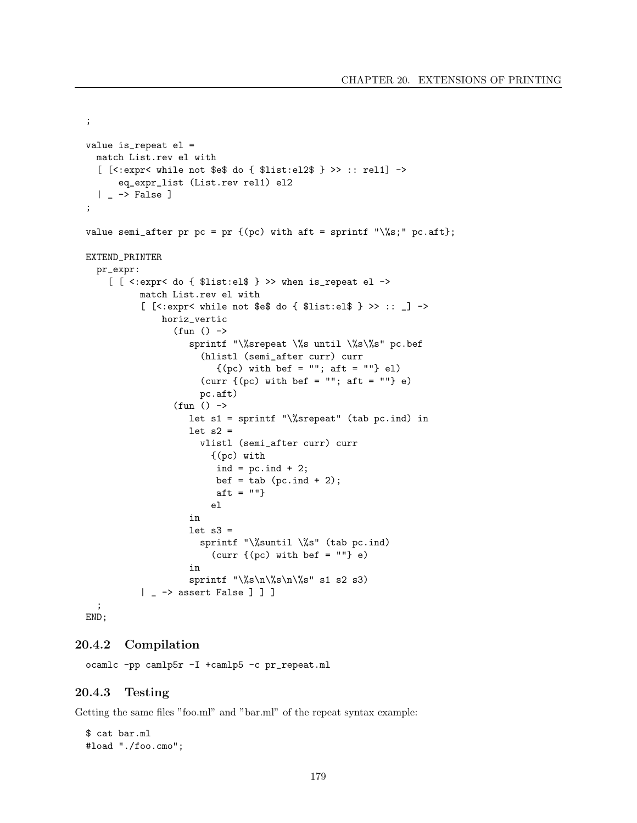```
;
value is_repeat el =
  match List.rev el with
  [ [<:expr< while not $e$ do { $list:el2$ } >> :: rel1] ->
      eq_expr_list (List.rev rel1) el2
  | \rightarrow False ]
;
value semi_after pr pc = pr {(pc) with aft = sprintf "\%s;" pc.aft};
EXTEND_PRINTER
  pr_expr:
    [ [ \leq : expr\leq do \{ $list: el$ \} >> when is_repeat el ->
          match List.rev el with
           [ [<:expr< while not $e$ do { $list:el$ } >> :: \Box] ->
              horiz_vertic
                 (fun () \rightarrowsprintf "\%srepeat \%s until \%s\%s" pc.bef
                      (hlistl (semi_after curr) curr
                         {(pc) with bef = ""; aft = ""} el)(curr \{(pc) with bef = ""; aft = ""} e)
                      pc.aft)
                 (fun () \rightarrowlet s1 = sprintf "\%srepeat" (tab pc.ind) in
                    let s2 =vlistl (semi_after curr) curr
                        {(pc) with
                         ind = pc. ind + 2;
                         bef = tab (pc.ind + 2);aft = ""\}el
                    in
                    let s3 =sprintf "\%suntil \%s" (tab pc.ind)
                        (curr \{(pc) with bef = ""} e)
                    in
                    sprintf "\%s\n\%s\n\%s" s1 s2 s3)
          | _ -> assert False ] ] ]
  ;
END;
```
### 20.4.2 Compilation

ocamlc -pp camlp5r -I +camlp5 -c pr\_repeat.ml

### 20.4.3 Testing

Getting the same files "foo.ml" and "bar.ml" of the repeat syntax example:

\$ cat bar.ml #load "./foo.cmo";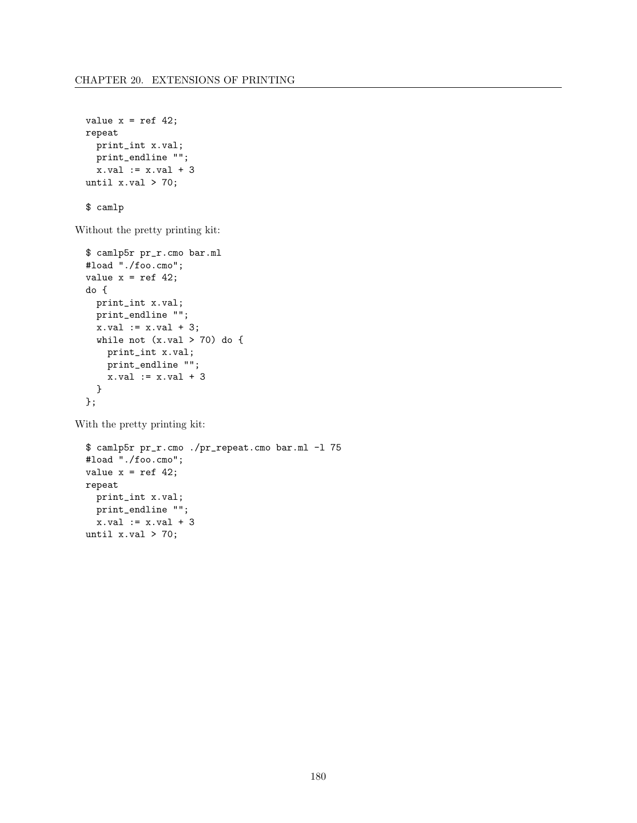```
value x = ref 42;
repeat
 print_int x.val;
 print_endline "";
  x.val := x.val + 3until x.val > 70;
```
\$ camlp

Without the pretty printing kit:

```
$ camlp5r pr_r.cmo bar.ml
#load "./foo.cmo";
value x = ref 42;
do {
 print_int x.val;
 print_endline "";
 x.val := x.val + 3;while not (x.val > 70) do {
   print_int x.val;
   print_endline "";
   x.val := x.val + 3
  }
};
```
With the pretty printing kit:

```
$ camlp5r pr_r.cmo ./pr_repeat.cmo bar.ml -l 75
#load "./foo.cmo";
value x = ref 42;
repeat
 print_int x.val;
 print_endline "";
  x.val := x.val + 3
until x.val > 70;
```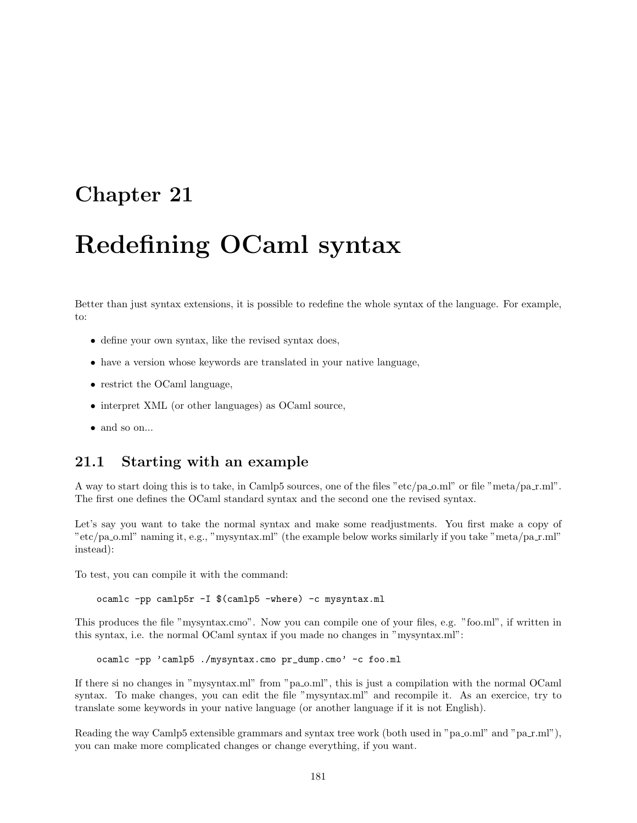# Redefining OCaml syntax

Better than just syntax extensions, it is possible to redefine the whole syntax of the language. For example, to:

- define your own syntax, like the revised syntax does,
- have a version whose keywords are translated in your native language,
- restrict the OCaml language,
- interpret XML (or other languages) as OCaml source,
- and so on...

### 21.1 Starting with an example

A way to start doing this is to take, in Camlp5 sources, one of the files "etc/pa\_o.ml" or file "meta/pa\_r.ml". The first one defines the OCaml standard syntax and the second one the revised syntax.

Let's say you want to take the normal syntax and make some readjustments. You first make a copy of "etc/pa\_o.ml" naming it, e.g., "mysyntax.ml" (the example below works similarly if you take "meta/pa\_r.ml" instead):

To test, you can compile it with the command:

ocamlc -pp camlp5r -I \$(camlp5 -where) -c mysyntax.ml

This produces the file "mysyntax.cmo". Now you can compile one of your files, e.g. "foo.ml", if written in this syntax, i.e. the normal OCaml syntax if you made no changes in "mysyntax.ml":

ocamlc -pp 'camlp5 ./mysyntax.cmo pr\_dump.cmo' -c foo.ml

If there si no changes in "mysyntax.ml" from "pa o.ml", this is just a compilation with the normal OCaml syntax. To make changes, you can edit the file "mysyntax.ml" and recompile it. As an exercice, try to translate some keywords in your native language (or another language if it is not English).

Reading the way Camlp5 extensible grammars and syntax tree work (both used in " $pa_0.mll$ " and " $pa_1.mll$ "), you can make more complicated changes or change everything, if you want.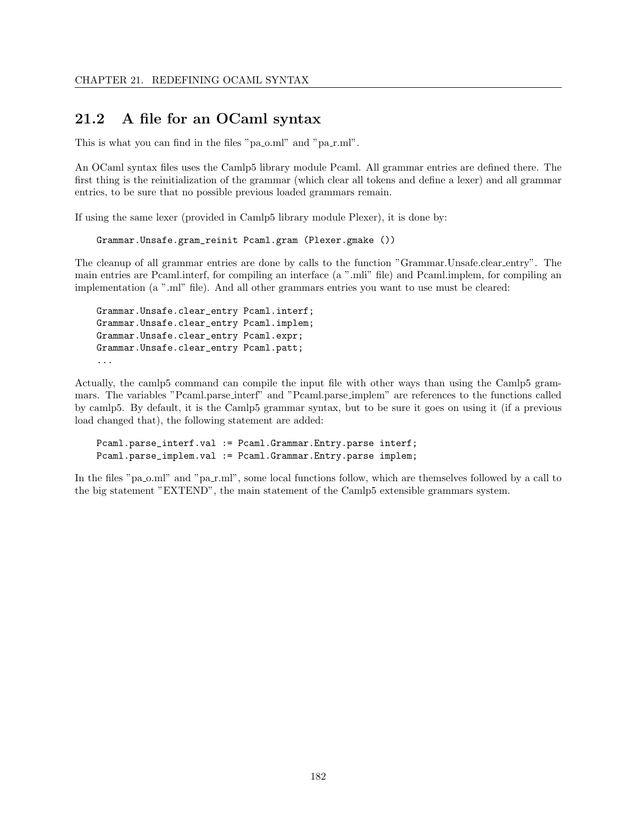## 21.2 A file for an OCaml syntax

This is what you can find in the files "pa\_o.ml" and "pa\_r.ml".

An OCaml syntax files uses the Camlp5 library module Pcaml. All grammar entries are defined there. The first thing is the reinitialization of the grammar (which clear all tokens and define a lexer) and all grammar entries, to be sure that no possible previous loaded grammars remain.

If using the same lexer (provided in Camlp5 library module Plexer), it is done by:

```
Grammar.Unsafe.gram_reinit Pcaml.gram (Plexer.gmake ())
```
The cleanup of all grammar entries are done by calls to the function "Grammar.Unsafe.clear entry". The main entries are Pcaml.interf, for compiling an interface (a ".mli" file) and Pcaml.implem, for compiling an implementation (a ".ml" file). And all other grammars entries you want to use must be cleared:

```
Grammar.Unsafe.clear_entry Pcaml.interf;
Grammar.Unsafe.clear_entry Pcaml.implem;
Grammar.Unsafe.clear_entry Pcaml.expr;
Grammar.Unsafe.clear_entry Pcaml.patt;
...
```
Actually, the camlp5 command can compile the input file with other ways than using the Camlp5 grammars. The variables "Pcaml.parse interf" and "Pcaml.parse implem" are references to the functions called by camlp5. By default, it is the Camlp5 grammar syntax, but to be sure it goes on using it (if a previous load changed that), the following statement are added:

```
Pcaml.parse_interf.val := Pcaml.Grammar.Entry.parse interf;
Pcaml.parse_implem.val := Pcaml.Grammar.Entry.parse implem;
```
In the files "pa<sub>0</sub>.ml" and "pa<sub>n</sub>-ml", some local functions follow, which are themselves followed by a call to the big statement "EXTEND", the main statement of the Camlp5 extensible grammars system.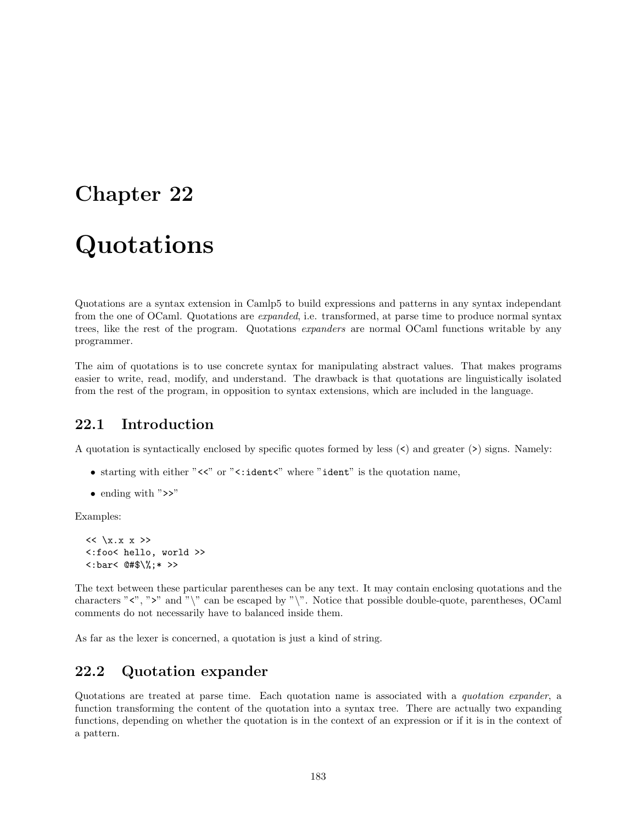# Quotations

Quotations are a syntax extension in Camlp5 to build expressions and patterns in any syntax independant from the one of OCaml. Quotations are expanded, i.e. transformed, at parse time to produce normal syntax trees, like the rest of the program. Quotations expanders are normal OCaml functions writable by any programmer.

The aim of quotations is to use concrete syntax for manipulating abstract values. That makes programs easier to write, read, modify, and understand. The drawback is that quotations are linguistically isolated from the rest of the program, in opposition to syntax extensions, which are included in the language.

## 22.1 Introduction

A quotation is syntactically enclosed by specific quotes formed by less (<) and greater (>) signs. Namely:

- starting with either "<<" or "<: ident<" where "ident" is the quotation name,
- ending with ">>"

Examples:

```
<< \x.x x \times ><:foo< hello, world >>
\langle : \text{bar} \langle \theta, \phi \rangle \;* >>
```
The text between these particular parentheses can be any text. It may contain enclosing quotations and the characters " $\langle$ ", " $\rangle$ " and " $\langle$ " can be escaped by " $\langle$ ". Notice that possible double-quote, parentheses, OCaml comments do not necessarily have to balanced inside them.

As far as the lexer is concerned, a quotation is just a kind of string.

## 22.2 Quotation expander

Quotations are treated at parse time. Each quotation name is associated with a quotation expander, a function transforming the content of the quotation into a syntax tree. There are actually two expanding functions, depending on whether the quotation is in the context of an expression or if it is in the context of a pattern.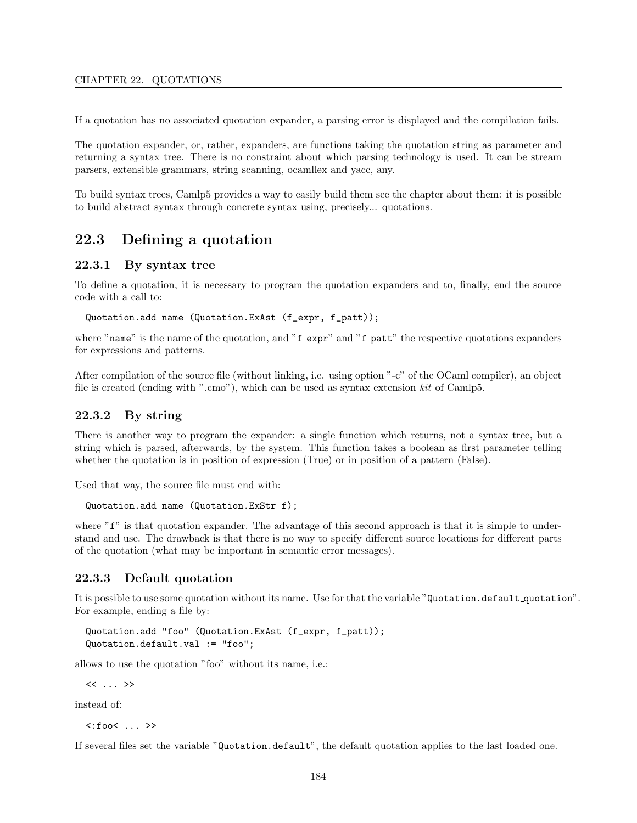#### CHAPTER 22. QUOTATIONS

If a quotation has no associated quotation expander, a parsing error is displayed and the compilation fails.

The quotation expander, or, rather, expanders, are functions taking the quotation string as parameter and returning a syntax tree. There is no constraint about which parsing technology is used. It can be stream parsers, extensible grammars, string scanning, ocamllex and yacc, any.

To build syntax trees, Camlp5 provides a way to easily build them see the chapter about them: it is possible to build abstract syntax through concrete syntax using, precisely... quotations.

### 22.3 Defining a quotation

#### 22.3.1 By syntax tree

To define a quotation, it is necessary to program the quotation expanders and to, finally, end the source code with a call to:

Quotation.add name (Quotation.ExAst (f\_expr, f\_patt));

where "name" is the name of the quotation, and "f\_expr" and "f\_patt" the respective quotations expanders for expressions and patterns.

After compilation of the source file (without linking, i.e. using option "-c" of the OCaml compiler), an object file is created (ending with ".cmo"), which can be used as syntax extension kit of Camlp5.

### 22.3.2 By string

There is another way to program the expander: a single function which returns, not a syntax tree, but a string which is parsed, afterwards, by the system. This function takes a boolean as first parameter telling whether the quotation is in position of expression (True) or in position of a pattern (False).

Used that way, the source file must end with:

```
Quotation.add name (Quotation.ExStr f);
```
where  $\mathbf{f}^*$  is that quotation expander. The advantage of this second approach is that it is simple to understand and use. The drawback is that there is no way to specify different source locations for different parts of the quotation (what may be important in semantic error messages).

### 22.3.3 Default quotation

It is possible to use some quotation without its name. Use for that the variable "Quotation.default\_quotation". For example, ending a file by:

Quotation.add "foo" (Quotation.ExAst (f\_expr, f\_patt)); Quotation.default.val := "foo";

allows to use the quotation "foo" without its name, i.e.:

 $\ll \ldots \gg$ 

instead of:

 $\langle : \text{foo} \langle : \ldots > \rangle$ 

If several files set the variable "Quotation.default", the default quotation applies to the last loaded one.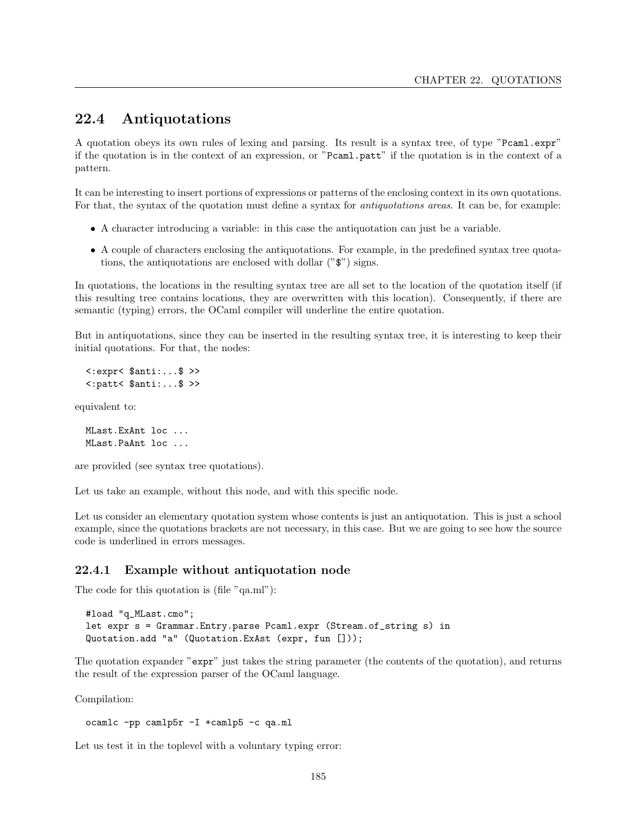## 22.4 Antiquotations

A quotation obeys its own rules of lexing and parsing. Its result is a syntax tree, of type "Pcaml.expr" if the quotation is in the context of an expression, or "Pcaml.patt" if the quotation is in the context of a pattern.

It can be interesting to insert portions of expressions or patterns of the enclosing context in its own quotations. For that, the syntax of the quotation must define a syntax for *antiquotations areas*. It can be, for example:

- A character introducing a variable: in this case the antiquotation can just be a variable.
- A couple of characters enclosing the antiquotations. For example, in the predefined syntax tree quotations, the antiquotations are enclosed with dollar ("\$") signs.

In quotations, the locations in the resulting syntax tree are all set to the location of the quotation itself (if this resulting tree contains locations, they are overwritten with this location). Consequently, if there are semantic (typing) errors, the OCaml compiler will underline the entire quotation.

But in antiquotations, since they can be inserted in the resulting syntax tree, it is interesting to keep their initial quotations. For that, the nodes:

<:expr< \$anti:...\$ >> <:patt< \$anti:...\$ >>

equivalent to:

MLast.ExAnt loc ... MLast.PaAnt loc ...

are provided (see syntax tree quotations).

Let us take an example, without this node, and with this specific node.

Let us consider an elementary quotation system whose contents is just an antiquotation. This is just a school example, since the quotations brackets are not necessary, in this case. But we are going to see how the source code is underlined in errors messages.

### 22.4.1 Example without antiquotation node

The code for this quotation is (file "qa.ml"):

```
#load "q_MLast.cmo";
let expr s = Grammar.Entry.parse Pcaml.expr (Stream.of_string s) in
Quotation.add "a" (Quotation.ExAst (expr, fun []));
```
The quotation expander "expr" just takes the string parameter (the contents of the quotation), and returns the result of the expression parser of the OCaml language.

Compilation:

```
ocamlc -pp camlp5r -I +camlp5 -c qa.ml
```
Let us test it in the toplevel with a voluntary typing error: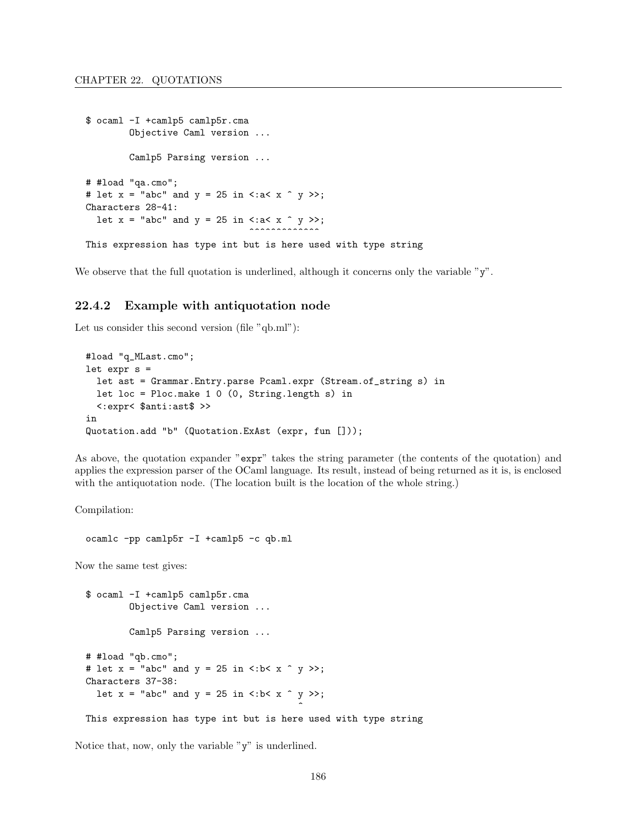```
$ ocaml -I +camlp5 camlp5r.cma
        Objective Caml version ...
        Camlp5 Parsing version ...
# #load "qa.cmo";
# let x = "abc" and y = 25 in <: a< x \hat{y} >>;
Characters 28-41:
  let x = "abc" and y = 25 in \langle x^2 \times x^2 \rangle;
                                 ........
This expression has type int but is here used with type string
```
We observe that the full quotation is underlined, although it concerns only the variable "y".

### 22.4.2 Example with antiquotation node

Let us consider this second version (file "qb.ml"):

```
#load "q_MLast.cmo";
let expr s =
  let ast = Grammar.Entry.parse Pcaml.expr (Stream.of_string s) in
  let loc = Ploc.make 1 0 (0, String.length s) in
  <:expr< $anti:ast$ >>
in
Quotation.add "b" (Quotation.ExAst (expr, fun []));
```
As above, the quotation expander "expr" takes the string parameter (the contents of the quotation) and applies the expression parser of the OCaml language. Its result, instead of being returned as it is, is enclosed with the antiquotation node. (The location built is the location of the whole string.)

Compilation:

```
ocamlc -pp camlp5r -I +camlp5 -c qb.ml
```
Now the same test gives:

\$ ocaml -I +camlp5 camlp5r.cma Objective Caml version ... Camlp5 Parsing version ... # #load "qb.cmo"; # let  $x =$  "abc" and  $y = 25$  in <: b< x  $\hat{y}$  y >>; Characters 37-38: let  $x = "abc"$  and  $y = 25$  in  $\left\langle :b < x \right\rangle^2$  y  $\left\langle \right\rangle$ ;  $\hat{ }$ 

This expression has type int but is here used with type string

Notice that, now, only the variable "y" is underlined.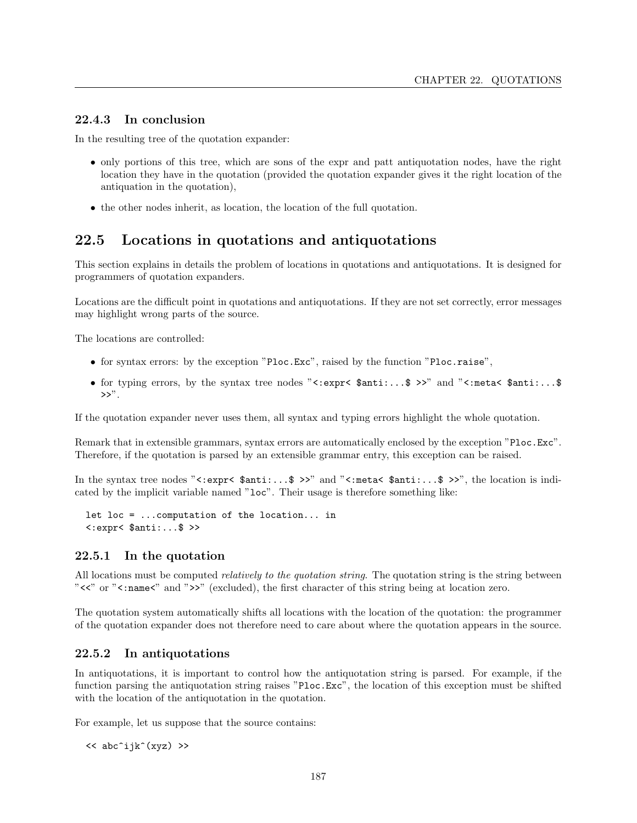### 22.4.3 In conclusion

In the resulting tree of the quotation expander:

- only portions of this tree, which are sons of the expr and patt antiquotation nodes, have the right location they have in the quotation (provided the quotation expander gives it the right location of the antiquation in the quotation),
- the other nodes inherit, as location, the location of the full quotation.

## 22.5 Locations in quotations and antiquotations

This section explains in details the problem of locations in quotations and antiquotations. It is designed for programmers of quotation expanders.

Locations are the difficult point in quotations and antiquotations. If they are not set correctly, error messages may highlight wrong parts of the source.

The locations are controlled:

- for syntax errors: by the exception "Ploc.Exc", raised by the function "Ploc.raise",
- for typing errors, by the syntax tree nodes "<:expr<  $\text{3}$ anti:...\$ >>" and "<:meta<  $\text{3}$ anti:...\$  $>>$ ".

If the quotation expander never uses them, all syntax and typing errors highlight the whole quotation.

Remark that in extensible grammars, syntax errors are automatically enclosed by the exception "Ploc.Exc". Therefore, if the quotation is parsed by an extensible grammar entry, this exception can be raised.

In the syntax tree nodes "<:expr<  $\text{\$anti:...}\$  >>" and "<:meta<  $\text{\$anti:...}\$  >>", the location is indicated by the implicit variable named "loc". Their usage is therefore something like:

let loc = ...computation of the location... in  $\langle : \text{expr} \langle \text{Santi}: \ldots \text{S} \rangle \rangle$ 

#### 22.5.1 In the quotation

All locations must be computed *relatively to the quotation string*. The quotation string is the string between " $<<$ " or " $<<$ " and " $>>$ " (excluded), the first character of this string being at location zero.

The quotation system automatically shifts all locations with the location of the quotation: the programmer of the quotation expander does not therefore need to care about where the quotation appears in the source.

### 22.5.2 In antiquotations

In antiquotations, it is important to control how the antiquotation string is parsed. For example, if the function parsing the antiquotation string raises "Ploc.Exc", the location of this exception must be shifted with the location of the antiquotation in the quotation.

For example, let us suppose that the source contains:

 $<<$  abc^ijk^(xyz) >>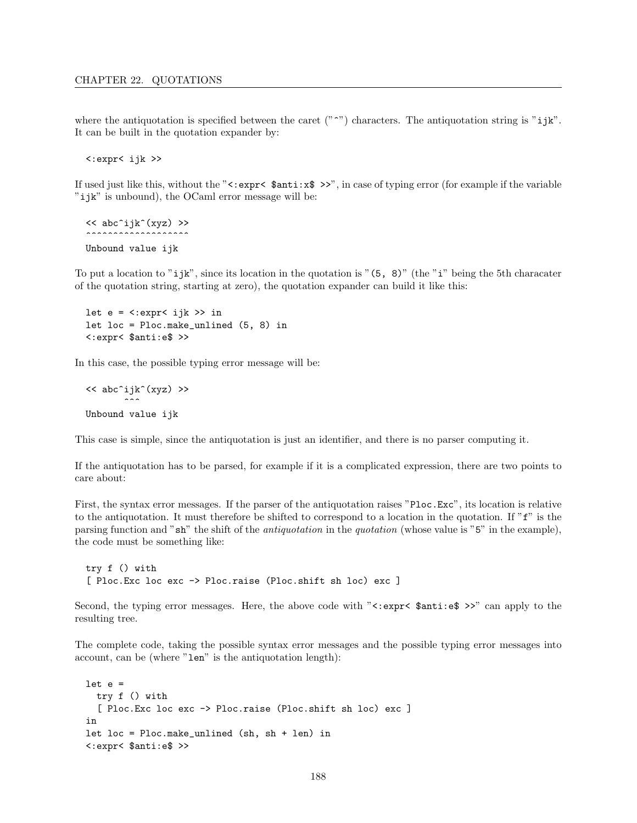where the antiquotation is specified between the caret  $("^"')$  characters. The antiquotation string is "ijk". It can be built in the quotation expander by:

<:expr< ijk >>

If used just like this, without the " $\langle : \text{expr} \rangle \$   $\text{Sant}: \mathbf{x} \rangle \rangle$ ", in case of typing error (for example if the variable "ijk" is unbound), the OCaml error message will be:

<< abc^ijk^(xyz) >> ~~~~~~~~~~~~~~~~~~~ Unbound value ijk

To put a location to "ijk", since its location in the quotation is " $(5, 8)$ " (the "i" being the 5th characater of the quotation string, starting at zero), the quotation expander can build it like this:

```
let e = \langle .\exp(r \times i) \rangle >> in
let loc = Ploc.make_unlined (5, 8) in
<:expr< $anti:e$ >>
```
In this case, the possible typing error message will be:

```
<< abc^ijk^(xyz) >>
          \tilde{\phantom{a}}Unbound value ijk
```
This case is simple, since the antiquotation is just an identifier, and there is no parser computing it.

If the antiquotation has to be parsed, for example if it is a complicated expression, there are two points to care about:

First, the syntax error messages. If the parser of the antiquotation raises "Ploc.Exc", its location is relative to the antiquotation. It must therefore be shifted to correspond to a location in the quotation. If  $\tilde{f}$  is the parsing function and "sh" the shift of the antiquotation in the quotation (whose value is "5" in the example), the code must be something like:

```
try f () with
[ Ploc.Exc loc exc -> Ploc.raise (Ploc.shift sh loc) exc ]
```
Second, the typing error messages. Here, the above code with " $\leq:$  expr $\leq$  \$anti:e\$ >>" can apply to the resulting tree.

The complete code, taking the possible syntax error messages and the possible typing error messages into account, can be (where "len" is the antiquotation length):

```
let e =try f () with
  [ Ploc.Exc loc exc -> Ploc.raise (Ploc.shift sh loc) exc ]
in
let loc = Ploc.make_unlined (sh, sh + len) in
<:expr< $anti:e$ >>
```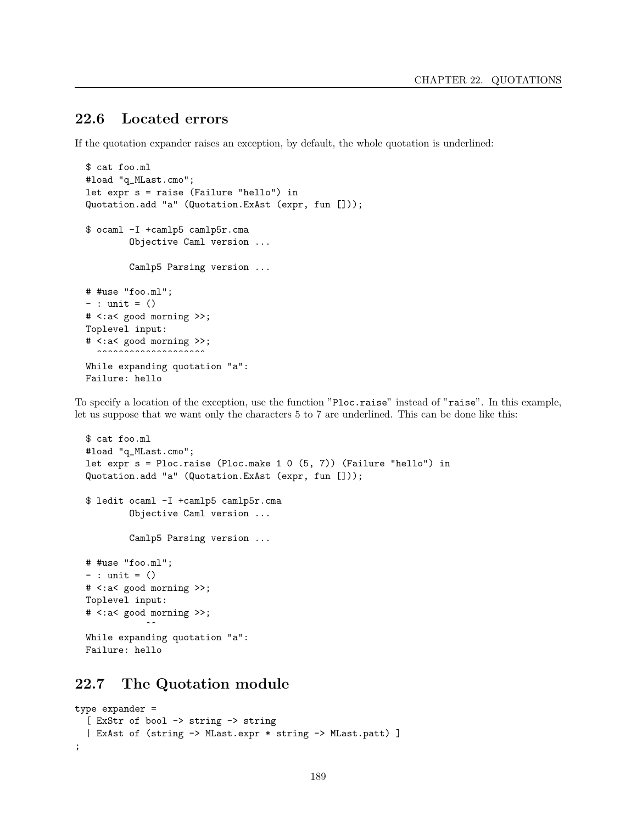## 22.6 Located errors

If the quotation expander raises an exception, by default, the whole quotation is underlined:

```
$ cat foo.ml
#load "q_MLast.cmo";
let expr s = raise (Failure "hello") in
Quotation.add "a" (Quotation.ExAst (expr, fun []));
$ ocaml -I +camlp5 camlp5r.cma
        Objective Caml version ...
        Camlp5 Parsing version ...
# #use "foo.ml";
- : unit = ()
# <:a< good morning >>;
Toplevel input:
# <:a< good morning >>;
  ..................
While expanding quotation "a":
Failure: hello
```
To specify a location of the exception, use the function "Ploc.raise" instead of "raise". In this example, let us suppose that we want only the characters 5 to 7 are underlined. This can be done like this:

```
$ cat foo.ml
#load "q_MLast.cmo";
let expr s = Ploc.raise (Ploc.make 1 0 (5, 7)) (Failure "hello") in
Quotation.add "a" (Quotation.ExAst (expr, fun []));
$ ledit ocaml -I +camlp5 camlp5r.cma
        Objective Caml version ...
        Camlp5 Parsing version ...
# #use "foo.ml";
- : unit = ()# <:a< good morning >>;
Toplevel input:
# <:a< good morning >>;
           \simWhile expanding quotation "a":
Failure: hello
```
## 22.7 The Quotation module

```
type expander =
  [ ExStr of bool -> string -> string
  | ExAst of (string -> MLast.expr * string -> MLast.patt) ]
;
```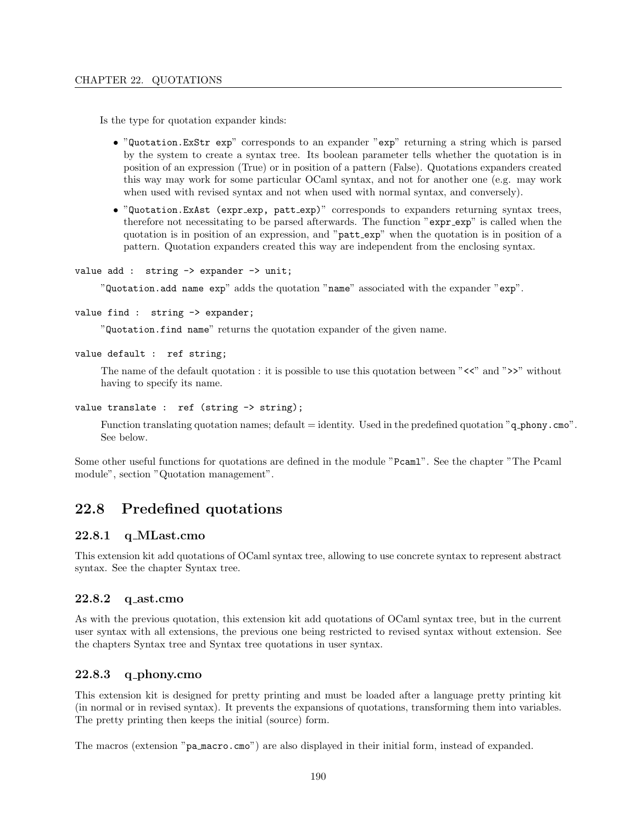Is the type for quotation expander kinds:

- "Quotation.ExStr exp" corresponds to an expander "exp" returning a string which is parsed by the system to create a syntax tree. Its boolean parameter tells whether the quotation is in position of an expression (True) or in position of a pattern (False). Quotations expanders created this way may work for some particular OCaml syntax, and not for another one (e.g. may work when used with revised syntax and not when used with normal syntax, and conversely).
- "Quotation.ExAst (expr exp, patt exp)" corresponds to expanders returning syntax trees, therefore not necessitating to be parsed afterwards. The function "expr\_exp" is called when the quotation is in position of an expression, and "patt exp" when the quotation is in position of a pattern. Quotation expanders created this way are independent from the enclosing syntax.

```
value add : string \rightarrow expander \rightarrow unit;
```
"Quotation.add name exp" adds the quotation "name" associated with the expander "exp".

```
value find : string -> expander;
```
"Quotation.find name" returns the quotation expander of the given name.

```
value default : ref string;
```
The name of the default quotation : it is possible to use this quotation between " $<<$ " and " $>>$ " without having to specify its name.

```
value translate : ref (string -> string);
```
Function translating quotation names; default  $=$  identity. Used in the predefined quotation "q\_phony.cmo". See below.

Some other useful functions for quotations are defined in the module "Pcaml". See the chapter "The Pcaml module", section "Quotation management".

## 22.8 Predefined quotations

### 22.8.1 q MLast.cmo

This extension kit add quotations of OCaml syntax tree, allowing to use concrete syntax to represent abstract syntax. See the chapter Syntax tree.

### 22.8.2 q ast.cmo

As with the previous quotation, this extension kit add quotations of OCaml syntax tree, but in the current user syntax with all extensions, the previous one being restricted to revised syntax without extension. See the chapters Syntax tree and Syntax tree quotations in user syntax.

### $22.8.3$  q\_phony.cmo

This extension kit is designed for pretty printing and must be loaded after a language pretty printing kit (in normal or in revised syntax). It prevents the expansions of quotations, transforming them into variables. The pretty printing then keeps the initial (source) form.

The macros (extension "pa macro.cmo") are also displayed in their initial form, instead of expanded.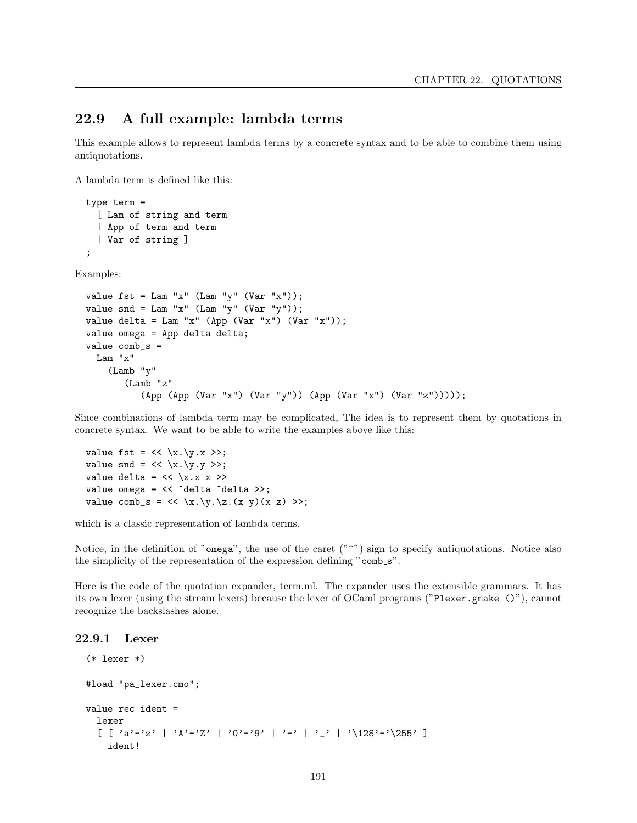### 22.9 A full example: lambda terms

This example allows to represent lambda terms by a concrete syntax and to be able to combine them using antiquotations.

A lambda term is defined like this:

(Lamb "z"

```
type term =
    [ Lam of string and term
    | App of term and term
    | Var of string ]
  ;
Examples:
  value fst = Lam "x" (Lam "y" (Var "x"));
  value snd = Lam "x" (Lam "y" (Var "y"));
  value delta = Lam "x" (App (Var "x") (Var "x"));
  value omega = App delta delta;
  value comb_s =
    Lam "x"
      (Lamb "y"
```
Since combinations of lambda term may be complicated, The idea is to represent them by quotations in concrete syntax. We want to be able to write the examples above like this:

(App (App (Var "x") (Var "y")) (App (Var "x") (Var "z")))));

```
value fst = \langle x.\y.x \rangle;
value snd = \langle x \rangle \langle y \rangle >>;
value delta = \langle \times \ranglex.x x >>
value omega = << ^delta ^delta >>;
value comb_s = \langle x \rangle \setminus x.\setminus y \setminus z.(x \ y) (x \ z) \geq x;
```
which is a classic representation of lambda terms.

Notice, in the definition of "omega", the use of the caret  $($ " $\sim$ ") sign to specify antiquotations. Notice also the simplicity of the representation of the expression defining "comb\_s".

Here is the code of the quotation expander, term.ml. The expander uses the extensible grammars. It has its own lexer (using the stream lexers) because the lexer of OCaml programs ("Plexer.gmake ()"), cannot recognize the backslashes alone.

#### 22.9.1 Lexer

```
(* lexer *)
#load "pa_lexer.cmo";
value rec ident =
 lexer
  [ [ a' -'z' ] 'A'-'Z' ] '0'-'9' ] '-' ] '_' ] '\128'-'\255' ]
    ident!
```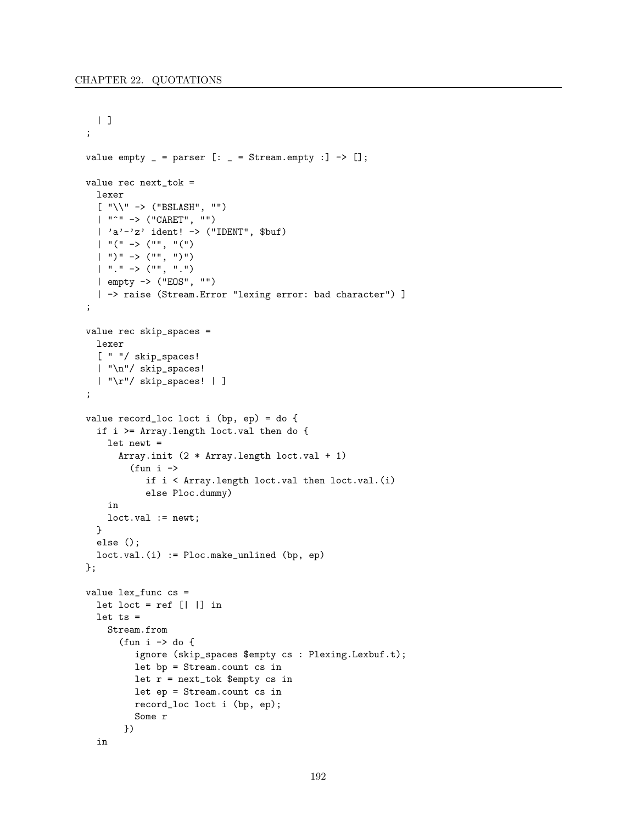```
| |;
value empty = parser [: = Stream.empty : ] -> [];
value rec next_tok =
  lexer
  \lbrack "\setminus" -> ("BSLASH", "")
  | "^" -> ("CARET", "")
  | 'a'-'z' ident! -> ("IDENT", $but)
  | "(" -> ("", "("| ")" -> ("", ")")
  | "." -> ("", ".")
 | empty -> ("EOS", "")
  | -> raise (Stream.Error "lexing error: bad character") ]
;
value rec skip_spaces =
  lexer
  [ " "/ skip_spaces!
  | "\n"/ skip_spaces!
  | "\r"/ skip_spaces! | ]
;
value record_loc loct i (bp, ep) = do {
  if i >= Array.length loct.val then do {
    let newt =
      Array.init (2 * Array.length loct.val + 1)
        (fun i \rightarrowif i < Array.length loct.val then loct.val.(i)
           else Ploc.dummy)
    in
    loct.val := newt;
  }
  else ();
  loct.val.(i) := Ploc.make_unlined (bp, ep)
};
value lex_func cs =
  let loct = ref [||] in
  let ts =Stream.from
      (fun i \rightarrow do {
         ignore (skip_spaces $empty cs : Plexing.Lexbuf.t);
         let bp = Stream.count cs in
         let r = next_tok $empty cs in
         let ep = Stream.count cs in
         record_loc loct i (bp, ep);
         Some r
       })
  in
```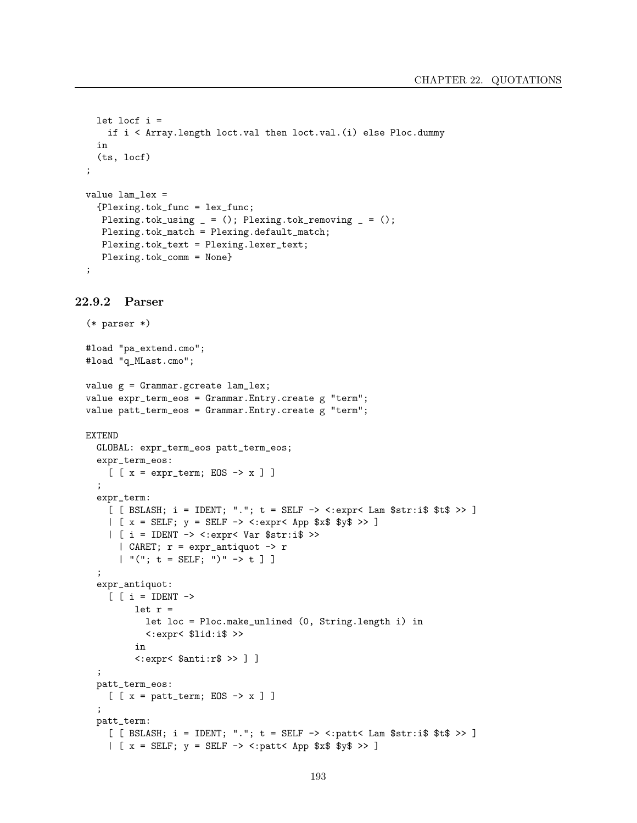```
let locf i =if i < Array.length loct.val then loct.val.(i) else Ploc.dummy
  in
  (ts, locf)
;
value lam_lex =
  {Plexing.tok_func = lex_func;
  Plexing.tok_using _ = (); Plexing.tok_removing _ = ();
  Plexing.tok_match = Plexing.default_match;
  Plexing.tok_text = Plexing.lexer_text;
  Plexing.tok_comm = None}
;
```

```
22.9.2 Parser
```

```
(* parser *)
#load "pa_extend.cmo";
#load "q_MLast.cmo";
value g = Grammar.gcreate lam_lex;
value expr_term_eos = Grammar.Entry.create g "term";
value patt_term_eos = Grammar.Entry.create g "term";
EXTEND
  GLOBAL: expr_term_eos patt_term_eos;
  expr_term_eos:
    [ [x = expr\_term; EOS -> x ] ];
  expr_term:
    [ [ BSLASH; i = IDENT; "."; t = SELF -> <:expr< Lam $str:i$ $t$ >> ]
    | [x = SELF; y = SELF \rightarrow \langle :expr \langle App \$x\$ \$y\$ \rangle]| [ i = IDENT -> <:expr< Var $str:i$ >>
      | CARET; r = expr_antiquot -> r
      | "("; t = SELF; ")" -> t ] ];
  expr_antiquot:
    [ [ i = IDENT \rightarrowlet r =let loc = Ploc.make_unlined (0, String.length i) in
            <:expr< $lid:i$ >>
         in
         <:expr< $anti:r$ >> ] ]
  ;
  patt_term_eos:
    [ [x = patt_term; EOS -> x ] ]
  ;
  patt_term:
    [ [ BSLASH; i = IDENT; "."; t = SELF -> <: patt< Lam $str: i$ $t$ >> ]
    | [x = SELF; y = SELF \rightarrow \langle :patt \rangle App x \ y \ >> ]
```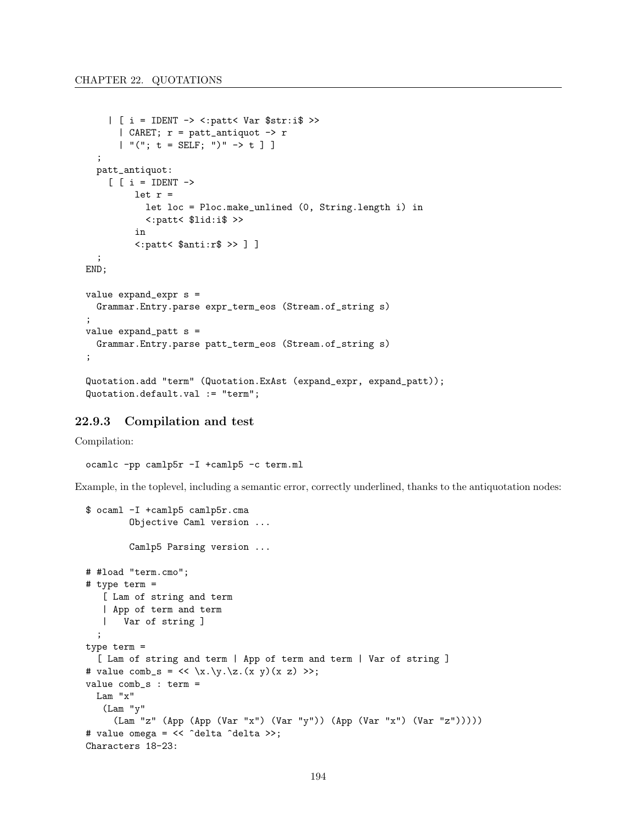```
| [ i = IDENT -> <:patt< Var $str:i$ >>
      | CARET; r = patt_antiquot \rightarrow r| "("; t = SELF; ")" \rightarrow t ] ];
  patt_antiquot:
    [ [ i =  IDENT \rightarrowlet r =let loc = Ploc.make_unlined (0, String.length i) in
           <:patt< $lid:i$ >>
         in
         <:patt< $anti:r$ >> ] ]
  ;
END;
value expand_expr s =
  Grammar.Entry.parse expr_term_eos (Stream.of_string s)
;
value expand<sub>-patt</sub> s =
  Grammar.Entry.parse patt_term_eos (Stream.of_string s)
;
Quotation.add "term" (Quotation.ExAst (expand_expr, expand_patt));
Quotation.default.val := "term";
```
#### 22.9.3 Compilation and test

Compilation:

ocamlc -pp camlp5r -I +camlp5 -c term.ml

Example, in the toplevel, including a semantic error, correctly underlined, thanks to the antiquotation nodes:

```
$ ocaml -I +camlp5 camlp5r.cma
        Objective Caml version ...
        Camlp5 Parsing version ...
# #load "term.cmo";
# type term =
   [ Lam of string and term
   | App of term and term
   | Var of string ]
  ;
type term =
  [ Lam of string and term | App of term and term | Var of string ]
# value comb_s = \langle x \rangle \langle x \rangle \langle x \rangle (x z) >>;
value comb_s : term =
  Lam "x"
   (Lam "y"
     (Lam "z" (App (App (Var "x") (Var "y")) (App (Var "x") (Var "z")))))
# value omega = << ^delta ^delta >>;
Characters 18-23:
```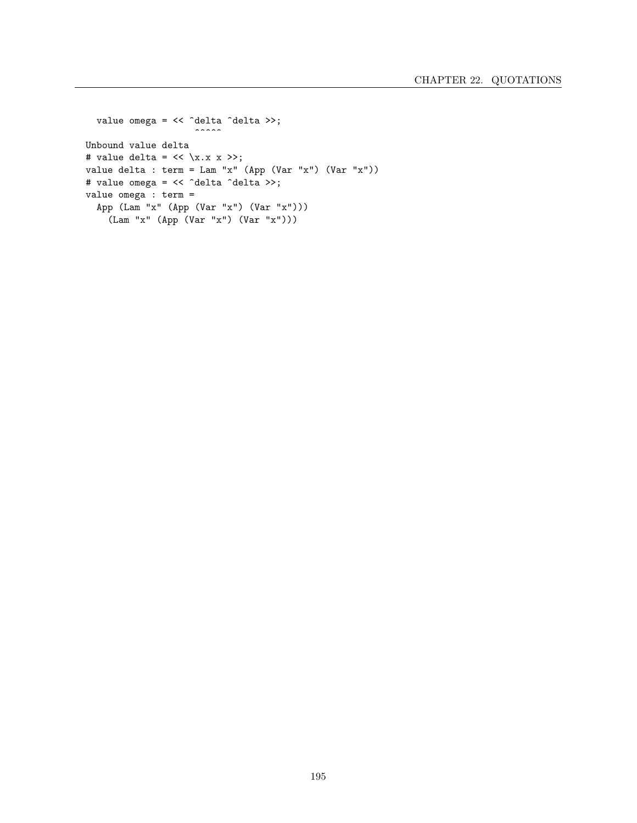```
value omega = << ^delta ^delta >>;
                     \cdotsUnbound value delta
# value delta = \langle \times \ranglex.x x >>;
value delta : term = Lam "x" (App (Var "x") (Var "x"))
# value omega = << ^delta ^delta >>;
value omega : term =
  App (Lam "x" (App (Var "x") (Var "x")))
    (Lam "x" (App (Var "x") (Var "x")))
```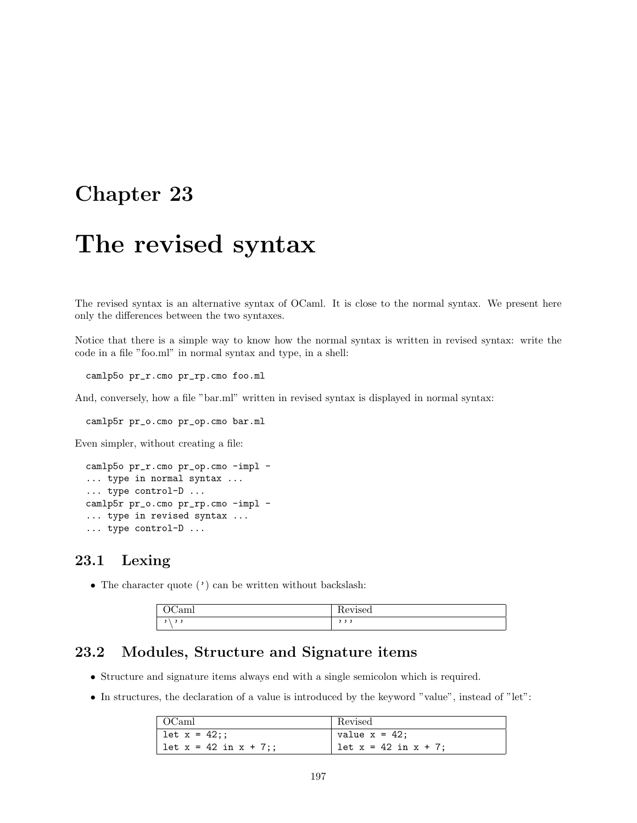# The revised syntax

The revised syntax is an alternative syntax of OCaml. It is close to the normal syntax. We present here only the differences between the two syntaxes.

Notice that there is a simple way to know how the normal syntax is written in revised syntax: write the code in a file "foo.ml" in normal syntax and type, in a shell:

camlp5o pr\_r.cmo pr\_rp.cmo foo.ml

And, conversely, how a file "bar.ml" written in revised syntax is displayed in normal syntax:

camlp5r pr\_o.cmo pr\_op.cmo bar.ml

Even simpler, without creating a file:

```
camlp5o pr_r.cmo pr_op.cmo -impl -
... type in normal syntax ...
... type control-D ...
camlp5r pr_o.cmo pr_rp.cmo -impl -
... type in revised syntax ...
... type control-D ...
```
### 23.1 Lexing

• The character quote  $(')$  can be written without backslash:

| $\sim$<br>$-$<br>. . | . .<br> |
|----------------------|---------|
|                      |         |

## 23.2 Modules, Structure and Signature items

- Structure and signature items always end with a single semicolon which is required.
- In structures, the declaration of a value is introduced by the keyword "value", instead of "let":

| OCaml                   | Revised                |
|-------------------------|------------------------|
| let x = 42;;            | value $x = 42$ ;       |
| $let x = 42 in x + 7$ ; | $let x = 42 in x + 7;$ |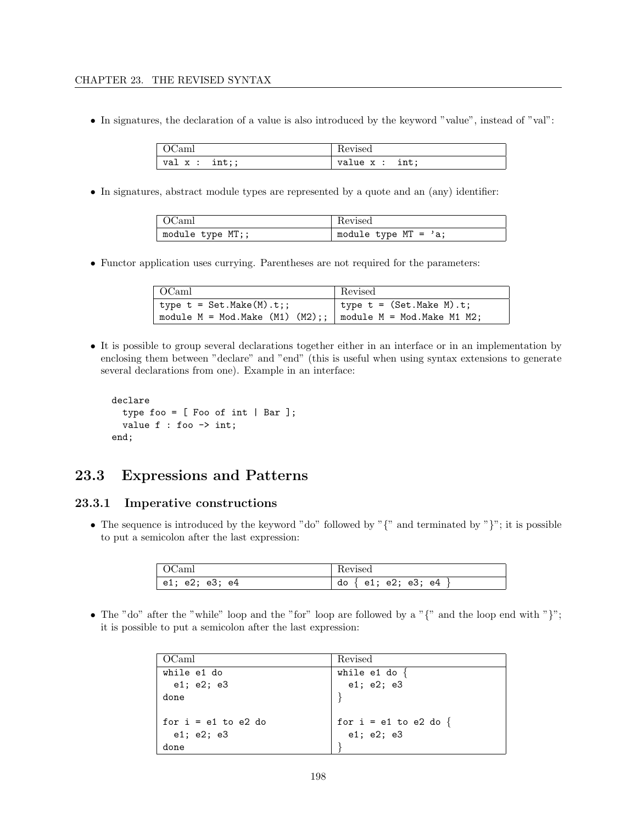• In signatures, the declaration of a value is also introduced by the keyword "value", instead of "val":

| 'am            | Revised                   |
|----------------|---------------------------|
| val $x : int;$ | value x : int;<br>$- - -$ |

• In signatures, abstract module types are represented by a quote and an (any) identifier:

| $\overline{OCaml}$ | Revised                |
|--------------------|------------------------|
| module type MT;;   | module type MT = $a$ ; |

• Functor application uses currying. Parentheses are not required for the parameters:

| $\perp$ OCaml                                                     | Revised                    |
|-------------------------------------------------------------------|----------------------------|
| type $t = Set.Make(M).t$ ;                                        | type $t = (Set.Make M).t;$ |
| module $M = Mod.Make (M1) (M2);$ ;   module $M = Mod.Make M1 M2;$ |                            |

• It is possible to group several declarations together either in an interface or in an implementation by enclosing them between "declare" and "end" (this is useful when using syntax extensions to generate several declarations from one). Example in an interface:

```
declare
  type foo = [ Foo of int | Bar ];
  value f : foo -> int;
end;
```
## 23.3 Expressions and Patterns

### 23.3.1 Imperative constructions

• The sequence is introduced by the keyword "do" followed by " $\{$ " and terminated by " $\}$ "; it is possible to put a semicolon after the last expression:

| OCaml          | Revised                     |
|----------------|-----------------------------|
| e1; e2; e3; e4 | do $\{$ e1; e2; e3; e4 $\}$ |

• The "do" after the "while" loop and the "for" loop are followed by a "{" and the loop end with "}"; it is possible to put a semicolon after the last expression:

| OCaml                   | Revised                 |
|-------------------------|-------------------------|
| while e1 do             | while e1 do $\{$        |
| e1; e2; e3              | e1; e2; e3              |
| done                    |                         |
|                         |                         |
| for $i = e1$ to $e2$ do | for $i = e1$ to e2 do { |
| e1; e2; e3              | e1; e2; e3              |
| done                    |                         |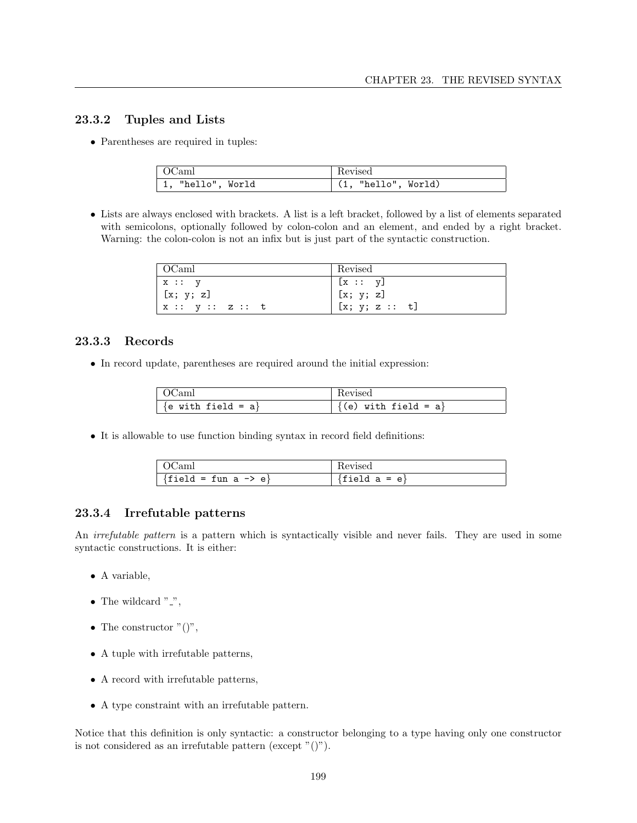### 23.3.2 Tuples and Lists

• Parentheses are required in tuples:

| OCaml                     | Revised             |
|---------------------------|---------------------|
| $\vert$ 1, "hello", World | (1, "hello", World) |

• Lists are always enclosed with brackets. A list is a left bracket, followed by a list of elements separated with semicolons, optionally followed by colon-colon and an element, and ended by a right bracket. Warning: the colon-colon is not an infix but is just part of the syntactic construction.

| OCaml                    | Revised          |
|--------------------------|------------------|
| x :: y                   | $\vert$ [x :: y] |
| [x; y; z]                | [x; y; z]        |
| $\vert x :: y :: z :: t$ | [x; y; z :: t]   |

### 23.3.3 Records

• In record update, parentheses are required around the initial expression:

| )Caml                 | Revised                |
|-----------------------|------------------------|
| $\{e$ with field = a} | (e) with field = $a$ } |

• It is allowable to use function binding syntax in record field definitions:

| 'am                 | nevisea                     |
|---------------------|-----------------------------|
| rield = fun a -> e} | . a = e }<br>$\mathbf{e}_1$ |

### 23.3.4 Irrefutable patterns

An *irrefutable pattern* is a pattern which is syntactically visible and never fails. They are used in some syntactic constructions. It is either:

- A variable,
- The wildcard  $"$ .
- The constructor  $"()$ ",
- A tuple with irrefutable patterns,
- A record with irrefutable patterns,
- A type constraint with an irrefutable pattern.

Notice that this definition is only syntactic: a constructor belonging to a type having only one constructor is not considered as an irrefutable pattern (except  $"()$ ).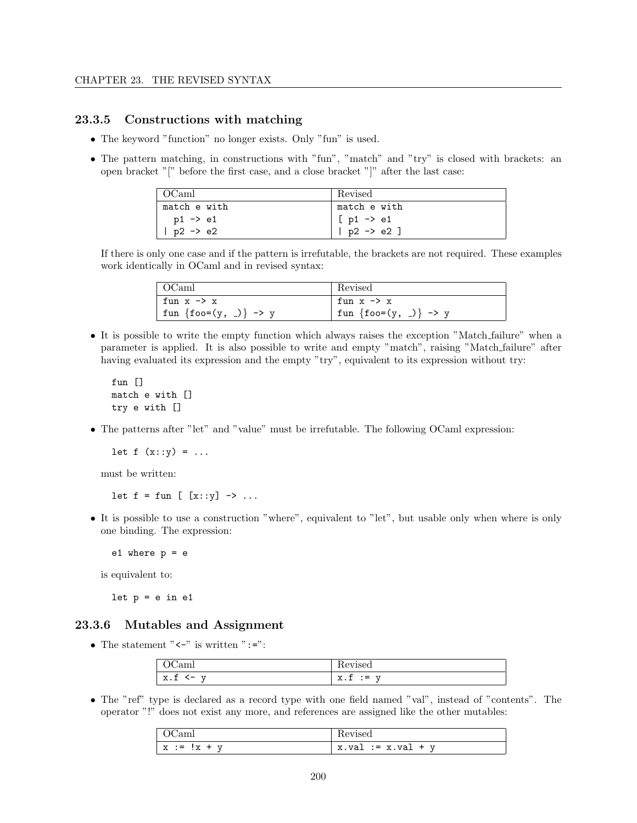### 23.3.5 Constructions with matching

- The keyword "function" no longer exists. Only "fun" is used.
- The pattern matching, in constructions with "fun", "match" and "try" is closed with brackets: an open bracket "[" before the first case, and a close bracket "]" after the last case:

| $\perp$ OCaml       | Revised              |
|---------------------|----------------------|
| match e with        | match e with         |
| p1 -> e1            | $[p1 \rightarrow e1$ |
| $p2 \rightarrow e2$ | $ $ p2 -> e2 ]       |

If there is only one case and if the pattern is irrefutable, the brackets are not required. These examples work identically in OCaml and in revised syntax:

| $\vert$ OCaml                | Revised               |
|------------------------------|-----------------------|
| fun x -> x                   | fun $x \rightarrow x$ |
| $\int$ fun {foo=(y, _)} -> y | fun {foo=(y, _)} -> y |

• It is possible to write the empty function which always raises the exception "Match failure" when a parameter is applied. It is also possible to write and empty "match", raising "Match failure" after having evaluated its expression and the empty "try", equivalent to its expression without try:

fun [] match e with [] try e with []

• The patterns after "let" and "value" must be irrefutable. The following OCaml expression:

let  $f(x::y) = ...$ 

must be written:

let  $f = fun$   $[x::y] \rightarrow ...$ 

• It is possible to use a construction "where", equivalent to "let", but usable only when where is only one binding. The expression:

e1 where  $p = e$ 

is equivalent to:

let  $p = e$  in  $e1$ 

### 23.3.6 Mutables and Assignment

• The statement "<-" is written ":=":

|                          | Technola         |
|--------------------------|------------------|
| 77                       | $\overline{f}$   |
| $\overline{\mathbf{r}}$  | $\bullet\bullet$ |
| $\overline{\phantom{0}}$ | ` =              |
| ▵                        | Δ.⊥              |
| -- - -                   | $ -$             |

• The "ref" type is declared as a record type with one field named "val", instead of "contents". The operator "!" does not exist any more, and references are assigned like the other mutables:

| $\mathbf{v}$<br>T<br>$\cdot =$<br>Ιy<br>÷<br>∼<br>-<br>$\cdot$ 41 | $\tau$<br>X<br>$:= x$ .<br>TTQ<br>val |
|-------------------------------------------------------------------|---------------------------------------|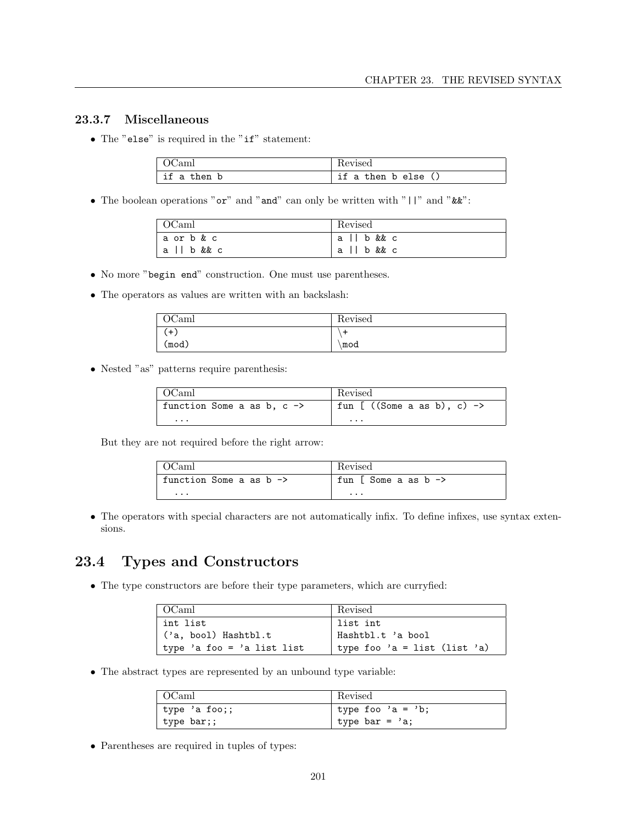### 23.3.7 Miscellaneous

• The "else" is required in the "if" statement:

| JC am     |                  |
|-----------|------------------|
| if a then | if a then b else |

 $\bullet\,$  The boolean operations " ${\tt or}$  " and " ${\tt and}$  " can only be written with "  $\mid\mid\,$  " and "  $\&\:\!\!\!x$  ":

| $\vert$ OCaml | Revised    |
|---------------|------------|
| la orb&c      | all b && c |
| a    b && c   | all b&& c  |

- No more "begin end" construction. One must use parentheses.
- The operators as values are written with an backslash:

| OCaml | Revised |
|-------|---------|
| $($ + |         |
| (mod) | mod     |

• Nested "as" patterns require parenthesis:

| ∣ OCaml                               | Revised                       |
|---------------------------------------|-------------------------------|
| function Some a as b, $c \rightarrow$ | fun [ $((Some a as b), c)$ -> |
| $\cdots$                              | $\cdots$                      |

But they are not required before the right arrow:

| $\overline{OCam}$                  | Revised                         |
|------------------------------------|---------------------------------|
| function Some a as $b \rightarrow$ | fun [ Some a as $b \rightarrow$ |
| $\cdots$                           | $\cdots$                        |

• The operators with special characters are not automatically infix. To define infixes, use syntax extensions.

## 23.4 Types and Constructors

• The type constructors are before their type parameters, which are curryfied:

| OCaml                      | Revised                      |
|----------------------------|------------------------------|
| int list                   | list int                     |
| ('a, bool) Hashtbl.t       | Hashtbl.t 'a bool            |
| type 'a foo = 'a list list | type foo 'a = list (list 'a) |

• The abstract types are represented by an unbound type variable:

| OCaml         | Revised           |
|---------------|-------------------|
| type 'a foo;; | type foo 'a = 'b; |
| type bar;;    | type bar = $a$ ;  |

• Parentheses are required in tuples of types: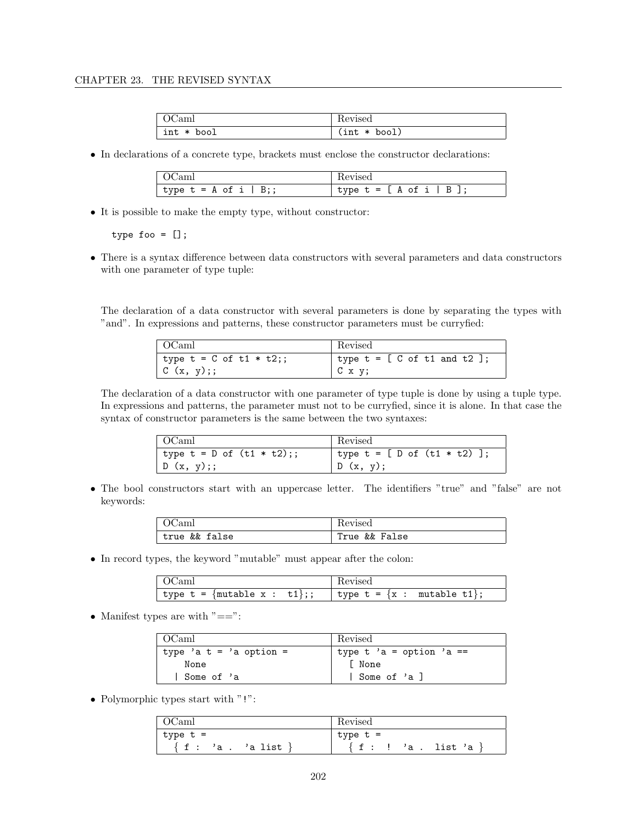| OCaml      | Revised        |
|------------|----------------|
| int * bool | $(int * bool)$ |

• In declarations of a concrete type, brackets must enclose the constructor declarations:

| (Cami                   | Revised                    |
|-------------------------|----------------------------|
| type $t = A$ of i   B;; | type $t = [ A of i   B ],$ |

• It is possible to make the empty type, without constructor:

type foo =  $[]$ ;

• There is a syntax difference between data constructors with several parameters and data constructors with one parameter of type tuple:

The declaration of a data constructor with several parameters is done by separating the types with "and". In expressions and patterns, these constructor parameters must be curryfied:

| OCaml                       | Revised                                         |
|-----------------------------|-------------------------------------------------|
| type $t = C$ of $t1 * t2$ ; | type $t = [C \text{ of } t1 \text{ and } t2]$ ; |
| C(x, y);                    | , C x y;                                        |

The declaration of a data constructor with one parameter of type tuple is done by using a tuple type. In expressions and patterns, the parameter must not to be curryfied, since it is alone. In that case the syntax of constructor parameters is the same between the two syntaxes:

| OCaml                      | Revised                      |
|----------------------------|------------------------------|
| type t = D of $(t1 * t2);$ | type t = [ D of (t1 * t2) ]; |
| D(x, y);                   | D(x, y);                     |

• The bool constructors start with an uppercase letter. The identifiers "true" and "false" are not keywords:

| OCaml         | Revised       |
|---------------|---------------|
| true && false | True && False |

• In record types, the keyword "mutable" must appear after the colon:

|                                                          | Revised |
|----------------------------------------------------------|---------|
| type t = {mutable x : t1};;   type t = {x : mutable t1}; |         |

• Manifest types are with  $"=="$ :

| OCaml                   | Revised                  |
|-------------------------|--------------------------|
| type 'a t = 'a option = | type t 'a = option 'a == |
| None                    | <b>I</b> None            |
| Some of 'a              | I Some of 'a l           |

• Polymorphic types start with "!":

| OCaml                         | Revised                         |
|-------------------------------|---------------------------------|
| type t =                      | type t =                        |
| $\{f$ :<br>'a list ¦<br>, 'а. | $f : \cdot$<br>list 'a<br>, 'а. |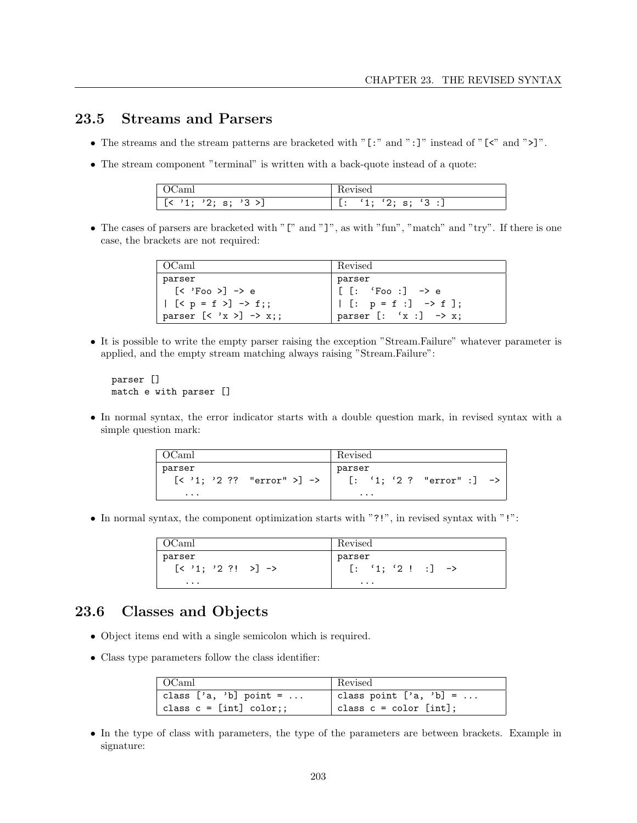## 23.5 Streams and Parsers

- The streams and the stream patterns are bracketed with "[:" and ":]" instead of "[<" and ">]".
- The stream component "terminal" is written with a back-quote instead of a quote:

| Caml                                                                 | Revised                                             |
|----------------------------------------------------------------------|-----------------------------------------------------|
| 3 > <sub>1</sub><br>$\mathbf{C}$ .<br>5.<br>ت<br>٠,<br><b>.</b><br>- | '3:<br>$\cdots$<br>$\cdot$ 1.<br>P<br>∼<br><b>.</b> |

• The cases of parsers are bracketed with "[" and "]", as with "fun", "match" and "try". If there is one case, the brackets are not required:

| OCaml                                                      | Revised                          |
|------------------------------------------------------------|----------------------------------|
| parser                                                     | parser                           |
| $\lceil$ < 'Foo > $\rceil$ -> e                            | $  [[: 'Foo :] \rightarrow e$    |
| $  (p = f ) \rightarrow f;$                                | [: $p = f : J \rightarrow f$ ];  |
| parser $[\langle \; 'x \; \rangle] \; \rightarrow \; x$ ;; | parser $[: 'x :] \rightarrow x;$ |

• It is possible to write the empty parser raising the exception "Stream.Failure" whatever parameter is applied, and the empty stream matching always raising "Stream.Failure":

parser [] match e with parser []

• In normal syntax, the error indicator starts with a double question mark, in revised syntax with a simple question mark:

| OCaml                                       | Revised                              |
|---------------------------------------------|--------------------------------------|
| parser<br>$[\langle '1; '2?? "error" >]$ -> | parser<br>$[: '1; '2 ? "error":]$ -> |
| $\cdots$                                    | $\cdots$                             |

• In normal syntax, the component optimization starts with "?!", in revised syntax with "!":

| OCaml                              | Revised                       |
|------------------------------------|-------------------------------|
| parser                             | parser                        |
| $[\langle '1; '2?! >] \rightarrow$ | $[: '1; '2 ! : ] \rightarrow$ |
| $\cdots$                           | $\cdots$                      |

## 23.6 Classes and Objects

- Object items end with a single semicolon which is required.
- Class type parameters follow the class identifier:

| $\vert$ OCaml            | Revised                   |
|--------------------------|---------------------------|
| class $['a, 'b]$ point = | class point $['a, 'b] = $ |
| class $c = [int] color;$ | class $c = color$ [int];  |

• In the type of class with parameters, the type of the parameters are between brackets. Example in signature: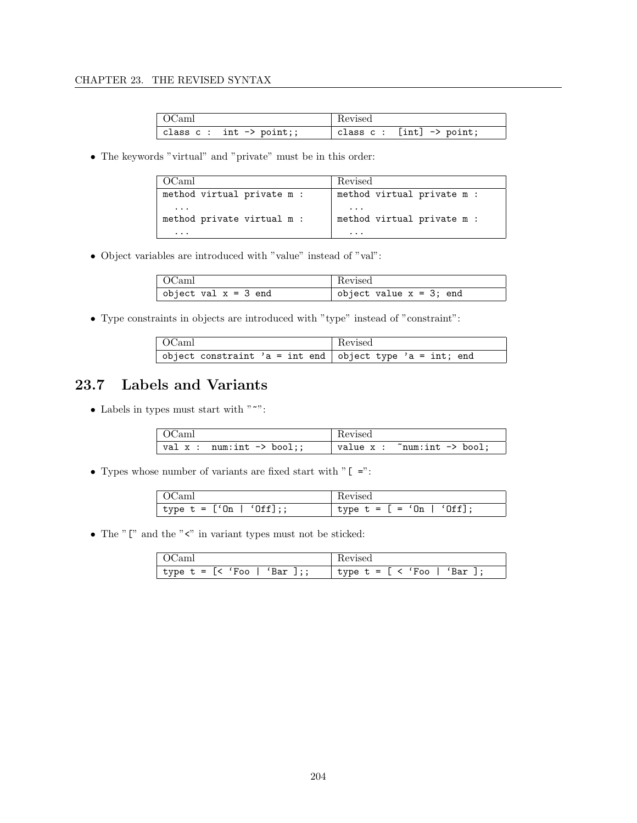| OCaml                               | Revised                               |
|-------------------------------------|---------------------------------------|
| class $c : int \rightarrow point$ ; | class $c:$ [int] $\rightarrow$ point; |

• The keywords "virtual" and "private" must be in this order:

| OCaml                                  | Revised                                |
|----------------------------------------|----------------------------------------|
| method virtual private m :             | method virtual private m :             |
| $\cdots$<br>method private virtual m : | $\cdots$<br>method virtual private m : |
| $\ddot{\phantom{0}}$                   | .                                      |

• Object variables are introduced with "value" instead of "val":

| $\sim$ OCaml           | Revised                    |
|------------------------|----------------------------|
| object val $x = 3$ end | object value $x = 3$ ; end |

• Type constraints in objects are introduced with "type" instead of "constraint":

| OCaml                                                      | Revised |
|------------------------------------------------------------|---------|
| object constraint 'a = int end   object type 'a = int; end |         |

## 23.7 Labels and Variants

 $\bullet\,$  Labels in types must start with "~":

| $\overline{\phantom{a}}$ OCaml | Revised                                  |
|--------------------------------|------------------------------------------|
| val $x : num:int -> bool$ ;    | value $x :$ "num:int $\rightarrow$ bool; |

• Types whose number of variants are fixed start with " $[$  =":

| (ICaml                 |                               |
|------------------------|-------------------------------|
| type $t = [0n   0ff];$ | ' type $t = [ = 'On   'Off];$ |

• The " $[$ " and the " $\leq$ " in variant types must not be sticked:

| $\pm$ OC am $\pm$           | Revised                        |
|-----------------------------|--------------------------------|
| type t = [< 'Foo   'Bar ];; | $'$ type t = [ < 'Foo   'Bar . |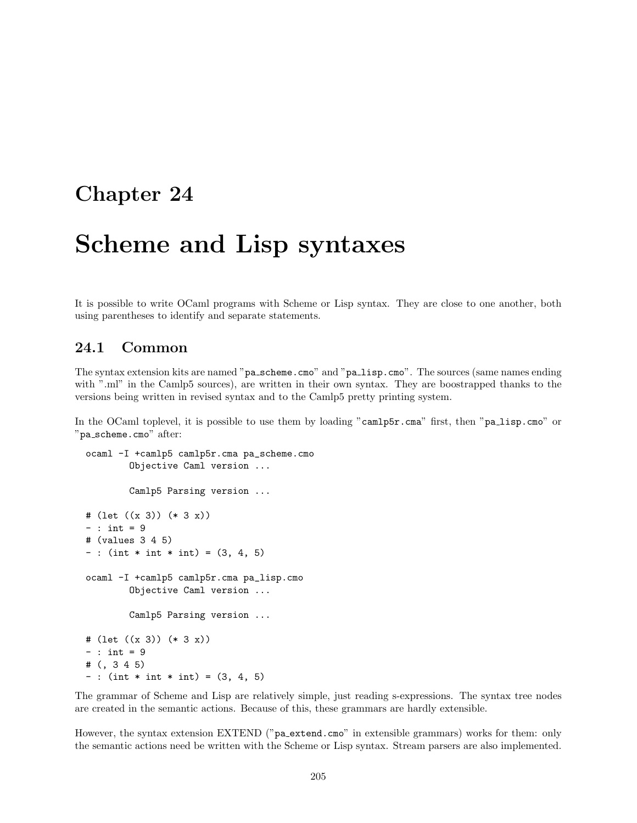# Scheme and Lisp syntaxes

It is possible to write OCaml programs with Scheme or Lisp syntax. They are close to one another, both using parentheses to identify and separate statements.

## 24.1 Common

The syntax extension kits are named "pa\_scheme.cmo" and "pa\_lisp.cmo". The sources (same names ending with ".ml" in the Camlp5 sources), are written in their own syntax. They are boostrapped thanks to the versions being written in revised syntax and to the Camlp5 pretty printing system.

In the OCaml toplevel, it is possible to use them by loading "camlp5r.cma" first, then "pa lisp.cmo" or "pa\_scheme.cmo" after:

```
ocaml -I +camlp5 camlp5r.cma pa_scheme.cmo
        Objective Caml version ...
        Camlp5 Parsing version ...
# (let ((x 3)) (* 3 x))
- : int = 9
# (values 3 4 5)
- : (int * int * int) = (3, 4, 5)
ocaml -I +camlp5 camlp5r.cma pa_lisp.cmo
        Objective Caml version ...
        Camlp5 Parsing version ...
# (let ((x 3)) (* 3 x))
- : int = 9
# (, 3 4 5)
- : (int * int * int) = (3, 4, 5)
```
The grammar of Scheme and Lisp are relatively simple, just reading s-expressions. The syntax tree nodes are created in the semantic actions. Because of this, these grammars are hardly extensible.

However, the syntax extension EXTEND ("pa\_extend.cmo" in extensible grammars) works for them: only the semantic actions need be written with the Scheme or Lisp syntax. Stream parsers are also implemented.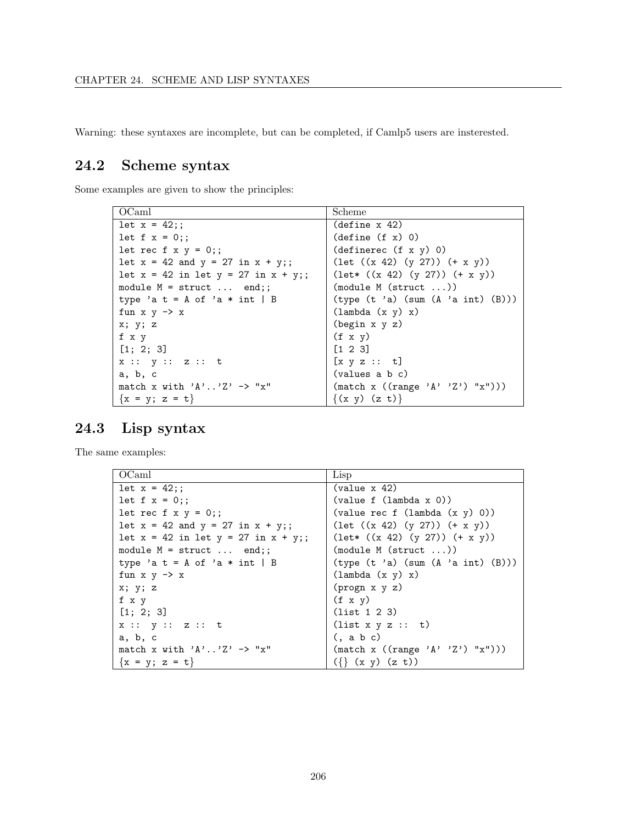Warning: these syntaxes are incomplete, but can be completed, if Camlp5 users are insterested.

## 24.2 Scheme syntax

Some examples are given to show the principles:

| OCaml                                      | Scheme                                    |
|--------------------------------------------|-------------------------------------------|
| $let x = 42;$ ;                            | $(\text{define } x 42)$                   |
| let $f x = 0$ ;;                           | (detine(f x) 0)                           |
| let rec f $x y = 0$ ;;                     | (definerec (f x y) 0)                     |
| let $x = 42$ and $y = 27$ in $x + y$ ;;    | $(\text{let } ((x 42) (y 27)) (+ x y))$   |
| let $x = 42$ in let $y = 27$ in $x + y$ ;; | $(\text{let* } ((x 42) (y 27)) (+ x y))$  |
| module $M = struct \dots end$ ;            | (module M (struct ))                      |
| type 'a t = A of 'a $*$ int   B            | (type (t 'a) (sum (A 'a int) (B)))        |
| fun $x \, y \rightarrow x$                 | $(\text{lambda } (x y) x)$                |
| x; y; z                                    | $(\text{begin } x \ y \ z)$               |
| f x y                                      | $(f \times y)$                            |
| [1; 2; 3]                                  | $[1 \ 2 \ 3]$                             |
| x :: y :: z :: t                           | $[x \ y \ z \ :: \ t]$                    |
| a, b, c                                    | (values a b c)                            |
| match x with $'A'$ 'Z' $\rightarrow$ "x"   | $(\text{match } x ((range 'A' 'Z') "x"))$ |
| ${x = y; z = t}$                           | $\{(x, y) (z, t)\}\$                      |

## 24.3 Lisp syntax

The same examples:

| OCaml                                      | Lisp                                                         |
|--------------------------------------------|--------------------------------------------------------------|
| $let x = 42$ ;                             | $\{\text{value} \times 42\}$                                 |
| let $f x = 0$ ;;                           | (value f (lambda x 0))                                       |
| let rec f x $y = 0$ ;;                     | $\text{(value rec f (lambda (x y) 0))}$                      |
| let $x = 42$ and $y = 27$ in $x + y$ ;     | $(\text{let } ((x 42) (y 27)) (+ x y))$                      |
| let $x = 42$ in let $y = 27$ in $x + y$ ;; | $(\text{let* } ((x 42) (y 27)) (+ x y))$                     |
| module $M =$ struct  end;;                 | (module M (struct ))                                         |
| type 'a t = A of 'a $*$ int   B            | (type (t 'a) (sum (A 'a int) (B)))                           |
| fun $x \, y \rightarrow x$                 | $(\text{lambda } (x y) x)$                                   |
| x; y; z                                    | $(p_{\text{rogn } x y z)$                                    |
| f x y                                      | $(f \times y)$                                               |
| [1; 2; 3]                                  | (list 1 2 3)                                                 |
| x :: y :: z :: t                           | (list x y z :: t)                                            |
| a, b, c                                    | $($ , a b c $)$                                              |
| match x with $'A'$ $Z' \rightarrow "x"$    | $(\text{match} \ x \ ((\text{range } \ 'A' \ 'Z') \ "x"))))$ |
| ${x = y; z = t}$                           | $({\{\}\ (x\ y)\ (z\ t))}$                                   |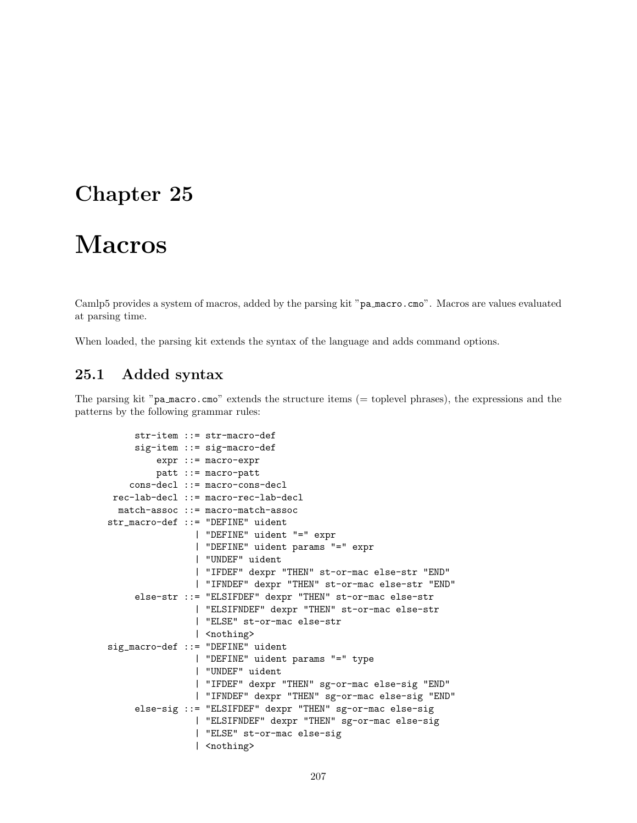# Macros

Camlp5 provides a system of macros, added by the parsing kit "pa macro.cmo". Macros are values evaluated at parsing time.

When loaded, the parsing kit extends the syntax of the language and adds command options.

## 25.1 Added syntax

The parsing kit "pa macro.cmo" extends the structure items (= toplevel phrases), the expressions and the patterns by the following grammar rules:

```
str-item ::= str-macro-def
    sig-item ::= sig-macro-def
         expr ::= macro-expr
        patt ::= macro-patt
    cons-decl ::= macro-cons-decl
rec-lab-decl ::= macro-rec-lab-decl
 match-assoc ::= macro-match-assoc
str_macro-def ::= "DEFINE" uident
                | "DEFINE" uident "=" expr
                | "DEFINE" uident params "=" expr
                | "UNDEF" uident
                | "IFDEF" dexpr "THEN" st-or-mac else-str "END"
                | "IFNDEF" dexpr "THEN" st-or-mac else-str "END"
    else-str ::= "ELSIFDEF" dexpr "THEN" st-or-mac else-str
                | "ELSIFNDEF" dexpr "THEN" st-or-mac else-str
                | "ELSE" st-or-mac else-str
                | <nothing>
sig_macro-def ::= "DEFINE" uident
                | "DEFINE" uident params "=" type
                | "UNDEF" uident
                | "IFDEF" dexpr "THEN" sg-or-mac else-sig "END"
                | "IFNDEF" dexpr "THEN" sg-or-mac else-sig "END"
    else-sig ::= "ELSIFDEF" dexpr "THEN" sg-or-mac else-sig
                | "ELSIFNDEF" dexpr "THEN" sg-or-mac else-sig
                | "ELSE" st-or-mac else-sig
                | <nothing>
```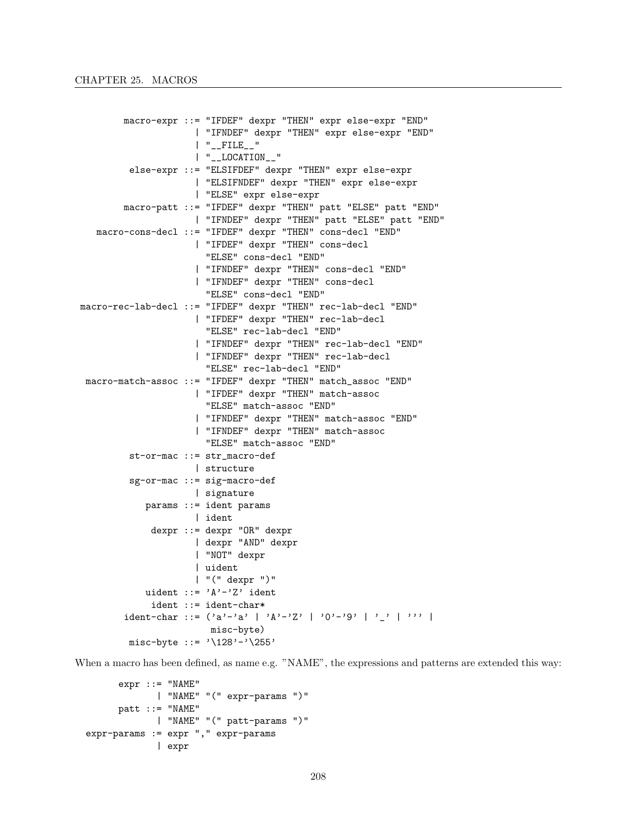```
macro-expr ::= "IFDEF" dexpr "THEN" expr else-expr "END"
                     | "IFNDEF" dexpr "THEN" expr else-expr "END"
                     | "__FILE__"
                     | "__LOCATION__"
         else-expr ::= "ELSIFDEF" dexpr "THEN" expr else-expr
                     | "ELSIFNDEF" dexpr "THEN" expr else-expr
                     | "ELSE" expr else-expr
        macro-patt ::= "IFDEF" dexpr "THEN" patt "ELSE" patt "END"
                     | "IFNDEF" dexpr "THEN" patt "ELSE" patt "END"
   macro-cons-decl ::= "IFDEF" dexpr "THEN" cons-decl "END"
                     | "IFDEF" dexpr "THEN" cons-decl
                       "ELSE" cons-decl "END"
                     | "IFNDEF" dexpr "THEN" cons-decl "END"
                     | "IFNDEF" dexpr "THEN" cons-decl
                       "ELSE" cons-decl "END"
macro-rec-lab-decl ::= "IFDEF" dexpr "THEN" rec-lab-decl "END"
                     | "IFDEF" dexpr "THEN" rec-lab-decl
                       "ELSE" rec-lab-decl "END"
                     | "IFNDEF" dexpr "THEN" rec-lab-decl "END"
                     | "IFNDEF" dexpr "THEN" rec-lab-decl
                       "ELSE" rec-lab-decl "END"
 macro-match-assoc ::= "IFDEF" dexpr "THEN" match_assoc "END"
                     | "IFDEF" dexpr "THEN" match-assoc
                       "ELSE" match-assoc "END"
                     | "IFNDEF" dexpr "THEN" match-assoc "END"
                     | "IFNDEF" dexpr "THEN" match-assoc
                       "ELSE" match-assoc "END"
         st-or-mac ::= str_macro-def
                    | structure
         sg-or-mac ::= sig-macro-def
                    | signature
            params ::= ident params
                    | ident
             dexpr ::= dexpr "OR" dexpr
                     | dexpr "AND" dexpr
                     | "NOT" dexpr
                     | uident
                     | "(" dexpr ")"
            uident ::= 'A'-'Z' ident
             ident ::= ident-char*
        ident-char ::= ('a'-a' | 'A'-'Z' | '0'-'9' | ' ' | 'misc-byte)
         misc-byte ::= '\128'-'\255'
```
When a macro has been defined, as name e.g. "NAME", the expressions and patterns are extended this way:

```
expr ::="NAME"| "NAME" "(" expr-params ")"
     patt ::="NAME"| "NAME" "(" patt-params ")"
expr-params := expr "," expr-params
            | expr
```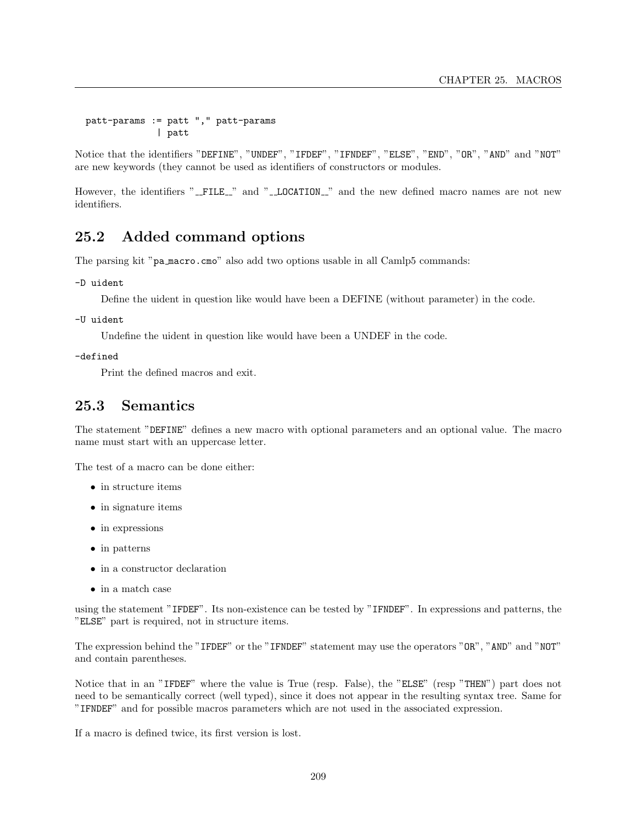patt-params := patt "," patt-params | patt

Notice that the identifiers "DEFINE", "UNDEF", "IFDEF", "IFNDEF", "ELSE", "END", "OR", "AND" and "NOT" are new keywords (they cannot be used as identifiers of constructors or modules.

However, the identifiers "\_FILE\_" and "\_LOCATION\_" and the new defined macro names are not new identifiers.

## 25.2 Added command options

The parsing kit "pa macro.cmo" also add two options usable in all Camlp5 commands:

-D uident

Define the uident in question like would have been a DEFINE (without parameter) in the code.

-U uident

Undefine the uident in question like would have been a UNDEF in the code.

-defined

Print the defined macros and exit.

## 25.3 Semantics

The statement "DEFINE" defines a new macro with optional parameters and an optional value. The macro name must start with an uppercase letter.

The test of a macro can be done either:

- in structure items
- in signature items
- in expressions
- in patterns
- in a constructor declaration
- $\bullet\,$  in a match case

using the statement "IFDEF". Its non-existence can be tested by "IFNDEF". In expressions and patterns, the "ELSE" part is required, not in structure items.

The expression behind the "IFDEF" or the "IFNDEF" statement may use the operators "OR", "AND" and "NOT" and contain parentheses.

Notice that in an "IFDEF" where the value is True (resp. False), the "ELSE" (resp "THEN") part does not need to be semantically correct (well typed), since it does not appear in the resulting syntax tree. Same for "IFNDEF" and for possible macros parameters which are not used in the associated expression.

If a macro is defined twice, its first version is lost.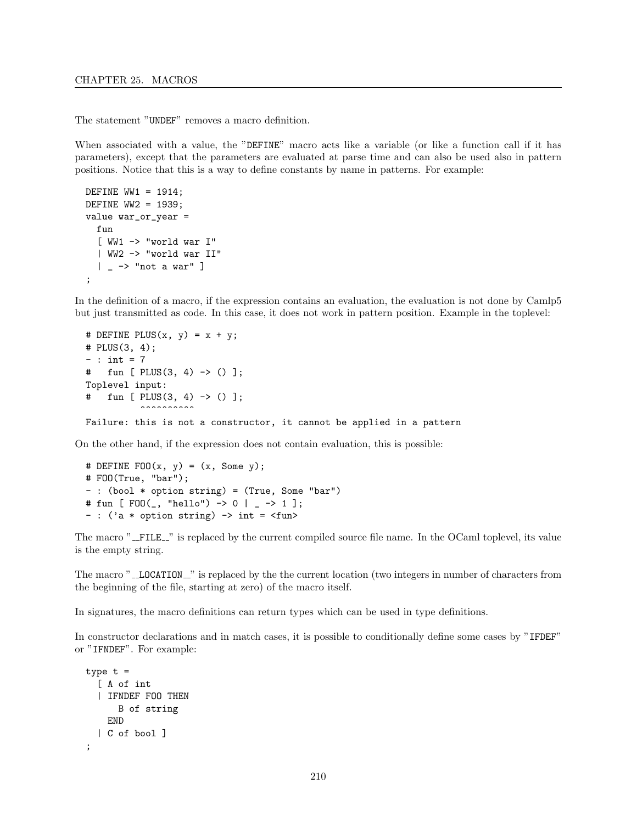The statement "UNDEF" removes a macro definition.

When associated with a value, the "DEFINE" macro acts like a variable (or like a function call if it has parameters), except that the parameters are evaluated at parse time and can also be used also in pattern positions. Notice that this is a way to define constants by name in patterns. For example:

```
DEFINE WW1 = 1914;
DEFINE WW2 = 1939;
value war_or_year =
 fun
  [ WW1 -> "world war I"
  | WW2 -> "world war II"
  | - -> "not a war" ]
;
```
In the definition of a macro, if the expression contains an evaluation, the evaluation is not done by Camlp5 but just transmitted as code. In this case, it does not work in pattern position. Example in the toplevel:

```
# DEFINE PLUS(x, y) = x + y;# PLUS(3, 4);
- : int = 7
# fun [ PLUS(3, 4) -> () ];
Toplevel input:
\# fun [ PLUS(3, 4) -> () ];
          \ddotscFailure: this is not a constructor, it cannot be applied in a pattern
```
On the other hand, if the expression does not contain evaluation, this is possible:

```
# DEFINE FOO(x, y) = (x, Some y);
# FOO(True, "bar");
- : (bool * option string) = (True, Some "bar")
# fun [ FOO(_, "hello") -> 0 | _ -> 1 ];
- : ('a * option string) -> int = \tan
```
The macro "\_FILE\_" is replaced by the current compiled source file name. In the OCaml toplevel, its value is the empty string.

The macro "\_LOCATION\_" is replaced by the the current location (two integers in number of characters from the beginning of the file, starting at zero) of the macro itself.

In signatures, the macro definitions can return types which can be used in type definitions.

In constructor declarations and in match cases, it is possible to conditionally define some cases by "IFDEF" or "IFNDEF". For example:

```
type t =[ A of int
  | IFNDEF FOO THEN
      B of string
    END
  | C of bool ]
;
```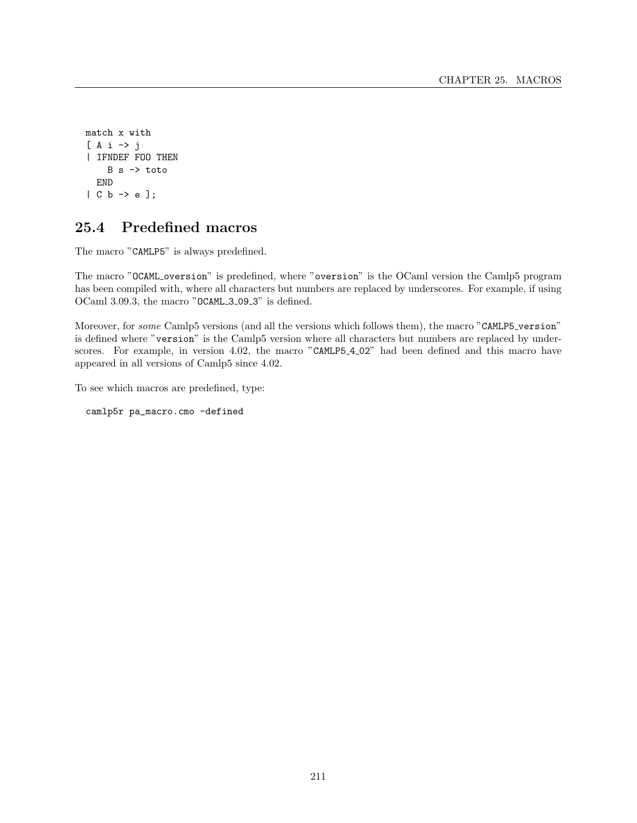```
match x with
[ A i -> j
| IFNDEF FOO THEN
    B s -> toto
  END
| C b -> e ];
```
## 25.4 Predefined macros

The macro "CAMLP5" is always predefined.

The macro "OCAML oversion" is predefined, where "oversion" is the OCaml version the Camlp5 program has been compiled with, where all characters but numbers are replaced by underscores. For example, if using OCaml 3.09.3, the macro "OCAML\_3\_09\_3" is defined.

Moreover, for some Camlp5 versions (and all the versions which follows them), the macro "CAMLP5\_version" is defined where "version" is the Camlp5 version where all characters but numbers are replaced by underscores. For example, in version 4.02, the macro "CAMLP5\_4\_02" had been defined and this macro have appeared in all versions of Camlp5 since 4.02.

To see which macros are predefined, type:

camlp5r pa\_macro.cmo -defined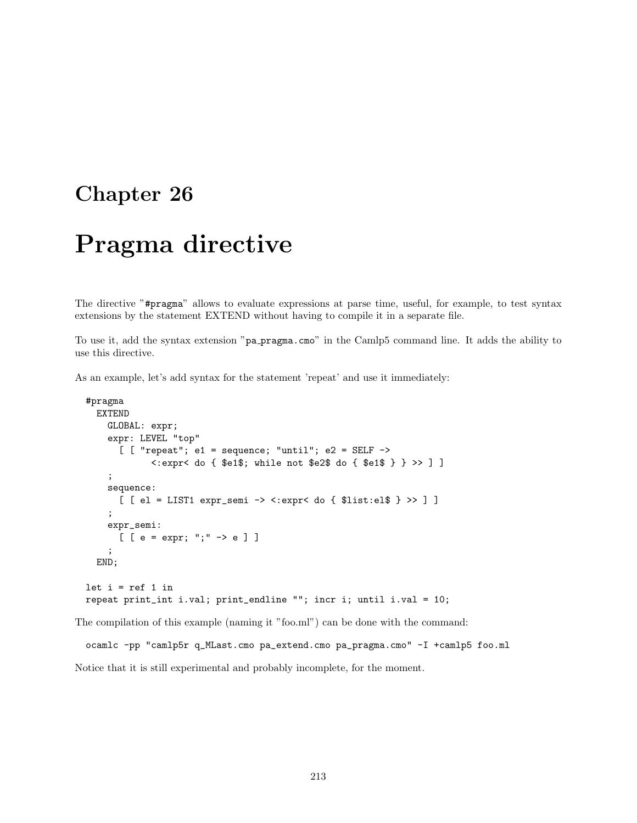# Pragma directive

The directive "#pragma" allows to evaluate expressions at parse time, useful, for example, to test syntax extensions by the statement EXTEND without having to compile it in a separate file.

To use it, add the syntax extension "pa pragma.cmo" in the Camlp5 command line. It adds the ability to use this directive.

As an example, let's add syntax for the statement 'repeat' and use it immediately:

```
#pragma
  EXTEND
    GLOBAL: expr;
    expr: LEVEL "top"
      [ [ "repeat"; e1 = sequence; "until"; e2 = SELF ->
            <:expr< do { $e1$; while not $e2$ do { $e1$ } } >> ] ]
    ;
    sequence:
      [ [ el = LIST1 expr_semi -> <:expr< do { $list:el$ } >> ] ]
    ;
    expr_semi:
      [ [ e = expr; ";" -> e ] ]
    ;
  END;
let i = ref 1 inrepeat print_int i.val; print_endline ""; incr i; until i.val = 10;
```
The compilation of this example (naming it "foo.ml") can be done with the command:

```
ocamlc -pp "camlp5r q_MLast.cmo pa_extend.cmo pa_pragma.cmo" -I +camlp5 foo.ml
Notice that it is still experimental and probably incomplete, for the moment.
```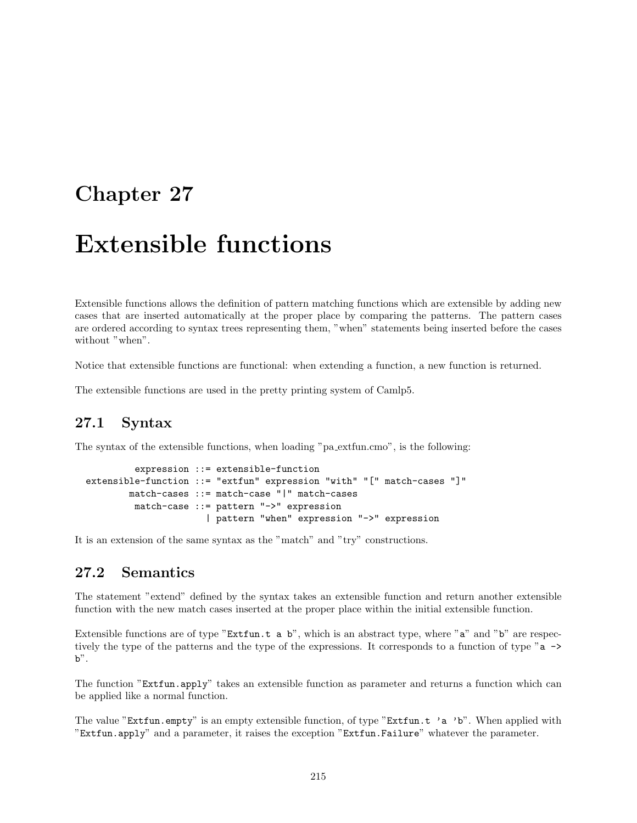# Chapter 27

# Extensible functions

Extensible functions allows the definition of pattern matching functions which are extensible by adding new cases that are inserted automatically at the proper place by comparing the patterns. The pattern cases are ordered according to syntax trees representing them, "when" statements being inserted before the cases without "when".

Notice that extensible functions are functional: when extending a function, a new function is returned.

The extensible functions are used in the pretty printing system of Camlp5.

# 27.1 Syntax

The syntax of the extensible functions, when loading "pa extfun.cmo", is the following:

```
expression ::= extensible-function
extensible-function ::= "extfun" expression "with" "[" match-cases "]"
       match-cases ::= match-case "|" match-cases
        match-case ::= pattern "->" expression
                      | pattern "when" expression "->" expression
```
It is an extension of the same syntax as the "match" and "try" constructions.

# 27.2 Semantics

The statement "extend" defined by the syntax takes an extensible function and return another extensible function with the new match cases inserted at the proper place within the initial extensible function.

Extensible functions are of type "Extfun.t a b", which is an abstract type, where "a" and "b" are respectively the type of the patterns and the type of the expressions. It corresponds to a function of type "a ->  $b$ ".

The function "Extfun.apply" takes an extensible function as parameter and returns a function which can be applied like a normal function.

The value "Extfun.empty" is an empty extensible function, of type "Extfun.t 'a 'b". When applied with "Extfun.apply" and a parameter, it raises the exception "Extfun.Failure" whatever the parameter.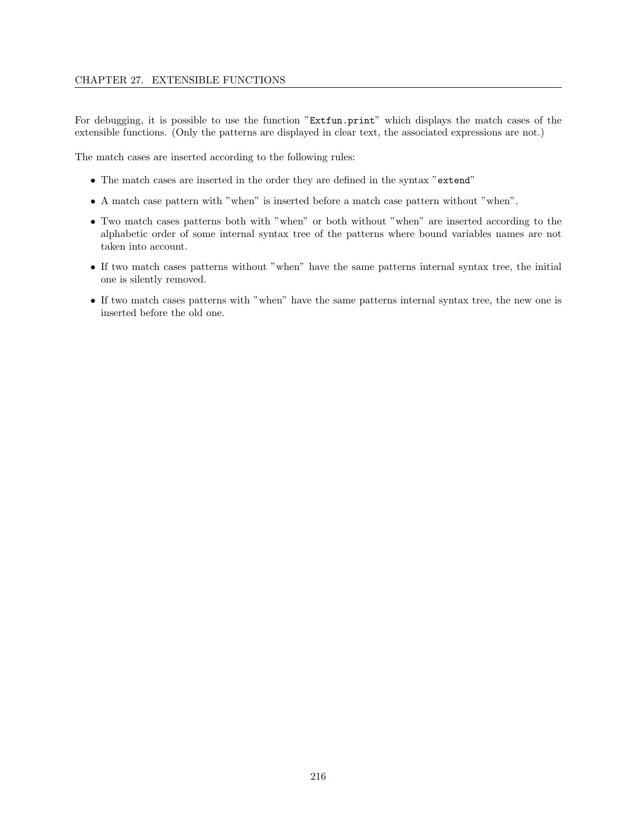For debugging, it is possible to use the function "Extfun.print" which displays the match cases of the extensible functions. (Only the patterns are displayed in clear text, the associated expressions are not.)

The match cases are inserted according to the following rules:

- The match cases are inserted in the order they are defined in the syntax "extend"
- A match case pattern with "when" is inserted before a match case pattern without "when".
- Two match cases patterns both with "when" or both without "when" are inserted according to the alphabetic order of some internal syntax tree of the patterns where bound variables names are not taken into account.
- If two match cases patterns without "when" have the same patterns internal syntax tree, the initial one is silently removed.
- If two match cases patterns with "when" have the same patterns internal syntax tree, the new one is inserted before the old one.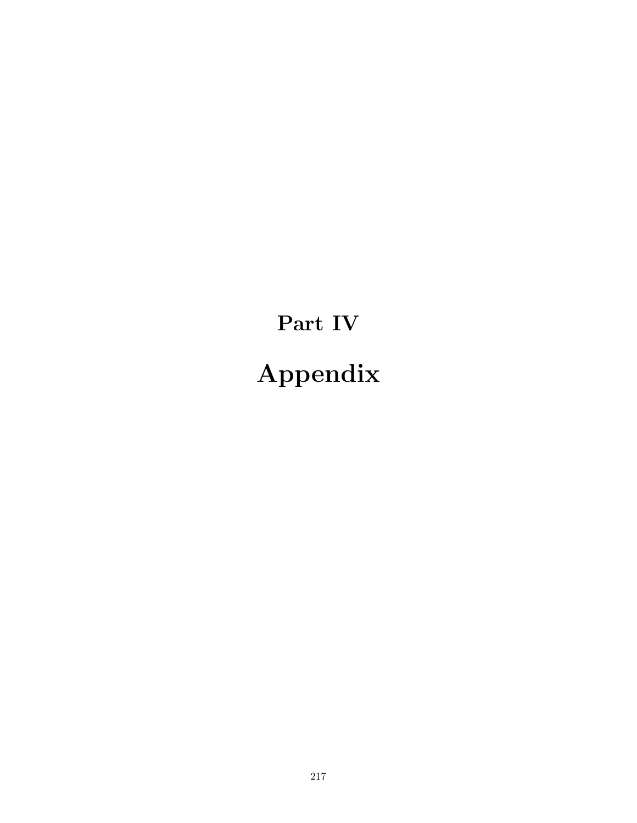Part IV Appendix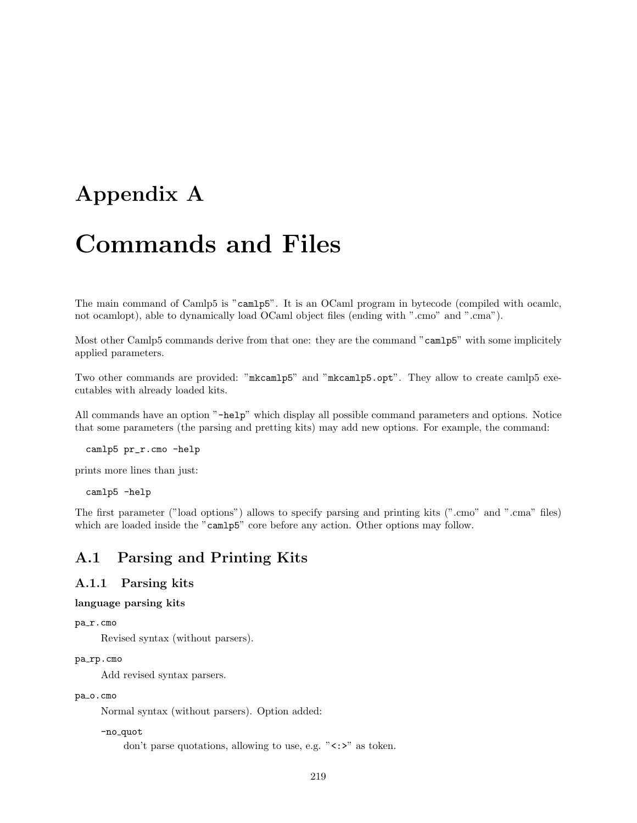# Appendix A

# Commands and Files

The main command of Camlp5 is "camlp5". It is an OCaml program in bytecode (compiled with ocamlc, not ocamlopt), able to dynamically load OCaml object files (ending with ".cmo" and ".cma").

Most other Camlp5 commands derive from that one: they are the command "camlp5" with some implicitely applied parameters.

Two other commands are provided: "mkcamlp5" and "mkcamlp5.opt". They allow to create camlp5 executables with already loaded kits.

All commands have an option "-help" which display all possible command parameters and options. Notice that some parameters (the parsing and pretting kits) may add new options. For example, the command:

camlp5 pr\_r.cmo -help

prints more lines than just:

camlp5 -help

The first parameter ("load options") allows to specify parsing and printing kits (".cmo" and ".cma" files) which are loaded inside the "camlp5" core before any action. Other options may follow.

# A.1 Parsing and Printing Kits

## A.1.1 Parsing kits

language parsing kits

```
pa_r.cmo
```
Revised syntax (without parsers).

# pa\_rp.cmo

Add revised syntax parsers.

### pa\_o.cmo

Normal syntax (without parsers). Option added:

```
-no<sub>-quot</sub>
```
don't parse quotations, allowing to use, e.g. " $\langle \cdot, \cdot \rangle$ " as token.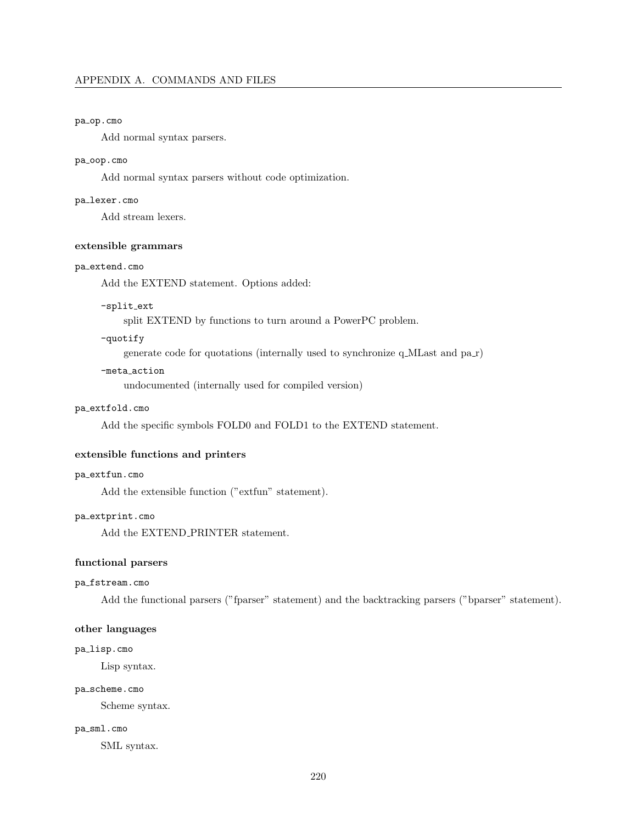## pa\_op.cmo

Add normal syntax parsers.

## pa\_oop.cmo

Add normal syntax parsers without code optimization.

## pa lexer.cmo

Add stream lexers.

# extensible grammars

#### pa extend.cmo

Add the EXTEND statement. Options added:

#### -split\_ext

split EXTEND by functions to turn around a PowerPC problem.

# -quotify

generate code for quotations (internally used to synchronize q MLast and pa r)

#### -meta action

undocumented (internally used for compiled version)

# pa extfold.cmo

Add the specific symbols FOLD0 and FOLD1 to the EXTEND statement.

#### extensible functions and printers

### pa extfun.cmo

Add the extensible function ("extfun" statement).

#### pa extprint.cmo

Add the EXTEND\_PRINTER statement.

#### functional parsers

## pa fstream.cmo

Add the functional parsers ("fparser" statement) and the backtracking parsers ("bparser" statement).

# other languages

## pa lisp.cmo

Lisp syntax.

#### pa\_scheme.cmo

Scheme syntax.

#### pa\_sml.cmo

SML syntax.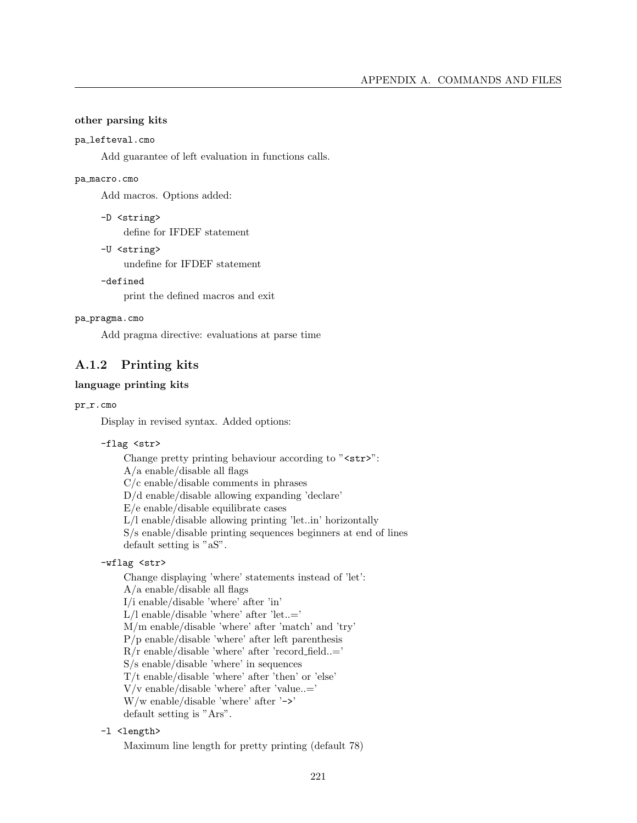## other parsing kits

#### pa lefteval.cmo

Add guarantee of left evaluation in functions calls.

#### pa macro.cmo

Add macros. Options added:

```
-D <string>
```
define for IFDEF statement

-U <string>

undefine for IFDEF statement

# -defined

print the defined macros and exit

#### pa pragma.cmo

Add pragma directive: evaluations at parse time

# A.1.2 Printing kits

## language printing kits

## pr\_r.cmo

Display in revised syntax. Added options:

## -flag <str>

Change pretty printing behaviour according to "<str>":  $A/a$  enable/disable all flags C/c enable/disable comments in phrases D/d enable/disable allowing expanding 'declare' E/e enable/disable equilibrate cases L/l enable/disable allowing printing 'let..in' horizontally S/s enable/disable printing sequences beginners at end of lines default setting is "aS".

# -wflag <str>

Change displaying 'where' statements instead of 'let': A/a enable/disable all flags I/i enable/disable 'where' after 'in'  $\rm L/l$ enable/disable 'where' after 'let..=' M/m enable/disable 'where' after 'match' and 'try' P/p enable/disable 'where' after left parenthesis R/r enable/disable 'where' after 'record field..=' S/s enable/disable 'where' in sequences T/t enable/disable 'where' after 'then' or 'else'  $V/v$  enable/disable 'where' after 'value..=' W/w enable/disable 'where' after '->' default setting is "Ars".

# -1 <length>

Maximum line length for pretty printing (default 78)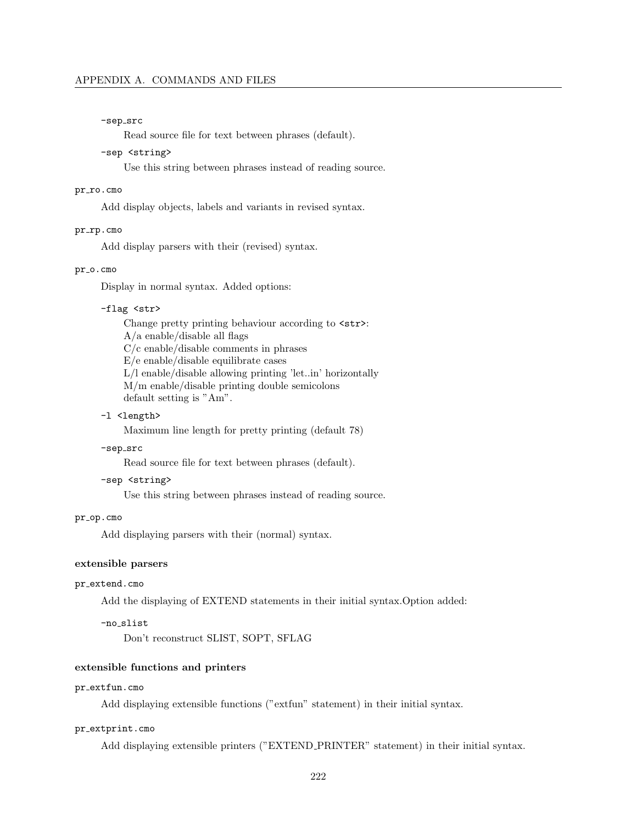#### -sep\_src

Read source file for text between phrases (default).

## -sep <string>

Use this string between phrases instead of reading source.

#### pr\_ro.cmo

Add display objects, labels and variants in revised syntax.

### pr\_rp.cmo

Add display parsers with their (revised) syntax.

# pr\_o.cmo

Display in normal syntax. Added options:

#### -flag <str>

Change pretty printing behaviour according to  $\text{str}$ :  $A/a$  enable/disable all flags C/c enable/disable comments in phrases E/e enable/disable equilibrate cases L/l enable/disable allowing printing 'let..in' horizontally M/m enable/disable printing double semicolons default setting is "Am".

#### -l <length>

Maximum line length for pretty printing (default 78)

#### -sep\_src

Read source file for text between phrases (default).

-sep <string>

Use this string between phrases instead of reading source.

#### pr\_op.cmo

Add displaying parsers with their (normal) syntax.

### extensible parsers

#### pr\_extend.cmo

Add the displaying of EXTEND statements in their initial syntax.Option added:

#### -no slist

Don't reconstruct SLIST, SOPT, SFLAG

### extensible functions and printers

## pr extfun.cmo

Add displaying extensible functions ("extfun" statement) in their initial syntax.

#### pr\_extprint.cmo

Add displaying extensible printers ("EXTEND PRINTER" statement) in their initial syntax.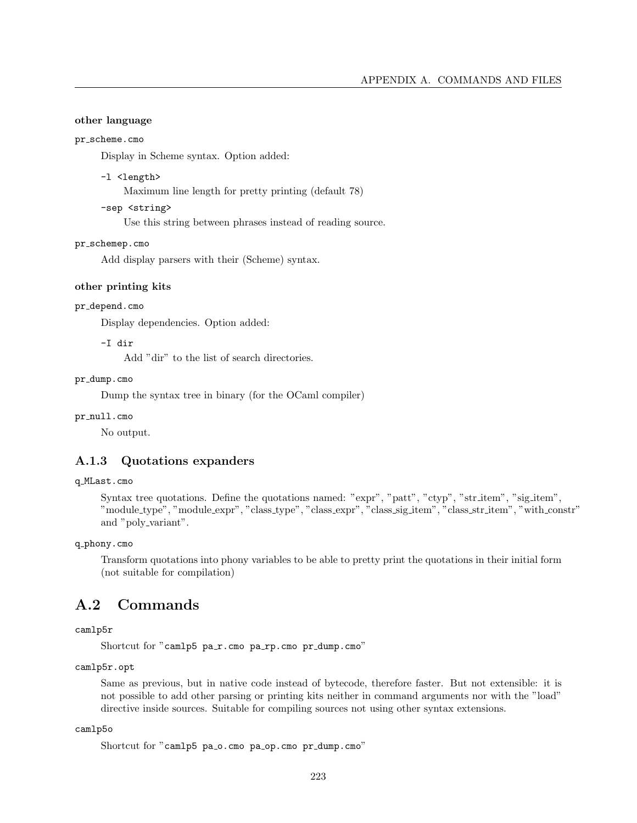## other language

#### pr\_scheme.cmo

Display in Scheme syntax. Option added:

## -l <length>

Maximum line length for pretty printing (default 78)

-sep <string>

Use this string between phrases instead of reading source.

#### pr\_schemep.cmo

Add display parsers with their (Scheme) syntax.

#### other printing kits

#### pr depend.cmo

Display dependencies. Option added:

-I dir

Add "dir" to the list of search directories.

### pr dump.cmo

Dump the syntax tree in binary (for the OCaml compiler)

## pr\_null.cmo

No output.

# A.1.3 Quotations expanders

## q MLast.cmo

Syntax tree quotations. Define the quotations named: "expr", "patt", "ctyp", "str\_item", "sig\_item", "module type", "module expr", "class type", "class expr", "class sig item", "class str item", "with constr" and "poly\_variant".

q phony.cmo

Transform quotations into phony variables to be able to pretty print the quotations in their initial form (not suitable for compilation)

# A.2 Commands

# camlp5r

Shortcut for "camlp5 pa\_r.cmo pa\_rp.cmo pr\_dump.cmo"

camlp5r.opt

Same as previous, but in native code instead of bytecode, therefore faster. But not extensible: it is not possible to add other parsing or printing kits neither in command arguments nor with the "load" directive inside sources. Suitable for compiling sources not using other syntax extensions.

#### camlp5o

```
Shortcut for "camlp5 pa_o.cmo pa_op.cmo pr_dump.cmo"
```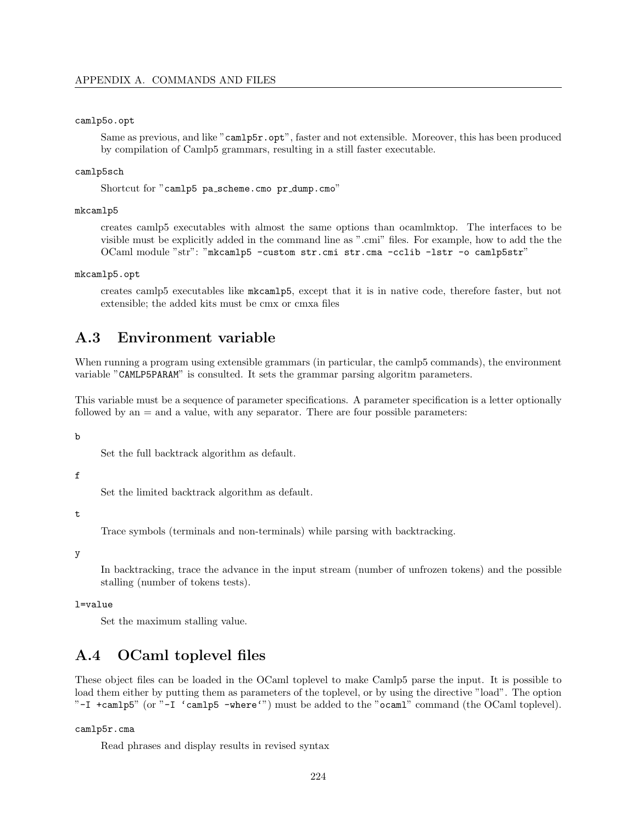#### camlp5o.opt

Same as previous, and like "camlp5r.opt", faster and not extensible. Moreover, this has been produced by compilation of Camlp5 grammars, resulting in a still faster executable.

#### camlp5sch

Shortcut for "camlp5 pa scheme.cmo pr dump.cmo"

#### mkcamlp5

creates camlp5 executables with almost the same options than ocamlmktop. The interfaces to be visible must be explicitly added in the command line as ".cmi" files. For example, how to add the the OCaml module "str": "mkcamlp5 -custom str.cmi str.cma -cclib -lstr -o camlp5str"

mkcamlp5.opt

creates camlp5 executables like mkcamlp5, except that it is in native code, therefore faster, but not extensible; the added kits must be cmx or cmxa files

# A.3 Environment variable

When running a program using extensible grammars (in particular, the camlp5 commands), the environment variable "CAMLP5PARAM" is consulted. It sets the grammar parsing algoritm parameters.

This variable must be a sequence of parameter specifications. A parameter specification is a letter optionally followed by an = and a value, with any separator. There are four possible parameters:

b

Set the full backtrack algorithm as default.

f

Set the limited backtrack algorithm as default.

#### t

Trace symbols (terminals and non-terminals) while parsing with backtracking.

#### y

In backtracking, trace the advance in the input stream (number of unfrozen tokens) and the possible stalling (number of tokens tests).

#### l=value

Set the maximum stalling value.

# A.4 OCaml toplevel files

These object files can be loaded in the OCaml toplevel to make Camlp5 parse the input. It is possible to load them either by putting them as parameters of the toplevel, or by using the directive "load". The option "-I +camlp5" (or "-I 'camlp5 -where'") must be added to the "ocaml" command (the OCaml toplevel).

#### camlp5r.cma

Read phrases and display results in revised syntax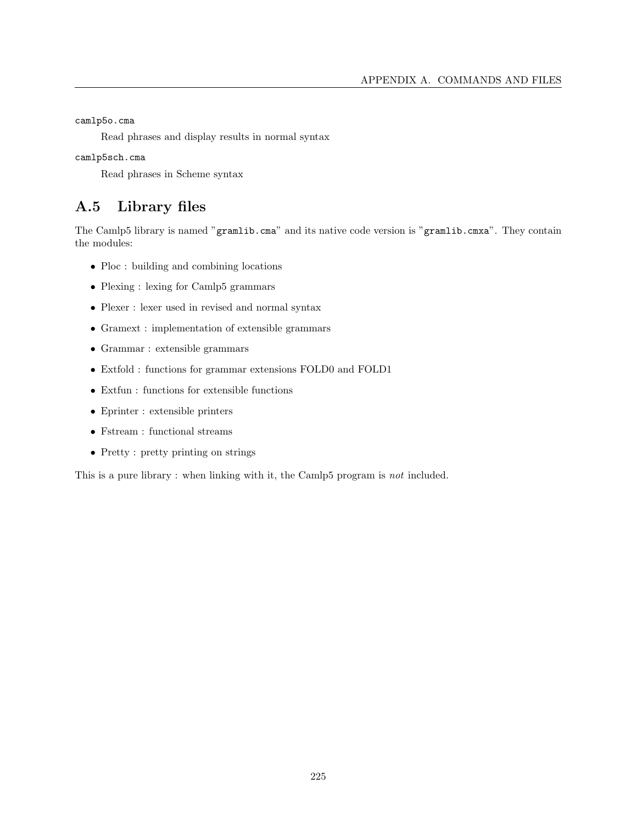camlp5o.cma

Read phrases and display results in normal syntax

camlp5sch.cma

Read phrases in Scheme syntax

# A.5 Library files

The Camlp5 library is named "gramlib.cma" and its native code version is "gramlib.cmxa". They contain the modules:

- Ploc : building and combining locations
- Plexing : lexing for Camlp5 grammars
- Plexer : lexer used in revised and normal syntax
- Gramext : implementation of extensible grammars
- Grammar : extensible grammars
- Extfold : functions for grammar extensions FOLD0 and FOLD1
- Extfun : functions for extensible functions
- Eprinter : extensible printers
- $\bullet~$  Fstream : functional streams
- Pretty : pretty printing on strings

This is a pure library : when linking with it, the Camlp5 program is not included.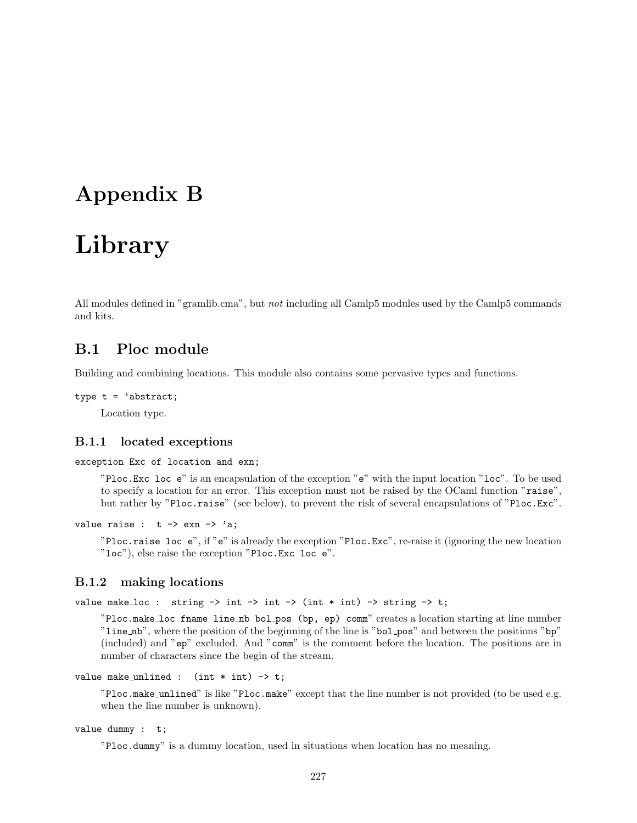# Appendix B

# Library

All modules defined in "gramlib.cma", but not including all Camlp5 modules used by the Camlp5 commands and kits.

# B.1 Ploc module

Building and combining locations. This module also contains some pervasive types and functions.

```
type t = 'abstract;Location type.
```
## B.1.1 located exceptions

exception Exc of location and exn;

"Ploc.Exc loc e" is an encapsulation of the exception "e" with the input location "loc". To be used to specify a location for an error. This exception must not be raised by the OCaml function "raise", but rather by "Ploc.raise" (see below), to prevent the risk of several encapsulations of "Ploc.Exc".

value raise :  $t \rightarrow \exp(-\frac{1}{2}a)$ ;

"Ploc.raise loc e", if "e" is already the exception "Ploc.Exc", re-raise it (ignoring the new location "loc"), else raise the exception "Ploc.Exc loc e".

# B.1.2 making locations

value make loc : string  $\rightarrow$  int  $\rightarrow$  int  $\rightarrow$  (int  $*$  int)  $\rightarrow$  string  $\rightarrow$  t;

"Ploc.make loc fname line nb bol pos (bp, ep) comm" creates a location starting at line number "line nb", where the position of the beginning of the line is "bol pos" and between the positions "bp" (included) and "ep" excluded. And "comm" is the comment before the location. The positions are in number of characters since the begin of the stream.

```
value make unlined : (int * int) \rightarrow t;
```
"Ploc.make unlined" is like "Ploc.make" except that the line number is not provided (to be used e.g. when the line number is unknown).

```
value dummy : t;
```
"Ploc.dummy" is a dummy location, used in situations when location has no meaning.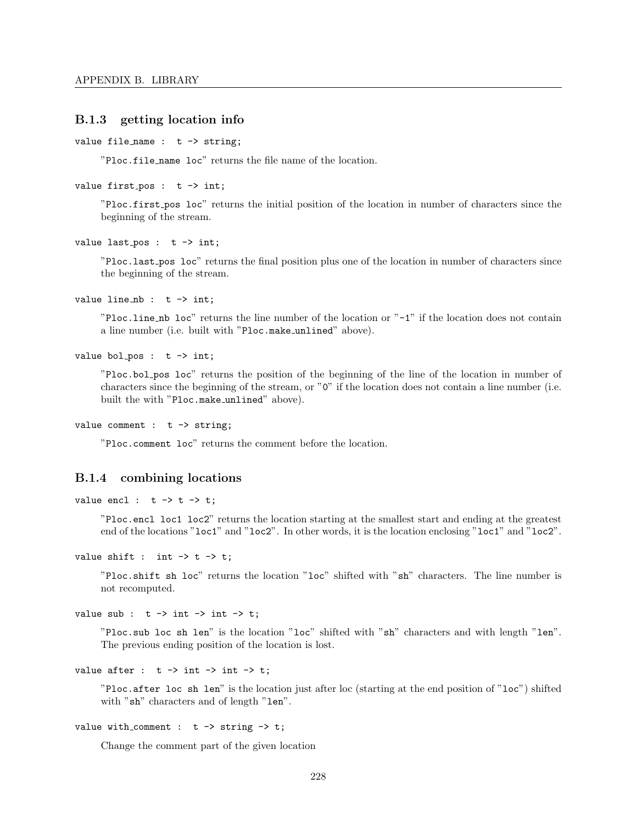# B.1.3 getting location info

```
value file_name : t \rightarrow string;
```
"Ploc.file name loc" returns the file name of the location.

```
value first_pos : t \rightarrow int;
```
"Ploc.first pos loc" returns the initial position of the location in number of characters since the beginning of the stream.

value last\_pos :  $t \rightarrow int;$ 

"Ploc.last pos loc" returns the final position plus one of the location in number of characters since the beginning of the stream.

value line\_nb :  $t \rightarrow int$ ;

"Ploc.line nb loc" returns the line number of the location or "-1" if the location does not contain a line number (i.e. built with "Ploc.make unlined" above).

value bol\_pos :  $t \rightarrow int$ ;

"Ploc.bol pos loc" returns the position of the beginning of the line of the location in number of characters since the beginning of the stream, or "0" if the location does not contain a line number (i.e. built the with "Ploc.make unlined" above).

value comment :  $t \rightarrow$  string;

"Ploc.comment loc" returns the comment before the location.

## B.1.4 combining locations

value encl :  $t \rightarrow t \rightarrow t$ ;

"Ploc.encl loc1 loc2" returns the location starting at the smallest start and ending at the greatest end of the locations "loc1" and "loc2". In other words, it is the location enclosing "loc1" and "loc2".

```
value shift : int \rightarrow t \rightarrow t;
```
"Ploc.shift sh loc" returns the location "loc" shifted with "sh" characters. The line number is not recomputed.

value sub :  $t \rightarrow int \rightarrow int \rightarrow t$ ;

"Ploc.sub loc sh len" is the location "loc" shifted with "sh" characters and with length "len". The previous ending position of the location is lost.

```
value after : t \rightarrow int \rightarrow int \rightarrow t;
```
"Ploc.after loc sh len" is the location just after loc (starting at the end position of "loc") shifted with "sh" characters and of length "len".

value with comment :  $t \rightarrow$  string  $\rightarrow$  t;

Change the comment part of the given location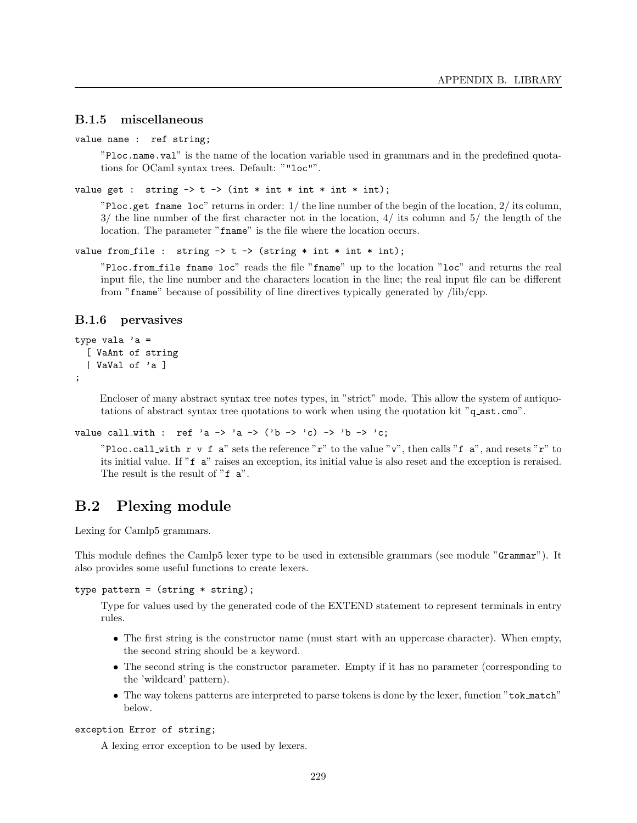# B.1.5 miscellaneous

```
value name : ref string;
```
"Ploc.name.val" is the name of the location variable used in grammars and in the predefined quotations for OCaml syntax trees. Default: ""loc"".

```
value get : string \rightarrow t \rightarrow (int * int * int * int);
```
"Ploc.get fname loc" returns in order: 1/ the line number of the begin of the location, 2/ its column,  $3/$  the line number of the first character not in the location,  $4/$  its column and  $5/$  the length of the location. The parameter "frame" is the file where the location occurs.

```
value from file : string \rightarrow t \rightarrow (string * int * int);
```
"Ploc.from file fname loc" reads the file "fname" up to the location "loc" and returns the real input file, the line number and the characters location in the line; the real input file can be different from "fname" because of possibility of line directives typically generated by /lib/cpp.

## B.1.6 pervasives

```
type vala a =[ VaAnt of string
  | VaVal of 'a ]
```
;

Encloser of many abstract syntax tree notes types, in "strict" mode. This allow the system of antiquotations of abstract syntax tree quotations to work when using the quotation kit "q ast.cmo".

```
value call_with : ref 'a -> 'a -> ('b -> 'c) -> 'b -> 'c;
```
"Ploc.call with r v f a" sets the reference "r" to the value "v", then calls "f a", and resets "r" to its initial value. If "f a" raises an exception, its initial value is also reset and the exception is reraised. The result is the result of "f a".

# B.2 Plexing module

Lexing for Camlp5 grammars.

This module defines the Camlp5 lexer type to be used in extensible grammars (see module "Grammar"). It also provides some useful functions to create lexers.

```
type pattern = (\text{string} * \text{string});
```
Type for values used by the generated code of the EXTEND statement to represent terminals in entry rules.

- The first string is the constructor name (must start with an uppercase character). When empty, the second string should be a keyword.
- The second string is the constructor parameter. Empty if it has no parameter (corresponding to the 'wildcard' pattern).
- The way tokens patterns are interpreted to parse tokens is done by the lexer, function "tok match" below.

#### exception Error of string;

A lexing error exception to be used by lexers.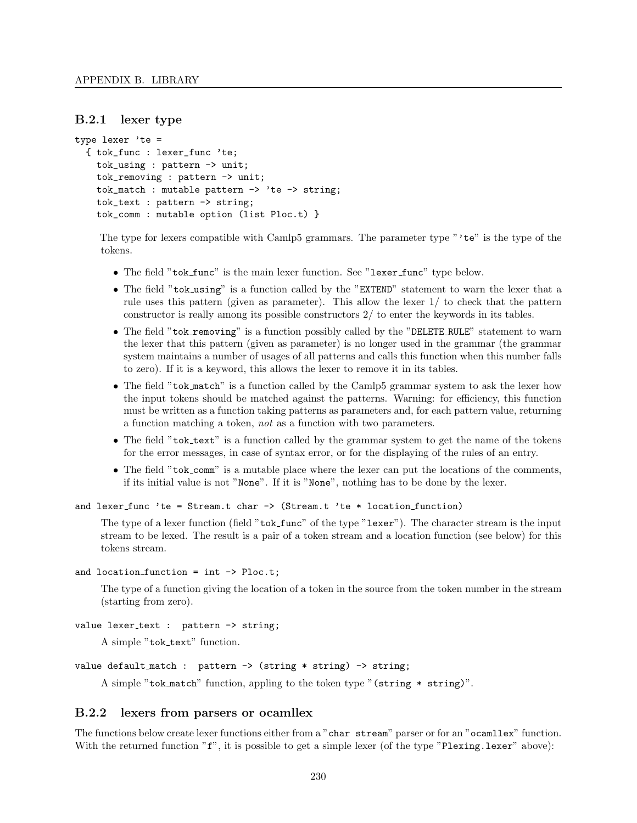## B.2.1 lexer type

```
type lexer 'te =
  { tok_func : lexer_func 'te;
    tok_using : pattern -> unit;
    tok_removing : pattern -> unit;
    tok_match : mutable pattern \rightarrow 'te \rightarrow string;
    tok_text : pattern -> string;
    tok_comm : mutable option (list Ploc.t) }
```
The type for lexers compatible with Camlp5 grammars. The parameter type "'te" is the type of the tokens.

- The field "tok\_func" is the main lexer function. See "lexer\_func" type below.
- The field "tok\_using" is a function called by the "EXTEND" statement to warn the lexer that a rule uses this pattern (given as parameter). This allow the lexer 1/ to check that the pattern constructor is really among its possible constructors 2/ to enter the keywords in its tables.
- The field "tok\_removing" is a function possibly called by the "DELETE\_RULE" statement to warn the lexer that this pattern (given as parameter) is no longer used in the grammar (the grammar system maintains a number of usages of all patterns and calls this function when this number falls to zero). If it is a keyword, this allows the lexer to remove it in its tables.
- The field "tok\_match" is a function called by the Camlp5 grammar system to ask the lexer how the input tokens should be matched against the patterns. Warning: for efficiency, this function must be written as a function taking patterns as parameters and, for each pattern value, returning a function matching a token, not as a function with two parameters.
- The field "tok\_text" is a function called by the grammar system to get the name of the tokens for the error messages, in case of syntax error, or for the displaying of the rules of an entry.
- The field "tok\_comm" is a mutable place where the lexer can put the locations of the comments, if its initial value is not "None". If it is "None", nothing has to be done by the lexer.

```
and lexer_func 'te = Stream.t char \rightarrow (Stream.t 'te * location_function)
```
The type of a lexer function (field "tok\_func" of the type "lexer"). The character stream is the input stream to be lexed. The result is a pair of a token stream and a location function (see below) for this tokens stream.

```
and location function = int \rightarrow Ploc.t;
```
The type of a function giving the location of a token in the source from the token number in the stream (starting from zero).

```
value lexer_text : pattern -> string;
```
A simple "tok\_text" function.

```
value default match : pattern \rightarrow (string * string) \rightarrow string;
```
A simple "tok match" function, appling to the token type "(string \* string)".

# B.2.2 lexers from parsers or ocamllex

The functions below create lexer functions either from a "char stream" parser or for an "ocamllex" function. With the returned function  $\mathbf{r}$ ", it is possible to get a simple lexer (of the type "Plexing.lexer" above):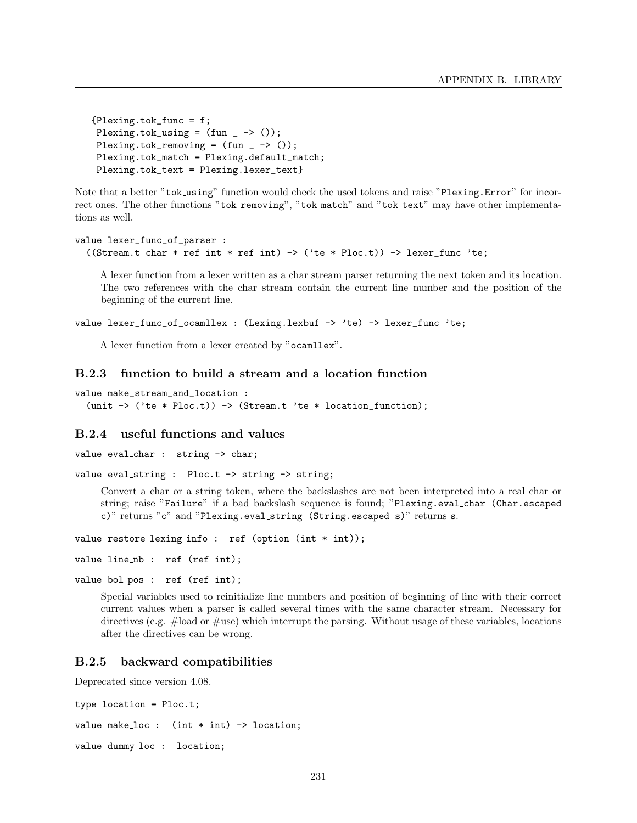```
{Plexing.tok_func = f;
Plexing.tok_using = (fun - > ());Plexing.tok_removing = (fun - > ());Plexing.tok_match = Plexing.default_match;
Plexing.tok_text = Plexing.lexer_text}
```
Note that a better "tok using" function would check the used tokens and raise "Plexing.Error" for incorrect ones. The other functions "tok\_removing", "tok\_match" and "tok\_text" may have other implementations as well.

```
value lexer_func_of_parser :
  ((Stream.t char * ref int * ref int) -> ('te * Ploc.t)) -> lexer_func 'te;
```
A lexer function from a lexer written as a char stream parser returning the next token and its location. The two references with the char stream contain the current line number and the position of the beginning of the current line.

```
value lexer_func_of_ocamllex : (Lexing.lexbuf -> 'te) -> lexer_func 'te;
```
A lexer function from a lexer created by "ocamllex".

## B.2.3 function to build a stream and a location function

```
value make_stream_and_location :
  (unit \rightarrow ('te * Ploc.t)) \rightarrow (Stream.t 'te * location_function);
```
# B.2.4 useful functions and values

```
value eval_char : string -> char;
```

```
value eval_string : Ploc.t -> string -> string;
```
Convert a char or a string token, where the backslashes are not been interpreted into a real char or string; raise "Failure" if a bad backslash sequence is found; "Plexing.eval char (Char.escaped c)" returns "c" and "Plexing.eval string (String.escaped s)" returns s.

value restore\_lexing\_info : ref (option (int \* int));

```
value line_nb : ref (ref int);
```

```
value bol pos : ref (ref int);
```
Special variables used to reinitialize line numbers and position of beginning of line with their correct current values when a parser is called several times with the same character stream. Necessary for directives (e.g. #load or #use) which interrupt the parsing. Without usage of these variables, locations after the directives can be wrong.

# B.2.5 backward compatibilities

Deprecated since version 4.08.

```
type location = Ploc.t;
value make_loc : (int * int) \rightarrow location;value dummy_loc : location;
```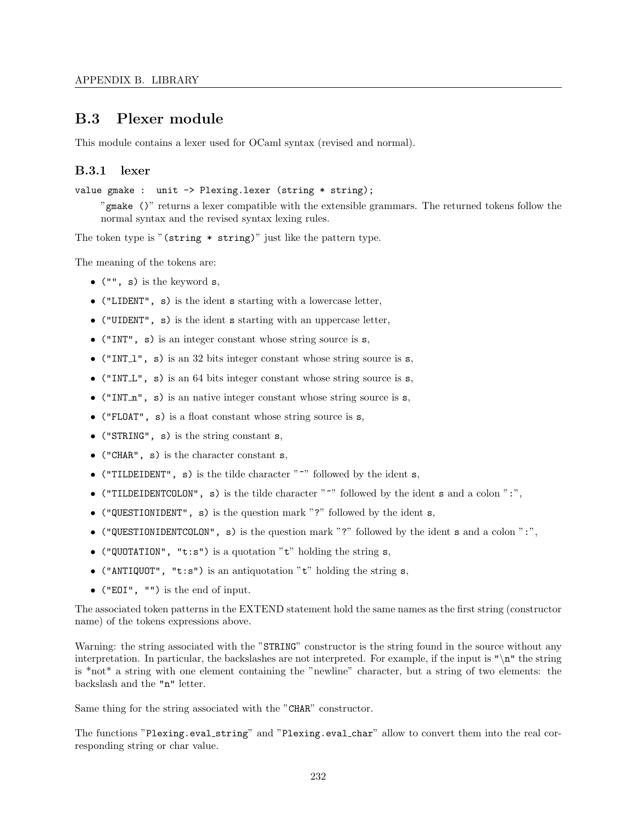# B.3 Plexer module

This module contains a lexer used for OCaml syntax (revised and normal).

# B.3.1 lexer

value gmake : unit -> Plexing.lexer (string \* string);

"gmake ()" returns a lexer compatible with the extensible grammars. The returned tokens follow the normal syntax and the revised syntax lexing rules.

The token type is "(string \* string)" just like the pattern type.

The meaning of the tokens are:

- $\bullet$  ("", s) is the keyword s,
- ("LIDENT", s) is the ident s starting with a lowercase letter,
- ("UIDENT", s) is the ident s starting with an uppercase letter,
- ("INT", s) is an integer constant whose string source is s,
- ("INT<sub>1</sub>", s) is an 32 bits integer constant whose string source is  $s$ ,
- ("INT L", s) is an 64 bits integer constant whose string source is s,
- ("INT $n$ ", s) is an native integer constant whose string source is s,
- ("FLOAT", s) is a float constant whose string source is s,
- ("STRING", s) is the string constant s,
- ("CHAR", s) is the character constant s,
- ("TILDEIDENT", s) is the tilde character " $\sim$ " followed by the ident s,
- ("TILDEIDENTCOLON", s) is the tilde character " $\sim$ " followed by the ident s and a colon ":",
- ("QUESTIONIDENT", s) is the question mark "?" followed by the ident s,
- ("QUESTIONIDENTCOLON", s) is the question mark "?" followed by the ident s and a colon ":",
- ("QUOTATION", "t:s") is a quotation "t" holding the string  $s$ ,
- ("ANTIQUOT", "t:s") is an antiquotation "t" holding the string  $s$ ,
- ("EOI", "") is the end of input.

The associated token patterns in the EXTEND statement hold the same names as the first string (constructor name) of the tokens expressions above.

Warning: the string associated with the "STRING" constructor is the string found in the source without any interpretation. In particular, the backslashes are not interpreted. For example, if the input is "\n" the string is \*not\* a string with one element containing the "newline" character, but a string of two elements: the backslash and the "n" letter.

Same thing for the string associated with the "CHAR" constructor.

The functions "Plexing.eval string" and "Plexing.eval char" allow to convert them into the real corresponding string or char value.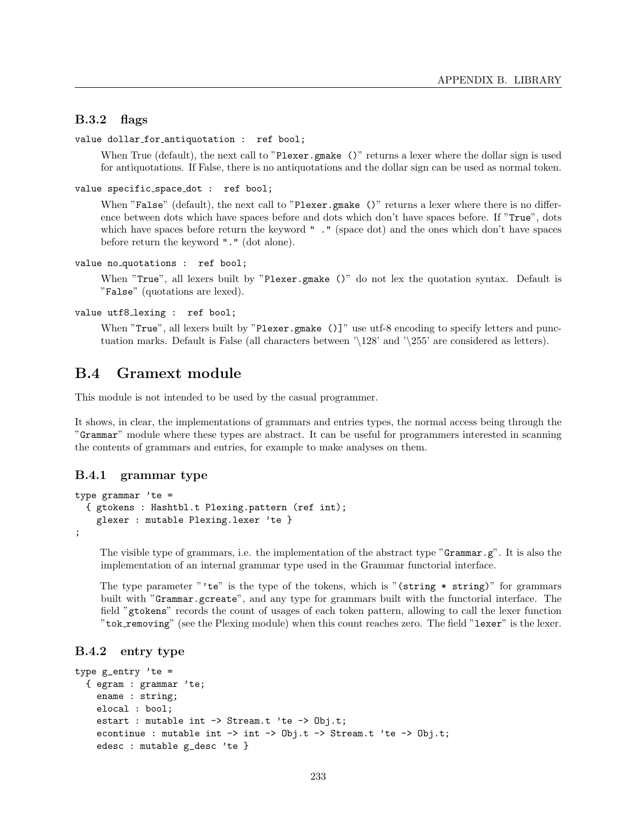# B.3.2 flags

```
value dollar for antiquotation : ref bool;
```
When True (default), the next call to "Plexer.gmake ()" returns a lexer where the dollar sign is used for antiquotations. If False, there is no antiquotations and the dollar sign can be used as normal token.

```
value specific_space_dot : ref bool;
```
When "False" (default), the next call to "Plexer.gmake ()" returns a lexer where there is no difference between dots which have spaces before and dots which don't have spaces before. If "True", dots which have spaces before return the keyword " ." (space dot) and the ones which don't have spaces before return the keyword "." (dot alone).

```
value no quotations : ref bool;
```
When "True", all lexers built by "Plexer.gmake ()" do not lex the quotation syntax. Default is "False" (quotations are lexed).

```
value utf8_lexing : ref bool;
```
When "True", all lexers built by "Plexer.gmake ()]" use utf-8 encoding to specify letters and punctuation marks. Default is False (all characters between '\128' and '\255' are considered as letters).

# B.4 Gramext module

This module is not intended to be used by the casual programmer.

It shows, in clear, the implementations of grammars and entries types, the normal access being through the "Grammar" module where these types are abstract. It can be useful for programmers interested in scanning the contents of grammars and entries, for example to make analyses on them.

## B.4.1 grammar type

```
type grammar 'te =
  { gtokens : Hashtbl.t Plexing.pattern (ref int);
   glexer : mutable Plexing.lexer 'te }
;
```
The visible type of grammars, i.e. the implementation of the abstract type "Grammar.g". It is also the implementation of an internal grammar type used in the Grammar functorial interface.

The type parameter "'te" is the type of the tokens, which is "(string  $*$  string)" for grammars built with "Grammar.gcreate", and any type for grammars built with the functorial interface. The field "gtokens" records the count of usages of each token pattern, allowing to call the lexer function "tok removing" (see the Plexing module) when this count reaches zero. The field "lexer" is the lexer.

# B.4.2 entry type

```
type g_entry 'te =
  { egram : grammar 'te;
    ename : string;
    elocal : bool;
    estart : mutable int -> Stream.t 'te -> Obj.t;
    econtinue : mutable int \rightarrow int \rightarrow Obj.t \rightarrow Stream.t 'te \rightarrow Obj.t;
    edesc : mutable g_desc 'te }
```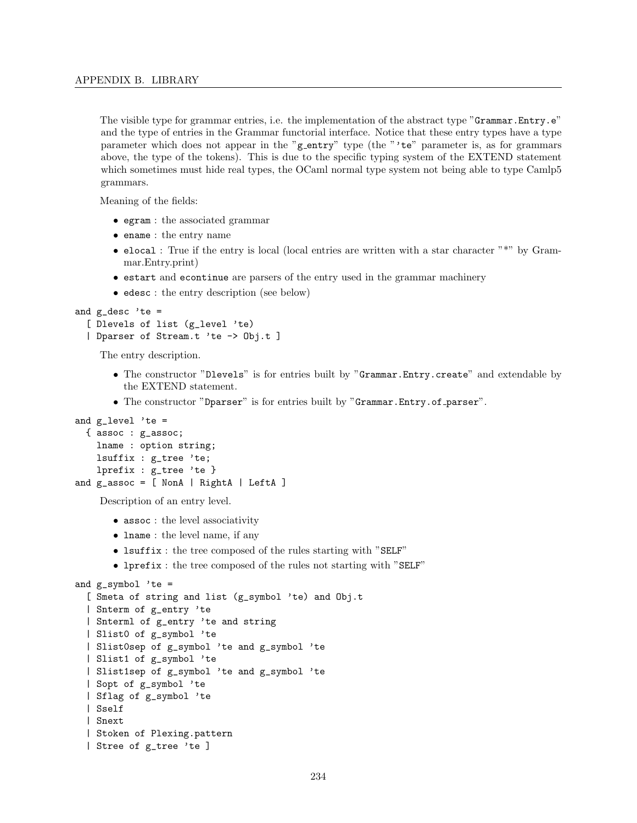The visible type for grammar entries, i.e. the implementation of the abstract type "Grammar.Entry.e" and the type of entries in the Grammar functorial interface. Notice that these entry types have a type parameter which does not appear in the "g\_entry" type (the "'te" parameter is, as for grammars above, the type of the tokens). This is due to the specific typing system of the EXTEND statement which sometimes must hide real types, the OCaml normal type system not being able to type Camlp5 grammars.

Meaning of the fields:

- egram : the associated grammar
- ename : the entry name
- elocal : True if the entry is local (local entries are written with a star character "\*" by Grammar.Entry.print)
- estart and econtinue are parsers of the entry used in the grammar machinery
- edesc : the entry description (see below)

```
and g desc 'te =
```

```
[ Dlevels of list (g_level 'te)
```

```
| Dparser of Stream.t 'te -> Obj.t ]
```
The entry description.

- The constructor "Dlevels" is for entries built by "Grammar.Entry.create" and extendable by the EXTEND statement.
- The constructor "Dparser" is for entries built by "Grammar.Entry.of parser".

```
and g<sup>level</sup> 'te =
  { assoc : g_assoc;
    lname : option string;
    lsuffix : g_tree 'te;
    lprefix : g_tree 'te }
and g<sub>assoc</sub> = [ NonA | RightA | LeftA ]
```
Description of an entry level.

- assoc : the level associativity
- lname : the level name, if any
- lsuffix : the tree composed of the rules starting with "SELF"
- lprefix : the tree composed of the rules not starting with "SELF"

```
and g_symbol 'te =
  [ Smeta of string and list (g_symbol 'te) and Obj.t
  | Snterm of g_entry 'te
  | Snterml of g_entry 'te and string
  | Slist0 of g_symbol 'te
  | Slist0sep of g_symbol 'te and g_symbol 'te
  | Slist1 of g_symbol 'te
  | Slist1sep of g_symbol 'te and g_symbol 'te
  | Sopt of g_symbol 'te
  | Sflag of g_symbol 'te
  | Sself
  | Snext
  | Stoken of Plexing.pattern
  | Stree of g_tree 'te ]
```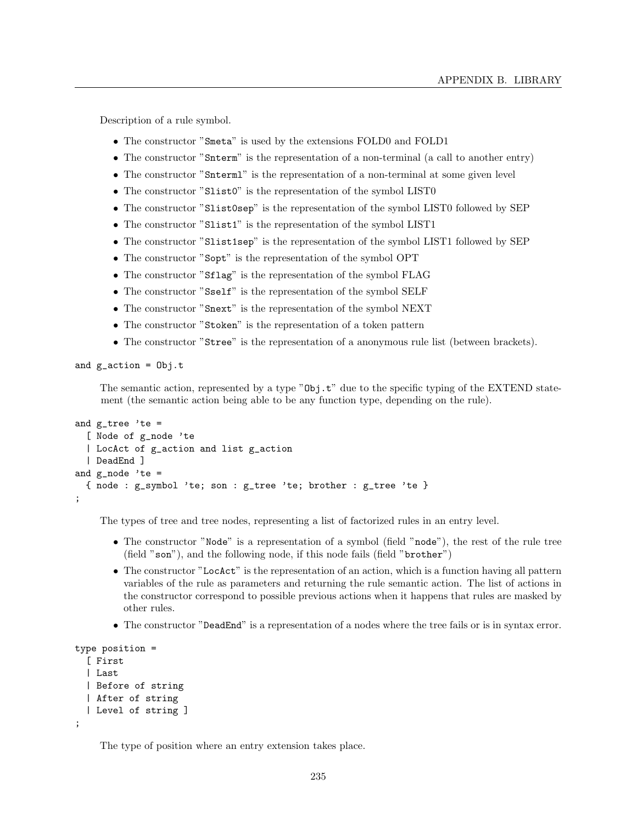Description of a rule symbol.

- The constructor "Smeta" is used by the extensions FOLD0 and FOLD1
- The constructor "Snterm" is the representation of a non-terminal (a call to another entry)
- The constructor "Snterml" is the representation of a non-terminal at some given level
- The constructor "Slist<sup>0"</sup> is the representation of the symbol LIST0
- The constructor "Slist0sep" is the representation of the symbol LIST0 followed by SEP
- The constructor "Slist1" is the representation of the symbol LIST1
- The constructor "Slist1sep" is the representation of the symbol LIST1 followed by SEP
- The constructor "Sopt" is the representation of the symbol OPT
- The constructor "Sflag" is the representation of the symbol FLAG
- The constructor "Sself" is the representation of the symbol SELF
- The constructor "Snext" is the representation of the symbol NEXT
- The constructor "Stoken" is the representation of a token pattern
- The constructor "Stree" is the representation of a anonymous rule list (between brackets).

and  $g$ <sup>-action = 0bj.t</sup>

The semantic action, represented by a type "Obj.t" due to the specific typing of the EXTEND statement (the semantic action being able to be any function type, depending on the rule).

```
and g_tree 'te =
  [ Node of g_node 'te
  | LocAct of g_action and list g_action
  | DeadEnd ]
and g_node 'te =
  { node : g_symbol 'te; son : g_tree 'te; brother : g_tree 'te }
;
```
The types of tree and tree nodes, representing a list of factorized rules in an entry level.

- The constructor "Node" is a representation of a symbol (field "node"), the rest of the rule tree (field "son"), and the following node, if this node fails (field "brother")
- The constructor "LocAct" is the representation of an action, which is a function having all pattern variables of the rule as parameters and returning the rule semantic action. The list of actions in the constructor correspond to possible previous actions when it happens that rules are masked by other rules.
- The constructor "DeadEnd" is a representation of a nodes where the tree fails or is in syntax error.

```
type position =
  [ First
  | Last
  | Before of string
  | After of string
  | Level of string ]
;
```
The type of position where an entry extension takes place.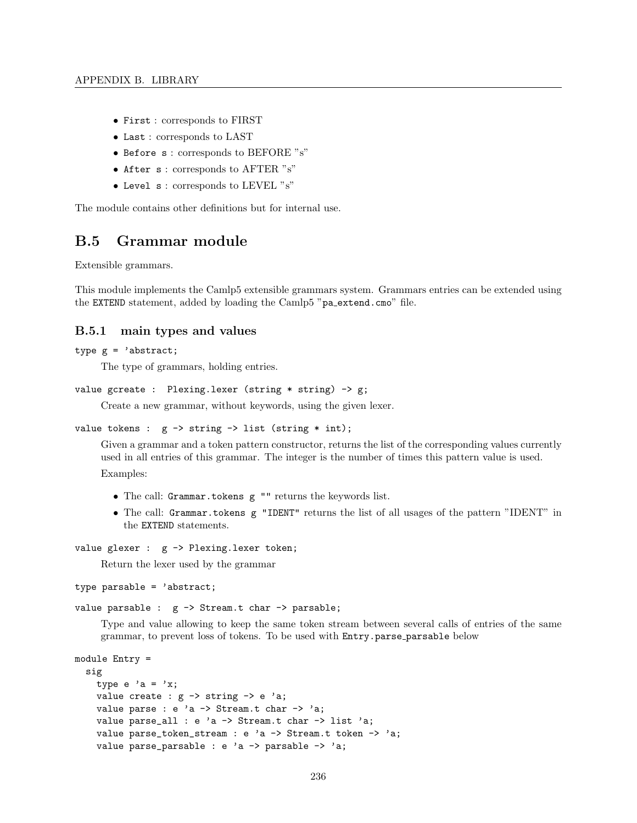- First : corresponds to FIRST
- Last : corresponds to LAST
- Before s : corresponds to BEFORE "s"
- After s: corresponds to AFTER "s"
- Level s : corresponds to LEVEL "s"

The module contains other definitions but for internal use.

# B.5 Grammar module

Extensible grammars.

This module implements the Camlp5 extensible grammars system. Grammars entries can be extended using the EXTEND statement, added by loading the Camlp5 "pa\_extend.cmo" file.

## B.5.1 main types and values

#### type  $g = 'abstract;$

The type of grammars, holding entries.

```
value gcreate : Plexing.lexer (string * string) -> g;
```
Create a new grammar, without keywords, using the given lexer.

```
value tokens : g \rightarrow string \rightarrow list (string * int);
```
Given a grammar and a token pattern constructor, returns the list of the corresponding values currently used in all entries of this grammar. The integer is the number of times this pattern value is used. Examples:

- The call: Grammar.tokens g "" returns the keywords list.
- The call: Grammar.tokens g "IDENT" returns the list of all usages of the pattern "IDENT" in the EXTEND statements.

```
value glexer : g -> Plexing.lexer token;
```
Return the lexer used by the grammar

type parsable = 'abstract;

value parsable : g -> Stream.t char -> parsable;

Type and value allowing to keep the same token stream between several calls of entries of the same grammar, to prevent loss of tokens. To be used with Entry.parse parsable below

```
module Entry =
  sig
    type e 'a = 'x;
    value create : g \rightarrow string \rightarrow e 'a;
    value parse : e 'a -> Stream.t char -> 'a;
    value parse_all : e 'a \rightarrow Stream.t char \rightarrow list 'a;
    value parse_token_stream : e 'a -> Stream.t token -> 'a;
    value parse_parsable : e 'a \rightarrow parsable \rightarrow 'a;
```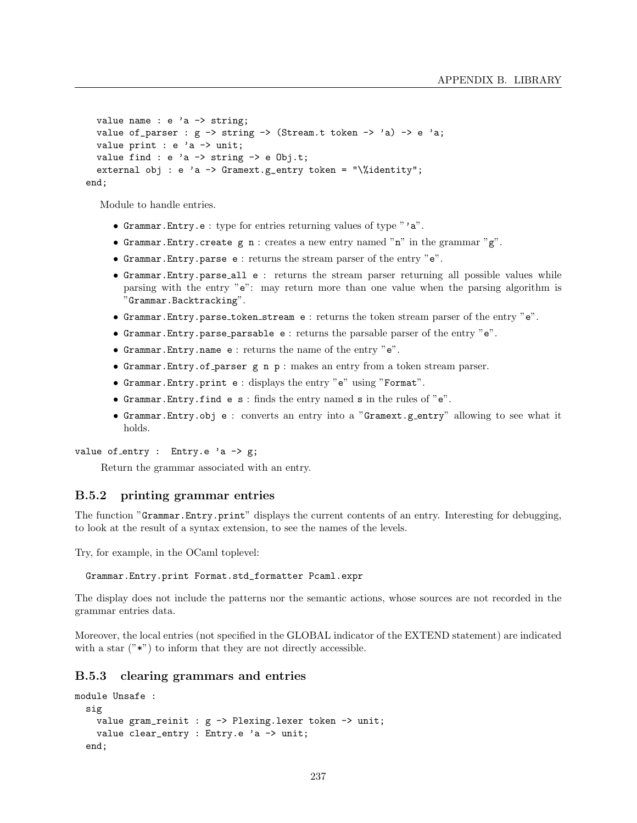```
value name : e 'a -> string;
  value of_parser : g \rightarrow string -> (Stream.t token -> 'a) -> e 'a;
  value print : e 'a -> unit;
  value find : e 'a \rightarrow string \rightarrow e Obj.t;
  external obj : e 'a -> Gramext.g_entry token = "\%identity";
end;
```
Module to handle entries.

- Grammar.Entry.e : type for entries returning values of type "'a".
- Grammar. Entry. create  $g \nightharpoonup n$ : creates a new entry named "n" in the grammar " $g$ ".
- Grammar.Entry.parse e : returns the stream parser of the entry "e".
- Grammar.Entry.parse all e : returns the stream parser returning all possible values while parsing with the entry "e": may return more than one value when the parsing algorithm is "Grammar.Backtracking".
- Grammar.Entry.parse token stream e : returns the token stream parser of the entry "e".
- Grammar.Entry.parse parsable e : returns the parsable parser of the entry "e".
- Grammar.Entry.name e : returns the name of the entry "e".
- Grammar.Entry.of parser g n p : makes an entry from a token stream parser.
- Grammar.Entry.print e : displays the entry "e" using "Format".
- Grammar.Entry.find e s : finds the entry named s in the rules of "e".
- Grammar.Entry.obj e : converts an entry into a "Gramext.g entry" allowing to see what it holds.

value of entry : Entry.e  $a \rightarrow g$ ;

Return the grammar associated with an entry.

## B.5.2 printing grammar entries

The function "Grammar.Entry.print" displays the current contents of an entry. Interesting for debugging, to look at the result of a syntax extension, to see the names of the levels.

Try, for example, in the OCaml toplevel:

Grammar.Entry.print Format.std\_formatter Pcaml.expr

The display does not include the patterns nor the semantic actions, whose sources are not recorded in the grammar entries data.

Moreover, the local entries (not specified in the GLOBAL indicator of the EXTEND statement) are indicated with a star  $("*)$  to inform that they are not directly accessible.

# B.5.3 clearing grammars and entries

```
module Unsafe :
  sig
   value gram_reinit : g -> Plexing.lexer token -> unit;
   value clear_entry : Entry.e 'a -> unit;
  end;
```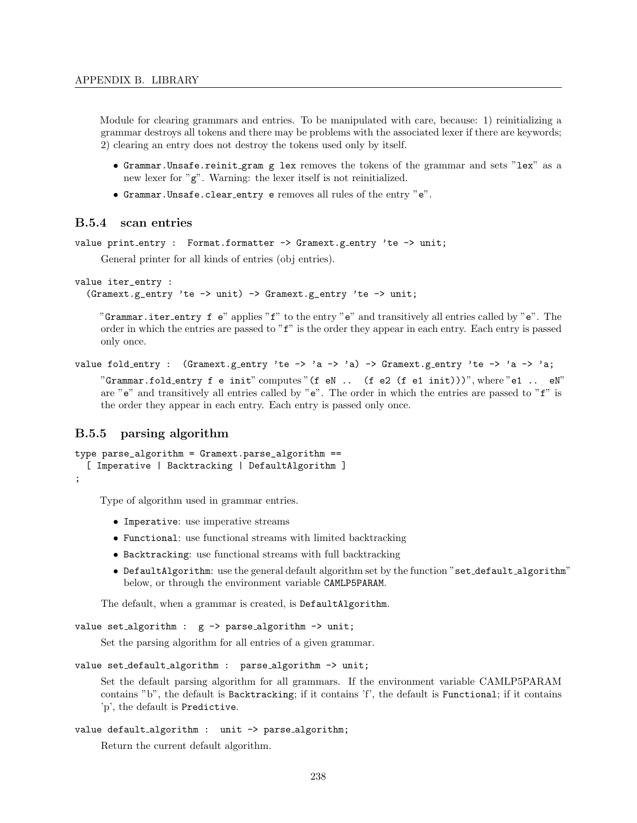Module for clearing grammars and entries. To be manipulated with care, because: 1) reinitializing a grammar destroys all tokens and there may be problems with the associated lexer if there are keywords; 2) clearing an entry does not destroy the tokens used only by itself.

- Grammar.Unsafe.reinit gram g lex removes the tokens of the grammar and sets "lex" as a new lexer for "g". Warning: the lexer itself is not reinitialized.
- Grammar.Unsafe.clear entry e removes all rules of the entry "e".

# B.5.4 scan entries

```
value print entry : Format.formatter -> Gramext.g entry 'te -> unit;
```
General printer for all kinds of entries (obj entries).

```
value iter_entry :
```
(Gramext.g\_entry 'te -> unit) -> Gramext.g\_entry 'te -> unit;

"Grammar.iter\_entry f e" applies "f" to the entry "e" and transitively all entries called by "e". The order in which the entries are passed to "f" is the order they appear in each entry. Each entry is passed only once.

```
value fold_entry : (Gramext.g_entry 'te -> 'a -> 'a) -> Gramext.g_entry 'te -> 'a -> 'a;
     "Grammar.fold_entry f e init" computes "(f eN .. (f e2 (f e1 init)))", where "e1 .. eN"
     are "e" and transitively all entries called by "e". The order in which the entries are passed to "f" is
     the order they appear in each entry. Each entry is passed only once.
```
## B.5.5 parsing algorithm

```
type parse_algorithm = Gramext.parse_algorithm ==
  [ Imperative | Backtracking | DefaultAlgorithm ]
;
```
Type of algorithm used in grammar entries.

- Imperative: use imperative streams
- Functional: use functional streams with limited backtracking
- Backtracking: use functional streams with full backtracking
- DefaultAlgorithm: use the general default algorithm set by the function "set\_default\_algorithm" below, or through the environment variable CAMLP5PARAM.

The default, when a grammar is created, is DefaultAlgorithm.

```
value set_algorithm : g \rightarrow parse_algorithm \rightarrow unit;
```
Set the parsing algorithm for all entries of a given grammar.

```
value set_default_algorithm : parse_algorithm -> unit;
```
Set the default parsing algorithm for all grammars. If the environment variable CAMLP5PARAM contains "b", the default is Backtracking; if it contains 'f', the default is Functional; if it contains 'p', the default is Predictive.

```
value default_algorithm : unit -> parse_algorithm;
```
Return the current default algorithm.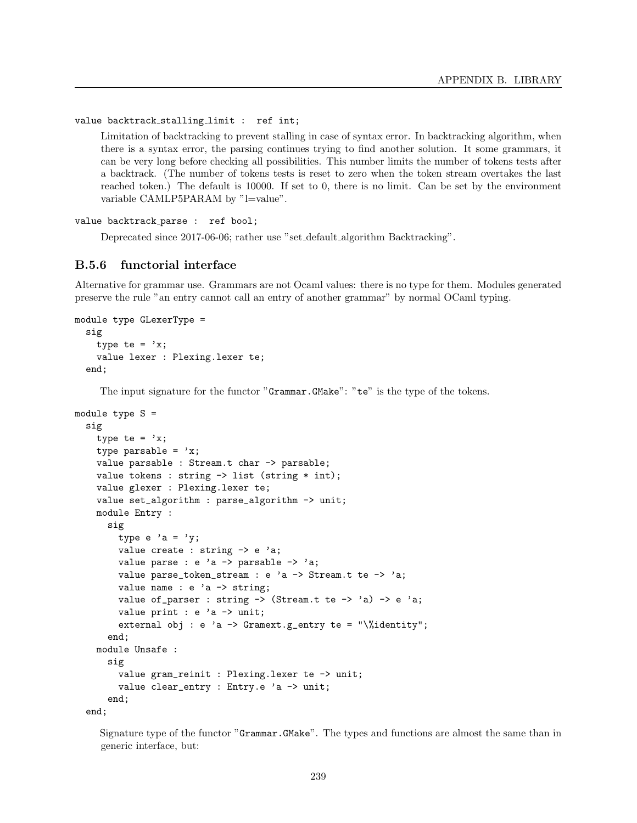value backtrack stalling limit : ref int;

Limitation of backtracking to prevent stalling in case of syntax error. In backtracking algorithm, when there is a syntax error, the parsing continues trying to find another solution. It some grammars, it can be very long before checking all possibilities. This number limits the number of tokens tests after a backtrack. (The number of tokens tests is reset to zero when the token stream overtakes the last reached token.) The default is 10000. If set to 0, there is no limit. Can be set by the environment variable CAMLP5PARAM by "l=value".

value backtrack parse : ref bool;

Deprecated since 2017-06-06; rather use "set default algorithm Backtracking".

# B.5.6 functorial interface

Alternative for grammar use. Grammars are not Ocaml values: there is no type for them. Modules generated preserve the rule "an entry cannot call an entry of another grammar" by normal OCaml typing.

```
module type GLexerType =
  sig
    type te = 'x;
    value lexer : Plexing.lexer te;
  end;
```
The input signature for the functor "Grammar.GMake": "te" is the type of the tokens.

```
module type S =
  sig
    type te = 'x;
    type parsable = 'x;
    value parsable : Stream.t char -> parsable;
    value tokens : string -> list (string * int);
    value glexer : Plexing.lexer te;
    value set_algorithm : parse_algorithm -> unit;
    module Entry :
      sig
        type e 'a = 'y;
        value create : string \rightarrow e 'a;
        value parse : e 'a \rightarrow parsable \rightarrow 'a;
        value parse_token_stream : e 'a -> Stream.t te -> 'a;
        value name : e 'a -> string;
        value of_parser : string \rightarrow (Stream.t te \rightarrow 'a) \rightarrow e 'a;
        value print : e 'a -> unit;
        external obj : e 'a \rightarrow Gramext.g_entry te = "\%identity";
      end;
    module Unsafe :
      sig
        value gram_reinit : Plexing.lexer te -> unit;
        value clear_entry : Entry.e 'a -> unit;
      end;
  end;
```
Signature type of the functor "Grammar.GMake". The types and functions are almost the same than in generic interface, but: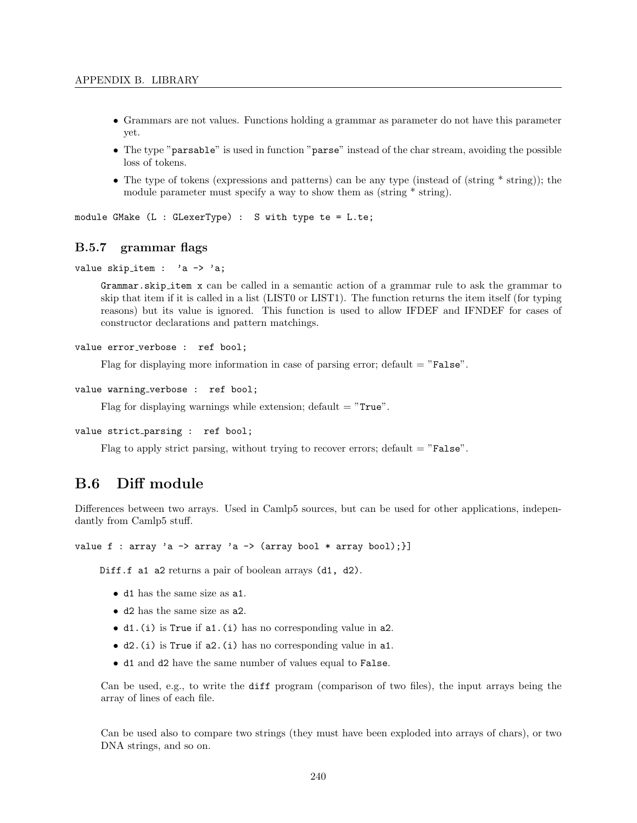- Grammars are not values. Functions holding a grammar as parameter do not have this parameter yet.
- The type "parsable" is used in function "parse" instead of the char stream, avoiding the possible loss of tokens.
- The type of tokens (expressions and patterns) can be any type (instead of (string  $*$  string)); the module parameter must specify a way to show them as (string  $*$  string).

module GMake (L : GLexerType) : S with type te = L.te;

## B.5.7 grammar flags

```
value skip_item : 'a -> 'a;
```
Grammar.skip item x can be called in a semantic action of a grammar rule to ask the grammar to skip that item if it is called in a list (LIST0 or LIST1). The function returns the item itself (for typing reasons) but its value is ignored. This function is used to allow IFDEF and IFNDEF for cases of constructor declarations and pattern matchings.

```
value error_verbose : ref bool;
```
Flag for displaying more information in case of parsing error; default  $=$  "False".

```
value warning_verbose : ref bool;
```
Flag for displaying warnings while extension; default  $=$  "True".

```
value strict parsing : ref bool;
```
Flag to apply strict parsing, without trying to recover errors; default  $=$  "False".

# B.6 Diff module

Differences between two arrays. Used in Camlp5 sources, but can be used for other applications, independantly from Camlp5 stuff.

```
value f : array 'a -> array 'a -> (array bool * array bool);}]
```
Diff.f a1 a2 returns a pair of boolean arrays (d1, d2).

- d1 has the same size as a1.
- d2 has the same size as a2.
- d1.(i) is True if a1.(i) has no corresponding value in a2.
- d2.(i) is True if a2.(i) has no corresponding value in a1.
- d1 and d2 have the same number of values equal to False.

Can be used, e.g., to write the diff program (comparison of two files), the input arrays being the array of lines of each file.

Can be used also to compare two strings (they must have been exploded into arrays of chars), or two DNA strings, and so on.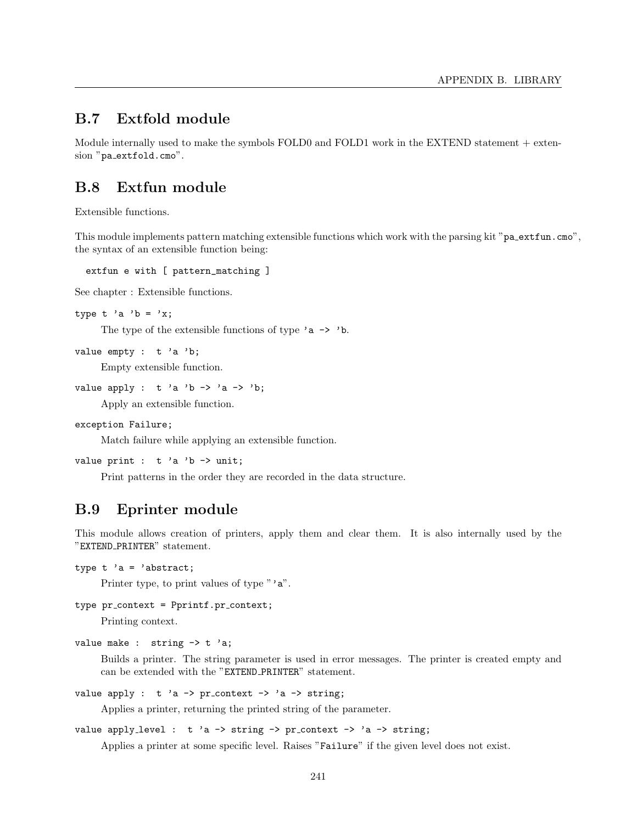# B.7 Extfold module

Module internally used to make the symbols FOLD0 and FOLD1 work in the EXTEND statement + extension "pa\_extfold.cmo".

# B.8 Extfun module

Extensible functions.

This module implements pattern matching extensible functions which work with the parsing kit "pa\_extfun.cmo", the syntax of an extensible function being:

extfun e with [ pattern\_matching ]

See chapter : Extensible functions.

```
type t 'a 'b = 'x;
```
The type of the extensible functions of type  $a \rightarrow b$ .

```
value empty : t 'a 'b;
```
Empty extensible function.

```
value apply : t 'a 'b -> 'a -> 'b;
```
Apply an extensible function.

```
exception Failure;
```
Match failure while applying an extensible function.

```
value print : t 'a 'b -> unit;
```
Print patterns in the order they are recorded in the data structure.

# B.9 Eprinter module

This module allows creation of printers, apply them and clear them. It is also internally used by the "EXTEND PRINTER" statement.

```
type t 'a = 'abstract;
```
Printer type, to print values of type "'a".

```
type pr_context = Pprintf.pr_context;
```
Printing context.

```
value make : string \rightarrow t 'a;
```
Builds a printer. The string parameter is used in error messages. The printer is created empty and can be extended with the "EXTEND PRINTER" statement.

value apply :  $t$  'a -> pr\_context -> 'a -> string;

Applies a printer, returning the printed string of the parameter.

```
value apply_level : t 'a -> string -> pr_context -> 'a -> string;
```
Applies a printer at some specific level. Raises "Failure" if the given level does not exist.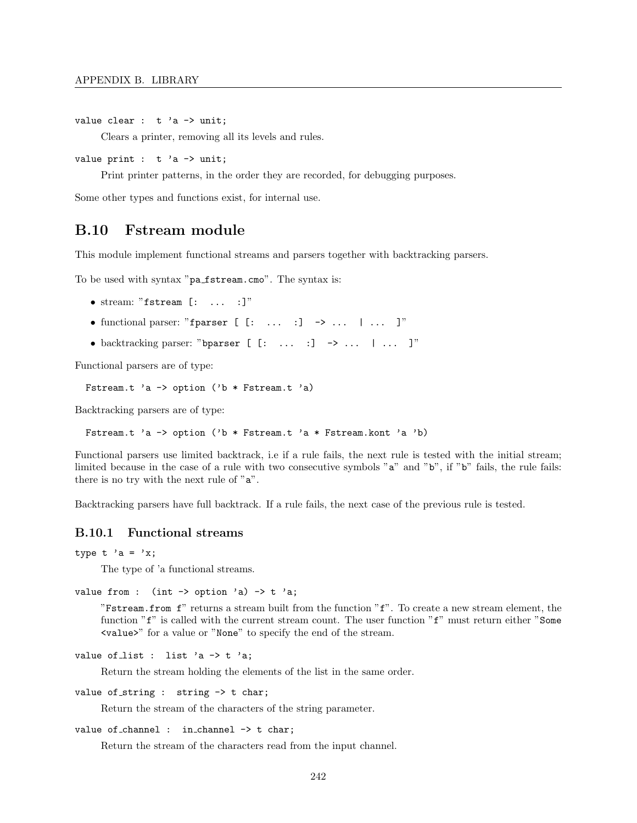```
value clear : t 'a \rightarrow unit;
```
Clears a printer, removing all its levels and rules.

```
value print : t 'a \rightarrow unit;
```
Print printer patterns, in the order they are recorded, for debugging purposes.

Some other types and functions exist, for internal use.

# B.10 Fstream module

This module implement functional streams and parsers together with backtracking parsers.

To be used with syntax "pa fstream.cmo". The syntax is:

- stream: "fstream [: ... :]"
- functional parser: "fparser  $[$   $[$ :  $\ldots$   $]$   $\rightarrow$   $\ldots$   $]$   $\ldots$   $]$ "
- backtracking parser: "bparser  $[$   $[$ :  $\ldots$   $]$   $\rightarrow$   $\ldots$   $]$   $\ldots$   $]$ "

Functional parsers are of type:

```
Fstream.t 'a -> option ('b * Fstream.t 'a)
```
Backtracking parsers are of type:

Fstream.t 'a -> option ('b \* Fstream.t 'a \* Fstream.kont 'a 'b)

Functional parsers use limited backtrack, i.e if a rule fails, the next rule is tested with the initial stream; limited because in the case of a rule with two consecutive symbols "a" and "b", if "b" fails, the rule fails: there is no try with the next rule of "a".

Backtracking parsers have full backtrack. If a rule fails, the next case of the previous rule is tested.

# B.10.1 Functional streams

type t 'a = 'x;

The type of 'a functional streams.

```
value from : (int \rightarrow option 'a) \rightarrow t 'a;
```
"Fstream.from f" returns a stream built from the function "f". To create a new stream element, the function "f" is called with the current stream count. The user function "f" must return either "Some <value>" for a value or "None" to specify the end of the stream.

```
value of list : list 'a \rightarrow t 'a;
```
Return the stream holding the elements of the list in the same order.

value of string : string  $\rightarrow$  t char;

Return the stream of the characters of the string parameter.

```
value of channel : in channel \rightarrow t char;
```
Return the stream of the characters read from the input channel.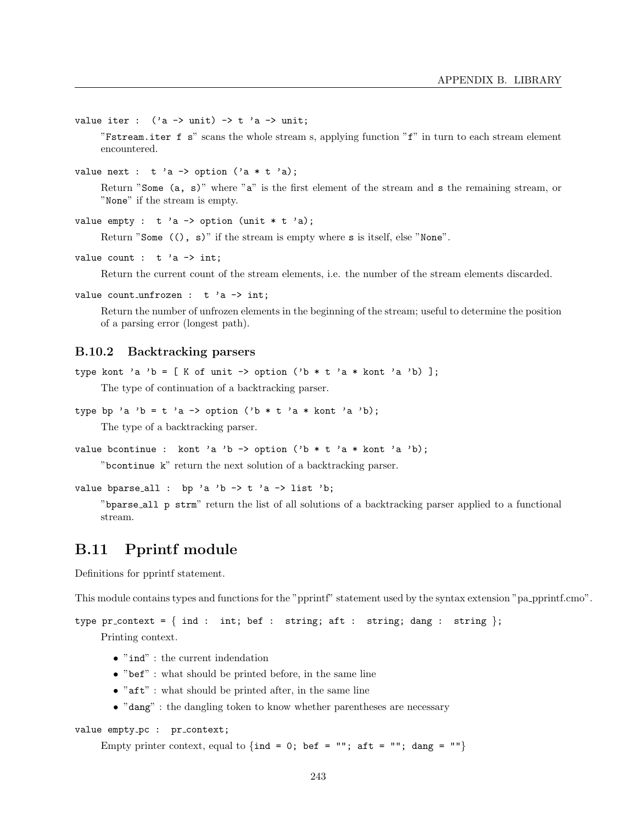value iter :  $('a \rightarrow unit) \rightarrow t 'a \rightarrow unit;$ 

"Fstream.iter f s" scans the whole stream s, applying function "f" in turn to each stream element encountered.

value next : t 'a -> option ('a \* t 'a);

Return "Some (a, s)" where "a" is the first element of the stream and s the remaining stream, or "None" if the stream is empty.

```
value empty : t 'a -> option (unit * t 'a);
```
Return "Some ((), s)" if the stream is empty where s is itself, else "None".

value count :  $t$  'a  $\rightarrow$  int;

Return the current count of the stream elements, i.e. the number of the stream elements discarded.

value count unfrozen :  $t$  'a -> int;

Return the number of unfrozen elements in the beginning of the stream; useful to determine the position of a parsing error (longest path).

## B.10.2 Backtracking parsers

```
type kont 'a 'b = [ K of unit -> option ('b * t 'a * kont 'a 'b) ];
```
The type of continuation of a backtracking parser.

```
type bp 'a 'b = t 'a -> option ('b * t 'a * kont 'a 'b);
```
The type of a backtracking parser.

```
value bcontinue : kont 'a 'b -> option ('b * t 'a * kont 'a 'b);
```
"bcontinue k" return the next solution of a backtracking parser.

```
value bparse_all : bp 'a 'b \rightarrow t 'a \rightarrow list 'b;
```
"bparse all p strm" return the list of all solutions of a backtracking parser applied to a functional stream.

# B.11 Pprintf module

Definitions for pprintf statement.

This module contains types and functions for the "pprintf" statement used by the syntax extension "pa pprintf.cmo".

```
type pr context = { ind : int; bef : string; aft : string; dang : string };
    Printing context.
```
- $\bullet$  "ind" : the current indendation
- "bef" : what should be printed before, in the same line
- $\bullet$  "aft" : what should be printed after, in the same line
- "dang" : the dangling token to know whether parentheses are necessary

```
value empty_pc : pr_context;
```
Empty printer context, equal to  $\{\text{ind} = 0; \text{ bef} = ""; \text{ aft} = ""; \text{ dang} = ""\}$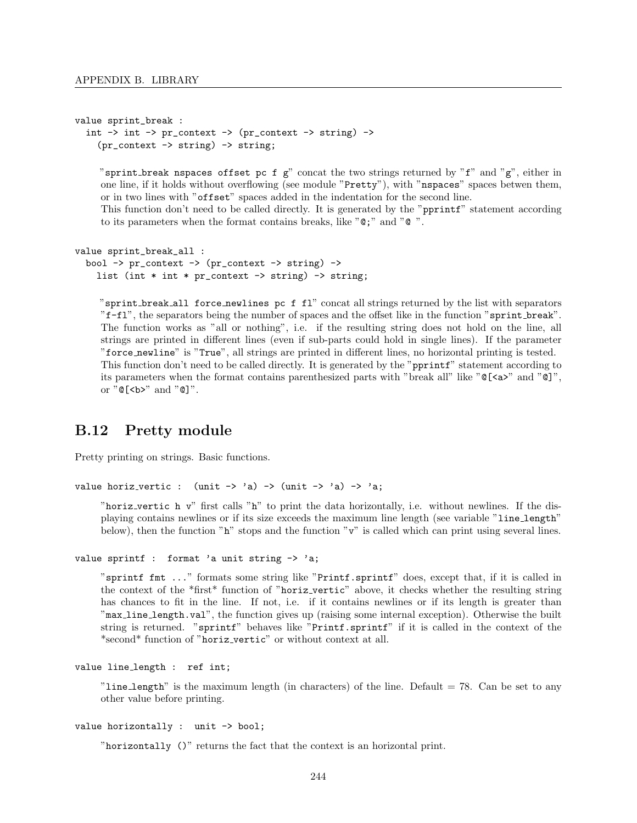```
value sprint_break :
   int \rightarrow int \rightarrow pr_context \rightarrow (pr_context \rightarrow string) \rightarrow(pr_{\text{context}} \rightarrow \text{string}) \rightarrow \text{string};
```
"sprint break nspaces offset pc f  $g$ " concat the two strings returned by "f" and " $g$ ", either in one line, if it holds without overflowing (see module "Pretty"), with "nspaces" spaces betwen them, or in two lines with "offset" spaces added in the indentation for the second line.

This function don't need to be called directly. It is generated by the "pprintf" statement according to its parameters when the format contains breaks, like "@;" and "@ ".

```
value sprint_break_all :
  bool -> pr_context -> (pr_context -> string) ->
    list (int * int * pr_context \rightarrow string) \rightarrow string;
```
"sprint break all force newlines pc f fl" concat all strings returned by the list with separators "f-fl", the separators being the number of spaces and the offset like in the function "sprint break". The function works as "all or nothing", i.e. if the resulting string does not hold on the line, all strings are printed in different lines (even if sub-parts could hold in single lines). If the parameter "force newline" is "True", all strings are printed in different lines, no horizontal printing is tested. This function don't need to be called directly. It is generated by the "pprintf" statement according to its parameters when the format contains parenthesized parts with "break all" like "@[<a>" and "@]", or  $"@[**b**" and "@]".$ 

# B.12 Pretty module

Pretty printing on strings. Basic functions.

```
value horiz_vertic : (unit \rightarrow 'a) \rightarrow (unit \rightarrow 'a) \rightarrow 'a;
```
"horiz vertic h v" first calls "h" to print the data horizontally, i.e. without newlines. If the displaying contains newlines or if its size exceeds the maximum line length (see variable "line length" below), then the function "h" stops and the function "v" is called which can print using several lines.

```
value sprintf : format 'a unit string \rightarrow 'a;
```
"sprintf fmt ..." formats some string like "Printf.sprintf" does, except that, if it is called in the context of the \*first\* function of "horiz vertic" above, it checks whether the resulting string has chances to fit in the line. If not, i.e. if it contains newlines or if its length is greater than "max line length.val", the function gives up (raising some internal exception). Otherwise the built string is returned. "sprintf" behaves like "Printf.sprintf" if it is called in the context of the \*second\* function of "horiz vertic" or without context at all.

```
value line length : ref int;
```
"line\_length" is the maximum length (in characters) of the line. Default  $= 78$ . Can be set to any other value before printing.

```
value horizontally : unit -> bool;
```
"horizontally ()" returns the fact that the context is an horizontal print.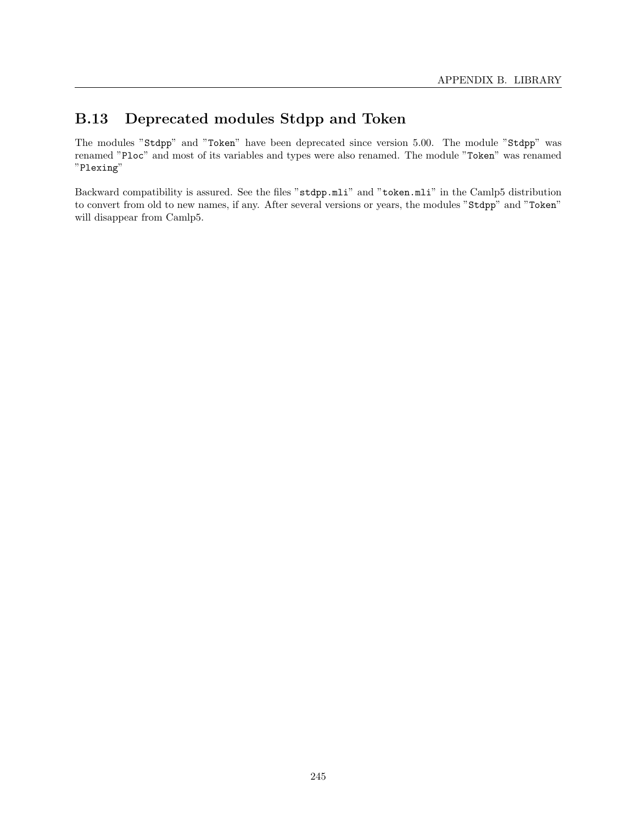# B.13 Deprecated modules Stdpp and Token

The modules "Stdpp" and "Token" have been deprecated since version 5.00. The module "Stdpp" was renamed "Ploc" and most of its variables and types were also renamed. The module "Token" was renamed "Plexing"

Backward compatibility is assured. See the files "stdpp.mli" and "token.mli" in the Camlp5 distribution to convert from old to new names, if any. After several versions or years, the modules "Stdpp" and "Token" will disappear from Camlp5.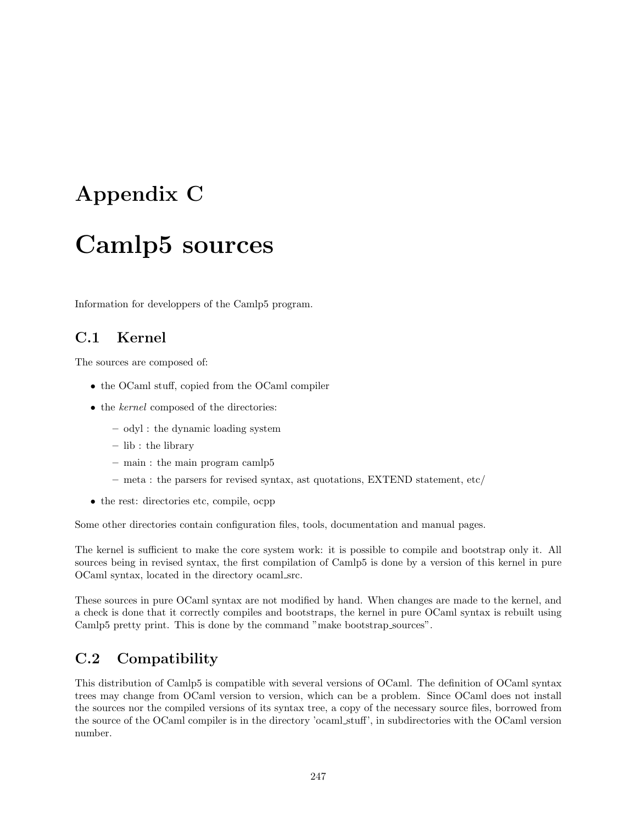# Appendix C

# Camlp5 sources

Information for developpers of the Camlp5 program.

# C.1 Kernel

The sources are composed of:

- the OCaml stuff, copied from the OCaml compiler
- the *kernel* composed of the directories:
	- odyl : the dynamic loading system
	- lib : the library
	- main : the main program camlp5
	- meta : the parsers for revised syntax, ast quotations, EXTEND statement, etc/
- the rest: directories etc, compile, ocpp

Some other directories contain configuration files, tools, documentation and manual pages.

The kernel is sufficient to make the core system work: it is possible to compile and bootstrap only it. All sources being in revised syntax, the first compilation of Camlp5 is done by a version of this kernel in pure OCaml syntax, located in the directory ocaml src.

These sources in pure OCaml syntax are not modified by hand. When changes are made to the kernel, and a check is done that it correctly compiles and bootstraps, the kernel in pure OCaml syntax is rebuilt using Camlp5 pretty print. This is done by the command "make bootstrap sources".

# C.2 Compatibility

This distribution of Camlp5 is compatible with several versions of OCaml. The definition of OCaml syntax trees may change from OCaml version to version, which can be a problem. Since OCaml does not install the sources nor the compiled versions of its syntax tree, a copy of the necessary source files, borrowed from the source of the OCaml compiler is in the directory 'ocaml stuff', in subdirectories with the OCaml version number.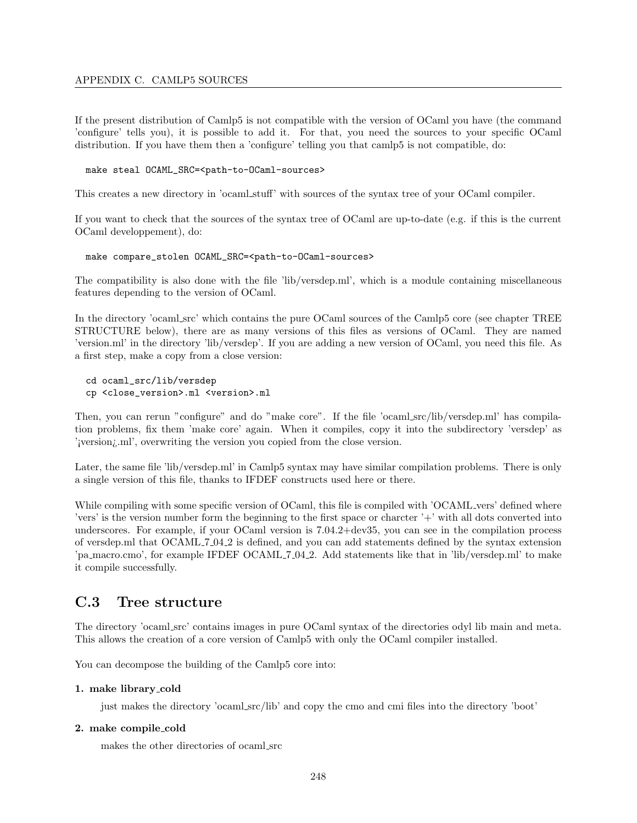# APPENDIX C. CAMLP5 SOURCES

If the present distribution of Camlp5 is not compatible with the version of OCaml you have (the command 'configure' tells you), it is possible to add it. For that, you need the sources to your specific OCaml distribution. If you have them then a 'configure' telling you that camlp5 is not compatible, do:

#### make steal OCAML\_SRC=<path-to-OCaml-sources>

This creates a new directory in 'ocaml stuff' with sources of the syntax tree of your OCaml compiler.

If you want to check that the sources of the syntax tree of OCaml are up-to-date (e.g. if this is the current OCaml developpement), do:

#### make compare\_stolen OCAML\_SRC=<path-to-OCaml-sources>

The compatibility is also done with the file 'lib/versdep.ml', which is a module containing miscellaneous features depending to the version of OCaml.

In the directory 'ocaml src' which contains the pure OCaml sources of the Camlp5 core (see chapter TREE STRUCTURE below), there are as many versions of this files as versions of OCaml. They are named 'version.ml' in the directory 'lib/versdep'. If you are adding a new version of OCaml, you need this file. As a first step, make a copy from a close version:

```
cd ocaml_src/lib/versdep
cp <close_version>.ml <version>.ml
```
Then, you can rerun "configure" and do "make core". If the file 'ocaml src/lib/versdep.ml' has compilation problems, fix them 'make core' again. When it compiles, copy it into the subdirectory 'versdep' as '; version; ml', overwriting the version you copied from the close version.

Later, the same file 'lib/versdep.ml' in Camlp5 syntax may have similar compilation problems. There is only a single version of this file, thanks to IFDEF constructs used here or there.

While compiling with some specific version of OCaml, this file is compiled with 'OCAML vers' defined where 'vers' is the version number form the beginning to the first space or charcter '+' with all dots converted into underscores. For example, if your OCaml version is 7.04.2+dev35, you can see in the compilation process of versdep.ml that OCAML 7 04 2 is defined, and you can add statements defined by the syntax extension 'pa macro.cmo', for example IFDEF OCAML 7 04.2. Add statements like that in 'lib/versdep.ml' to make it compile successfully.

# C.3 Tree structure

The directory 'ocaml src' contains images in pure OCaml syntax of the directories odyl lib main and meta. This allows the creation of a core version of Camlp5 with only the OCaml compiler installed.

You can decompose the building of the Camlp5 core into:

#### 1. make library cold

just makes the directory 'ocaml src/lib' and copy the cmo and cmi files into the directory 'boot'

## 2. make compile cold

makes the other directories of ocaml src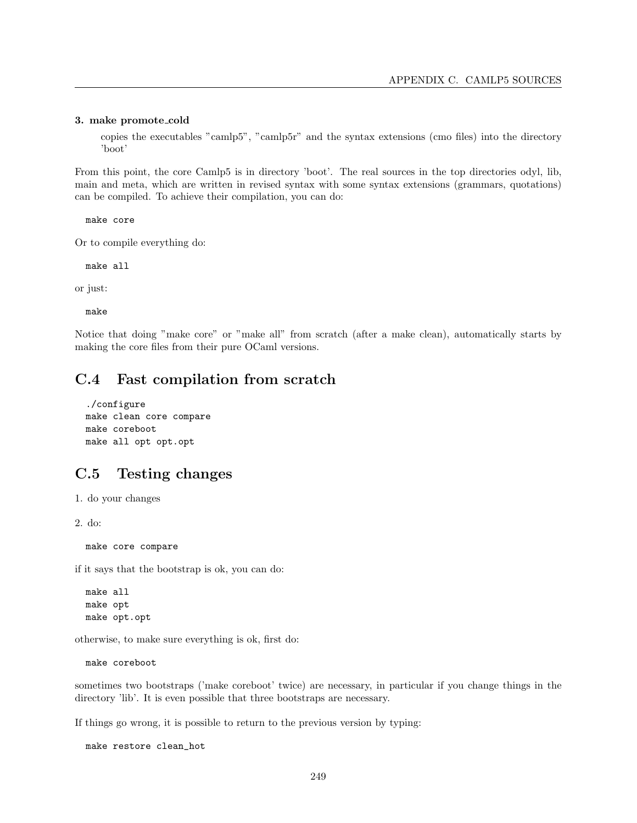#### 3. make promote cold

copies the executables "camlp5", "camlp5r" and the syntax extensions (cmo files) into the directory 'boot'

From this point, the core Camlp5 is in directory 'boot'. The real sources in the top directories odyl, lib, main and meta, which are written in revised syntax with some syntax extensions (grammars, quotations) can be compiled. To achieve their compilation, you can do:

make core

Or to compile everything do:

make all

or just:

make

Notice that doing "make core" or "make all" from scratch (after a make clean), automatically starts by making the core files from their pure OCaml versions.

# C.4 Fast compilation from scratch

```
./configure
make clean core compare
make coreboot
make all opt opt.opt
```
# C.5 Testing changes

1. do your changes

2. do:

make core compare

if it says that the bootstrap is ok, you can do:

make all make opt make opt.opt

otherwise, to make sure everything is ok, first do:

make coreboot

sometimes two bootstraps ('make coreboot' twice) are necessary, in particular if you change things in the directory 'lib'. It is even possible that three bootstraps are necessary.

If things go wrong, it is possible to return to the previous version by typing:

make restore clean\_hot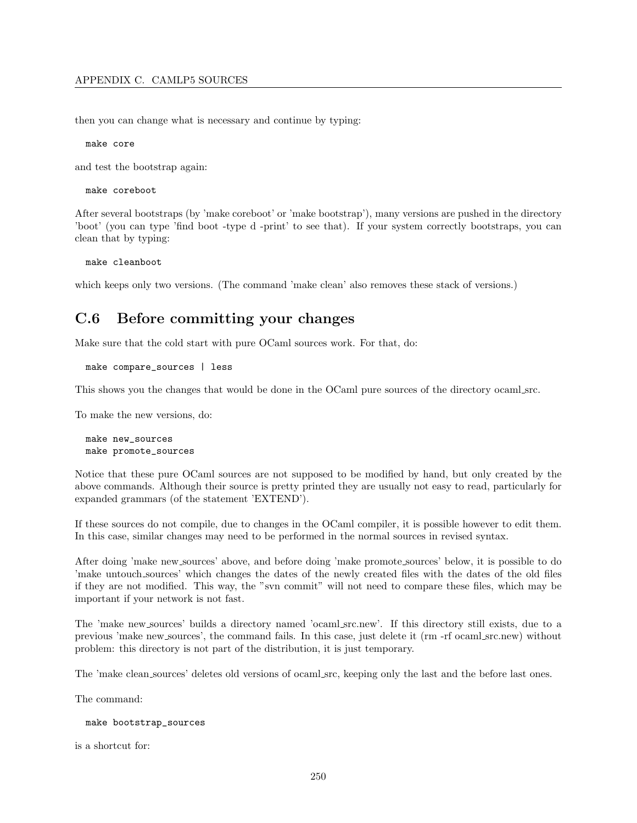then you can change what is necessary and continue by typing:

make core

and test the bootstrap again:

make coreboot

After several bootstraps (by 'make coreboot' or 'make bootstrap'), many versions are pushed in the directory 'boot' (you can type 'find boot -type d -print' to see that). If your system correctly bootstraps, you can clean that by typing:

make cleanboot

which keeps only two versions. (The command 'make clean' also removes these stack of versions.)

# C.6 Before committing your changes

Make sure that the cold start with pure OCaml sources work. For that, do:

```
make compare_sources | less
```
This shows you the changes that would be done in the OCaml pure sources of the directory ocaml src.

To make the new versions, do:

make new\_sources make promote\_sources

Notice that these pure OCaml sources are not supposed to be modified by hand, but only created by the above commands. Although their source is pretty printed they are usually not easy to read, particularly for expanded grammars (of the statement 'EXTEND').

If these sources do not compile, due to changes in the OCaml compiler, it is possible however to edit them. In this case, similar changes may need to be performed in the normal sources in revised syntax.

After doing 'make new sources' above, and before doing 'make promote sources' below, it is possible to do 'make untouch sources' which changes the dates of the newly created files with the dates of the old files if they are not modified. This way, the "svn commit" will not need to compare these files, which may be important if your network is not fast.

The 'make new sources' builds a directory named 'ocaml src.new'. If this directory still exists, due to a previous 'make new sources', the command fails. In this case, just delete it (rm -rf ocaml src.new) without problem: this directory is not part of the distribution, it is just temporary.

The 'make clean sources' deletes old versions of ocaml src, keeping only the last and the before last ones.

The command:

```
make bootstrap_sources
```
is a shortcut for: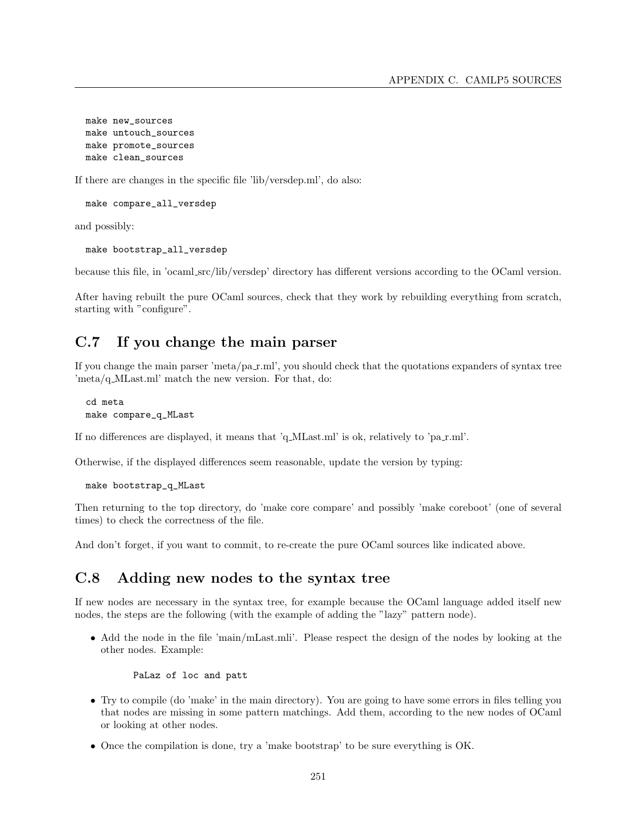make new\_sources make untouch\_sources make promote\_sources make clean\_sources

If there are changes in the specific file 'lib/versdep.ml', do also:

make compare\_all\_versdep

and possibly:

make bootstrap\_all\_versdep

because this file, in 'ocaml src/lib/versdep' directory has different versions according to the OCaml version.

After having rebuilt the pure OCaml sources, check that they work by rebuilding everything from scratch, starting with "configure".

## C.7 If you change the main parser

If you change the main parser 'meta/pa\_r.ml', you should check that the quotations expanders of syntax tree 'meta/q MLast.ml' match the new version. For that, do:

cd meta make compare\_q\_MLast

If no differences are displayed, it means that 'q\_MLast.ml' is ok, relatively to 'pa\_r.ml'.

Otherwise, if the displayed differences seem reasonable, update the version by typing:

make bootstrap\_q\_MLast

Then returning to the top directory, do 'make core compare' and possibly 'make coreboot' (one of several times) to check the correctness of the file.

And don't forget, if you want to commit, to re-create the pure OCaml sources like indicated above.

# C.8 Adding new nodes to the syntax tree

If new nodes are necessary in the syntax tree, for example because the OCaml language added itself new nodes, the steps are the following (with the example of adding the "lazy" pattern node).

• Add the node in the file 'main/mLast.mli'. Please respect the design of the nodes by looking at the other nodes. Example:

PaLaz of loc and patt

- Try to compile (do 'make' in the main directory). You are going to have some errors in files telling you that nodes are missing in some pattern matchings. Add them, according to the new nodes of OCaml or looking at other nodes.
- Once the compilation is done, try a 'make bootstrap' to be sure everything is OK.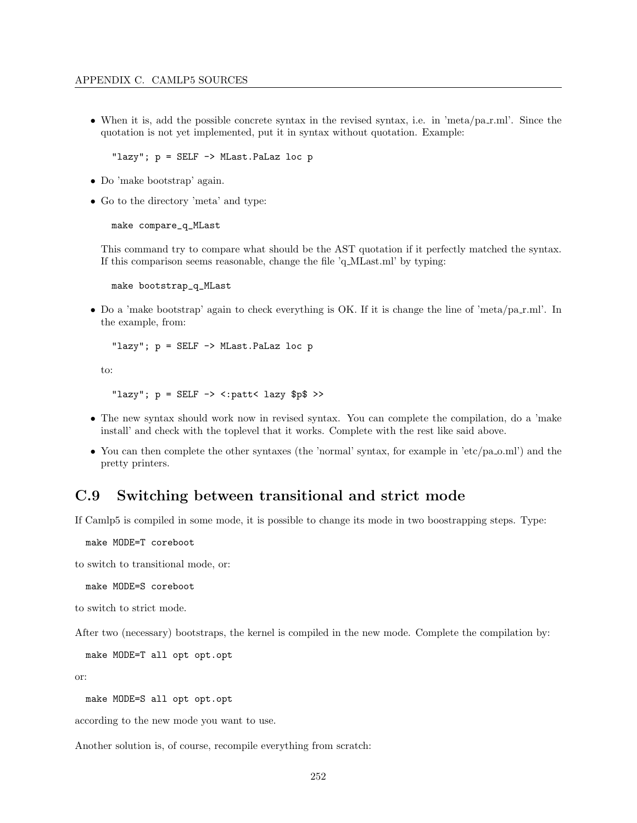• When it is, add the possible concrete syntax in the revised syntax, i.e. in 'meta/pa\_r.ml'. Since the quotation is not yet implemented, put it in syntax without quotation. Example:

"lazy"; p = SELF -> MLast.PaLaz loc p

- Do 'make bootstrap' again.
- Go to the directory 'meta' and type:

make compare\_q\_MLast

This command try to compare what should be the AST quotation if it perfectly matched the syntax. If this comparison seems reasonable, change the file 'q MLast.ml' by typing:

make bootstrap\_q\_MLast

• Do a 'make bootstrap' again to check everything is OK. If it is change the line of 'meta/pa r.ml'. In the example, from:

"lazy";  $p = SELF \rightarrow MLast.PaLaz loc p$ 

to:

```
"lazy"; p = SELF \rightarrow \langle :path \rangle lazy $p$ >>
```
- The new syntax should work now in revised syntax. You can complete the compilation, do a 'make install' and check with the toplevel that it works. Complete with the rest like said above.
- You can then complete the other syntaxes (the 'normal' syntax, for example in 'etc/pa\_o.ml') and the pretty printers.

### C.9 Switching between transitional and strict mode

If Camlp5 is compiled in some mode, it is possible to change its mode in two boostrapping steps. Type:

make MODE=T coreboot

to switch to transitional mode, or:

make MODE=S coreboot

to switch to strict mode.

After two (necessary) bootstraps, the kernel is compiled in the new mode. Complete the compilation by:

make MODE=T all opt opt.opt

or:

make MODE=S all opt opt.opt

according to the new mode you want to use.

Another solution is, of course, recompile everything from scratch: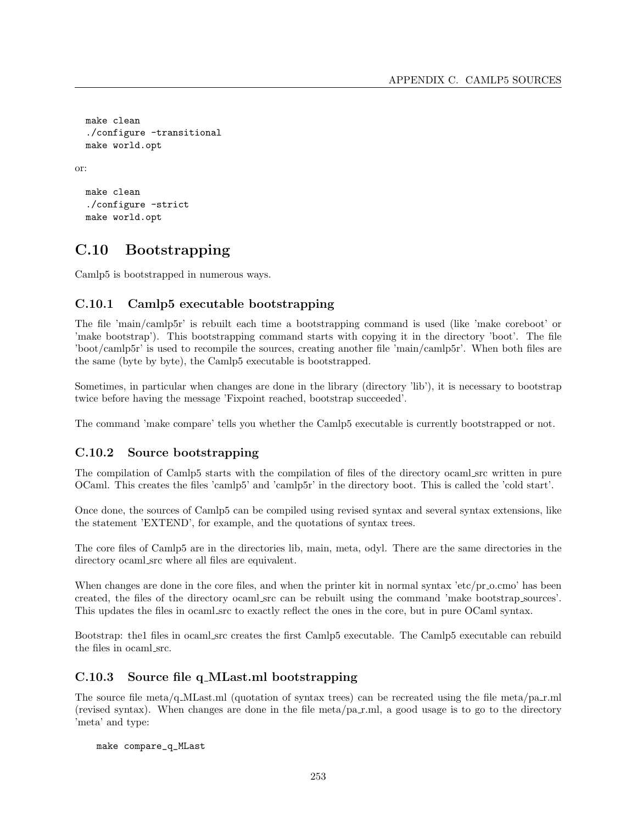```
make clean
  ./configure -transitional
  make world.opt
or:
```

```
make clean
./configure -strict
make world.opt
```
# C.10 Bootstrapping

Camlp5 is bootstrapped in numerous ways.

### C.10.1 Camlp5 executable bootstrapping

The file 'main/camlp5r' is rebuilt each time a bootstrapping command is used (like 'make coreboot' or 'make bootstrap'). This bootstrapping command starts with copying it in the directory 'boot'. The file 'boot/camlp5r' is used to recompile the sources, creating another file 'main/camlp5r'. When both files are the same (byte by byte), the Camlp5 executable is bootstrapped.

Sometimes, in particular when changes are done in the library (directory 'lib'), it is necessary to bootstrap twice before having the message 'Fixpoint reached, bootstrap succeeded'.

The command 'make compare' tells you whether the Camlp5 executable is currently bootstrapped or not.

#### C.10.2 Source bootstrapping

The compilation of Camlp5 starts with the compilation of files of the directory ocaml src written in pure OCaml. This creates the files 'camlp5' and 'camlp5r' in the directory boot. This is called the 'cold start'.

Once done, the sources of Camlp5 can be compiled using revised syntax and several syntax extensions, like the statement 'EXTEND', for example, and the quotations of syntax trees.

The core files of Camlp5 are in the directories lib, main, meta, odyl. There are the same directories in the directory ocaml\_src where all files are equivalent.

When changes are done in the core files, and when the printer kit in normal syntax 'etc/pr\_o.cmo' has been created, the files of the directory ocaml src can be rebuilt using the command 'make bootstrap sources'. This updates the files in ocaml src to exactly reflect the ones in the core, but in pure OCaml syntax.

Bootstrap: the1 files in ocaml src creates the first Camlp5 executable. The Camlp5 executable can rebuild the files in ocaml src.

#### C.10.3 Source file q MLast.ml bootstrapping

The source file meta/q.MLast.ml (quotation of syntax trees) can be recreated using the file meta/pa\_r.ml (revised syntax). When changes are done in the file meta/pa r.ml, a good usage is to go to the directory 'meta' and type:

make compare\_q\_MLast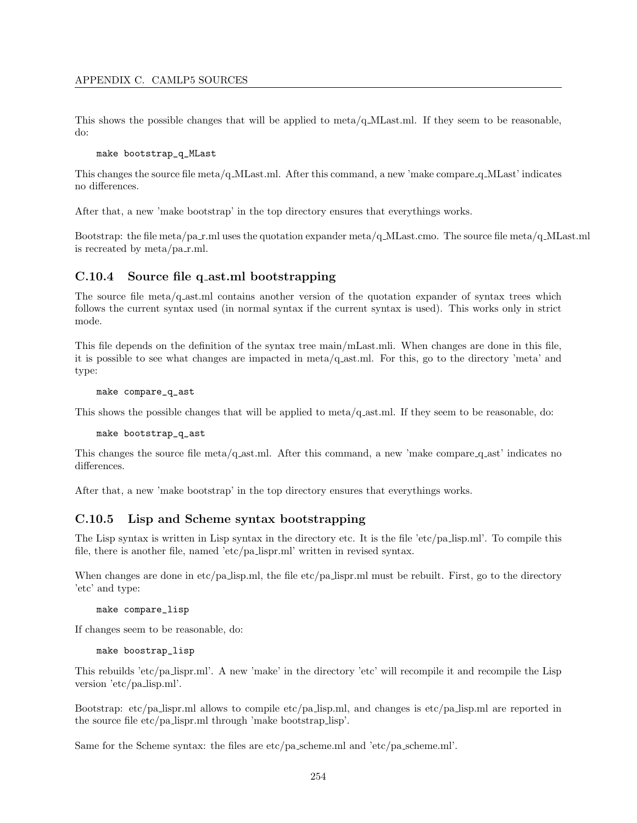This shows the possible changes that will be applied to meta/q  $MLast$ . If they seem to be reasonable, do:

#### make bootstrap\_q\_MLast

This changes the source file meta/q MLast.ml. After this command, a new 'make compare q MLast' indicates no differences.

After that, a new 'make bootstrap' in the top directory ensures that everythings works.

Bootstrap: the file meta/pa\_r.ml uses the quotation expander meta/q\_MLast.cmo. The source file meta/q\_MLast.ml is recreated by  $meta/pa\_r.ml$ .

#### C.10.4 Source file q ast.ml bootstrapping

The source file meta/q ast.ml contains another version of the quotation expander of syntax trees which follows the current syntax used (in normal syntax if the current syntax is used). This works only in strict mode.

This file depends on the definition of the syntax tree main/mLast.mli. When changes are done in this file, it is possible to see what changes are impacted in meta/q ast.ml. For this, go to the directory 'meta' and type:

make compare\_q\_ast

This shows the possible changes that will be applied to meta/q ast.ml. If they seem to be reasonable, do:

make bootstrap\_q\_ast

This changes the source file meta/q ast.ml. After this command, a new 'make compare q ast' indicates no differences.

After that, a new 'make bootstrap' in the top directory ensures that everythings works.

#### C.10.5 Lisp and Scheme syntax bootstrapping

The Lisp syntax is written in Lisp syntax in the directory etc. It is the file 'etc/pa lisp.ml'. To compile this file, there is another file, named 'etc/pa lispr.ml' written in revised syntax.

When changes are done in etc/pa lisp.ml, the file etc/pa lispr.ml must be rebuilt. First, go to the directory 'etc' and type:

make compare\_lisp

If changes seem to be reasonable, do:

make boostrap\_lisp

This rebuilds 'etc/pa lispr.ml'. A new 'make' in the directory 'etc' will recompile it and recompile the Lisp version 'etc/pa lisp.ml'.

Bootstrap: etc/pa lispr.ml allows to compile etc/pa lisp.ml, and changes is etc/pa lisp.ml are reported in the source file etc/pa lispr.ml through 'make bootstrap lisp'.

Same for the Scheme syntax: the files are etc/pa scheme.ml and 'etc/pa scheme.ml'.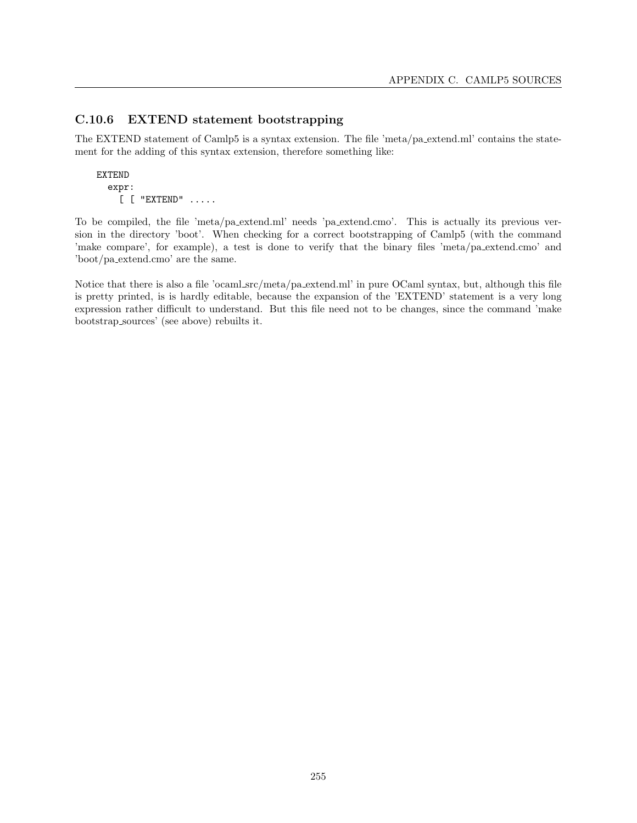#### C.10.6 EXTEND statement bootstrapping

The EXTEND statement of Camlp5 is a syntax extension. The file 'meta/pa extend.ml' contains the statement for the adding of this syntax extension, therefore something like:

EXTEND expr: [ [ "EXTEND" .....

To be compiled, the file 'meta/pa extend.ml' needs 'pa extend.cmo'. This is actually its previous version in the directory 'boot'. When checking for a correct bootstrapping of Camlp5 (with the command 'make compare', for example), a test is done to verify that the binary files 'meta/pa extend.cmo' and 'boot/pa extend.cmo' are the same.

Notice that there is also a file 'ocaml src/meta/pa extend.ml' in pure OCaml syntax, but, although this file is pretty printed, is is hardly editable, because the expansion of the 'EXTEND' statement is a very long expression rather difficult to understand. But this file need not to be changes, since the command 'make bootstrap sources' (see above) rebuilts it.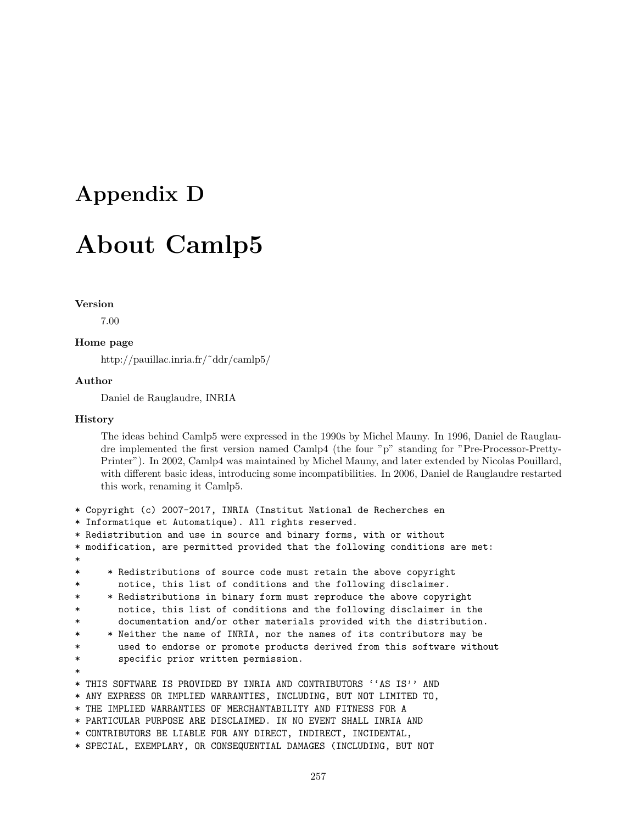# Appendix D

# About Camlp5

#### Version

7.00

#### Home page

http://pauillac.inria.fr/˜ddr/camlp5/

#### Author

Daniel de Rauglaudre, INRIA

#### History

The ideas behind Camlp5 were expressed in the 1990s by Michel Mauny. In 1996, Daniel de Rauglaudre implemented the first version named Camlp4 (the four "p" standing for "Pre-Processor-Pretty-Printer"). In 2002, Camlp4 was maintained by Michel Mauny, and later extended by Nicolas Pouillard, with different basic ideas, introducing some incompatibilities. In 2006, Daniel de Rauglaudre restarted this work, renaming it Camlp5.

```
* Copyright (c) 2007-2017, INRIA (Institut National de Recherches en
* Informatique et Automatique). All rights reserved.
* Redistribution and use in source and binary forms, with or without
* modification, are permitted provided that the following conditions are met:
*
* * Redistributions of source code must retain the above copyright
       notice, this list of conditions and the following disclaimer.
* * Redistributions in binary form must reproduce the above copyright
* notice, this list of conditions and the following disclaimer in the
* documentation and/or other materials provided with the distribution.
* * Neither the name of INRIA, nor the names of its contributors may be
* used to endorse or promote products derived from this software without
* specific prior written permission.
*
* THIS SOFTWARE IS PROVIDED BY INRIA AND CONTRIBUTORS ''AS IS'' AND
* ANY EXPRESS OR IMPLIED WARRANTIES, INCLUDING, BUT NOT LIMITED TO,
* THE IMPLIED WARRANTIES OF MERCHANTABILITY AND FITNESS FOR A
* PARTICULAR PURPOSE ARE DISCLAIMED. IN NO EVENT SHALL INRIA AND
* CONTRIBUTORS BE LIABLE FOR ANY DIRECT, INDIRECT, INCIDENTAL,
* SPECIAL, EXEMPLARY, OR CONSEQUENTIAL DAMAGES (INCLUDING, BUT NOT
```